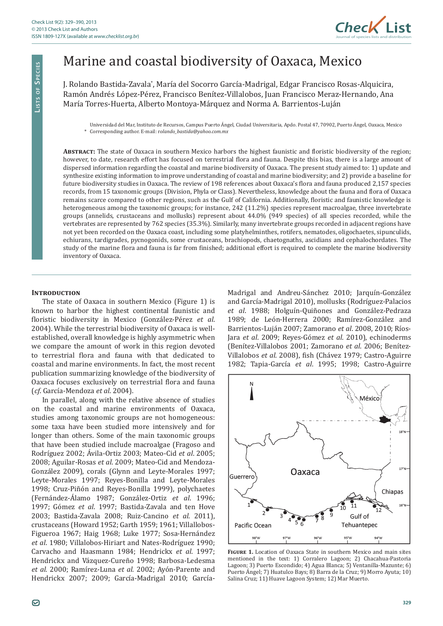

# Marine and coastal biodiversity of Oaxaca, Mexico

J. Rolando Bastida-Zavala\*, María del Socorro García-Madrigal, Edgar Francisco Rosas-Alquicira, Ramón Andrés López-Pérez, Francisco Benítez-Villalobos, Juan Francisco Meraz-Hernando, Ana María Torres-Huerta, Alberto Montoya-Márquez and Norma A. Barrientos-Luján

Universidad del Mar, Instituto de Recursos, Campus Puerto Ángel, Ciudad Universitaria, Apdo. Postal 47, 70902, Puerto Ángel, Oaxaca, Mexico ȗ ǤǦǣ*olando\_bastida@yahoo.com.mx*

ABSTRACT: The state of Oaxaca in southern Mexico harbors the highest faunistic and floristic biodiversity of the region; however, to date, research effort has focused on terrestrial flora and fauna. Despite this bias, there is a large amount of dispersed information regarding the coastal and marine biodiversity of Oaxaca. The present study aimed to: 1) update and synthesize existing information to improve understanding of coastal and marine biodiversity; and 2) provide a baseline for future biodiversity studies in Oaxaca. The review of 198 references about Oaxaca's flora and fauna produced 2,157 species records, from 15 taxonomic groups (Division, Phyla or Class). Nevertheless, knowledge about the fauna and flora of Oaxaca remains scarce compared to other regions, such as the Gulf of California. Additionally, floristic and faunistic knowledge is heterogeneous among the taxonomic groups; for instance, 242 (11.2%) species represent macroalgae, three invertebrate groups (annelids, crustaceans and mollusks) represent about 44.0% (949 species) of all species recorded, while the vertebrates are represented by 762 species (35.3%). Similarly, many invertebrate groups recorded in adjacent regions have not yet been recorded on the Oaxaca coast, including some platyhelminthes, rotifers, nematodes, oligochaetes, sipunculids, echiurans, tardigrades, pycnogonids, some crustaceans, brachiopods, chaetognaths, ascidians and cephalochordates. The study of the marine flora and fauna is far from finished; additional effort is required to complete the marine biodiversity inventory of Oaxaca.

# **INTRODUCTION**

The state of Oaxaca in southern Mexico (Figure 1) is known to harbor the highest continental faunistic and floristic biodiversity in Mexico (González-Pérez et al. 2004). While the terrestrial biodiversity of Oaxaca is wellestablished, overall knowledge is highly asymmetric when we compare the amount of work in this region devoted to terrestrial flora and fauna with that dedicated to coastal and marine environments. In fact, the most recent publication summarizing knowledge of the biodiversity of Oaxaca focuses exclusively on terrestrial flora and fauna (*cf*. García-Mendoza *et al*. 2004).

In parallel, along with the relative absence of studies on the coastal and marine environments of Oaxaca, studies among taxonomic groups are not homogeneous: some taxa have been studied more intensively and for longer than others. Some of the main taxonomic groups that have been studied include macroalgae (Fragoso and Rodríguez 2002; Ávila-Ortiz 2003; Mateo-Cid et al. 2005; 2008; Aguilar-Rosas et al. 2009; Mateo-Cid and Mendoza-González 2009), corals (Glynn and Leyte-Morales 1997; Leyte-Morales 1997; Reyes-Bonilla and Leyte-Morales 1998; Cruz-Piñón and Reyes-Bonilla 1999), polychaetes (Fernández-Álamo 1987; González-Ortiz *et al*. 1996; 1997; Gómez et al. 1997; Bastida-Zavala and ten Hove 2003; Bastida-Zavala 2008; Ruiz-Cancino et al. 2011), crustaceans (Howard 1952; Garth 1959; 1961; Villallobos-Figueroa 1967; Haig 1968; Luke 1977; Sosa-Hernández *et al*. 1980; Villalobos-Hiriart and Nates-Rodríguez 1990; Carvacho and Haasmann 1984; Hendrickx et al. 1997; Hendrickx and Vázquez-Cureño 1998; Barbosa-Ledesma *et al.* 2000; Ramírez-Luna *et al.* 2002; Ayón-Parente and Hendrickx 2007; 2009; García-Madrigal 2010; GarcíaMadrigal and Andreu-Sánchez 2010; Jarquín-González and García-Madrigal 2010), mollusks (Rodríguez-Palacios *et al*. 1988; Holguín-Quiñones and González-Pedraza 1989; de León-Herrera 2000; Ramírez-González and Barrientos-Luján 2007; Zamorano *et al*. 2008, 2010; Ríos-Jara *et al*. 2009; Reyes-Gómez *et al*. 2010), echinoderms (Benítez-Villalobos 2001; Zamorano *et al*. 2006; Benítez-Villalobos et al. 2008), fish (Chávez 1979; Castro-Aguirre 1982; Tapia-García et al. 1995; 1998; Castro-Aguirre



FIGURE 1. Location of Oaxaca State in southern Mexico and main sites mentioned in the text: 1) Corralero Lagoon; 2) Chacahua-Pastoria Lagoon; 3) Puerto Escondido; 4) Agua Blanca; 5) Ventanilla-Mazunte; 6) Puerto Ángel; 7) Huatulco Bays; 8) Barra de la Cruz; 9) Morro Ayuta; 10) Salina Cruz; 11) Huave Lagoon System; 12) Mar Muerto.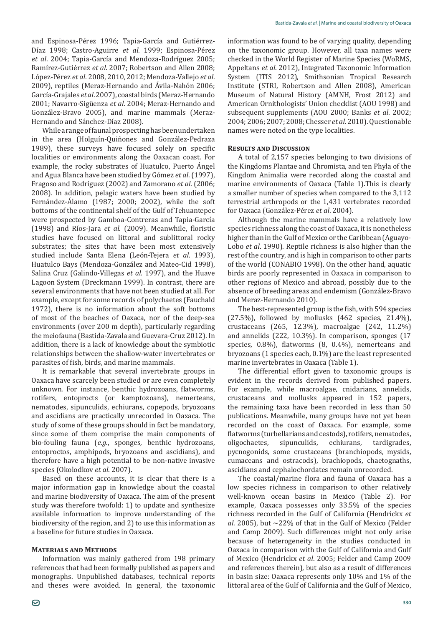and Espinosa-Pérez 1996; Tapia-Garcia and Gutiérrez-Díaz 1998; Castro-Aguirre et al. 1999; Espinosa-Pérez *et al*. 2004; Tapia-García and Mendoza-Rodríguez 2005; Ramírez-Gutiérrez et al. 2007; Robertson and Allen 2008; ×Ǧ±*et al*. 2008, 2010, 2012; Mendoza-Vallejo *et al*. 2009), reptiles (Meraz-Hernando and Ávila-Nahón 2006; García-Grajales *et al*. 2007), coastal birds (Meraz-Hernando 2001; Navarro-Sigüenza et al. 2004; Meraz-Hernando and González-Bravo 2005), and marine mammals (Meraz-Hernando and Sánchez-Díaz 2008).

While a range of faunal prospecting has been undertaken in the area (Holguín-Quiñones and González-Pedraza 1989), these surveys have focused solely on specific localities or environments along the Oaxacan coast. For example, the rocky substrates of Huatulco, Puerto Ángel and Agua Blanca have been studied by Gómez *et al*. (1997), Fragoso and Rodríguez (2002) and Zamorano *et al*. (2006; 2008). In addition, pelagic waters have been studied by Fernández-Álamo (1987; 2000; 2002), while the soft bottoms of the continental shelf of the Gulf of Tehuantepec were prospected by Gamboa-Contreras and Tapia-Garcia (1998) and Ríos-Jara *et al.* (2009). Meanwhile, floristic studies have focused on littoral and sublittoral rocky substrates; the sites that have been most extensively studied include Santa Elena (León-Tejera et al. 1993), Huatulco Bays (Mendoza-González and Mateo-Cid 1998), Salina Cruz (Galindo-Villegas et al. 1997), and the Huave Lagoon System (Dreckmann 1999). In contrast, there are several environments that have not been studied at all. For example, except for some records of polychaetes (Fauchald 1972), there is no information about the soft bottoms of most of the beaches of Oaxaca, nor of the deep-sea environments (over 200 m depth), particularly regarding the meiofauna (Bastida-Zavala and Guevara-Cruz 2012). In addition, there is a lack of knowledge about the symbiotic relationships between the shallow-water invertebrates or parasites of fish, birds, and marine mammals.

It is remarkable that several invertebrate groups in Oaxaca have scarcely been studied or are even completely unknown. For instance, benthic hydrozoans, flatworms, rotifers, entoprocts (or kamptozoans), nemerteans, nematodes, sipunculids, echiurans, copepods, bryozoans and ascidians are practically unrecorded in Oaxaca. The study of some of these groups should in fact be mandatory, since some of them comprise the main components of bio-fouling fauna (*e.g.*, sponges, benthic hydrozoans, entoproctos, amphipods, bryozoans and ascidians), and therefore have a high potential to be non-native invasive species (Okolodkov et al. 2007).

Based on these accounts, it is clear that there is a major information gap in knowledge about the coastal and marine biodiversity of Oaxaca. The aim of the present study was therefore twofold: 1) to update and synthesize available information to improve understanding of the biodiversity of the region, and 2) to use this information as a baseline for future studies in Oaxaca.

### **MATERIALS AND METHODS**

Information was mainly gathered from 198 primary references that had been formally published as papers and monographs. Unpublished databases, technical reports and theses were avoided. In general, the taxonomic information was found to be of varying quality, depending on the taxonomic group. However, all taxa names were checked in the World Register of Marine Species (WoRMS, Appeltans *et al.* 2012), Integrated Taxonomic Information System (ITIS 2012), Smithsonian Tropical Research Institute (STRI, Robertson and Allen 2008), American Museum of Natural History (AMNH, Frost 2012) and American Ornithologists' Union checklist (AOU 1998) and subsequent supplements (AOU 2000; Banks *et al*. 2002; 2004; 2006; 2007; 2008; Chesser et al. 2010). Questionable names were noted on the type localities.

# **RESULTS AND DISCUSSION**

A total of 2,157 species belonging to two divisions of the Kingdoms Plantae and Chromista, and ten Phyla of the Kingdom Animalia were recorded along the coastal and marine environments of Oaxaca (Table 1). This is clearly a smaller number of species when compared to the 3,112 terrestrial arthropods or the 1,431 vertebrates recorded for Oaxaca (González-Pérez et al. 2004).

Although the marine mammals have a relatively low species richness along the coast of Oaxaca, it is nonetheless higher than in the Gulf of Mexico or the Caribbean (Aguayo-Lobo *et al*. 1990). Reptile richness is also higher than the rest of the country, and is high in comparison to other parts of the world (CONABIO 1998). On the other hand, aquatic birds are poorly represented in Oaxaca in comparison to other regions of Mexico and abroad, possibly due to the absence of breeding areas and endemism (González-Bravo and Meraz-Hernando 2010).

The best-represented group is the fish, with 594 species  $(27.5\%)$ , followed by mollusks  $(462$  species,  $21.4\%)$ , crustaceans (265, 12.3%), macroalgae (242, 11.2%) and annelids (222, 10.3%). In comparison, sponges (17 species, 0.8%), flatworms (8, 0.4%), nemerteans and bryozoans (1 species each, 0.1%) are the least represented marine invertebrates in Oaxaca (Table 1).

The differential effort given to taxonomic groups is evident in the records derived from published papers. For example, while macroalgae, cnidarians, annelids, crustaceans and mollusks appeared in 152 papers, the remaining taxa have been recorded in less than 50 publications. Meanwhile, many groups have not yet been recorded on the coast of Oaxaca. For example, some flatworms (turbellarians and cestods), rotifers, nematodes,<br>oligochaetes, sipunculids, echiurans, tardigrades, oligochaetes, pycnogonids, some crustaceans (branchiopods, mysids, cumaceans and ostracods), brachiopods, chaetognaths, ascidians and cephalochordates remain unrecorded.

The coastal/marine flora and fauna of Oaxaca has a low species richness in comparison to other relatively well-known ocean basins in Mexico (Table 2). For example, Oaxaca possesses only 33.5% of the species richness recorded in the Gulf of California (Hendrickx et *al*. 2005), but ~22% of that in the Gulf of Mexico (Felder and Camp 2009). Such differences might not only arise because of heterogeneity in the studies conducted in Oaxaca in comparison with the Gulf of California and Gulf of Mexico (Hendrickx *et al.* 2005; Felder and Camp 2009 and references therein), but also as a result of differences in basin size: Oaxaca represents only 10% and 1% of the littoral area of the Gulf of California and the Gulf of Mexico,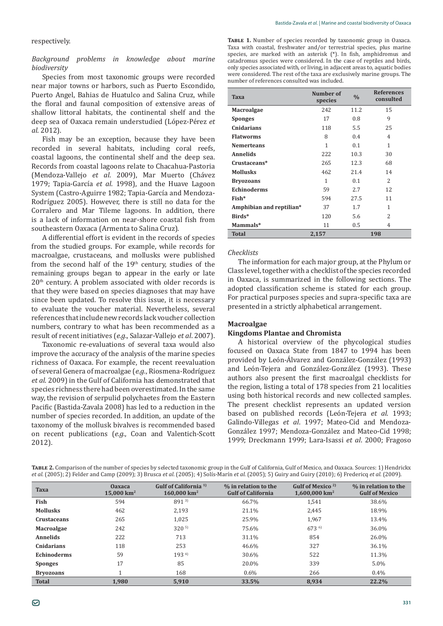#### respectively.

## *Background problems in knowledge about marine biodiversity*

Species from most taxonomic groups were recorded near major towns or harbors, such as Puerto Escondido, Puerto Angel, Bahias de Huatulco and Salina Cruz, while the floral and faunal composition of extensive areas of shallow littoral habitats, the continental shelf and the deep sea of Oaxaca remain understudied (López-Pérez et *al*. 2012).

Fish may be an exception, because they have been recorded in several habitats, including coral reefs, coastal lagoons, the continental shelf and the deep sea. Records from coastal lagoons relate to Chacahua-Pastoria (Mendoza-Vallejo et al. 2009), Mar Muerto (Chávez 1979; Tapia-García et al. 1998), and the Huave Lagoon System (Castro-Aguirre 1982; Tapia-Garcia and Mendoza-Rodríguez 2005). However, there is still no data for the Corralero and Mar Tileme lagoons. In addition, there is a lack of information on near-shore coastal fish from southeastern Oaxaca (Armenta to Salina Cruz).

A differential effort is evident in the records of species from the studied groups. For example, while records for macroalgae, crustaceans, and mollusks were published from the second half of the  $19<sup>th</sup>$  century, studies of the remaining groups began to appear in the early or late 20th century. A problem associated with older records is that they were based on species diagnoses that may have since been updated. To resolve this issue, it is necessary to evaluate the voucher material. Nevertheless, several references that include new records lack voucher collection numbers, contrary to what has been recommended as a ȋ*e.g.*, Salazar-Vallejo *et al*. 2007).

Taxonomic re-evaluations of several taxa would also improve the accuracy of the analysis of the marine species richness of Oaxaca. For example, the recent reevaluation ȋ*e.g.*, Riosmena-Rodríguez *et al*. 2009) in the Gulf of California has demonstrated that species richness there had been overestimated. In the same way, the revision of serpulid polychaetes from the Eastern Pacific (Bastida-Zavala 2008) has led to a reduction in the number of species recorded. In addition, an update of the taxonomy of the mollusk bivalves is recommended based on recent publications (e.g., Coan and Valentich-Scott 2012).

TABLE 1. Number of species recorded by taxonomic group in Oaxaca. Taxa with coastal, freshwater and/or terrestrial species, plus marine species, are marked with an asterisk (\*). In fish, amphidromus and catadromus species were considered. In the case of reptiles and birds, only species associated with, or living, in adjacent areas to, aquatic bodies were considered. The rest of the taxa are exclusively marine groups. The number of references consulted was included.

| <b>Taxa</b>              | Number of<br>species | $\frac{0}{0}$ | <b>References</b><br>consulted |
|--------------------------|----------------------|---------------|--------------------------------|
| <b>Macroalgae</b>        | 242                  | 11.2          | 15                             |
| <b>Sponges</b>           | 17                   | 0.8           | 9                              |
| Cnidarians               | 118                  | 5.5           | 25                             |
| <b>Flatworms</b>         | 8                    | 0.4           | $\overline{4}$                 |
| Nemerteans               | 1                    | 0.1           | 1                              |
| Annelids                 | 222                  | 10.3          | 30                             |
| Crustaceans*             | 265                  | 12.3          | 68                             |
| <b>Mollusks</b>          | 462                  | 21.4          | 14                             |
| <b>Bryozoans</b>         | 1                    | 0.1           | 2                              |
| <b>Echinoderms</b>       | 59                   | 2.7           | 12                             |
| Fish*                    | 594                  | 27.5          | 11                             |
| Amphibian and reptilian* | 37                   | 1.7           | $\mathbf{1}$                   |
| Birds*                   | 120                  | 5.6           | $\overline{\mathcal{L}}$       |
| Mammals*                 | 11                   | 0.5           | 4                              |
| <b>Total</b>             | 2,157                |               | 198                            |

#### *Checklists*

The information for each major group, at the Phylum or Class level, together with a checklist of the species recorded in Oaxaca, is summarized in the following sections. The adopted classification scheme is stated for each group. For practical purposes species and supra-specific taxa are presented in a strictly alphabetical arrangement.

#### **Macroalgae**

#### **Kingdoms Plantae and Chromista**

A historical overview of the phycological studies focused on Oaxaca State from 1847 to 1994 has been provided by León-Alvarez and González-González (1993) and León-Tejera and González-González (1993). These authors also present the first macroalgal checklists for the region, listing a total of 178 species from 21 localities using both historical records and new collected samples. The present checklist represents an updated version based on published records (León-Tejera et al. 1993; Galindo-Villegas et al. 1997; Mateo-Cid and Mendoza-González 1997; Mendoza-González and Mateo-Cid 1998; 1999; Dreckmann 1999; Lara-Isassi et al. 2000; Fragoso

| <b>TABLE 2.</b> Comparison of the number of species by selected taxonomic group in the Gulf of California, Gulf of Mexico, and Oaxaca. Sources: 1) Hendrickx                        |  |
|-------------------------------------------------------------------------------------------------------------------------------------------------------------------------------------|--|
| <i>et al.</i> (2005); 2) Felder and Camp (2009); 3) Brusca <i>et al.</i> (2005); 4) Solís-Marín <i>et al.</i> (2005); 5) Guiry and Guiry (2010); 6) Fredericq <i>et al.</i> (2009). |  |

| <b>Taxa</b>        | <b>Oaxaca</b><br>$15.000 \mathrm{km^2}$ | Gulf of California <sup>1)</sup><br>$160.000 \text{ km}^2$ | % in relation to the<br><b>Gulf of California</b> | Gulf of Mexico <sup>2)</sup><br>$1,600,000$ km <sup>2</sup> | % in relation to the<br><b>Gulf of Mexico</b> |
|--------------------|-----------------------------------------|------------------------------------------------------------|---------------------------------------------------|-------------------------------------------------------------|-----------------------------------------------|
| Fish               | 594                                     | 8913                                                       | 66.7%                                             | 1.541                                                       | 38.6%                                         |
| <b>Mollusks</b>    | 462                                     | 2.193                                                      | 21.1%                                             | 2,445                                                       | 18.9%                                         |
| Crustaceans        | 265                                     | 1,025                                                      | 25.9%                                             | 1,967                                                       | 13.4%                                         |
| <b>Macroalgae</b>  | 242                                     | $320^{5}$                                                  | 75.6%                                             | $673^{6}$                                                   | 36.0%                                         |
| <b>Annelids</b>    | 222                                     | 713                                                        | 31.1%                                             | 854                                                         | 26.0%                                         |
| Cnidarians         | 118                                     | 253                                                        | 46.6%                                             | 327                                                         | 36.1%                                         |
| <b>Echinoderms</b> | 59                                      | $193^{4}$                                                  | 30.6%                                             | 522                                                         | 11.3%                                         |
| <b>Sponges</b>     | 17                                      | 85                                                         | 20.0%                                             | 339                                                         | $5.0\%$                                       |
| <b>Bryozoans</b>   |                                         | 168                                                        | $0.6\%$                                           | 266                                                         | $0.4\%$                                       |
| <b>Total</b>       | 1.980                                   | 5,910                                                      | 33.5%                                             | 8.934                                                       | 22.2%                                         |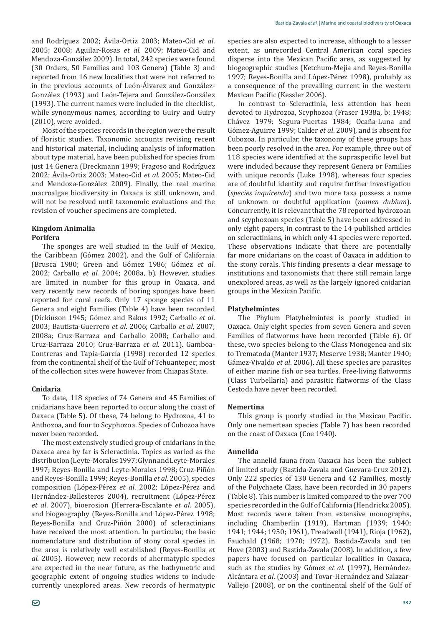and Rodríguez 2002; Ávila-Ortiz 2003; Mateo-Cid et al. 2005; 2008; Aguilar-Rosas et al. 2009; Mateo-Cid and Mendoza-González 2009). In total, 242 species were found (30 Orders, 50 Families and 103 Genera) (Table 3) and reported from 16 new localities that were not referred to in the previous accounts of León-Alvarez and González-González (1993) and León-Tejera and González-González (1993). The current names were included in the checklist. while synonymous names, according to Guiry and Guiry (2010), were avoided.

Most of the species records in the region were the result of floristic studies. Taxonomic accounts revising recent and historical material, including analysis of information about type material, have been published for species from just 14 Genera (Dreckmann 1999; Fragoso and Rodriguez 2002; Ávila-Ortiz 2003; Mateo-Cid et al. 2005; Mateo-Cid and Mendoza-González 2009). Finally, the real marine macroalgae biodiversity in Oaxaca is still unknown, and will not be resolved until taxonomic evaluations and the revision of voucher specimens are completed.

# **Kingdom Animalia Porifera**

The sponges are well studied in the Gulf of Mexico, the Caribbean (Gómez 2002), and the Gulf of California (Brusca 1980; Green and Gómez 1986; Gómez *et al*. 2002; Carballo et al. 2004; 2008a, b). However, studies are limited in number for this group in Oaxaca, and very recently new records of boring sponges have been reported for coral reefs. Only 17 sponge species of 11 Genera and eight Families (Table 4) have been recorded (Dickinson 1945; Gómez and Bakus 1992; Carballo et al. 2003; Bautista-Guerrero *et al*. 2006; Carballo *et al*. 2007; 2008a; Cruz-Barraza and Carballo 2008; Carballo and Cruz-Barraza 2010; Cruz-Barraza et al. 2011). Gamboa-Contreras and Tapia-Garcia (1998) recorded 12 species from the continental shelf of the Gulf of Tehuantepec; most of the collection sites were however from Chiapas State.

# **Cnidaria**

To date, 118 species of 74 Genera and 45 Families of cnidarians have been reported to occur along the coast of Oaxaca (Table 5). Of these, 74 belong to Hydrozoa, 41 to Anthozoa, and four to Scyphozoa. Species of Cubozoa have never been recorded.

The most extensively studied group of cnidarians in the Oaxaca area by far is Scleractinia. Topics as varied as the distribution (Leyte-Morales 1997; Glynn and Leyte-Morales 1997; Reyes-Bonilla and Leyte-Morales 1998; Cruz-Piñón and Reyes-Bonilla 1999; Reyes-Bonilla *et al*. 2005), species composition (López-Pérez et al. 2002; López-Pérez and Hernández-Ballesteros 2004), recruitment (López-Pérez *et al.* 2007), bioerosion (Herrera-Escalante et al. 2005), and biogeography (Reyes-Bonilla and López-Pérez 1998; Reyes-Bonilla and Cruz-Piñón 2000) of scleractinians have received the most attention. In particular, the basic nomenclature and distribution of stony coral species in the area is relatively well established (Reyes-Bonilla et *al.* 2005). However, new records of ahermatypic species are expected in the near future, as the bathymetric and geographic extent of ongoing studies widens to include currently unexplored areas. New records of hermatypic species are also expected to increase, although to a lesser extent, as unrecorded Central American coral species disperse into the Mexican Pacific area, as suggested by biogeographic studies (Ketchum-Mejía and Reyes-Bonilla 1997; Reyes-Bonilla and López-Pérez 1998), probably as a consequence of the prevailing current in the western Mexican Pacific (Kessler 2006).

In contrast to Scleractinia, less attention has been devoted to Hydrozoa, Scyphozoa (Fraser 1938a, b; 1948; Chávez 1979; Segura-Puertas 1984; Ocaña-Luna and Gómez-Aguirre 1999; Calder et al. 2009), and is absent for Cubozoa. In particular, the taxonomy of these groups has been poorly resolved in the area. For example, three out of 118 species were identified at the supraspecific level but were included because they represent Genera or Families with unique records (Luke 1998), whereas four species are of doubtful identity and require further investigation (*species inquirenda*) and two more taxa possess a name of unknown or doubtful application (*nomen dubium*). Concurrently, it is relevant that the 78 reported hydrozoan and scyphozoan species (Table 5) have been addressed in only eight papers, in contrast to the 14 published articles on scleractinians, in which only 41 species were reported. These observations indicate that there are potentially far more cnidarians on the coast of Oaxaca in addition to the stony corals. This finding presents a clear message to institutions and taxonomists that there still remain large unexplored areas, as well as the largely ignored cnidarian groups in the Mexican Pacific.

# **Platyhelmintes**

The Phylum Platyhelmintes is poorly studied in Oaxaca. Only eight species from seven Genera and seven Families of flatworms have been recorded (Table 6). Of these, two species belong to the Class Monogenea and six to Trematoda (Manter 1937; Meserve 1938; Manter 1940; Gámez-Vivaldo et al. 2006). All these species are parasites of either marine fish or sea turtles. Free-living flatworms (Class Turbellaria) and parasitic flatworms of the Class Cestoda have never been recorded.

# **Nemertina**

This group is poorly studied in the Mexican Pacific. Only one nemertean species (Table 7) has been recorded on the coast of Oaxaca (Coe 1940).

# **Annelida**

The annelid fauna from Oaxaca has been the subject of limited study (Bastida-Zavala and Guevara-Cruz 2012). Only 222 species of 130 Genera and 42 Families, mostly of the Polychaete Class, have been recorded in 30 papers (Table 8). This number is limited compared to the over 700 species recorded in the Gulf of California (Hendrickx 2005). Most records were taken from extensive monographs, including Chamberlin (1919), Hartman (1939; 1940; 1941; 1944; 1950; 1961), Treadwell (1941), Rioja (1962), Fauchald (1968; 1970; 1972), Bastida-Zavala and ten Hove (2003) and Bastida-Zavala (2008). In addition, a few papers have focused on particular localities in Oaxaca, such as the studies by Gómez *et al*. (1997), Hernández-Alcántara et al. (2003) and Tovar-Hernández and Salazar-Vallejo (2008), or on the continental shelf of the Gulf of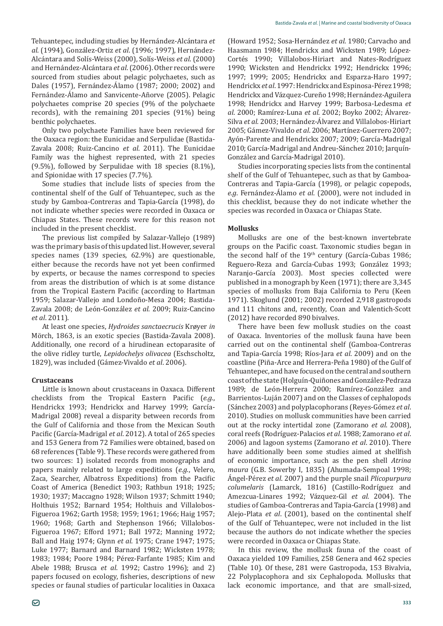Tehuantepec, including studies by Hernández-Alcántara *et al*. (1994), González-Ortiz *et al*. (1996; 1997), Hernández-Alcántara and Solís-Weiss (2000), Solís-Weiss *et al*. (2000) and Hernández-Alcántara *et al*. (2006). Other records were sourced from studies about pelagic polychaetes, such as Dales (1957), Fernández-Álamo (1987; 2000; 2002) and Fernández-Álamo and Sanvicente-Añorve (2005). Pelagic polychaetes comprise 20 species (9% of the polychaete records), with the remaining 201 species (91%) being benthic polychaetes.

Only two polychaete Families have been reviewed for the Oaxaca region: the Eunicidae and Serpulidae (Bastida-Zavala 2008; Ruiz-Cancino et al. 2011). The Eunicidae Family was the highest represented, with 21 species (9.5%), followed by Serpulidae with 18 species (8.1%), and Spionidae with 17 species (7.7%).

Some studies that include lists of species from the continental shelf of the Gulf of Tehuantepec, such as the study by Gamboa-Contreras and Tapia-Garcia (1998), do not indicate whether species were recorded in Oaxaca or Chiapas States. These records were for this reason not included in the present checklist.

The previous list compiled by Salazar-Vallejo (1989) was the primary basis of this updated list. However, several species names (139 species, 62.9%) are questionable, either because the records have not yet been confirmed by experts, or because the names correspond to species from areas the distribution of which is at some distance from the Tropical Eastern Pacific (according to Hartman 1959; Salazar-Vallejo and Londoño-Mesa 2004; Bastida- Zavala 2008; de León-González *et al*. 2009; Ruiz-Cancino *et al*. 2011).

At least one species, *Hydroides sanctaecrucis* Krøyer *in* Mörch, 1863, is an exotic species (Bastida-Zavala 2008). Additionally, one record of a hirudinean ectoparasite of the olive ridley turtle, *Lepidochelys olivacea* (Eschscholtz, 1829), was included (Gámez-Vivaldo *et al*. 2006).

### **Crustaceans**

Little is known about crustaceans in Oaxaca. Different checklists from the Tropical Eastern Pacific (e.g., Hendrickx 1993; Hendrickx and Harvey 1999; Garcia-Madrigal 2008) reveal a disparity between records from the Gulf of California and those from the Mexican South Pacific (García-Madrigal *et al*. 2012). A total of 265 species and 153 Genera from 72 Families were obtained, based on 68 references (Table 9). These records were gathered from two sources: 1) isolated records from monographs and papers mainly related to large expeditions (*e.g.*, Velero, Zaca, Searcher, Albatross Expeditions) from the Pacific Coast of America (Benedict 1903; Rathbun 1918; 1925; 1930; 1937; Maccagno 1928; Wilson 1937; Schmitt 1940; Holthuis 1952; Barnard 1954; Holthuis and Villalobos-Figueroa 1962; Garth 1958; 1959; 1961; 1966; Haig 1957; 1960; 1968; Garth and Stephenson 1966; Villalobos- Figueroa 1967; Efford 1971; Ball 1972; Manning 1972; Ball and Haig 1974; Glynn et al. 1975; Crane 1947; 1975; Luke 1977; Barnard and Barnard 1982; Wicksten 1978; 1983; 1984; Poore 1984; Pérez-Farfante 1985; Kim and Abele 1988; Brusca *et al.* 1992; Castro 1996); and 2) papers focused on ecology, fisheries, descriptions of new species or faunal studies of particular localities in Oaxaca

(Howard 1952; Sosa-Hernández et al. 1980; Carvacho and Haasmann 1984; Hendrickx and Wicksten 1989; López- Cortés 1990; Villalobos-Hiriart and Nates-Rodríguez 1990; Wicksten and Hendrickx 1992; Hendrickx 1996; 1997; 1999; 2005; Hendrickx and Esparza-Haro 1997; Hendrickx *et al.* 1997: Hendrickx and Espinosa-Pérez 1998; Hendrickx and Vázquez-Cureño 1998; Hernández-Aguilera 1998; Hendrickx and Harvey 1999; Barbosa-Ledesma et *al*. 2000: Ramírez-Luna *et al.* 2002: Boyko 2002: Álvarez-*Silva et al.* 2003; Hernández-Álvarez and Villalobos-Hiriart 2005; Gámez-Vivaldo et al. 2006; Martínez-Guerrero 2007; Ayón-Parente and Hendrickx 2007; 2009; García-Madrigal 2010; García-Madrigal and Andreu-Sánchez 2010; Jarquín-González and García-Madrigal 2010).

Studies incorporating species lists from the continental shelf of the Gulf of Tehuantepec, such as that by Gamboa- Contreras and Tapia-Garcia (1998), or pelagic copepods, *e.g*. Fernández-Álamo *et al*. (2000), were not included in this checklist, because they do not indicate whether the species was recorded in Oaxaca or Chiapas State.

### **Mollusks**

Mollusks are one of the best-known invertebrate groups on the Pacific coast. Taxonomic studies began in the second half of the  $19<sup>th</sup>$  century (García-Cubas 1986; Reguero-Reza and Garcia-Cubas 1993; González 1993; Naranjo-Garcia 2003). Most species collected were published in a monograph by Keen (1971); there are 3,345 species of mollusks from Baja California to Peru (Keen 1971). Skoglund (2001; 2002) recorded 2,918 gastropods and 111 chitons and, recently, Coan and Valentich-Scott (2012) have recorded 890 bivalves.

There have been few mollusk studies on the coast of Oaxaca. Inventories of the mollusk fauna have been carried out on the continental shelf (Gamboa-Contreras and Tapia-García 1998; Ríos-Jara *et al*. 2009) and on the coastline (Piña-Arce and Herrera-Peña 1980) of the Gulf of Tehuantepec, and have focused on the central and southern coast of the state (Holguín-Quiñones and González-Pedraza 1989; de León-Herrera 2000; Ramírez-González and Barrientos-Luján 2007) and on the Classes of cephalopods (Sánchez 2003) and polyplacophorans (Reyes-Gómez et al. 2010). Studies on mollusk communities have been carried out at the rocky intertidal zone (Zamorano *et al*. 2008), coral reefs (Rodríguez-Palacios *et al*. 1988; Zamorano *et al*. 2006) and lagoon systems (Zamorano *et al*. 2010). There have additionally been some studies aimed at shellfish of economic importance, such as the pen shell *Atrina*  maura (G.B. Sowerby I, 1835) (Ahumada-Sempoal 1998; Ǧ±*et al*. 2007) and the purple snail *Plicopurpura columelaris* (Lamarck, 1816) (Castillo-Rodríguez and Amezcua-Linares 1992; Vázquez-Gil *et al.* 2004). The studies of Gamboa-Contreras and Tapia-García (1998) and Alejo-Plata *et al*. (2001), based on the continental shelf of the Gulf of Tehuantepec, were not included in the list because the authors do not indicate whether the species were recorded in Oaxaca or Chiapas State.

In this review, the mollusk fauna of the coast of Oaxaca yielded 109 Families, 258 Genera and 462 species (Table 10). Of these, 281 were Gastropoda, 153 Bivalvia, 22 Polyplacophora and six Cephalopoda. Mollusks that lack economic importance, and that are small-sized,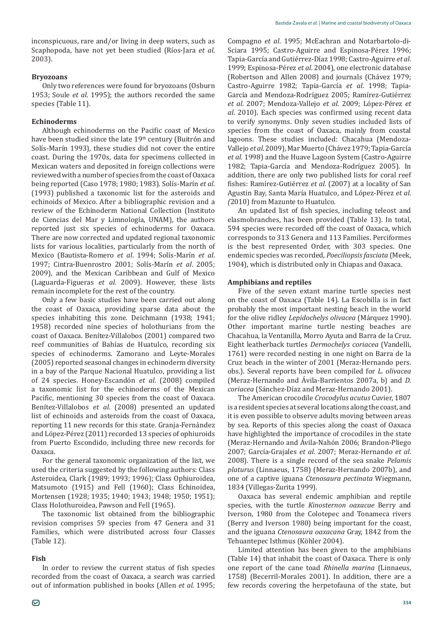inconspicuous, rare and/or living in deep waters, such as Scaphopoda, have not yet been studied (Ríos-Jara et al.  $2003$ ).

# **Bryozoans**

Only two references were found for bryozoans (Osburn 1953; Soule et al. 1995); the authors recorded the same species (Table 11).

# **Echinoderms**

Although echinoderms on the Pacific coast of Mexico have been studied since the late 19<sup>th</sup> century (Buitrón and Solís-Marín 1993), these studies did not cover the entire coast. During the 1970s, data for specimens collected in Mexican waters and deposited in foreign collections were reviewed with a number of species from the coast of Oaxaca being reported (Caso 1978; 1980; 1983). Solís-Marín et al. (1993) published a taxonomic list for the asteroids and echinoids of Mexico. After a bibliographic revision and a review of the Echinoderm National Collection (Instituto de Ciencias del Mar y Limnología, UNAM), the authors reported just six species of echinoderms for Oaxaca. There are now corrected and updated regional taxonomic lists for various localities, particularly from the north of Mexico (Bautista-Romero *et al*. 1994; Solís-Marín *et al*. 1997; Cintra-Buenrostro 2001; Solís-Marín et al. 2005; 2009), and the Mexican Caribbean and Gulf of Mexico (Laguarda-Figueras et al. 2009). However, these lists remain incomplete for the rest of the country.

Only a few basic studies have been carried out along the coast of Oaxaca, providing sparse data about the species inhabiting this zone. Deichmann (1938; 1941; 1958) recorded nine species of holothurians from the coast of Oaxaca. Benítez-Villalobos (2001) compared two reef communities of Bahías de Huatulco, recording six species of echinoderms. Zamorano and Leyte-Morales (2005) reported seasonal changes in echinoderm diversity in a bay of the Parque Nacional Huatulco, providing a list of 24 species. Honey-Escandón et al. (2008) compiled a taxonomic list for the echinoderms of the Mexican Pacific, mentioning 30 species from the coast of Oaxaca. Benítez-Villalobos *et al*. (2008) presented an updated list of echinoids and asteroids from the coast of Oaxaca, reporting 11 new records for this state. Granja-Fernández and López-Pérez (2011) recorded 13 species of ophiuroids from Puerto Escondido, including three new records for Oaxaca.

For the general taxonomic organization of the list, we used the criteria suggested by the following authors: Class Asteroidea, Clark (1989; 1993; 1996); Class Ophiuroidea, Matsumoto (1915) and Fell (1960); Class Echinoidea, Mortensen (1928; 1935; 1940; 1943; 1948; 1950; 1951); Class Holothuroidea, Pawson and Fell (1965).

The taxonomic list obtained from the bibliographic revision comprises 59 species from 47 Genera and 31 Families, which were distributed across four Classes (Table 12).

### **Fish**

Compagno et al. 1995; McEachran and Notarbartolo-di-Sciara 1995; Castro-Aguirre and Espinosa-Pérez 1996; Tapia-García and Gutiérrez-Díaz 1998; Castro-Aguirre et al. 1999; Espinosa-Pérez et al. 2004), one electronic database (Robertson and Allen 2008) and journals (Chávez 1979; Castro-Aguirre 1982; Tapia-García et al. 1998; Tapia-Garcia and Mendoza-Rodriguez 2005; Ramirez-Gutiérrez *et al.* 2007; Mendoza-Vallejo et al. 2009; López-Pérez et *al*, 2010). Each species was confirmed using recent data to verify synonyms. Only seven studies included lists of species from the coast of Oaxaca, mainly from coastal lagoons. These studies included: Chacahua (Mendoza-Vallejo *et al*. 2009), Mar Muerto (Chávez 1979; Tapia-García *et al.* 1998) and the Huave Lagoon System (Castro-Aguirre 1982; Tapia-Garcia and Mendoza-Rodriguez 2005). In addition, there are only two published lists for coral reef fishes: Ramírez-Gutiérrez et al. (2007) at a locality of San Agustin Bay, Santa María Huatulco, and López-Pérez et al. *(*2010) from Mazunte to Huatulco.

An updated list of fish species, including teleost and elasmobranches, has been provided (Table 13). In total, 594 species were recorded off the coast of Oaxaca, which corresponds to 313 Genera and 113 Families. Perciformes is the best represented Order, with 303 species. One endemic species was recorded, *Poeciliopsis fasciata* (Meek, 1904), which is distributed only in Chiapas and Oaxaca.

### **Amphibians and reptiles**

Five of the seven extant marine turtle species nest on the coast of Oaxaca (Table 14). La Escobilla is in fact probably the most important nesting beach in the world *Lepidochelys olivacea* (Márquez 1990). Other important marine turtle nesting beaches are Chacahua, la Ventanilla, Morro Ayuta and Barra de la Cruz. *Dermochelys coriacea* (Vandelli, 1761) were recorded nesting in one night on Barra de la Cruz beach in the winter of 2001 (Meraz-Hernando pers. obs.). Several reports have been compiled for *L. olivacea* (Meraz-Hernando and Ávila-Barrientos 2007a, b) and *D. coriacea* (Sánchez-Díaz and Meraz-Hernando 2001).

The American crocodile *Crocodylus acutus* Cuvier, 1807 is a resident species at several locations along the coast, and it is even possible to observe adults moving between areas by sea. Reports of this species along the coast of Oaxaca have highlighted the importance of crocodiles in the state (Meraz-Hernando and Ávila-Nahón 2006; Brandon-Pliego 2007; García-Grajales *et al*. 2007; Meraz-Hernando *et al*. 2008). There is a single record of the sea snake *Pelamis platurus* (Linnaeus, 1758) (Meraz-Hernando 2007b), and *Ctenosaura pectinata* Wiegmann, 1834 (Villegas-Zurita 1999).

Oaxaca has several endemic amphibian and reptile species, with the turtle *Kinosternon oaxacae* Berry and Iverson, 1980 from the Colotepec and Tonameca rivers (Berry and Iverson 1980) being important for the coast, and the iguana *Ctenosaura oaxacana* Gray, 1842 from the Tehuantepec Isthmus (Köhler 2004).

Limited attention has been given to the amphibians (Table 14) that inhabit the coast of Oaxaca. There is only one report of the cane toad *Rhinella marina* (Linnaeus, 1758) (Becerril-Morales 2001). In addition, there are a few records covering the herpetofauna of the state, but

In order to review the current status of fish species recorded from the coast of Oaxaca, a search was carried out of information published in books (Allen *et al*. 1995;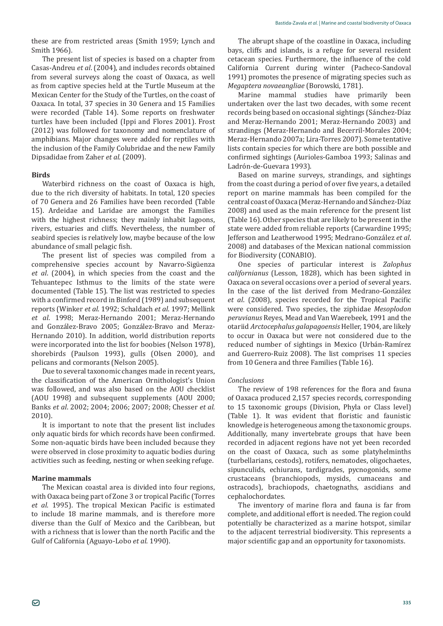these are from restricted areas (Smith 1959; Lynch and Smith 1966).

The present list of species is based on a chapter from Ǧ*et al*. (2004), and includes records obtained from several surveys along the coast of Oaxaca, as well as from captive species held at the Turtle Museum at the Mexican Center for the Study of the Turtles, on the coast of Oaxaca. In total, 37 species in 30 Genera and 15 Families were recorded (Table 14). Some reports on freshwater turtles have been included (Ippi and Flores 2001). Frost (2012) was followed for taxonomy and nomenclature of amphibians. Major changes were added for reptiles with the inclusion of the Family Colubridae and the new Family Dipsadidae from Zaher et al. (2009).

# **Birds**

Waterbird richness on the coast of Oaxaca is high, due to the rich diversity of habitats. In total, 120 species of 70 Genera and 26 Families have been recorded (Table 15). Ardeidae and Laridae are amongst the Families with the highest richness; they mainly inhabit lagoons, rivers, estuaries and cliffs. Nevertheless, the number of seabird species is relatively low, maybe because of the low abundance of small pelagic fish.

The present list of species was compiled from a comprehensive species account by Navarro-Sigüenza *et al*. (2004), in which species from the coast and the Tehuantepec Isthmus to the limits of the state were documented (Table 15). The list was restricted to species with a confirmed record in Binford (1989) and subsequent reports (Winker *et al*. 1992; Schaldach *et al*. 1997; Mellink *et al*. 1998; Meraz-Hernando 2001; Meraz-Hernando and González-Bravo 2005; González-Bravo and Meraz-Hernando 2010). In addition, world distribution reports were incorporated into the list for boobies (Nelson 1978), shorebirds (Paulson 1993), gulls (Olsen 2000), and pelicans and cormorants (Nelson 2005).

Due to several taxonomic changes made in recent years, the classification of the American Ornithologist's Union was followed, and was also based on the AOU checklist (AOU 1998) and subsequent supplements (AOU 2000; Banks et al. 2002; 2004; 2006; 2007; 2008; Chesser et al. 2010).

It is important to note that the present list includes only aquatic birds for which records have been confirmed. Some non-aquatic birds have been included because they were observed in close proximity to aquatic bodies during activities such as feeding, nesting or when seeking refuge.

### **Marine mammals**

The Mexican coastal area is divided into four regions, with Oaxaca being part of Zone 3 or tropical Pacific (Torres *et al.* 1995). The tropical Mexican Pacific is estimated to include 18 marine mammals, and is therefore more diverse than the Gulf of Mexico and the Caribbean, but with a richness that is lower than the north Pacific and the Gulf of California (Aguayo-Lobo *et al*. 1990).

The abrupt shape of the coastline in Oaxaca, including bays, cliffs and islands, is a refuge for several resident cetacean species. Furthermore, the influence of the cold California Current during winter (Pacheco-Sandoval 1991) promotes the presence of migrating species such as *Megaptera novaeangliae* (Borowski, 1781).

Marine mammal studies have primarily been undertaken over the last two decades, with some recent records being based on occasional sightings (Sánchez-Díaz and Meraz-Hernando 2001; Meraz-Hernando 2003) and strandings (Meraz-Hernando and Becerril-Morales 2004; Meraz-Hernando 2007a; Lira-Torres 2007). Some tentative lists contain species for which there are both possible and confirmed sightings (Aurioles-Gamboa 1993; Salinas and Ladrón-de-Guevara 1993).

Based on marine surveys, strandings, and sightings from the coast during a period of over five years, a detailed report on marine mammals has been compiled for the central coast of Oaxaca (Meraz-Hernando and Sánchez-Díaz 2008) and used as the main reference for the present list (Table 16). Other species that are likely to be present in the state were added from reliable reports (Carwardine 1995; Jefferson and Leatherwood 1995; Medrano-González *et al*. 2008) and databases of the Mexican national commission for Biodiversity (CONABIO).

One species of particular interest is *Zalophus californianus* (Lesson, 1828), which has been sighted in Oaxaca on several occasions over a period of several years. In the case of the list derived from Medrano-González *et al.* (2008), species recorded for the Tropical Pacific were considered. Two species, the ziphidae *Mesoplodon peruvianus* Reyes, Mead and Van Waerebeek, 1991 and the otariid *Arctocephalus galapagoensis* Heller, 1904, are likely to occur in Oaxaca but were not considered due to the reduced number of sightings in Mexico (Urbán-Ramírez and Guerrero-Ruiz 2008). The list comprises 11 species from 10 Genera and three Families (Table 16).

### *Conclusions*

The review of 198 references for the flora and fauna of Oaxaca produced 2,157 species records, corresponding to 15 taxonomic groups (Division, Phyla or Class level) (Table 1). It was evident that floristic and faunistic knowledge is heterogeneous among the taxonomic groups. Additionally, many invertebrate groups that have been recorded in adjacent regions have not yet been recorded on the coast of Oaxaca, such as some platyhelminths (turbellarians, cestods), rotifers, nematodes, oligochaetes, sipunculids, echiurans, tardigrades, pycnogonids, some crustaceans (branchiopods, mysids, cumaceans and ostracods), brachiopods, chaetognaths, ascidians and cephalochordates.

The inventory of marine flora and fauna is far from complete, and additional effort is needed. The region could potentially be characterized as a marine hotspot, similar to the adjacent terrestrial biodiversity. This represents a major scientific gap and an opportunity for taxonomists.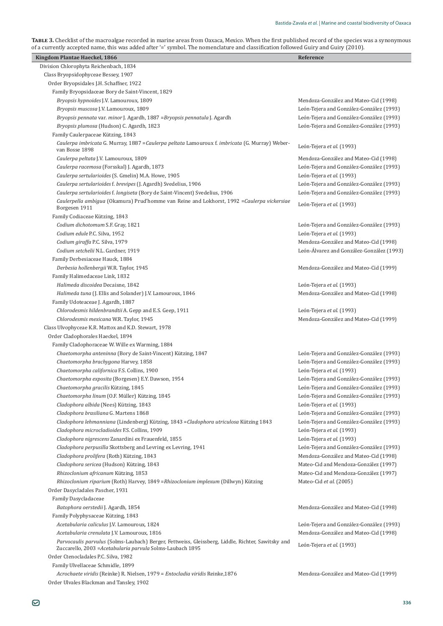TABLE 3. Checklist of the macroalgae recorded in marine areas from Oaxaca, Mexico. When the first published record of the species was a synonymous of a currently accepted name, this was added after '=' symbol. The nomenclature and classification followed Guiry and Guiry (2010).

| Kingdom Plantae Haeckel, 1866                                                                                                                                   | Reference                                 |
|-----------------------------------------------------------------------------------------------------------------------------------------------------------------|-------------------------------------------|
| Division Chlorophyta Reichenbach, 1834                                                                                                                          |                                           |
| Class Bryopsidophyceae Bessey, 1907                                                                                                                             |                                           |
| Order Bryopsidales J.H. Schaffner, 1922                                                                                                                         |                                           |
| Family Bryopsidaceae Bory de Saint-Vincent, 1829                                                                                                                |                                           |
| Bryopsis hypnoides J.V. Lamouroux, 1809                                                                                                                         | Mendoza-González and Mateo-Cid (1998)     |
| Bryopsis muscosa J.V. Lamouroux, 1809                                                                                                                           | León-Tejera and González-González (1993)  |
| Bryopsis pennata var. minor J. Agardh, 1887 = Bryopsis pennatula J. Agardh                                                                                      | León-Tejera and González-González (1993)  |
| Bryopsis plumosa (Hudson) C. Agardh, 1823                                                                                                                       | León-Tejera and González-González (1993)  |
| Family Caulerpaceae Kützing, 1843                                                                                                                               |                                           |
| Caulerpa imbricata G. Murray, 1887 = Caulerpa peltata Lamouroux f. imbricata (G. Murray) Weber-<br>van Bosse 1898                                               | León-Tejera et al. (1993)                 |
| Caulerpa peltata J.V. Lamouroux, 1809                                                                                                                           | Mendoza-González and Mateo-Cid (1998)     |
| Caulerpa racemosa (Forsskal) J. Agardh, 1873                                                                                                                    | León-Tejera and González-González (1993)  |
| Caulerpa sertularioides (S. Gmelin) M.A. Howe, 1905                                                                                                             | León-Tejera et al. (1993)                 |
| Caulerpa sertularioides f. brevipes (J. Agardh) Svedelius, 1906                                                                                                 | León-Tejera and González-González (1993)  |
| Caulerpa sertularioides f. longiseta (Bory de Saint-Vincent) Svedelius, 1906                                                                                    | León-Tejera and González-González (1993)  |
| Caulerpella ambigua (Okamura) Prud'homme van Reine and Lokhorst, 1992 = Caulerpa vickersiae<br>Borgesen 1911                                                    | León-Tejera et al. (1993)                 |
| Family Codiaceae Kützing, 1843                                                                                                                                  |                                           |
| Codium dichotomum S.F. Gray, 1821                                                                                                                               | León-Tejera and González-González (1993)  |
| Codium edule P.C. Silva, 1952                                                                                                                                   | León-Tejera et al. (1993)                 |
| Codium giraffa P.C. Silva, 1979                                                                                                                                 | Mendoza-González and Mateo-Cid (1998)     |
| Codium setchelii N.L. Gardner, 1919                                                                                                                             | León-Álvarez and González-González (1993) |
| Family Derbesiaceae Hauck, 1884                                                                                                                                 |                                           |
| Derbesia hollenbergii W.R. Taylor, 1945                                                                                                                         | Mendoza-González and Mateo-Cid (1999)     |
| Family Halimedaceae Link, 1832                                                                                                                                  |                                           |
| Halimeda discoidea Decaisne, 1842                                                                                                                               | León-Tejera et al. (1993)                 |
| Halimeda tuna (J. Ellis and Solander) J.V. Lamouroux, 1846                                                                                                      | Mendoza-González and Mateo-Cid (1998)     |
| Family Udoteaceae J. Agardh, 1887                                                                                                                               |                                           |
| Chlorodesmis hildenbrandtii A. Gepp and E.S. Geep, 1911                                                                                                         | León-Tejera et al. (1993)                 |
| Chlorodesmis mexicana W.R. Taylor, 1945                                                                                                                         | Mendoza-González and Mateo-Cid (1999)     |
| Class Ulvophyceae K.R. Mattox and K.D. Stewart, 1978                                                                                                            |                                           |
| Order Cladophorales Haeckel, 1894                                                                                                                               |                                           |
| Family Cladophoraceae W. Wille ex Warming, 1884                                                                                                                 |                                           |
| Chaetomorpha anteninna (Bory de Saint-Vincent) Kützing, 1847                                                                                                    | León-Tejera and González-González (1993)  |
| Chaetomorpha brachygona Harvey, 1858                                                                                                                            | León-Tejera and González-González (1993)  |
| Chaetomorpha californica F.S. Collins, 1900                                                                                                                     | León-Tejera et al. (1993)                 |
| Chaetomorpha exposita (Borgesen) E.Y. Dawson, 1954                                                                                                              | León-Tejera and González-González (1993)  |
| Chaetomorpha gracilis Kützing, 1845                                                                                                                             | León-Tejera and González-González (1993)  |
| Chaetomorpha linum (O.F. Müller) Kützing, 1845                                                                                                                  | León-Tejera and González-González (1993)  |
| Cladophora albida (Nees) Kützing, 1843                                                                                                                          | León-Tejera et al. (1993)                 |
| Cladophora brasiliana G. Martens 1868                                                                                                                           | León-Tejera and González-González (1993)  |
| Cladophora lehmanniana (Lindenberg) Kützing, 1843 = Cladophora utriculosa Kützing 1843                                                                          | León-Tejera and González-González (1993)  |
| Cladophora microcladioides F.S. Collins, 1909                                                                                                                   | León-Tejera et al. (1993)                 |
| Cladophora nigrescens Zanardini ex Frauenfeld, 1855                                                                                                             | León-Tejera et al. (1993)                 |
| Cladophora perpusilla Skottsberg and Levring ex Levring, 1941                                                                                                   | León-Tejera and González-González (1993)  |
| Cladophora prolifera (Roth) Kützing, 1843                                                                                                                       | Mendoza-González and Mateo-Cid (1998)     |
| Cladophora sericea (Hudson) Kützing, 1843                                                                                                                       | Mateo-Cid and Mendoza-González (1997)     |
| Rhizoclonium africanum Kützing, 1853                                                                                                                            | Mateo-Cid and Mendoza-González (1997)     |
| Rhizoclonium riparium (Roth) Harvey, 1849 = Rhizoclonium implexum (Dillwyn) Kützing                                                                             | Mateo-Cid et al. (2005)                   |
| Order Dasycladales Pascher, 1931                                                                                                                                |                                           |
| Family Dasycladaceae                                                                                                                                            |                                           |
| Batophora oerstedii J. Agardh, 1854                                                                                                                             | Mendoza-González and Mateo-Cid (1998)     |
| Family Polyphysaceae Kützing, 1843                                                                                                                              |                                           |
| Acetabularia caliculus J.V. Lamouroux, 1824                                                                                                                     | León-Tejera and González-González (1993)  |
| Acetabularia crenulata J.V. Lamouroux, 1816                                                                                                                     | Mendoza-González and Mateo-Cid (1998)     |
| Parvocaulis parvulus (Solms-Laubach) Berger, Fettweiss, Gleissberg, Liddle, Richter, Sawitsky and<br>Zuccarello, 2003 = Acetabularia parvula Solms-Laubach 1895 | León-Tejera et al. (1993)                 |
| Order Ctenocladales P.C. Silva, 1982                                                                                                                            |                                           |
| Family Ulvellaceae Schmidle, 1899                                                                                                                               |                                           |
| Acrochaete viridis (Reinke) R. Nielsen, 1979 = Entocladia viridis Reinke, 1876                                                                                  | Mendoza-González and Mateo-Cid (1999)     |
| Order Ulvales Blackman and Tansley, 1902                                                                                                                        |                                           |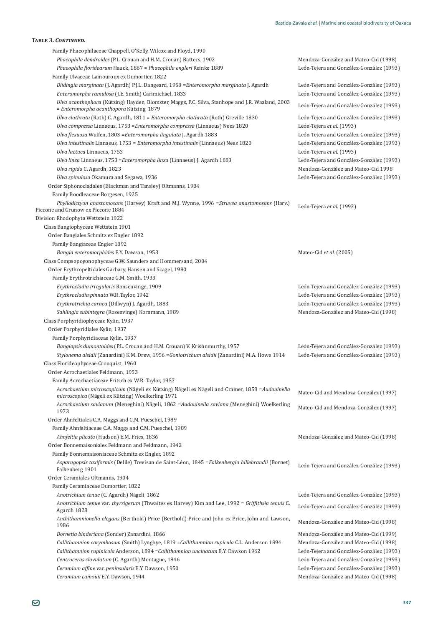| Family Phaeophilaceae Chappell, O'Kelly, Wilcox and Floyd, 1990                                                                              |                                          |
|----------------------------------------------------------------------------------------------------------------------------------------------|------------------------------------------|
| Phaeophila dendroides (P.L. Crouan and H.M. Crouan) Batters, 1902                                                                            | Mendoza-González and Mateo-Cid (1998)    |
| Phaeophila floridearum Hauck, 1867 = Phaeophila engleri Reinke 1889                                                                          | León-Tejera and González-González (1993) |
| Family Ulvaceae Lamouroux ex Dumortier, 1822                                                                                                 |                                          |
| Blidingia marginata (J. Agardh) P.J.L. Dangeard, 1958 = Enteromorpha marginata J. Agardh                                                     | León-Tejera and González-González (1993) |
| Enteromorpha ramulosa (J.E. Smith) Carimichael, 1833                                                                                         | León-Tejera and González-González (1993) |
| Ulva acanthophora (Kützing) Hayden, Blomster, Maggs, P.C. Silva, Stanhope and J.R. Waaland, 2003<br>= Enteromorpha acanthopora Kützing, 1879 | León-Tejera and González-González (1993) |
| Ulva clathrata (Roth) C. Agardh, 1811 = Enteromorpha clathrata (Roth) Greville 1830                                                          | León-Tejera and González-González (1993) |
| Ulva compressa Linnaeus, 1753 = Enteromorpha compressa (Linnaeus) Nees 1820                                                                  | León-Tejera et al. (1993)                |
| Ulva flexuosa Wulfen, 1803 = Enteromorpha lingulata J. Agardh 1883                                                                           | León-Tejera and González-González (1993) |
| Ulva intestinalis Linnaeus, $1753$ = Enteromorpha intestinalis (Linnaeus) Nees $1820$                                                        | León-Tejera and González-González (1993) |
| Ulva lactuca Linnaeus, 1753                                                                                                                  | León-Tejera et al. (1993)                |
| Ulva linza Linnaeus, 1753 = Enteromorpha linza (Linnaeus) J. Agardh 1883                                                                     | León-Tejera and González-González (1993) |
| Ulva rigida C. Agardh, 1823                                                                                                                  | Mendoza-González and Mateo-Cid 1998      |
| Ulva spinulosa Okamura and Segawa, 1936                                                                                                      | León-Tejera and González-González (1993) |
| Order Siphonocladales (Blackman and Tansley) Oltmanns, 1904                                                                                  |                                          |
| Family Boodleaceae Borgesen, 1925                                                                                                            |                                          |
| Phyllodictyon anastomosans (Harvey) Kraft and M.J. Wynne, 1996 = Struvea anastomosans (Harv.)<br>Piccone and Grunow ex Piccone 1884          | León-Tejera et al. (1993)                |
| Division Rhodophyta Wettstein 1922                                                                                                           |                                          |
| Class Bangiophyceae Wettstein 1901                                                                                                           |                                          |
| Order Bangiales Schmitz ex Engler 1892                                                                                                       |                                          |
| Family Bangiaceae Engler 1892                                                                                                                |                                          |
| Bangia enteromorphides E.Y. Dawson, 1953                                                                                                     | Mateo-Cid et al. (2005)                  |
| Class Compsopogonophyceae G.W. Saunders and Hommersand, 2004                                                                                 |                                          |
| Order Erythropeltidales Garbary, Hansen and Scagel, 1980                                                                                     |                                          |
| Family Erythrotrichiaceae G.M. Smith, 1933                                                                                                   |                                          |
| Erythrocladia irregularis Ronsenvinge, 1909                                                                                                  | León-Tejera and González-González (1993) |
| Erythrocladia pinnata W.R.Taylor, 1942                                                                                                       | León-Tejera and González-González (1993) |
| Erythrotrichia carnea (Dillwyn) J. Agardh, 1883                                                                                              | León-Tejera and González-González (1993) |
| Sahlingia subintegra (Rosenvinge) Kornmann, 1989                                                                                             | Mendoza-González and Mateo-Cid (1998)    |
| Class Porphyridiophyceae Kylin, 1937                                                                                                         |                                          |
| Order Porphyridiales Kylin, 1937                                                                                                             |                                          |
| Family Porphyridiaceae Kylin, 1937                                                                                                           |                                          |
| Bangiopsis dumontoides (P.L. Crouan and H.M. Crouan) V. Krishnmurthy, 1957                                                                   | León-Tejera and González-González (1993) |
| Stylonema alsidii (Zanardini) K.M. Drew, 1956 = Goniotrichum alsidii (Zanardini) M.A. Howe 1914                                              | León-Tejera and González-González (1993) |
| Class Florideophyceae Cronquist, 1960                                                                                                        |                                          |
| Order Acrochaetiales Feldmann, 1953                                                                                                          |                                          |
| Family Acrochaetiaceae Fritsch ex W.R. Taylor, 1957                                                                                          |                                          |
| Acrochaetium microscopicum (Nägeli ex Kützing) Nägeli ex Nägeli and Cramer, 1858 = Audouinella                                               |                                          |
| microscopica (Nägeli ex Kützing) Woelkerling 1971                                                                                            | Mateo-Cid and Mendoza-González (1997)    |
| Acrochaetium savianum (Meneghini) Nägeli, 1862 = Audouinella saviana (Meneghini) Woelkerling<br>1973                                         | Mateo-Cid and Mendoza-González (1997)    |
| Order Ahnfeltiales C.A. Maggs and C.M. Pueschel, 1989                                                                                        |                                          |
| Family Ahnfeltiaceae C.A. Maggs and C.M. Pueschel, 1989                                                                                      |                                          |
| Ahnfeltia plicata (Hudson) E.M. Fries, 1836                                                                                                  | Mendoza-González and Mateo-Cid (1998)    |
| Order Bonnemaisoniales Feldmann and Feldmann, 1942                                                                                           |                                          |
| Family Bonnemaisoniaceae Schmitz ex Engler, 1892                                                                                             |                                          |
| Asparagopsis taxiformis (Delile) Trevisan de Saint-Léon, 1845 = Falkenbergia hillebrandii (Bornet)<br>Falkenberg 1901                        | León-Tejera and González-González (1993) |
| Order Ceramiales Oltmanns, 1904                                                                                                              |                                          |
| Family Ceramiaceae Dumortier, 1822                                                                                                           |                                          |
| Anotrichium tenue (C. Agardh) Nägeli, 1862                                                                                                   | León-Tejera and González-González (1993) |
| Anotrichium tenue var. thyrsigerum (Thwaites ex Harvey) Kim and Lee, 1992 = Griffithsia tenuis C.                                            |                                          |
| Agardh 1828                                                                                                                                  | León-Tejera and González-González (1993) |
| Anthithamnionella elegans (Berthold) Price (Berthold) Price and John ex Price, John and Lawson,<br>1986                                      | Mendoza-González and Mateo-Cid (1998)    |
| Bornetia binderiana (Sonder) Zanardini, 1866                                                                                                 | Mendoza-González and Mateo-Cid (1999)    |
| Callithamnion corymbosum (Smith) Lyngbye, 1819 = Callithamnion rupicula C.L. Anderson 1894                                                   | Mendoza-González and Mateo-Cid (1998)    |
| Callithamnion rupinicola Anderson, 1894 = Callithamnion uncinatum E.Y. Dawson 1962                                                           | León-Tejera and González-González (1993) |
| Centroceras clavulatum (C. Agardh) Montagne, 1846                                                                                            | León-Tejera and González-González (1993) |
| Ceramium affine var. peninsularis E.Y. Dawson, 1950                                                                                          | León-Tejera and González-González (1993) |
| Ceramium camouii E.Y. Dawson, 1944                                                                                                           | Mendoza-González and Mateo-Cid (1998)    |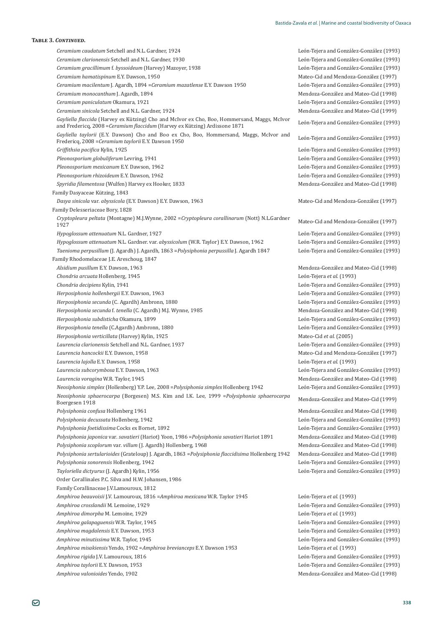#### $T$ <sup>*ARIE 3. CONTINUED*.</sup>

*Ceramium caudatum Setchell and N.L. Gardner, 1924* onzalez-Gonzalez (1993) *Ceramium clarionensis* Setchell and N.L. Gardner, 1930 ǡͳͻ͵Ͳ ×Ǧ Ǧ ȋͳͻͻ͵Ȍ *Ceramium gracillimum f. byssoideum* (Harvey) Mazoyer, 1938 onzález-González (1993) *Ceramium hamatispinum* E.Υ. Dawson, 1950 Mateo-Cid and Mendoza-González (1997) *Ceramium macilentum* J. Agardh, 1894 = *Ceramium mazatlense* E.Y. Dawson 1950 onzalez-Gonzalez (1993) *Ceramium monocanthum* J. Agardh, 1894 Ǧ Mendoza-González and Mateo-Cid (1998) *Ceramium paniculatum* Okamura, 1921 ×Ǧ onzález-González (1993) *Ceramium sinicola* Setchell and N.L. Gardner, 1924 Ǧ Mendoza-González and Mateo-Cid (1999) *Gayliella flaccida* (Harvey ex Kützing) Cho and McIvor ex Cho, Boo, Hommersand, Maggs, McIvor and Fredericq, 2008 = Ceramium flaccidum (Harvey ex Kützing) Ardissone 1871 onzalez-Gonzalez (1993)  $Gayliella taylorii$  (E.Y. Dawson) Cho and Boo ex Cho, Boo, Hommersand, Maggs, McIvor and Fredericq, 2008 = Ceramium taylorii E.Y. Dawson 1950 onzález-González (1993) *Griffithsia pacifica* Kylin, 1925 **Xidoo American Constantine Constantine Constantine Constantine Constantine Constantine Constantine Constantine Constantine Constantine Constantine Constantine Constantine Constantine Con** onzalez-Gonzalez (1993) *Pleonosporium globuliferum* Levring, 1941 onzalez-Gonzalez (1993) *Pleonosporium mexicanum* E.Y. Dawson, 1962 onzález-González (1993) *Pleonosporium rhizoideum* E.Y. Dawson, 1962 onzalez-Gonzalez (1993) Spyridia filamentosa (Wulfen) Harvey ex Hooker, 1833 Mendoza-González and Mateo-Cid (1998) Family Dasyaceae Kützing, 1843 *Dasya sinicola var. abyssicola* (E.Y. Dawson) E.Y. Dawson, 1963 Mateo-Cid and Mendoza-González (1997) Family Delesseriaceae Bory, 1828 *Cryptopleura peltata* (Montagne) M.J.Wynne, 2002 =*Cryptopleura corallinarum* (Nott) N.L.Gardner 1927 **Mateo-Cid and Mendoza-G**<br>1927 **Mateo-Cid and Mendoza-G** Mateo-Cid and Mendoza-González (1997) *Hypoglossum attenuatum* N.L. Gardner, 1927 onzález-González (1993) *Hypoglossum attenuatum* N.L. Gardner. var. *abyssicolum* (W.R. Taylor) E.Y. Dawson, 1962 León-Tejera and G onzalez-Gonzalez (1993) Taenioma perpusillum (J. Agardh) J. Agardh, 1863 = Polysiphonia perpussilla J. Agardh 1847 onzález-González (1993) Family Rhodomelaceae J.E. Areschoug, 1847 *Alsidium pusillum* E.Y. Dawson, 1963 Mendoza-González and Mateo-Cid (1998) *Chondria arcuata* Hollenberg, 1945 **León-Tejera** *et al* (1993) **León-Tejera** *et al* **(1993)** *Chondria decipiens* Kylin, 1941 onzález-González (1993) *Herposiphonia hollenbergii* E.Y. Dawson, 1963 onzalez-Gonzalez (1993) *Herposiphonia secunda* (C. Agardh) Ambronn, 1880 onzalez-Gonzalez (1993) *Herposiphonia secunda f. tenella* (C. Agardh) M.J. Wynne, 1985 Mendoza-González and Mateo-Cid (1998) *Herposiphonia subdisticha* Okamura, 1899 ×Ǧ onzalez-Gonzalez (1993) *Herposiphonia tenella* (C.Agardh) Ambronn, 1880 onzalez-Gonzalez (1993) *Herposiphonia verticillata* (Harvey) Kylin, 1925 **1996 1997 1997 1998 1998 1998 1998 1998 1998 1999 1999 1999 1999 1999 1999 1999 1999 1999 1999 1999 1999 1999 1999 1999 199** Laurencia clarionensis Setchell and N.L. Gardner, 1937 ǡͳͻ͵ ×Ǧ Ǧ ȋͳͻͻ͵Ȍ *Laurencia hancockii* E.Y. Dawson, 1958 Mateo-Cid and Mendoza-González (1997) *Laurencia lajolla* E.Υ. Dawson, 1958 *León-Tejera et al.* (1993) *Laurencia subcorymbosa* E.Υ. Dawson, 1963 onzález-González (1993) *Laurencia voragina* W.R. Taylor, 1945 Ǧ Mendoza-González and Mateo-Cid (1998) *Neosiphonia simplex* (Hollenberg) Y.P. Lee, 2008 = Polysiphonia simplex Hollenberg 1942 onzález-González (1993) *Neosiphonia sphaerocarpa* (Borgesen) M.S. Kim and I.K. Lee, 1999 =Polysiphonia sphaerocarpa Boergesen 1918 Mendoza-González and Mateo-Cid (1999) *Polysiphonia confusa* Hollenberg 1961 Ǧ Mendoza-González and Mateo-Cid (1998) Polysiphonia decussata Hollenberg, 1942 onzález-González (1993) *Polysiphonia foetidissima* Cocks ex Bornet, 1892 onzález-González (1993) *Polysiphonia japonica var. savatieri* (Hariot) Yoon, 1986 = Polysiphonia savatieri Hariot 1891 Mendoza-González and Mateo-Cid (1998) Polysiphonia scoplorum var. villum (J. Agardh) Hollenberg, 1968 Mendoza-González and Mateo-Cid (1998) *Polysiphonia sertularioides* (Grateloup) J. Agardh, 1863 =Polysiphonia flaccidisima Hollenberg 1942 Mendoza-G Mendoza-González and Mateo-Cid (1998) Polysiphonia sonorensis Hollenberg, 1942 ionzalez-Gonzalez (1993) Tayloriella dictyurus (J. Agardh) Kylin, 1956 ionzalez-Gonzalez (1993) Order Corallinales P.C. Silva and H.W. Johansen, 1986 Family Corallinaceae J.V.Lamouroux, 1812 *Amphiroa beauvoisii* J.V. Lamouroux, 1816 =*Amphiroa mexicana* W.R. Taylor 1945 León-Tejera *et al.* (1993) *Amphiroa crosslandii* M. Lemoine, 1929 ×Ǧ onzález-González (1993) *Amphiroa dimorpha* M. Lemoine, 1929 **León-Tejera** *et al.* (1993) **León-Tejera** *et al.* **(1993)** *Amphiroa galapaguensis* W.R. Taylor, 1945 ×Ǧ ionzalez-Gonzalez (1993) *Amphiroa magdalensis* E.Y. Dawson, 1953 onzález-González (1993) *Amphiroa minutissima* W.R. Taylor, 1945 onzález-González (1993) *Amphiroa misakiensis* Yendo, 1902 = *Amphiroa brevianceps* Ε.Υ. Dawson 1953 León-Tejera *et al.* (1993) *Amphiroa rigida* J.V. Lamouroux, 1816 onzález-González (1993) *Amphiroa taylorii* E.Y. Dawson, 1953 onzález-González (1993) *Amphiroa valonioides* Yendo, 1902 Mendoza-González and Mateo-Cid (1998)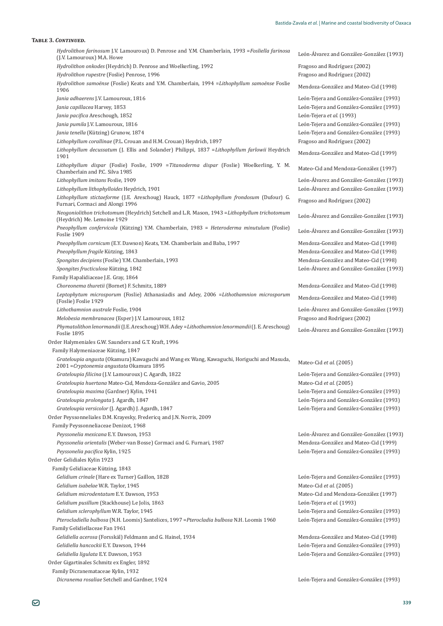| Hydrolithon farinosum J.V. Lamouroux) D. Penrose and Y.M. Chamberlain, 1993 = Fosliella farinosa                                                                        | León-Álvarez and González-González (1993)                                |
|-------------------------------------------------------------------------------------------------------------------------------------------------------------------------|--------------------------------------------------------------------------|
| (J.V. Lamouroux) M.A. Howe                                                                                                                                              |                                                                          |
| Hydrolithon onkodes (Heydrich) D. Penrose and Woelkerling, 1992<br>Hydrolithon rupestre (Foslie) Penrose, 1996                                                          | Fragoso and Rodríguez (2002)<br>Fragoso and Rodríguez (2002)             |
| <i>Hydrolithon samoënse</i> (Foslie) Keats and Y.M. Chamberlain, 1994 = Lithophyllum samoënse Foslie                                                                    | Mendoza-González and Mateo-Cid (1998)                                    |
| 1906                                                                                                                                                                    |                                                                          |
| Jania adhaerens J.V. Lamouroux, 1816                                                                                                                                    | León-Tejera and González-González (1993)                                 |
| Jania capillacea Harvey, 1853                                                                                                                                           | León-Tejera and González-González (1993)                                 |
| Jania pacifica Areschough, 1852                                                                                                                                         | León-Tejera et al. (1993)                                                |
| Jania pumila J.V. Lamouroux, 1816                                                                                                                                       | León-Tejera and González-González (1993)                                 |
| Jania tenella (Kützing) Grunow, 1874                                                                                                                                    | León-Tejera and González-González (1993)<br>Fragoso and Rodríguez (2002) |
| Lithophyllum corallinae (P.L. Crouan and H.M. Crouan) Heydrich, 1897<br>Lithophyllum decussatum (J. Ellis and Solander) Philippi, 1837 = Lithophyllum farlowii Heydrich |                                                                          |
| 1901                                                                                                                                                                    | Mendoza-González and Mateo-Cid (1999)                                    |
| Lithophyllum dispar (Foslie) Foslie, 1909 = Titanoderma dispar (Foslie) Woelkerling, Y. M.<br>Chamberlain and P.C. Silva 1985                                           | Mateo-Cid and Mendoza-González (1997)                                    |
| Lithophyllum imitans Foslie, 1909                                                                                                                                       | León-Álvarez and González-González (1993)                                |
| Lithophyllum lithophylloides Heydrich, 1901                                                                                                                             | León-Álvarez and González-González (1993)                                |
| Lithophyllum stictaeforme (J.E. Areschoug) Hauck, 1877 = Lithophyllum frondosum (Dufour) G.<br>Furnari, Cormaci and Alongi 1996                                         | Fragoso and Rodríguez (2002)                                             |
| Neogoniolithon trichotomum (Heydrich) Setchell and L.R. Mason, 1943 = Lithophyllum trichotomum<br>(Heydrich) Me. Lemoine 1929                                           | León-Álvarez and González-González (1993)                                |
| Pneophyllum confervicola (Kützing) Y.M. Chamberlain, 1983 = Heteroderma minutulum (Foslie)<br>Foslie 1909                                                               | León-Álvarez and González-González (1993)                                |
| Pneophyllum cornicum (E.Y. Dawson) Keats, Y.M. Chamberlain and Baba, 1997                                                                                               | Mendoza-González and Mateo-Cid (1998)                                    |
| Pneophyllum fragile Kützing, 1843                                                                                                                                       | Mendoza-González and Mateo-Cid (1998)                                    |
| Spongites decipiens (Foslie) Y.M. Chamberlain, 1993                                                                                                                     | Mendoza-González and Mateo-Cid (1998)                                    |
| Spongites fructiculosa Kützing, 1842                                                                                                                                    | León-Álvarez and González-González (1993)                                |
| Family Hapalidiaceae J.E. Gray, 1864                                                                                                                                    |                                                                          |
| Choreonema thuretii (Bornet) F. Schmitz, 1889                                                                                                                           | Mendoza-González and Mateo-Cid (1998)                                    |
| Leptophytum microsporum (Foslie) Athanasiadis and Adey, 2006 = Lithothamnion microsporum<br>(Foslie) Foslie 1929                                                        | Mendoza-González and Mateo-Cid (1998)                                    |
| Lithothamnion australe Foslie, 1904                                                                                                                                     | León-Álvarez and González-González (1993)                                |
| Melobesia membranacea (Esper) J.V. Lamouroux, 1812                                                                                                                      | Fragoso and Rodríguez (2002)                                             |
| Phymatolithon lenormandii (J.E. Areschoug) W.H. Adey = Lithothamnion lenormandii (J.E. Areschoug)<br>Foslie 1895                                                        | León-Álvarez and González-González (1993)                                |
| Order Halymeniales G.W. Saunders and G.T. Kraft, 1996                                                                                                                   |                                                                          |
| Family Halymeniaceae Kützing, 1847                                                                                                                                      |                                                                          |
| Grateloupia angusta (Okamura) Kawaguchi and Wang ex Wang, Kawaguchi, Horiguchi and Masuda,<br>2001 = Cryptonemia angustata Okamura 1895                                 | Mateo-Cid et al. (2005)                                                  |
| Grateloupia filicina (J.V. Lamouroux) C. Agardh, 1822                                                                                                                   | León-Tejera and González-González (1993)                                 |
| Grateloupia huertana Mateo-Cid, Mendoza-González and Gavio, 2005                                                                                                        | Mateo-Cid et al. (2005)                                                  |
| Grateloupia maxima (Gardner) Kylin, 1941                                                                                                                                | León-Tejera and González-González (1993)                                 |
| Grateloupia prolongata J. Agardh, 1847                                                                                                                                  | León-Tejera and González-González (1993)                                 |
| Grateloupia versicolor (J. Agardh) J. Agardh, 1847                                                                                                                      | León-Tejera and González-González (1993)                                 |
| Order Peyssonneliales D.M. Krayesky, Fredericq and J.N. Norris, 2009                                                                                                    |                                                                          |
| Family Peyssonneliaceae Denizot, 1968                                                                                                                                   |                                                                          |
| Peyssonelia mexicana E.Y. Dawson, 1953                                                                                                                                  | León-Álvarez and González-González (1993)                                |
| Peyssonelia orientalis (Weber-van Bosse) Cormaci and G. Furnari, 1987                                                                                                   | Mendoza-González and Mateo-Cid (1999)                                    |
| Peyssonelia pacifica Kylin, 1925                                                                                                                                        | León-Tejera and González-González (1993)                                 |
| Order Gelidiales Kylin 1923                                                                                                                                             |                                                                          |
| Family Gelidiaceae Kützing, 1843                                                                                                                                        |                                                                          |
| Gelidium crinale (Hare ex Turner) Gaillon, 1828                                                                                                                         | León-Tejera and González-González (1993)                                 |
| Gelidium isabelae W.R. Taylor, 1945                                                                                                                                     | Mateo-Cid et al. (2005)                                                  |
| Gelidium microdentatum E.Y. Dawson, 1953                                                                                                                                | Mateo-Cid and Mendoza-González (1997)                                    |
| Gelidium pusillum (Stackhouse) Le Jolis, 1863                                                                                                                           | León-Tejera et al. (1993)                                                |
| Gelidium sclerophyllum W.R. Taylor, 1945                                                                                                                                | León-Tejera and González-González (1993)                                 |
|                                                                                                                                                                         |                                                                          |
| Pterocladiella bulbosa (N.H. Loomis) Santelices, 1997 = Pterocladia bulbosa N.H. Loomis 1960                                                                            | León-Tejera and González-González (1993)                                 |
| Family Gelidiellaceae Fan 1961                                                                                                                                          |                                                                          |
| Gelidiella acerosa (Forsskäl) Feldmann and G. Hainel, 1934                                                                                                              | Mendoza-González and Mateo-Cid (1998)                                    |
| Gelidiella hancockii E.Y. Dawson, 1944                                                                                                                                  | León-Tejera and González-González (1993)                                 |
| Gelidiella ligulata E.Y. Dawson, 1953                                                                                                                                   | León-Tejera and González-González (1993)                                 |
| Order Gigartinales Schmitz ex Engler, 1892                                                                                                                              |                                                                          |
| Family Dicranemataceae Kylin, 1932<br>Dicranema rosaliae Setchell and Gardner, 1924                                                                                     | León-Tejera and González-González (1993)                                 |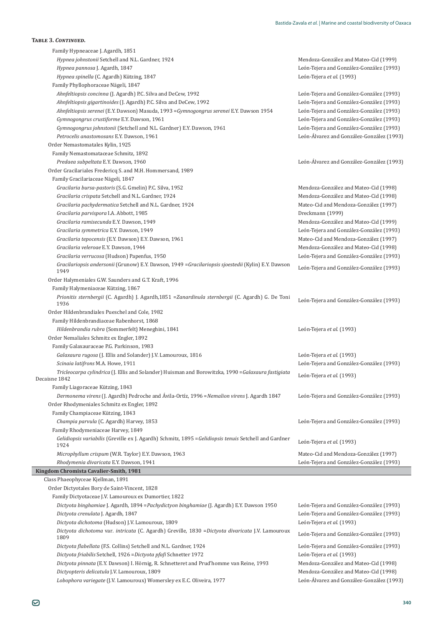| Family Hypneaceae J. Agardh, 1851                                                                                                           |                                           |
|---------------------------------------------------------------------------------------------------------------------------------------------|-------------------------------------------|
| Hypnea johnstonii Setchell and N.L. Gardner, 1924                                                                                           | Mendoza-González and Mateo-Cid (1999)     |
| Hypnea pannosa J. Agardh, 1847                                                                                                              | León-Tejera and González-González (1993)  |
| Hypnea spinella (C. Agardh) Kützing, 1847                                                                                                   | León-Tejera et al. (1993)                 |
| Family Phyllophoraceae Nägeli, 1847                                                                                                         |                                           |
| Ahnfeltiopsis concinna (J. Agardh) P.C. Silva and DeCew, 1992                                                                               | León-Tejera and González-González (1993)  |
| Ahnfeltiopsis gigartinoides (J. Agardh) P.C. Silva and DeCew, 1992                                                                          | León-Tejera and González-González (1993)  |
| Ahnfeltiopsis serenei (E.Y. Dawson) Masuda, 1993 = Gymnogongrus serenei E.Y. Dawson 1954                                                    | León-Tejera and González-González (1993)  |
| Gymnogongrus crustiforme E.Y. Dawson, 1961                                                                                                  | León-Tejera and González-González (1993)  |
| Gymnogongrus johnstonii (Setchell and N.L. Gardner) E.Y. Dawson, 1961                                                                       | León-Tejera and González-González (1993)  |
| Petrocelis anastomosans E.Y. Dawson, 1961                                                                                                   | León-Álvarez and González-González (1993) |
| Order Nemastomatales Kylin, 1925                                                                                                            |                                           |
| Family Nemastomataceae Schmitz, 1892                                                                                                        |                                           |
| Predaea subpeltata E.Y. Dawson, 1960                                                                                                        | León-Álvarez and González-González (1993) |
| Order Gracilariales Fredericq S. and M.H. Hommersand, 1989                                                                                  |                                           |
| Family Gracilariaceae Nägeli, 1847                                                                                                          |                                           |
| Gracilaria bursa-pastoris (S.G. Gmelin) P.C. Silva, 1952                                                                                    | Mendoza-González and Mateo-Cid (1998)     |
| Gracilaria crispata Setchell and N.L. Gardner, 1924                                                                                         | Mendoza-González and Mateo-Cid (1998)     |
| Gracilaria pachydermatica Setchell and N.L. Gardner, 1924                                                                                   | Mateo-Cid and Mendoza-González (1997)     |
| Gracilaria parvispora I.A. Abbott, 1985                                                                                                     | Dreckmann (1999)                          |
| Gracilaria ramisecunda E.Y. Dawson, 1949                                                                                                    | Mendoza-González and Mateo-Cid (1999)     |
| Gracilaria symmetrica E.Y. Dawson, 1949                                                                                                     | León-Tejera and González-González (1993)  |
| Gracilaria tepocensis (E.Y. Dawson) E.Y. Dawson, 1961                                                                                       | Mateo-Cid and Mendoza-González (1997)     |
| Gracilaria veleroae E.Y. Dawson, 1944                                                                                                       | Mendoza-González and Mateo-Cid (1998)     |
| Gracilaria verrucosa (Hudson) Papenfus, 1950                                                                                                | León-Tejera and González-González (1993)  |
| Gracilariopsis andersonii (Grunow) E.Y. Dawson, 1949 = Gracilariopsis sjoestedii (Kylin) E.Y. Dawson<br>1949                                | León-Tejera and González-González (1993)  |
| Order Halymeniales G.W. Saunders and G.T. Kraft, 1996                                                                                       |                                           |
| Family Halymeniaceae Kützing, 1867                                                                                                          |                                           |
| Prionitis sternbergii (C. Agardh) J. Agardh, 1851 = Zanardinula sternbergii (C. Agardh) G. De Toni                                          | León-Tejera and González-González (1993)  |
| 1936                                                                                                                                        |                                           |
| Order Hildenbrandiales Pueschel and Cole, 1982                                                                                              |                                           |
| Family Hildenbrandiaceae Rabenhorst, 1868                                                                                                   |                                           |
| Hildenbrandia rubra (Sommerfelt) Meneghini, 1841                                                                                            | León-Tejera et al. (1993)                 |
| Order Nemaliales Schmitz ex Engler, 1892                                                                                                    |                                           |
| Family Galaxauraceae P.G. Parkinson, 1983                                                                                                   |                                           |
| Galaxaura rugosa (J. Ellis and Solander) J.V. Lamouroux, 1816                                                                               | León-Tejera et al. (1993)                 |
| Scinaia latifrons M.A. Howe, 1911                                                                                                           | León-Tejera and González-González (1993)  |
| Tricleocarpa cylindrica (J. Ellis and Solander) Huisman and Borowitzka, 1990 = Galaxaura fastigiata<br>Decaisne 1842                        | León-Tejera et al. (1993)                 |
| Family Liagoraceae Kützing, 1843                                                                                                            |                                           |
| Dermonema virens (J. Agardh) Pedroche and Ávila-Ortíz, 1996 = Nemalion virens J. Agardh 1847<br>Order Rhodymeniales Schmitz ex Engler, 1892 | León-Tejera and González-González (1993)  |
| Family Champiaceae Kützing, 1843                                                                                                            |                                           |
| Champia parvula (C. Agardh) Harvey, 1853                                                                                                    | León-Tejera and González-González (1993)  |
| Family Rhodymeniaceae Harvey, 1849                                                                                                          |                                           |
| Gelidiopsis variabilis (Greville ex J. Agardh) Schmitz, 1895 = Gelidiopsis tenuis Setchell and Gardner<br>1924                              | León-Tejera et al. (1993)                 |
| Microphyllum crispum (W.R. Taylor) E.Y. Dawson, 1963                                                                                        | Mateo-Cid and Mendoza-González (1997)     |
| Rhodymenia divaricata E.Y. Dawson, 1941                                                                                                     | León-Tejera and González-González (1993)  |
| Kingdom Chromista Cavalier-Smith, 1981                                                                                                      |                                           |
| Class Phaeophyceae Kjellman, 1891                                                                                                           |                                           |
| Order Dictyotales Bory de Saint-Vincent, 1828                                                                                               |                                           |
| Family Dictyotaceae J.V. Lamouroux ex Dumortier, 1822                                                                                       |                                           |
| Dictyota binghamiae J. Agardh, 1894 = Pachydictyon binghamiae (J. Agardh) E.Y. Dawson 1950                                                  | León-Tejera and González-González (1993)  |
| Dictyota crenulata J. Agardh, 1847                                                                                                          | León-Tejera and González-González (1993)  |
| Dictyota dichotoma (Hudson) J.V. Lamouroux, 1809                                                                                            | León-Tejera et al. (1993)                 |
| Dictyota dichotoma var. intricata (C. Agardh) Greville, 1830 = Dictyota divaricata J.V. Lamouroux<br>1809                                   | León-Tejera and González-González (1993)  |
| Dictyota flabellata (F.S. Collins) Setchell and N.L. Gardner, 1924                                                                          | León-Tejera and González-González (1993)  |
| Dictyota friabilis Setchell, 1926 = Dictyota pfafi Schnetter 1972                                                                           | León-Tejera et al. (1993)                 |
| Dictyota pinnata (E.Y. Dawson) I. Hörnig, R. Schnetteret and Prud'homme van Reine, 1993                                                     | Mendoza-González and Mateo-Cid (1998)     |
| Dictyopteris delicatula J.V. Lamouroux, 1809                                                                                                | Mendoza-González and Mateo-Cid (1998)     |
| Lobophora variegate (J.V. Lamouroux) Womersley ex E.C. Oliveira, 1977                                                                       | León-Álvarez and González-González (1993) |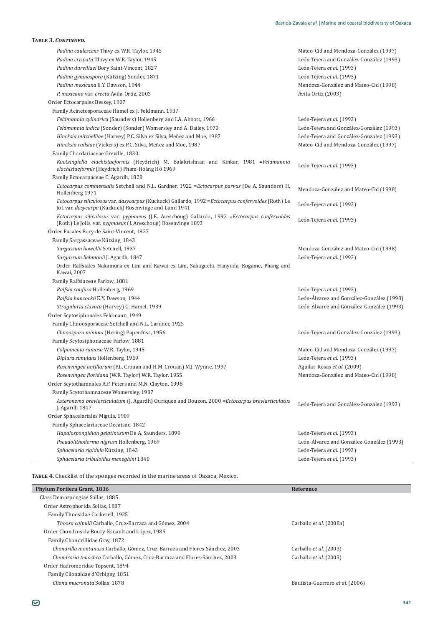| <b>TABLE 3. CONTINUED.</b>                                                                                                                                      |                                           |
|-----------------------------------------------------------------------------------------------------------------------------------------------------------------|-------------------------------------------|
| Padina caulescens Thivy ex W.R. Taylor, 1945                                                                                                                    | Mateo-Cid and Mendoza-González (1997)     |
| Padina crispata Thivy ex W.R. Taylor, 1945                                                                                                                      | León-Tejera and González-González (1993)  |
| Padina durvillaei Bory Saint-Vincent, 1827                                                                                                                      | León-Tejera et al. (1993)                 |
| Padina gymnospora (Kützing) Sonder, 1871                                                                                                                        | León-Tejera et al. (1993)                 |
| Padina mexicana E.Y. Dawson, 1944                                                                                                                               | Mendoza-González and Mateo-Cid (1998)     |
| P. mexicana var. erecta Ávila-Ortiz, 2003                                                                                                                       | Ávila-Ortiz (2003)                        |
| Order Ectocarpales Bessey, 1907                                                                                                                                 |                                           |
| Family Acinetosporaceae Hamel ex J. Feldmann, 1937                                                                                                              |                                           |
| Feldmannia cylindrica (Saunders) Hollenberg and I.A. Abbott, 1966                                                                                               | León-Tejera et al. (1993)                 |
| Feldmannia indica (Sonder) (Sonder) Womersley and A. Bailey, 1970                                                                                               | León-Tejera and González-González (1993)  |
| Hincksia mitchelliae (Harvey) P.C. Silva ex Silva, Meñez and Moe, 1987                                                                                          | León-Tejera and González-González (1993)  |
| Hincksia rallsiae (Vickers) ex P.C. Silva, Meñez and Moe, 1987                                                                                                  | Mateo-Cid and Mendoza-González (1997)     |
| Family Chordariaceae Greville, 1830                                                                                                                             |                                           |
| Kuetzingiella elachistaeformis (Heydrich) M. Balakrishnan and Kinkar, 1981 = Feldmannia<br>elachistaeformis (Heydrich) Pham-Hoàng Hô 1969                       | León-Tejera et al. (1993)                 |
| Family Ectocarpaceae C. Agardh, 1828                                                                                                                            |                                           |
| Ectocarpus commensalis Setchell and N.L. Gardner, 1922 = Ectocarpus parvus (De A. Saunders) H.<br>Hollenberg 1971                                               | Mendoza-González and Mateo-Cid (1998)     |
| Ectocarpus siliculosus var. dasycarpus (Kuckuck) Gallardo, 1992 = Ectocarpus confervoides (Roth) Le<br>Jol. var. dasycarpa (Kuckuck) Rosenvinge and Lund 1941   | León-Tejera et al. (1993)                 |
| Ectocarpus siliculosus var. pygmaeus (J.E. Areschoug) Gallardo, 1992 = Ectocarpus confervoides<br>(Roth) Le Jolis. var. pygmaeus (J. Areschoug) Rosenvinge 1893 | León-Tejera et al. (1993)                 |
| Order Fucales Bory de Saint-Vincent, 1827                                                                                                                       |                                           |
| Family Sargassaceae Kützing, 1843                                                                                                                               |                                           |
| Sargassum howellii Setchell, 1937                                                                                                                               | Mendoza-González and Mateo-Cid (1998)     |
| Sargassum liebmanii J. Agardh, 1847                                                                                                                             | León-Tejera et al. (1993)                 |
| Order Ralfsiales Nakamura ex Lim and Kawai ex Lim, Sakaguchi, Hanyuda, Kogame, Phang and<br>Kawai, 2007                                                         |                                           |
| Family Ralfsiaceae Farlow, 1881                                                                                                                                 |                                           |
| Ralfsia confusa Hollenberg, 1969                                                                                                                                | León-Tejera et al. (1993)                 |
| Ralfsia hancockii E.Y. Dawson, 1944                                                                                                                             | León-Álvarez and González-González (1993) |
| Stragularia clavata (Harvey) G. Hamel, 1939                                                                                                                     | León-Álvarez and González-González (1993) |
| Order Scytosiphonales Feldmann, 1949                                                                                                                            |                                           |
| Family Chnoosporaceae Setchell and N.L. Gardner, 1925                                                                                                           |                                           |
| Chnoospora minima (Hering) Papenfuss, 1956                                                                                                                      | León-Tejera and González-González (1993)  |
| Family Scytosiphonaceae Farlow, 1881                                                                                                                            |                                           |
| Colpomenia ramosa W.R. Taylor, 1945                                                                                                                             | Mateo-Cid and Mendoza-González (1997)     |
| Diplura simulans Hollenberg, 1969                                                                                                                               | León-Tejera et al. (1993)                 |
| Rosenvingea antillarum (P.L. Crouan and H.M. Crouan) M.J. Wynne, 1997                                                                                           | Aguilar-Rosas et al. (2009)               |
| Rosenvingea floridana (W.R. Taylor) W.R. Taylor, 1955                                                                                                           | Mendoza-González and Mateo-Cid (1998)     |
| Order Scytothamnales A.F. Peters and M.N. Clayton, 1998                                                                                                         |                                           |
| Family Scytothamnaceae Womersley, 1987                                                                                                                          |                                           |
| Asteronema breviarticulatum (J. Agardh) Ouriques and Bouzon, 2000 = Ectocarpus breviarticulatus<br>J. Agardh 1847                                               | León-Tejera and González-González (1993)  |
| Order Sphacelariales Migula, 1909                                                                                                                               |                                           |
| Family Sphacelariaceae Decaisne, 1842                                                                                                                           |                                           |
| Hapalospongidion gelatinosum De A. Saunders, 1899                                                                                                               | León-Tejera et al. (1993)                 |
| Pseudolithoderma nigrum Hollenberg, 1969                                                                                                                        | León-Álvarez and González-González (1993) |
| Sphacelaria rigidula Kützing, 1843                                                                                                                              | León-Tejera et al. (1993)                 |
| Sphacelaria tribuloides meneghini 1840                                                                                                                          | León-Tejera et al. (1993)                 |

TABLE 4. Checklist of the sponges recorded in the marine areas of Oaxaca, Mexico.

| Phylum Porifera Grant, 1836                                                 | Reference                       |
|-----------------------------------------------------------------------------|---------------------------------|
| Class Demospongiae Sollas, 1885                                             |                                 |
| Order Astrophorida Sollas, 1887                                             |                                 |
| Family Thoosidae Cockerell, 1925                                            |                                 |
| Thoosa calpulli Carballo, Cruz-Barraza and Gómez, 2004                      | Carballo et al. (2008a)         |
| Order Chondrosida Boury-Esnault and López, 1985                             |                                 |
| Family Chondrillidae Gray, 1872                                             |                                 |
| Chondrilla montanusa Carballo, Gómez, Cruz-Barraza and Flores-Sánchez, 2003 | Carballo et al. (2003)          |
| Chondrosia tenochca Carballo, Gómez, Cruz-Barraza and Flores-Sánchez, 2003  | Carballo et al. (2003)          |
| Order Hadromeridae Topsent, 1894                                            |                                 |
| Family Clionaidae d'Orbigny, 1851                                           |                                 |
| Cliona mucronata Sollas, 1878                                               | Bautista-Guerrero et al. (2006) |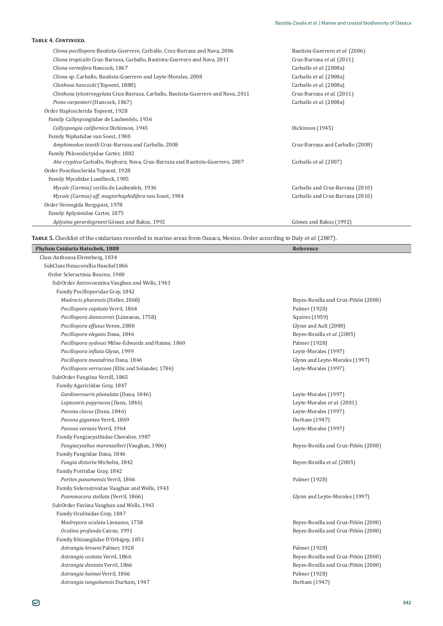| Cliona pocillopora Bautista-Guerrero, Carballo, Cruz-Barraza and Nava, 2006        | Bautista-Guerrero et al. (2006)  |
|------------------------------------------------------------------------------------|----------------------------------|
| Cliona tropicalis Cruz-Barraza, Carballo, Bautista-Guerrero and Nava, 2011         | Cruz-Barraza et al. (2011)       |
| Cliona vermifera Hancock, 1867                                                     | Carballo et al. (2008a)          |
| Cliona sp. Carballo, Bautista-Guerrero and Leyte-Morales, 2008                     | Carballo et al. (2008a)          |
| Cliothosa hancocki (Topsent, 1888)                                                 | Carballo et al. (2008a)          |
| Cliothosa tylostrongylata Cruz-Barraza, Carballo, Bautista-Guerrero and Nava, 2011 | Cruz-Barraza et al. (2011)       |
| Pione carpenteri (Hancock, 1867)                                                   | Carballo et al. (2008a)          |
| Order Haplosclerida Topsent, 1928                                                  |                                  |
| Family Callyspongiidae de Laubenfels, 1936                                         |                                  |
| Callyspongia californica Dickinson, 1945                                           | Dickinson (1945)                 |
| Family Niphatidae van Soest, 1980                                                  |                                  |
| Amphimedon texotli Cruz-Barraza and Carballo, 2008                                 | Cruz-Barraza and Carballo (2008) |
| Family Phloeodictyidae Carter, 1882                                                |                                  |
| Aka cryptica Carballo, Hepburn, Nava, Cruz-Barraza and Bautista-Guerrero, 2007     | Carballo et al. (2007)           |
| Order Poecilosclerida Topsent, 1928                                                |                                  |
| Family Mycalidae Lundbeck, 1905                                                    |                                  |
| Mycale (Carmia) cecilia de Laubenfels, 1936                                        | Carballo and Cruz-Barraza (2010) |
| Mycale (Carmia) aff. magnirhaphidifera van Soest, 1984                             | Carballo and Cruz-Barraza (2010) |
| Order Verongida Bergquist, 1978                                                    |                                  |
| Family Aplysinidae Carter, 1875                                                    |                                  |
| Aplysina gerardogreeni Gómez and Bakus, 1992                                       | Gómez and Bakus (1992)           |
|                                                                                    |                                  |

TABLE 5. Checklist of the cnidarians recorded in marine areas from Oaxaca, Mexico. Order according to Daly et al. (2007).

| Phylum Cnidaria Hatschek, 1888                    | Reference                           |
|---------------------------------------------------|-------------------------------------|
| Class Anthozoa Ehrenberg, 1834                    |                                     |
| SubClass Hexacorallia Haeckel1866                 |                                     |
| Order Scleractinia Bourne, 1900                   |                                     |
| SubOrder Astrocoeniina Vaughan and Wells, 1943    |                                     |
| Family Pocilloporidae Gray, 1842                  |                                     |
| Madracis pharensis (Heller, 1868)                 | Reyes-Bonilla and Cruz-Piñón (2000) |
| Pocillopora capitata Verril, 1864                 | Palmer (1928)                       |
| Pocillopora damicornis (Linnaeus, 1758)           | Squires (1959)                      |
| Pocillopora effusus Veron, 2000                   | Glynn and Ault (2000)               |
| Pocillopora elegans Dana, 1846                    | Reyes-Bonilla et al. (2005)         |
| Pocillopora eydouxi Milne-Edwards and Haime, 1860 | Palmer (1928)                       |
| Pocillopora inflata Glynn, 1999                   | Leyte-Morales (1997)                |
| Pocillopora meandrina Dana, 1846                  | Glynn and Leyte-Morales (1997)      |
| Pocillopora verrucosa (Ellis and Solander, 1786)  | Leyte-Morales (1997)                |
| SubOrder Fungiina Verrill, 1865                   |                                     |
| Family Agariciidae Gray, 1847                     |                                     |
| Gardineroseris planulata (Dana, 1846)             | Leyte-Morales (1997)                |
| Leptoseris papyracea (Dana, 1846)                 | Leyte-Morales et al. (2001)         |
| Pavona clavus (Dana, 1846)                        | Leyte-Morales (1997)                |
| Pavona gigantea Verril, 1869                      | Durham (1947)                       |
| Pavona varians Verril, 1964                       | Leyte-Morales (1997)                |
| Family Fungiacyathidae Chevalier, 1987            |                                     |
| Fungiacyathus marenzelleri (Vaughan, 1906)        | Reyes-Bonilla and Cruz-Piñón (2000) |
| Family Fungiidae Dana, 1846                       |                                     |
| Fungia distorta Michelin, 1842                    | Reyes-Bonilla et al. (2005)         |
| Family Poritidae Gray, 1842                       |                                     |
| Porites panamensis Verril, 1866                   | Palmer (1928)                       |
| Family Siderastreidae Vaughan and Wells, 1943     |                                     |
| Psammocora stellata (Verril, 1866)                | Glynn and Leyte-Morales (1997)      |
| SubOrder Faviina Vaughan and Wells, 1943          |                                     |
| Family Oculinidae Gray, 1847                      |                                     |
| Madrepora oculata Linnaeus, 1758                  | Reyes-Bonilla and Cruz-Piñón (2000) |
| Oculina profunda Cairns, 1991                     | Reyes-Bonilla and Cruz-Piñón (2000) |
| Family Rhizangiidae D'Orbigny, 1851               |                                     |
| Astrangia browni Palmer, 1928                     | Palmer (1928)                       |
| Astrangia costata Verril, 1866                    | Reyes-Bonilla and Cruz-Piñón (2000) |
| Astrangia dentata Verril, 1866                    | Reyes-Bonilla and Cruz-Piñón (2000) |
| Astrangia haimei Verril, 1866                     | Palmer (1928)                       |
| Astrangia tangolaensis Durham, 1947               | Durham (1947)                       |

 $\overline{\phantom{a}}$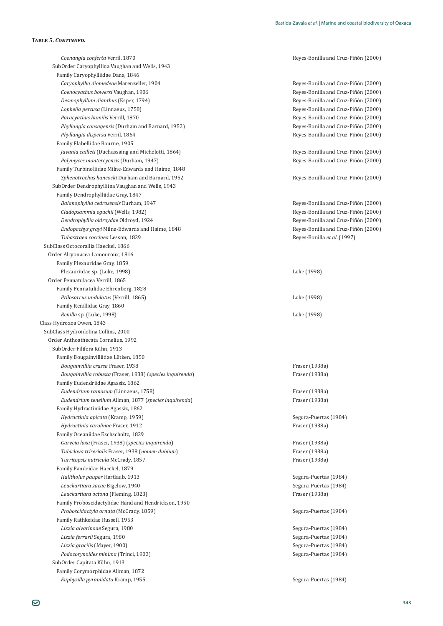*Coenangia conferta* Verril, 1870 **b** *Coenangia conferta* Verril, 1870 **b** *Coenangia conferta* Verril, 1870 SubOrder Caryophyllina Vaughan and Wells, 1943 Family Caryophylliidae Dana, 1846 *Caryophyllia diomedeae* Marenzeller, 1904 ǦǦÓ×ȋʹͲͲͲȌ *Coenocyathus bowersi* Vaughan, 1906 **bigger in the coenocyathus bowersi** Vaughan, 1906 **bigger in the coenocyathus bowersi** Vaughan, 1906 *Desmophyllum dianthus* (Esper, 1794)<br> *Lophelia pertusa* (Linnaeus, 1758)<br> *Lophelia pertusa* (Linnaeus, 1758) *Paracyathus humilis* Verrill, 1870 **b** *Paracyathus humilis* Verrill, 1870 **b** *Paracyathus humilis* Verrill, 1870 *Phyllangia consagensis* (Durham and Barnard, 1952) *Phyllangia consagensis* (2000) *Phyllangia consagensis* (2000) *Phyllangia dispersa* Verril, 1864 **b** *Phyllangia dispersa* Verril, 1864 **b** *Phyllangia dispersa* Verril, 1864 Family Flabellidae Bourne, 1905 *Javania cailleti* (Duchassaing and Michelotti, 1864) *Javania cailleti* Reves-Bonilla and Cruz-Piñón (2000) *Polymyces montereyensis* (Durham, 1947) *Polymyces montereyensis* (Durham, 1947) *Polymyces montereyensis* (Durham, 1947) Family Turbinoliidae Milne-Edwards and Haime, 1848 *Sphenotrochus hancocki* Durham and Barnard, 1952 *Sphenotrochus hancocki* Durham and Barnard, 1952 **1999 1999 1999 1999 1999 1999 1999 1999 1999 1999 1999 1999 1999 1999 1999 1999 1999** SubOrder Dendrophylliina Vaughan and Wells, 1943 Family Dendrophylliidae Gray, 1847 *Balanophyllia cedrosensis* Durham, 1947 **1986 1986 1997 1998 1998 1998 1998 1999 1999 1999 1999 1999 1999 1999 1999 1999 1999 1999 1999 1999 1999 1999 1999 1999 1999 1999** Cladopsammia eguchii (Wells, 1982) **bisering and Cruz-Piñón** (2000) **Neges-Bonilla and Cruz-Piñón** (2000) *Dendrophyllia oldroydae* Oldroyd, 1924 **bitter is a component of the component of the component of Reyes-Bonilla and Cruz-Piñón (2000)** *Endopachys grayi* Milne-Edwards and Haime, 1848 **Andone State 1966** Reyes-Bonilla and Cruz-Piñón (2000) *Tubastraea coccinea* Lesson, 1829 Reyes-Bonilla *et al*. (1997) SubClass Octocorallia Haeckel, 1866 Order Alcyonacea Lamouroux, 1816 Family Plexauridae Gray, 1859 Plexauriidae sp. (Luke, 1998) Luke (1998) Order Pennatulacea Verrill, 1865 Family Pennatulidae Ehrenberg, 1828 *Ptilosarcus undulatus* (Verrill, 1865) Luke (1998) Family Renillidae Gray, 1860 *Renilla* sp. (Luke, 1998) Luke (1998) Class Hydrozoa Owen, 1843 SubClass Hydroidolina Collins, 2000 Order Anthoathecata Cornelius, 1992 SubOrder Filifera Kühn, 1913 Family Bougainvilliidae Lütken, 1850 *Bougainvillia crassa* Fraser, 1938 **and** *Γαραία Bougainvillia crassa* Fraser (1938a) *Bougainvillia robusta*ȋ ǡͳͻ͵ͺȌȋ*species inquirenda*) ȋͳͻ͵ͺȌ Family Eudendriidae Agassiz, 1862 *Eudendrium ramosum* (Linnaeus, 1758) ȋͳͻ͵ͺȌ *Eudendrium tenellum* Allman, 1877 (*species inquirenda*) ȋͳͻ͵ͺȌ Family Hydractiniidae Agassiz, 1862 *Hydractinia apicata* (Kramp, 1959) Segura-Puertas (1984) *Hydractinia carolinae* Fraser, 1912 **b** *Fraser* (1938a) Family Oceaniidae Eschscholtz, 1829 *Garveia laxa* ȋ ǡͳͻ͵ͺȌȋ*species inquirenda*) ȋͳͻ͵ͺȌ *Tubiclava triserialis* ǡͳͻ͵ͺȋ*nomen dubium*) ȋͳͻ͵ͺȌ *Turritopsis nutricula* McCrady, 1857 *Turritopsis nutricula* McCrady, 1857 *Turritopsis nutricula* McCrady, 1857 Family Pandeidae Haeckel, 1879 *Halitholus pauper* Hartlaub, 1913 **biographic in the state of the state of Segura-Puertas (1984)** Segura-Puertas (1984) *Leuckartiara zacae* Bigelow, 1940 Segura-Puertas (1984) *Leuckartiara octona*ȋ ǡͳͺʹ͵Ȍ ȋͳͻ͵ͺȌ Family Proboscidactylidae Hand and Hendrickson, 1950 *Proboscidactyla ornata* (McCrady, 1859) **Segura-Puertas (1984)** Segura-Puertas (1984) Family Rathkeidae Russell, 1953 *Lizzia alvarinoae* Segura, 1980 Segura-Puertas (1984) *Lizzia ferrarii* Segura, 1980 Segura-Puertas (1984) *Lizzia gracilis* (Mayer, 1900) Segura-Puertas (1984) *Podocorynoides minima* (Trinci, 1903) *Podocorynoides minima* (Trinci, 1903) SubOrder Capitata Kühn, 1913 Family Corymorphidae Allman, 1872 *Euphysilla pyramidata* Kramp, 1955 Segura-Puertas (1984)

**Reyes-Bonilla and Cruz-Piñón (2000)**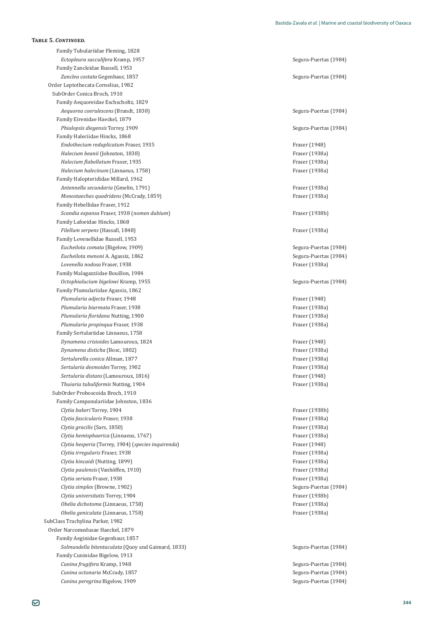Family Tubulariidae Fleming, 1828 *Ectopleura sacculifera Kramp, 1957* Segura-Puertas (1984) Family Zancleidae Russell, 1953 Zanclea costata Gegenbaur, 1857 **Segura-Puertas (1984)** Segura-Puertas (1984) Order Leptothecata Cornelius, 1982 SubOrder Conica Broch, 1910 Family Aequoreidae Eschscholtz, 1829 *Aequorea coerulescens* (Brandt, 1838) **Aequorea coerulescens** (1984) **Segura-Puertas (1984**) Family Eirenidae Haeckel, 1879 *Phialopsis diegensis* Torrey, 1909 Segura-Puertas (1984) Family Haleciidae Hincks, 1868 **Endothecium reduplicatum Fraser, 1935 Example 1948 Fraser (1948) Fraser** (1948) *Halecium beanii* (Johnston, 1838) **Fraser** (1938a) **Fraser** (1938a) *Halecium flabellatum Fraser, 1935 Fraser (1938a) Fraser (1938a) Halecium halecinum* (Linnaeus, 1758) Traser (1938a) Γενική Γενική Γενική Γενική Γενική Γενική Γενική Γενική Γ Family Halopterididae Millard, 1962 *Antennella secundaria* (Gmelin, 1791) Τελετικό διαφθείται του Γενικό Β΄ Γενικό Β΄ Γενικό Β΄ Γενικό Β΄ Γενικό Β΄ Γενικό Β΄ Γενικό Β΄ Γενικό Β΄ Γενικό Β΄ Γενικό Β΄ Γενικό Β΄ Γενικό Β΄ Γενικό Β΄ Γενικό Β΄ Γενικό Β΄ Γενικό *Monostaechas quadridens* (McCrady, 1859) *Monostaechas quadridens* (McCrady, 1859) Family Hebellidae Fraser, 1912 *Scandia expansa* Fraser. 1938 (*nomen dubium*) *imageria and the state of 1938b)* Fraser (1938b) Family Lafoeidae Hincks, 1868 *Filellum serpens* (Hassall, 1848) ȋͳͻ͵ͺȌ Family Lovenellidae Russell, 1953 *Eucheilota comata* (Bigelow, 1909) Segura-Puertas (1984) *Eucheilota menoni* A. Agassiz, 1862 Segura-Puertas (1984) *Lovenella nodosa* Fraser, 1938 **b b interval in the contract of the contract of the contract of the contract of the contract of the contract of the contract of the contract of the contract of the contract of the cont** Family Malagazziidae Bouillon, 1984 *Octophialucium bigelowi* Kramp, 1955 Segura-Puertas (1984) Family Plumulariidae Agassiz, 1862 *Plumularia adjecta* Fraser, 1948 **Fraser** (1948) **Fraser** (1948) *Plumularia biarmata* Fraser, 1938 *Plumularia biarmata* Fraser (1938a) *Plumularia floridana* Nutting, 1900 *Fraser (1938a)* **Fraser (1938a)** *Plumularia propinqua* Fraser, 1938 **intervalse in the contract of the contract of the contract of the Fraser** (1938a) Family Sertulariidae Linnaeus, 1758 *Dynamena crisioides* Lamouroux, 1824 **Fraser (1948)** Fraser (1948) *Dynamena disticha* (Bosc, 1802) ȋͳͻ͵ͺȌ *Sertularella conica* Allman, 1877 ȋͳͻ͵ͺȌ *Sertularia desmoides* Torrey, 1902 **b** *Sertularia desmoides* Torrey, 1902 *Sertularia distans* (Lamouroux, 1816) **Fraser (1948)** Fraser (1948) *Thuiaria tubuliformis* Nutting, 1904 **b intervalsion in the contract of the contract of the contract (1938a)** SubOrder Proboscoida Broch, 1910 Family Campanulariidae Johnston, 1836 *Clytia bakeri* Torrey, 1904 **b Fraser** (1938b) *Clytia fascicularis* Fraser, 1938 **and** *Clytia fascicularis* Fraser (1938a) *Clytia gracilis* (Sars, 1850) ȋͳͻ͵ͺȌ *Clytia hemisphaerica* (Linnaeus, 1767) ȋͳͻ͵ͺȌ *Clytia hesperia* (Torrey, 1904) (*species inquirenda*) Fraser (1948) *Clytia irregularis* Fraser, 1938 **in the contract of the contract of the contract of the contract of the contract of the contract of the contract of the contract of the contract of the contract of the contract of the con** *Clytia kincaidi* (Nutting, 1899) ȋͳͻ͵ͺȌ *Clytia paulensis* (Vanhöffen, 1910) *Clytia paulensis* (Vanhöffen, 1910) **Traser** (1938a) Fraser (1938a) *Clytia seriata* Fraser, 1938 *Clytia simplex* (Browne, 1902) Segura-Puertas (1984) *Clytia universitatis* Torrey, 1904 ȋͳͻ͵ͺȌ *Obelia dichotoma* (Linnaeus, 1758) ȋͳͻ͵ͺȌ *Obelia geniculata* (Linnaeus, 1758) ȋͳͻ͵ͺȌ SubClass Trachylina Parker, 1982 Order Narcomedusae Haeckel, 1879 Family Aeginidae Gegenbaur, 1857 Solmundella bitentaculata<sup>[Quoy and Gaimard, 1833]</sup> Family Cuninidae Bigelow, 1913 *Cunina frugifera* Kramp, 1948 Segura-Puertas (1984) *Cunina octonaria* McCrady, 1857 **Cuning and Contact Contact Contact Contact Contact Contact Contact Contact Contact Contact Contact Contact Contact Contact Contact Contact Contact Contact Contact Contact Contact Contact** *Cunina peregrina* Bigelow, 1909 Segura-Puertas (1984)

Segura-Puertas (1984)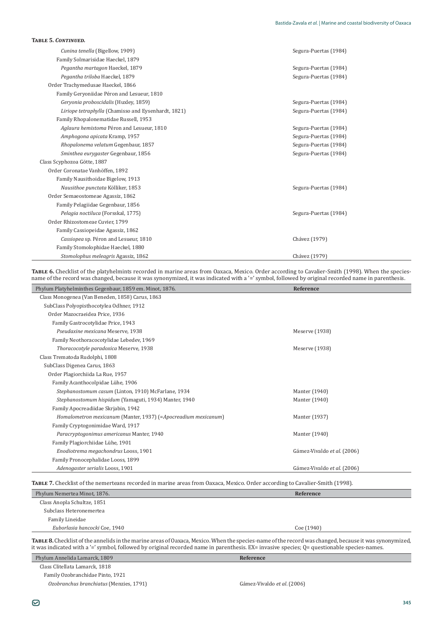|  |  | TABLE 5. CONTINUED. |
|--|--|---------------------|
|--|--|---------------------|

| Cunina tenella (Bigellow, 1909)                     | Segura-Puertas (1984) |
|-----------------------------------------------------|-----------------------|
| Family Solmarisidae Haeckel, 1879                   |                       |
| Pegantha martagon Haeckel, 1879                     | Segura-Puertas (1984) |
| Pegantha triloba Haeckel, 1879                      | Segura-Puertas (1984) |
| Order Trachymedusae Haeckel, 1866                   |                       |
| Family Geryoniidae Péron and Lesueur, 1810          |                       |
| Geryonia proboscidalis (Huxley, 1859)               | Segura-Puertas (1984) |
| Liriope tetraphylla (Chamisso and Eysenhardt, 1821) | Segura-Puertas (1984) |
| Family Rhopalonematidae Russell, 1953               |                       |
| Aglaura hemistoma Péron and Lesueur, 1810           | Segura-Puertas (1984) |
| Amphogona apicata Kramp, 1957                       | Segura-Puertas (1984) |
| Rhopalonema velatum Gegenbaur, 1857                 | Segura-Puertas (1984) |
| Sminthea eurygaster Gegenbaur, 1856                 | Segura-Puertas (1984) |
| Class Scyphozoa Götte, 1887                         |                       |
| Order Coronatae Vanhöffen, 1892                     |                       |
| Family Nausithoidae Bigelow, 1913                   |                       |
| Nausithoe punctata Kölliker, 1853                   | Segura-Puertas (1984) |
| Order Semaeostomeae Agassiz, 1862                   |                       |
| Family Pelagiidae Gegenbaur, 1856                   |                       |
| Pelagia noctiluca (Forsskal, 1775)                  | Segura-Puertas (1984) |
| Order Rhizostomeae Cuvier, 1799                     |                       |
| Family Cassiopeidae Agassiz, 1862                   |                       |
| Cassiopea sp. Péron and Lesueur, 1810               | Chávez (1979)         |
| Family Stomolophidae Haeckel, 1880                  |                       |
| Stomolophus meleagris Agassiz, 1862                 | Chávez (1979)         |

**TABLE 6.** Checklist of the platyhelmints recorded in marine areas from Oaxaca, Mexico. Order according to Cavalier-Smith (1998). When the speciesname of the record was changed, because it was synonymized, it was indicated with a '=' symbol, followed by original recorded name in parenthesis.

| Phylum Platyhelminthes Gegenbaur, 1859 em. Minot, 1876.        | Reference                   |
|----------------------------------------------------------------|-----------------------------|
| Class Monogenea (Van Beneden, 1858) Carus, 1863                |                             |
| SubClass Polyopisthocotylea Odhner, 1912                       |                             |
| Order Mazocraeidea Price, 1936                                 |                             |
| Family Gastrocotylidae Price, 1943                             |                             |
| Pseudaxine mexicana Meserve, 1938                              | Meserve (1938)              |
| Family Neothoracocotylidae Lebedev, 1969                       |                             |
| Thoracocotyle paradoxica Meserve, 1938                         | Meserve (1938)              |
| Class Trematoda Rudolphi, 1808                                 |                             |
| SubClass Digenea Carus, 1863                                   |                             |
| Order Plagiorchiida La Rue, 1957                               |                             |
| Family Acanthocolpidae Lühe, 1906                              |                             |
| Stephanostomum casum (Linton, 1910) McFarlane, 1934            | Manter (1940)               |
| Stephanostomum hispidum (Yamaguti, 1934) Manter, 1940          | Manter (1940)               |
| Family Apocreadiidae Skrjabin, 1942                            |                             |
| Homalometron mexicanum (Manter, 1937) (=Apocreadium mexicanum) | Manter (1937)               |
| Family Cryptogonimidae Ward, 1917                              |                             |
| Paracryptogonimus americanus Manter, 1940                      | Manter (1940)               |
| Family Plagiorchiidae Lühe, 1901                               |                             |
| Enodiotrema megachondrus Looss, 1901                           | Gámez-Vivaldo et al. (2006) |
| Family Pronocephalidae Looss, 1899                             |                             |
| Adenogaster serialis Looss, 1901                               | Gámez-Vivaldo et al. (2006) |

TABLE 7. Checklist of the nemerteans recorded in marine areas from Oaxaca, Mexico. Order according to Cavalier-Smith (1998).

| Phylum Nemertea Minot, 1876.  | Reference  |
|-------------------------------|------------|
| Class Anopla Schultze, 1851   |            |
| Subclass Heteronemertea       |            |
| Family Lineidae               |            |
| Euborlasia hancocki Coe, 1940 | Coe (1940) |
|                               |            |

TABLE 8. Checklist of the annelids in the marine areas of Oaxaca, Mexico. When the species-name of the record was changed, because it was synonymized, it was indicated with a '=' symbol, followed by original recorded name in parenthesis. EX= invasive species; Q= questionable species-names.

Phylum Annelida Lamarck, 1809 **Reference** Class Clitellata Lamarck, 1818 Family Ozobranchidae Pinto, 1921

*Ozobranchus branchiatus* (Menzies, 1791)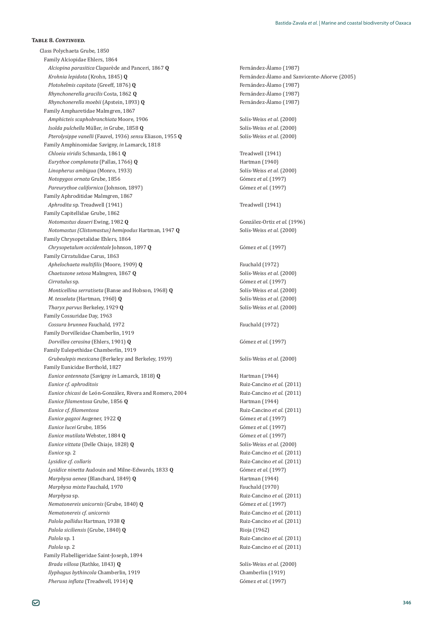Class Polychaeta Grube, 1850 Family Alciopidae Ehlers, 1864 *Alciopina parasitica* Claparède and Panceri, 1867 Q Fernández-Álamo (1987) *Krohnia lepidota* (Krohn, 1845) **Q** ǦǦÓȋʹͲͲͷȌ *Plotohelmis capitata* (Greeff, 1876) **Q** Fernández-Álamo (1987) *Rhynchonerella gracilis* Costa, 1862 **Q** Fernández-Álamo (1987)<br>*Rhynchonerella moebii* (Apstein, 1893) **Q** Fernández-Álamo (1987) *Rhynchonerella moebii* (Apstein, 1893) Q Family Ampharetidae Malmgren, 1867 *Amphicteis scaphobranchiata* Moore, 1906 Solís-Weiss *et al.* (2000) *Isolda pulchella*òǡ*in* Grube, 1858 **Q** Solís-Weiss *et al*. (2000) *Pterolysippe vanelli* (Fauvel, 1936) *sensu* Eliason, 1955 **0** Solís-Weiss *et al.* (2000) Family Amphinomidae Savigny, in Lamarck, 1818 *Chloeia viridis* Schmarda, 1861 **Q** Treadwell (1941) *Eurythoe complanata* (Pallas, 1766) **Q** Hartman (1940) *Linopherus ambigua* (Monro, 1933) Solís-Weiss *et al.* (2000) *Notopygos ornata* Grube, 1856 Gómez *et al*. (1997) *Pareurythoe californica* (Johnson, 1897) Gómez *et al*. (1997) Family Aphroditidae Malmgren, 1867 *Aphrodita* sp. Treadwell (1941) **Treadwell (1941)** Treadwell (1941) Family Capitellidae Grube, 1862 *Notomastus daueri*ǡͳͻͺʹ**Q** González-Ortiz *et al*. (1996) *Notomastus (Clistomastus) hemipodus* Hartman, 1947 **Q** Solís-Weiss *et al*. (2000) Family Chrysopetalidae Ehlers, 1864 *Chrysopetalum occidentale* Johnson, 1897 **Q** Gómez *et al*. (1997) Family Cirratulidae Carus, 1863 *Aphelochaeta multifilis* (Moore, 1909) **Q** Fauchald (1972) *Chaetozone setosa* Malmgren, 1867 **Q** Solís-Weiss *et al*. (2000) *Cirratulus* sp. Gómez *et al*. (1997) *Monticelling serratiseta* (Banse and Hobson, 1968) **Q** Solís-Weiss *et al.* (2000) *M. tesselata* (Hartman, 1960) **Q** Solís-Weiss *et al*. (2000) *Tharyx parvus* Berkeley, 1929 **Q** Solís-Weiss *et al*. (2000) Family Cossuridae Day, 1963 Cossura brunnea Fauchald, 1972 **Fauchald** (1972) Family Dorvilleidae Chamberlin, 1919 *Dorvillea cerasina* (Ehlers, 1901) **Q** Gómez *et al.* (1997) Family Eulepethidae Chamberlin, 1919 *Grubeulepis mexicana*ȋǡͳͻ͵ͻȌ Solís-Weiss *et al*. (2000) Family Eunicidae Berthold, 1827 *Eunice antennata* (Savigny *in* Lamarck, 1818) **Q** Hartman (1944) *Eunice cf. aphroditois* **Ruiz-Cancino** *et Eunice chicasi* de León-González, Rivera and Romero, 2004 **1998** Ruiz-Cancino et al. (2011) *Eunice filamentosa* Grube, 1856 **Q** *Grand Grand Grand Grand Grand Grand Grand Grand Grand Grand Grand Grand Grand Grand Grand Grand Grand Grand Grand Grand Grand Grand Grand Grand Grand Grand Grand Grand Grand Grand Gran Eunice cf. filamentosa* **Ruiz-Cancino et al. (2011) Ruiz-Cancino et al. (2011)** *Eunice gagzoi* Augener, 1922 **Q** Gómez *et al*. (1997) *Eunice lucei* Grube, 1856 Gómez *et al*. (1997) *Eunice mutilata* Webster, 1884 **Q** Gómez *et al*. (1997) *Eunice vittata* (Delle Chiaje, 1828) **Q** Solís-Weiss *et al.* (2000) *Eunice* sp. 2 Ǧ*et al*. (2011) *Lysidice cf. collaris* **with a collaris a** *lysidice cf. collaris lysidice cf. collaris* **<b>***et al.* **(2011)** *Lysidice ninetta* Audouin and Milne-Edwards, 1833 **Q** Gómez *et al.* (1997) *Marphysa aenea* (Blanchard, 1849) **Q** Hartman (1944) *Marphysa mixta* Fauchald, 1970 **Fauchald** (1970) *Marphysa* sp. *Allaharphysa* sp. *Parameters Parameters* **<b>***Parameters Parameters Parameters* **<b>***Parameters Parameters Parameters Parameters Parameters Parameters* **<b>***Parameters Paramet Nematonereis unicornis* (Grube, 1840) **Q** Gómez *et al*. (1997) *Nematonereis cf. unicornis* **by** *Nematonereis cf. unicornis* **in** *et al.* **(2011)** *Palola pallidus* Hartman, 1938 **Q b** *Ruiz-Cancino et al.* **(2011)** *Ruiz-Cancino et al.* **(2011)** *Palola siciliensis* (Grube, 1840) **Q** Rioja (1962) *Palola* sp. 1 **b** *Palola* **sp. 1 <b>b** *Palola* sp. 1 **c** *Palola* sp. 1 *Palola* sp. 1 *Palola* sp. 1 *Palola* sp. 1 *Palola* sp. 1 *Palola* sp. 1 *Palola* sp. 1 *Palola* sp. 1 *Palola* sp. 1 *Palola Palola* sp. 2 **b**etal canceled a specific specific specific specific specific specific specific specific specific specific specific specific specific specific specific specific specific specific specific specific specific Family Flabelligeridae Saint-Joseph, 1894 *Brada villosa*ȋǡͳͺͶ͵Ȍ**Q** Solís-Weiss *et al*. (2000) *Ilyphagus bythincola* Chamberlin, 1919 **1999** Chamberlin (1919) *Pherusa inflata* (Treadwell, 1914) **Q** Gómez *et al.* (1997)

*Eunice cf. aphroditois* Ǧ*et al*. (2011)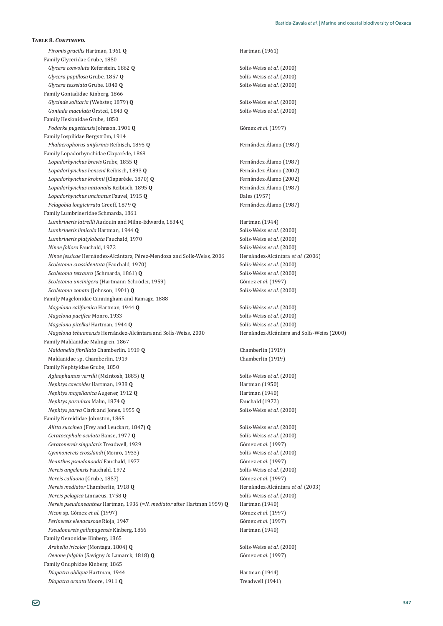*Piromis gracilis* Hartman, 1961 **Q C Hartman (1961) Hartman (1961)** Family Glyceridae Grube, 1850 *Glycera convoluta* Keferstein, 1862 **Q** Solís-Weiss *et al*. (2000) *Glycera papillosa* Grube, 1857 **Q** Solís-Weiss *et al*. (2000) *Glycera tesselata* Grube, 1840 **Q** Solís-Weiss *et al*. (2000) Family Goniadidae Kinberg, 1866 *Glycinde solitaria* (Webster, 1879) **Q** Solís-Weiss *et al*. (2000) *Goniada maculata* Örsted, 1843 **Q** Solís-Weiss *et al.* (2000) Family Hesionidae Grube, 1850 *Podarke pugettensis* Johnson, 1901 **Q** Gómez *et al*. (1997) Family Iospilidae Bergström, 1914 *Phalacrophorus uniformis* Reibisch, 1895 **Q** Fernández-Álamo (1987) Family Lopadorhynchidae Claparède, 1868 *Lopadorhynchus brevis* Grube, 1855 **Q** Fernández-Álamo (1987) *Lopadorhynchus henseni* Reibisch, 1893 Q Fernández-Álamo (2002) *Lopadorhynchus krohnii* (Claparède, 1870) **Q** Fernández-Álamo (2002) *Lopadorhynchus nationalis* Reibisch, 1895 **Q** Fernández-Álamo (1987) *Lopadorhynchus uncinatus* ǡͳͻͳͷ**Q** ȋͳͻͷȌ *Pelagobia longicirrata* Greeff, 1879 **Q** Fernández-Álamo (1987) Family Lumbrineridae Schmarda, 1861 *Lumbrineris latreilli* Audouin and Milne-Edwards, 1834 Q Hartman (1944) *Lumbrineris limicola* Hartman, 1944 **Q** Solís-Weiss *et al*. (2000) *Lumbrineris platylobata* Fauchald, 1970 Solís-Weiss *et al*. (2000) *Ninoe foliosa* Fauchald, 1972 Solís-Weiss *et al*. (2000) *Ninoe jessicae* Hernández-Alcántara, Pérez-Mendoza and Solís-Weiss, 2006 Hernández-Alcántara et al. (2006) *Scoletoma crassidentata* (Fauchald, 1970) Solís-Weiss *et al*. (2000) *Scoletoma tetraura* (Schmarda, 1861) **Q** Solís-Weiss *et al*. (2000) *Scoletoma uncinigera* (Hartmann-Schröder, 1959) Gómez *et al*. (1997) *Scoletoma zonata* (Johnson, 1901) **Q** Solís-Weiss *et al*. (2000) Family Magelonidae Cunningham and Ramage, 1888 *Magelona californica* Hartman, 1944 **Q** Solís-Weiss *et al*. (2000) *Magelona pacifica* Monro, 1933 *Magelona pacifica* Monro, 1933 *Magelona pitelkai* Hartman, 1944 **Q** Solís-Weiss *et al*. (2000) *Magelona tehuanensis* Hernández-Alcántara and Solís-Weiss, 2000 Hernández-Alcántara and Solís-Weiss (2000) Family Maldanidae Malmgren, 1867 *Maldanella fibrillata* Chamberlin, 1919 **Q** *Chamberlin* (1919) Maldanidae sp. Chamberlin, 1919<br>
Chamberlin (1919) Family Nephtyidae Grube, 1850 *Aglaophamus verrilli*ȋǡͳͺͺͷȌ**Q** Solís-Weiss *et al*. (2000) *Nephtys caecoides* Hartman, 1938 **Q** Hartman (1950) *Nephtys magellanica* Augener, 1912 **Q** Hartman (1940) *Nephtys paradoxa* Malm, 1874 **Q** Fauchald (1972) *Nephtys parva* Clark and Jones, 1955 **Q** Solís-Weiss *et al.* (2000) Family Nereididae Johnston, 1865 *Alitta succinea* (Frey and Leuckart, 1847) **Q** Solís-Weiss *et al*. (2000) *Ceratocephale oculata* Banse, 1977 **Q** Solís-Weiss *et al*. (2000) *Ceratonereis singularis* Treadwell, 1929 Gómez *et al*. (1997) *Gymnonereis crosslandi*ȋǡͳͻ͵͵Ȍ Solís-Weiss *et al*. (2000) *Neanthes pseudonoodti* Fauchald, 1977 Gómez *et al*. (1997) *Nereis angelensis* Fauchald, 1972 Solís-Weiss *et al*. (2000) *Nereis callaona* (Grube, 1857) Gómez *et al*. (1997) *Nereis mediator* Chamberlin, 1918 **Q Alcharge 1918** Hernández-Alcántara *et al.* (2003) *Nereis pelagica* Linnaeus, 1758 **Q** Solís-Weiss *et al*. (2000) *Nereis pseudoneanthes* Hartman, 1936 (=*N. mediator* after Hartman 1959) **Q** Hartman (1940) *Nicon* sp. Gómez *et al*. (1997) Gómez *et al*. (1997) *Perinereis elenacasoae* Rioja, 1947 Gómez *et al*. (1997) Pseudonereis gallapagensis Kinberg, 1866 **https://www.franchilder.org/2016** Hartman (1940) Family Oenonidae Kinberg, 1865 *Arabella iricolor* (Montagu, 1804) **Q** Solís-Weiss *et al*. (2000) *Oenone fulgida*ȋ*in* Lamarck, 1818) **Q** Gómez *et al*. (1997) Family Onuphidae Kinberg, 1865 *Diopatra obliqua* Hartman, 1944 **Hartman** (1944) *Diopatra ornata* Moore, 1911 **Q** Treadwell (1941)

**TABLE 8. CONTINUED.**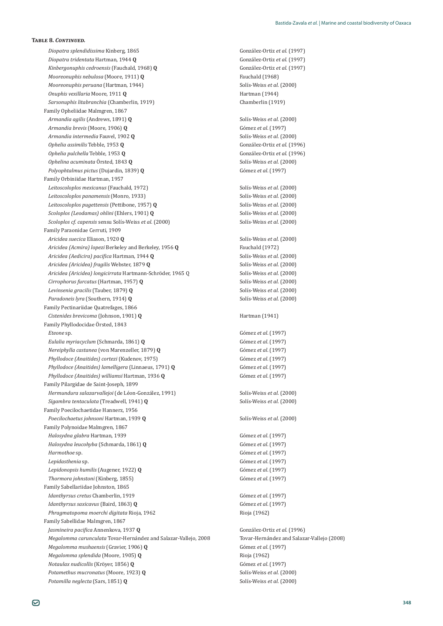*Diopatra tridentata* Hartman, 1944 **Q** González-Ortiz *et al*. (1997) *Kinbergonuphis cedroensis* (Fauchald, 1968) **Q** González-Ortiz *et al.* (1997) *Mooreonuphis nebulosa* (Moore, 1911) **Q** Fauchald (1968) *Mooreonuphis peruana* (Hartman, 1944) Solís-Weiss *et al*. (2000) *Onuphis vexillaria* Moore, 1911 **Q** Hartman (1944) *Sarsonuphis litabranchia* (Chamberlin, 1919) *Chamberlin* (1919) Family Opheliidae Malmgren, 1867 *Armandia agilis* (Andrews, 1891) **Q** Solís-Weiss *et al.* (2000) *Armandia brevis* (Moore, 1906) **Q** Gómez *et al*. (1997) *Armandia intermedia* ǡͳͻͲʹ**Q** Solís-Weiss *et al*. (2000) *Ophelia assimilis*ǡͳͻͷ͵**Q** González-Ortiz *et al*. (1996) *Ophelia pulchella*ǡͳͻͷ͵**Q** González-Ortiz *et al*. (1996) *Ophelina acuminata* Örsted, 1843 **Q** Solís-Weiss *et al.* (2000) *Polyophtalmus pictus* (Dujardin, 1839) **Q** Gómez *et al.* (1997) Family Orbiniidae Hartman, 1957 *Leitoscoloplos mexicanus* (Fauchald, 1972) Solís-Weiss *et al*. (2000) *Leitoscoloplos panamensis* (Monro, 1933) Solís-Weiss *et al.* (2000) *Leitoscoloplos pugettensis* (Pettibone, 1957) **Q** Solís-Weiss *et al*. (2000) *Scoloplos (Leodamas) ohlini*ȋǡͳͻͲͳȌ**Q** Solís-Weiss *et al*. (2000) *Scoloplos cf. capensis* sensu Solís-Weiss *et al*. (2000) Solís-Weiss *et al*. (2000) Family Paraonidae Cerruti, 1909 *Aricidea suecica*ǡͳͻʹͲ**Q** Solís-Weiss *et al*. (2000) *Aricidea (Acmira) lopezi* Berkeley and Berkeley, 1956 **Q** Fauchald (1972) *ȋȌϔ* Hartman, 1944 **Q** Solís-Weiss *et al*. (2000) *Aricidea (Aricidea) fragilis* Webster, 1879 **Q** Solís-Weiss *et al*. (2000) *Aricidea (Aricidea) longicirrata* Hartmann-Schröder, 1965 Q Solís-Weiss *et al*. (2000) *Cirrophorus furcatus* (Hartman, 1957) **Q** Solís-Weiss *et al*. (2000) *Levinsenia gracilis* (Tauber, 1879) **Q** Solís-Weiss *et al*. (2000) *Paradoneis lyra* (Southern, 1914) **Q** Solís-Weiss *et al*. (2000) Family Pectinariidae Quatrefages, 1866 *Cistenides brevicoma* (Johnson, 1901) **Q** Hartman (1941) Family Phyllodocidae Örsted, 1843 *Eteone* sp. Gómez *et al*. (1997) *Eulalia myriacyclum* (Schmarda, 1861) **Q** Gómez *et al*. (1997) *Nereiphylla castanea* (von Marenzeller, 1879) **Q** Gómez *et al.* (1997) *Phyllodoce (Anaitides) cortezi* (Kudenov, 1975) 6ómez *et al.* (1997) *Phyllodoce (Anaitides) lamelligera* (Linnaeus, 1791) **Q** Gómez *et al*. (1997) *Phyllodoce (Anaitides) williamsi*ǡͳͻ͵**Q** Gómez *et al*. (1997) Family Pilargidae de Saint-Joseph, 1899 *Hermundura salazarvallejoi* (de Léon-González, 1991) *Sigambra tentaculata* (Treadwell, 1941) **Q** Solís-Weiss *et al.* (2000) Family Poecilochaetidae Hannerz, 1956 *Poecilochaetus johnsoni*ǡͳͻ͵ͻ**Q** Solís-Weiss *et al*. (2000) Family Polynoidae Malmgren, 1867 *Halosydna glabra* Hartman, 1939 **biseries and all and Gomez** *et al.* **(1997) Gómez** *et al.* **(1997)** *Halosydna leucohyba* (Schmarda, 1861) **Q** Gómez *et al*. (1997) *Harmothoe* sp. Gómez *et al*. (1997) *Lepidasthenia* sp. Gómez *et al*. (1997) *Lepidonopsis humilis* (Augener, 1922) **Q** Gómez *et al*. (1997) *Thormora johnstoni* (Kinberg, 1855) Gómez *et al*. (1997) Family Sabellariidae Johnston, 1865 *Idanthyrsus cretus* Chamberlin, 1919 *Idanthyrsus cretus* Chamberlin, 1919 *Gómez et al.* (1997) *Idanthyrsus saxicavus* (Baird, 1863) **Q** Gómez *et al.* (1997) *Phragmatopoma moerchi digitata* Rioja, 1962 **Rioja (1962)** Rioja (1962) Family Sabellidae Malmgren, 1867 *Jasmineira pacifica* Annenkova, 1937 **Q** 60nzález-Ortiz *et al.* (1996) *Megalomma carunculata* Tovar-Hernández and Salazar-Vallejo, 2008 Tovar-Hernández and Salazar-Vallejo (2008) *Megalomma mushaensis* (Gravier, 1906) Q *Megalomma splendida* (Moore, 1905) **Q** Rioja (1962) *Notaulax nudicollis* (Kröyer, 1856) **Q** Gómez *et al*. (1997) *Potamethus mucronatus* (Moore, 1923) **Q** Solís-Weiss *et al.* (2000) *Potamilla neglecta* (Sars, 1851) **Q** Solís-Weiss *et al.* (2000)

*Diopatra splendidissima* Kinberg, 1865 González-Ortiz *et al*. (1997) ǡͳͻͻͳȌ Solís-Weiss *et al*. (2000) ǡͳͻͲȌ**Q** Gómez *et al*. (1997)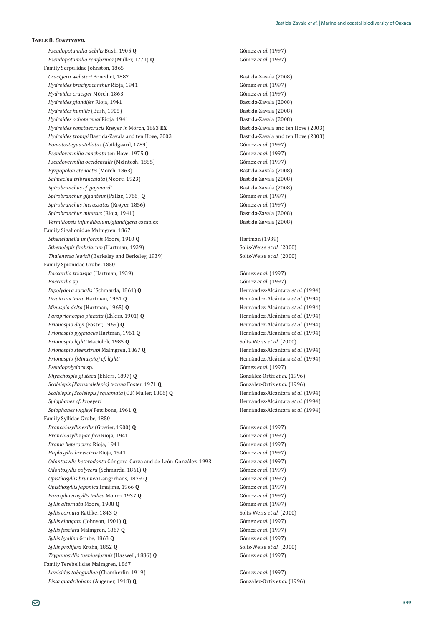*Pseudopotamilla debilis* Bush, 1905 **Q** Gómez *et al*. (1997) *Pseudopotamilla reniformes* (Müller, 1771) **Q** Gómez *et al.* (1997) Family Serpulidae Johnston, 1865 *Crucigera websteri* Benedict, 1887 **b Exercise 1887 b Exercise 1888 Bastida-Zavala** (2008) *Hydroides brachyacanthus* Rioja, 1941 Gómez *et al.* (1997) *Hydroides cruciger* Mörch, 1863<br> *Hydroides glandifer* Rioja, 1941<br>
Bastida-Zavala (2008) *Hydroides glandifer* Rioja, 1941 *Hydroides humilis* (Bush, 1905) **b**astida-Zavala (2008) *Hydroides ochoterenai* Rioja, 1941<br>*Hydroides sanctaecrucis Krøver in Mörch*. 1863 EX<br>Bastida-Zavala and ten Hove (2003) *Hydroides sanctaecrucis* Krøyer *in* Mörch. 1863 **EX** *Hydroides trompi* Bastida-Zavala and ten Hove, 2003 **Bastida-Zavala and ten Hove** (2003) *Pomatostegus stellatus* (Abildgaard, 1789) Gómez *et al*. (1997) *Pseudovermilia conchata*ǡͳͻͷ**Q** Gómez *et al*. (1997) *Pseudovermilia occidentalis* (McIntosh, 1885) 6ómez *et al.* (1997) *Pyrgopolon ctenactis* (Mörch, 1863) **b**astida-Zavala (2008) *Salmacina tribranchiata*ȋǡͳͻʹ͵Ȍ ǦȋʹͲͲͺȌ *Spirobranchus cf. gaymardi* **b** *m Spirobranchus cf. gaymardi* **b** *Cassimal* **<b>B** *COO8 Spirobranchus giganteus* (Pallas, 1766) **Q** Gómez *et al*. (1997) *Spirobranchus incrassatus* (Krøyer, 1856) Gómez *et al*. (1997) *Spirobranchus minutus* (Rioja, 1941) **b**astida-Zavala (2008) *Vermiliopsis infundibulum/glandigera* complex **beiding and all and all and all and all and all and all and all a** Family Sigalionidae Malmgren, 1867 *Sthenelanella uniformis* Moore, 1910 **Q** ȋͳͻ͵ͻȌ *Sthenolepis fimbriarum* (Hartman, 1939) *Solís-Weiss et al.* (2000) *Thalenessa lewisii*ȋǡͳͻ͵ͻȌ Solís-Weiss *et al*. (2000) Family Spionidae Grube, 1850 *Boccardia tricuspa*ȋǡͳͻ͵ͻȌ Gómez *et al*. (1997) *Boccardia* sp. Gómez *et al*. (1997) *Dipolydora socialis* (Schmarda, 1861) **Q** Hernández-Alcántara *et al*. (1994) *Dispio uncinata* Hartman, 1951 **Q** Hernández-Alcántara *et al*. (1994) *Minuspio delta* (Hartman, 1965) **Q** Hernández-Alcántara *et al*. (1994) *Paraprionospio pinnata* ȋǡͳͻͲͳȌ**Q** Hernández-Alcántara *et al*. (1994) *Prionospio dayi* (Foster, 1969) **Q** Hernández-Alcántara *et al*. (1994) *Prionospio pygmaeus* Hartman, 1961 **Q** Hernández-Alcántara *et al*. (1994) *Prionospio lighti* Maciolek, 1985 **Q** Solís-Weiss *et al*. (2000) *Prionospio steenstrupi* Malmgren, 1867 **Q** Hernández-Alcántara *et al*. (1994) *Prionospio (Minuspio) cf. lighti* Hernández-Alcántara *et al*. (1994) *Pseudopolydora* sp. Gómez *et al*. (1997) *Rhynchospio glutaea* (Ehlers, 1897) **O** González-Ortiz *et al.* (1996) *Scolelepis (Parascolelepis) texana* Foster, 1971 **Q** González-Ortiz *et al*. (1996) *Scolelepis (Scolelepis) squamata* (O.F. Muller, 1806) **Q** Hernández-Alcántara *et al*. (1994) *Spiophanes cf. kroeyeri* Hernández-Alcántara *et al*. (1994) *Spiophanes wigleyi* Pettibone, 1961 **Q** Hernández-Alcántara *et al*. (1994) Family Syllidae Grube, 1850 *Branchiosyllis exilis* (Gravier, 1900) Q *Branchiosyllis pacifica* Rioja, 1941 **Gómez** *et al.* (1997) *Brania heterocirra* Rioja, 1941 Gómez *et al*. (1997) *Haplosyllis brevicirra* Rioja, 1941 Gómez *et al*. (1997) Odontosyllis heterodonta Góngora-Garza and de León-G *Odontosyllis polycera* (Schmarda, 1861) **Q** Gómez *et al*. (1997) *Opisthosyllis brunnea* Langerhans, 1879 **Q** Gómez *et al*. (1997) *Opisthosyllis japonica*ǡͳͻ**Q** Gómez *et al*. (1997) *Parasphaerosyllis indica* Monro, 1937 **Q** Gómez *et al.* (1997) *Syllis alternata* Moore, 1908 **Q** Gómez *et al*. (1997) *Syllis cornuta* Rathke, 1843 **Q** Solís-Weiss *et al.* (2000) *Syllis elongata* (Johnson, 1901) **Q** Gómez *et al*. (1997) *Syllis fasciata* Malmgren, 1867 **Q** Gómez *et al*. (1997) *Syllis hyalina Syllis prolifera* Krohn, 1852 **Q** Solís-Weiss *et al*. (2000) *Trypanosyllis taeniaeformis* (Haswell, 1886) **Q** Gómez *et al*. (1997) Family Terebellidae Malmgren, 1867 *Lanicides taboguillae* (Chamberlin, 1919) **Gómez** *et al.* (1997) *Pista quadrilobata* (Augener, 1918) **Q** González-Ortiz *et al*. (1996)

Gómez et al. (1997) ǡͳͻͻ͵ Gómez *et al*. (1997) ǡͳͺ͵**Q** Gómez *et al*. (1997)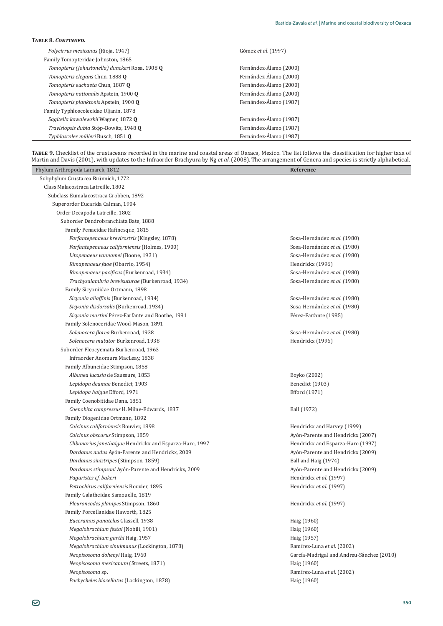| Polycirrus mexicanus (Rioja, 1947)              | Gómez et al. (1997)    |  |
|-------------------------------------------------|------------------------|--|
| Family Tomopteridae Johnston, 1865              |                        |  |
| Tomopteris (Johnstonella) dunckeri Rosa, 1908 Q | Fernández-Álamo (2000) |  |
| Tomopteris elegans Chun, 1888 Q                 | Fernández-Álamo (2000) |  |
| Tomopteris euchaeta Chun, 1887 0                | Fernández-Álamo (2000) |  |
| Tomopteris nationalis Apstein, 1900 0           | Fernández-Álamo (2000) |  |
| Tomopteris planktonis Apstein, 1900 0           | Fernández-Álamo (1987) |  |
| Family Typhloscolecidae Uljanin, 1878           |                        |  |
| Sagitella kowalewskii Wagner, 1872 Q            | Fernández-Álamo (1987) |  |
| Travisiopsis dubia Stop-Bowitz, 1948 0          | Fernández-Álamo (1987) |  |
| Typhloscolex mülleri Busch, 1851 0              | Fernández-Álamo (1987) |  |

TABLE 9. Checklist of the crustaceans recorded in the marine and coastal areas of Oaxaca, Mexico. The list follows the classification for higher taxa of Martin and Davis (2001), with updates to the Infraorder Brachyura by Ng *et al.* (2008). The arrangement of Genera and species is strictly alphabetical.

| Phylum Arthropoda Lamarck, 1812                          | Reference                                 |
|----------------------------------------------------------|-------------------------------------------|
| Subphylum Crustacea Brünnich, 1772                       |                                           |
| Class Malacostraca Latreille, 1802                       |                                           |
| Subclass Eumalacostraca Grobben, 1892                    |                                           |
| Superorder Eucarida Calman, 1904                         |                                           |
| Order Decapoda Latreille, 1802                           |                                           |
| Suborder Dendrobranchiata Bate, 1888                     |                                           |
| Family Penaeidae Rafinesque, 1815                        |                                           |
| Farfantepenaeus brevirostris (Kingsley, 1878)            | Sosa-Hernández et al. (1980)              |
| Farfantepenaeus californiensis (Holmes, 1900)            | Sosa-Hernández et al. (1980)              |
| Litopenaeus vannamei (Boone, 1931)                       | Sosa-Hernández et al. (1980)              |
| Rimapenaeus faoe (Obarrio, 1954)                         | Hendrickx (1996)                          |
| Rimapenaeus pacificus (Burkenroad, 1934)                 | Sosa-Hernández et al. (1980)              |
| Trachysalambria brevisuturae (Burkenroad, 1934)          | Sosa-Hernández et al. (1980)              |
| Family Sicyoniidae Ortmann, 1898                         |                                           |
| Sicyonia aliaffinis (Burkenroad, 1934)                   | Sosa-Hernández et al. (1980)              |
| Sicyonia disdorsalis (Burkenroad, 1934)                  | Sosa-Hernández et al. (1980)              |
| Sicyonia martini Pérez-Farfante and Boothe, 1981         | Pérez-Farfante (1985)                     |
| Family Solenoceridae Wood-Mason, 1891                    |                                           |
| Solenocera florea Burkenroad, 1938                       | Sosa-Hernández et al. (1980)              |
| Solenocera mutator Burkenroad, 1938                      | Hendrickx (1996)                          |
| Suborder Pleocyemata Burkenroad, 1963                    |                                           |
| Infraorder Anomura MacLeay, 1838                         |                                           |
| Family Albuneidae Stimpson, 1858                         |                                           |
| Albunea lucasia de Saussure, 1853                        | Boyko (2002)                              |
| Lepidopa deamae Benedict, 1903                           | Benedict (1903)                           |
| Lepidopa haigae Efford, 1971                             | Efford (1971)                             |
| Family Coenobitidae Dana, 1851                           |                                           |
| Coenobita compressus H. Milne-Edwards, 1837              | Ball (1972)                               |
| Family Diogenidae Ortmann, 1892                          |                                           |
| Calcinus californiensis Bouvier, 1898                    | Hendrickx and Harvey (1999)               |
| Calcinus obscurus Stimpson, 1859                         | Ayón-Parente and Hendrickx (2007)         |
| Clibanarius janethaigae Hendrickx and Esparza-Haro, 1997 | Hendrickx and Esparza-Haro (1997)         |
| Dardanus nudus Ayón-Parente and Hendrickx, 2009          | Ayón-Parente and Hendrickx (2009)         |
| Dardanus sinistripes (Stimpson, 1859)                    | Ball and Haig (1974)                      |
| Dardanus stimpsoni Ayón-Parente and Hendrickx, 2009      | Ayón-Parente and Hendrickx (2009)         |
| Paguristes cf. bakeri                                    | Hendrickx et al. (1997)                   |
| Petrochirus californiensis Bouvier, 1895                 | Hendrickx et al. (1997)                   |
| Family Galatheidae Samouelle, 1819                       |                                           |
| Pleuroncodes planipes Stimpson, 1860                     | Hendrickx et al. (1997)                   |
| Family Porcellanidae Haworth, 1825                       |                                           |
| Euceramus panatelus Glassell, 1938                       | Haig (1960)                               |
| Megalobrachium festai (Nobili, 1901)                     | Haig (1960)                               |
| Megalobrachium garthi Haig, 1957                         | Haig (1957)                               |
| Megalobrachium sinuimanus (Lockington, 1878)             | Ramírez-Luna et al. (2002)                |
| Neopisosoma dohenyi Haig, 1960                           | García-Madrigal and Andreu-Sánchez (2010) |
| Neopisosoma mexicanum (Streets, 1871)                    | Haig (1960)                               |
| Neopisosoma sp.                                          | Ramírez-Luna et al. (2002)                |
| Pachycheles biocellatus (Lockington, 1878)               | Haig (1960)                               |
|                                                          |                                           |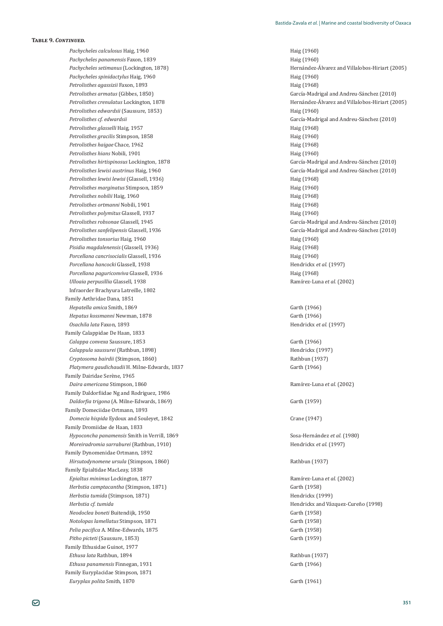*Pachycheles calculosus* Haig, 1960 **Haig (1960)** Haig (1960) *Pachycheles panamensis* Faxon, 1839 *Pachycheles panamensis* Faxon, 1839 *Pachycheles spinidactylus* Haig, 1960 Haig (1960) *Petrolisthes agassizii* Faxon, 1893 *Petrolisthes agassizii* Faxon, 1893 *Petrolisthes edwardsii* (Saussure, 1853) *Petrolisthes edwardsii* (Saussure, 1853) *Haig (1960) Petrolisthes glasselli* Haig, 1957 Haig (1968) *Petrolisthes gracilis* Stimpson, 1858 **Haig (1960)** Haig (1960) Petrolisthes haigae Chace, 1962 **Petrolisthes haig (1968)** Haig (1968) *Petrolisthes hians* Nobili, 1901 **Haig (1960)** Haig (1960) *Petrolisthes lewisi lewisi* (Glassell, 1936) **First According to According the Haig (1968)** Haig (1968) *Petrolisthes marginatus Stimpson, 1859* **Haig (1960)** Haig (1960) *Petrolisthes nobilii* Haig, 1960 Haig (1968) *Petrolisthes ortmanni* Nobili, 1901 **Haig (1968)** Haig (1968) *Petrolisthes polymitus* Glassell, 1937 **Access 1960 Haig (1960)** *Petrolisthes sanfelipensis* **Petrolisthes tonsorius** Haig, 1960 **Haig (1960)** Haig (1960) *Pisidia magdalenensis* (Glassell, 1936) **And Algeria and Algeria and Algeria** Haig (1968) *Porcellana cancrisocialis* Glassell, 1936 **and** *a* and *a* and *a* and *h* and *h* and *h* and *h* and *h* and *h* and *h* and *h* and *h* and *h* and *h* and *h* and *h* and *h* and *h* and *h* and *h* and *h* and *h* a *Porcellana hancocki Porcellana paguriconviva* Glassell, 1936 **And American Page 1968** Haig (1968) *Ulloaia perpusillia* Infraorder Brachvura Latreille, 1802 Family Aethridae Dana, 1851 *Hepatella amica* Smith, 1869 Garth (1966) *Hepatus kossmanni* Newman, 1878 Garth (1966) *Osachila lata* Faxon, 1893 *Osachila lata* Faxon, 1893 *Alemania Alemania Alemania Alemania Alemania Alemania Alemania Alemania Alemania Alemania Alemania Alemania Alemania Alemania Alemania Alemania Alemania Alemania* Family Calappidae De Haan, 1833 *Calappa convexa* Saussure, 1853 **Carth (1966)** Garth (1966) *Calappula saussurei* (Rathbun, 1898) Hendrickx (1997) *Cryptosoma bairdii* (Stimpson, 1860) **δειδέτει το περιοχή της Γεννής (Stimpson, 1860) Rathbun** (1937) *Platymera gaudichaudii* H. Milne-Edwards, 1837 6arth (1966) Family Dairidae Serène, 1965 *Daira americana* Stimpson, 1860 Ramírez-Luna *et al.* (2002) Family Daldorfiidae Ng and Rodriguez, 1986 *Daldorfia trigona* (A. Milne-Edwards, 1869) *Garth* (1959) Family Domeciidae Ortmann, 1893 *Domecia hispida* Eydoux and Souleyet, 1842 **1999 1999 1999 1999 1999 1999 1999 1999 1999 1999 1999 1999 1999 1999 1999 1999 1999 1999 1999 1999 1999 1999 1999 1999 1999 1** Family Dromiidae de Haan, 1833 *Hypoconcha panamensis* Smith in Verrill, 1869 Sosa-Hernández *et al.* (1980) *Moreiradromia sarraburei* (Rathbun, 1910) **Hendricks** *et al.* (1997) **Hendricks** *et al.* (1997) Family Dynomenidae Ortmann, 1892 *Hirsutodynomene ursula* (Stimpson, 1860) **δει** του επιστήματος του θατακούς του Βατιλισμού Βατιλισμού Βατιλισμού Β Family Epialtidae MacLeay, 1838 *Epialtus minimus* Lockington, 1877 **Ramírez-Luna** *et al.* (2002) Ramírez-Luna *et al.* (2002) *Herbstia camptacantha* (Stimpson, 1871) Garth (1958) *Herbstia tumida* (Stimpson, 1871) **Hendrickx** (1999) *Herbstia cf. tumida inclusion Hendrickx* and Vázquez-Cureño (1998) *Neodoclea boneti* Buitendijk, 1950 Garth (1958) *Notolopas lamellatus* Stimpson, 1871 Garth (1958) *Pelia pacifica* A. Milne-Edwards, 1875 *Garth (1958)* **Garth (1958)** *Pitho picteti* (Saussure, 1853) **Garth** (1959) Family Ethusidae Guinot, 1977 *Ethusa lata* Rathbun, 1894 ȋͳͻ͵Ȍ *Ethusa panamensis* Finnegan, 1931 **Carth (1966)** Garth (1966) Family Euryplacidae Stimpson, 1871

*Pachycheles setimanus* (Lockington, 1878) *Pachycheles setimanus* (Lockington, 1878) *Pachycheles setimanus* (Lockington, 1878) *Petrolisthes armatus* (Gibbes, 1850) García-Madrigal and Andreu-Sánchez (2010) *Petrolisthes crenulatus* Lockington, 1878 **b** *Petrolisthes crenulatus* Lockington, 1878 **b** *Petrolisthes crenulatus* Lockington, 1878 *Petrolisthes cf*. *edwardsii* García-Madrigal and Andreu-Sánchez (2010) *Petrolisthes hirtispinosus* Lockington, 1878 García-Madrigal and Andreu-Sánchez (2010) *Petrolisthes lewisi austrinus* Haig, 1960 García-Madrigal and Andreu-Sánchez (2010) *Petrolisthes robsonae* Glassell, 1945 García-Madrigal and Andreu-Sánchez (2010) García-Madrigal and Andreu-Sánchez (2010) Hendrickx et al. (1997) ǡͳͻ͵ͺ Ramírez-Luna *et al.* (2002)

*Euryplax polita* Smith, 1870 Garth (1961)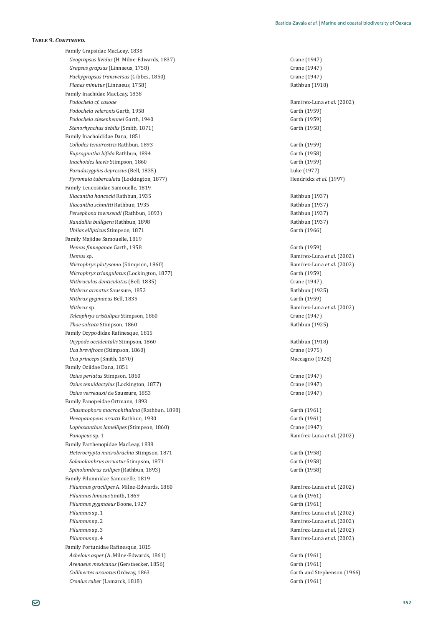Family Grapsidae MacLeay, 1838 *Geograpsus lividus* (H. Milne-Edwards, 1837) **Crane** (1947) **Crane** (1947) *Grapsus grapsus* (Linnaeus, 1758) ȋͳͻͶȌ *Pachygrapsus transversus* (Gibbes, 1850) ȋͳͻͶȌ *Planes minutus* (Linnaeus, 1758) Rathbun (1918) Family Inachidae MacLeay, 1838 *Podochela cf. casoae* Ramírez-Luna *et al*. (2002) *Podochela veleronis* Garth, 1958 Garth (1959) *Podochela ziesenhennei* Garth, 1940 Garth (1959) *Stenorhynchus debilis* (Smith, 1871) Garth (1958) Family Inachoididae Dana, 1851 *Collodes tenuirostris* Rathbun, 1893 **Carth (1959) Garth (1959)** *Euprognatha bifida* Rathbun, 1894 **Garth (1958)** Garth (1958) *Inachoides laevis* Stimpson, 1860 Garth (1959) *Paradasygyius depressus* (Bell, 1835) *Luke* (1977) *Pyromaia tuberculata* (Lockington, 1877) Hendrickx *et al.* (1997) Family Leucosiidae Samouelle, 1819 *Iliacantha hancocki* Rathbun, 1935 *Iliacantha hancocki* Rathbun, 1935 *Iliacantha schmitti* Rathbun, 1935 *Iliacantha schmitti* Rathbun (1937) *Persephona townsendi* (Rathbun. 1893) *Persephona townsendi* (Rathbun 1937) *Randallia bulligera* Rathbun, 1898 ȋͳͻ͵Ȍ *Uhlias ellipticus* Stimpson, 1871 Garth (1966) Family Majidae Samouelle, 1819 *Hemus finneganae* Garth, 1958 **Garth (1959)** Garth (1959) *Hemus* sp. Ramírez-Luna *et al*. (2002) *Microphrys platysoma* (Stimpson, 1860) Ramírez-Luna *et al*. (2002) *Microphrys triangulatus* (Lockington, 1877) Garth (1959) *Mithraculus denticulatus* (Bell, 1835) *Crane* (1947) *Crane* (1947) *Mithrax armatus* Saussure. 1853 *Mithrax armatus* Saussure. 1853 *Mithrax pygmaeus* Bell, 1835 **Accord Accord Carth (1959) Garth (1959)** *Mithrax* sp. Ramírez-Luna *et al*. (2002) *Teleophrys cristulipes* Stimpson, 1860 **b** *Crane (1947)* **Crane** (1947) *Thoe sulcata Stimpson, 1860* Rathbun (1925) Family Ocypodidae Rafinesque, 1815 *Ocypode occidentalis* Stimpson, 1860 Rathbun (1918) *Uca brevifrons* (Stimpson, 1860) ȋͳͻͷȌ *Uca princeps* (Smith, 1870) Maccagno (1928) Family Oziidae Dana, 1851 *Ozius perlatus* Stimpson, 1860 (*Ozius perlatus* Crane (1947) *Ozius tenuidactylus* (Lockington, 1877) *Crane* (1947) *Ozius verreauxii* de Saussure, 1853 *Crane* (1947) Family Panopeidae Ortmann, 1893 Chasmophora macrophthalma (Rathbun, 1898) Garth (1961) *Hexapanopeus orcutti* Rathbun, 1930 **Garth (1961)** Garth (1961) *Lophoxanthus lamellipes* (Stimpson, 1860) ȋͳͻͶȌ **Panopeus sp. 1** Ramírez-Luna *et al.* (2002) Family Parthenopidae MacLeay, 1838 *Heterocrypta macrobrachia* Stimpson, 1871 Garth (1958) *Solenolambrus arcuatus* Stimpson, 1871 Garth (1958) *Spinolambrus exilipes* (Rathbun, 1893) **6 Carrolation** 6 **Garth (1958) Garth (1958) Garth (1958)** Family Pilumnidae Samouelle, 1819 *Pilumnus gracilipes* A. Milne-Edwards, 1880 *Pilumnus gracilipes* A. Milne-Edwards, 1880 *Pilumnus gracilipes* A. Milne-Edwards, 1880 *Pilumnus gracilipes* A. Milne-Edwards, 1880 *Pilumnus gracilipes* A. Milne-Ed *Pilumnus limosus* Smith, 1869 Garth (1961) *Pilumnus pygmaeus* Boone, 1927 Garth (1961) *Pilumnus* sp. 1 Ramírez-Luna *et al.* (2002) *Pilumnus* sp. 2 Ramírez-Luna *et al*. (2002) *Pilumnus* sp. 3 **Amírez-Luna** *et al.* **(2002) Ramírez-Luna** *et al.* **(2002)** *Pilumnus* sp. 4 Ramírez-Luna *et al*. (2002) Family Portunidae Rafinesque, 1815 *Achelous asper* (A. Milne-Edwards, 1861) 6arth (1961) *Arenaeus mexicanus* (Gerstaecker, 1856) Garth (1961) *Callinectes arcuatus* Ordway, 1863 **Carth and Stephenson (1966)** Garth and Stephenson (1966) *Cronius ruber* (Lamarck, 1818) Garth (1961)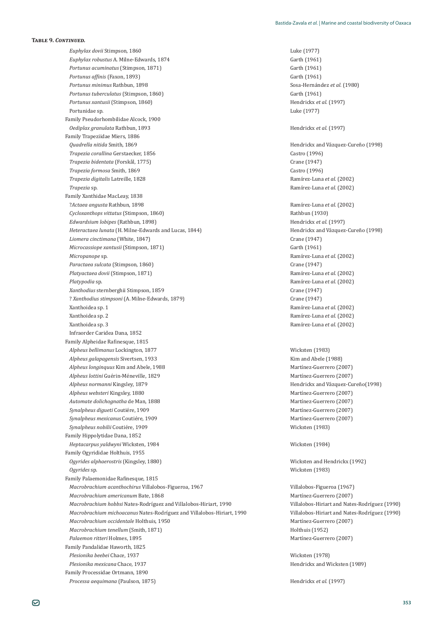*Euphylax dovii* Stimpson, 1860 Luke (1977) *Euphylax robustus* A. Milne-Edwards, 1874 *Carth (1961)* **Garth (1961)** *Portunus acuminatus* (Stimpson, 1871) Garth (1961) *Portunus affinis* (Faxon, 1893) **6** *Garth* (1961) *Portunus minimus* Rathbun, 1898 Sosa-Hernández *et al.* (1980) **Portunus tuberculatus (Stimpson, 1860)** Garth (1961) *Portunus xantusii* (Stimpson, 1860) Hendrickx *et al*. (1997) Portunidae sp. Luke (1977) Family Pseudorhombilidae Alcock, 1900 *Oediplax granulata* Rathbun, 1893 *Oediplax granulata* Rathbun, 1893 Family Trapeziidae Miers, 1886 *Quadrella nitida* Smith, 1869 **b** *Quadrella nitida* Smith, 1869 **b** *Quadrella nitida* Smith, 1869 **b** *Quadrella nitida* Smith, 1869 *Trapezia corallina* Gerstaecker, 1856 **biographic contract and contract contract contract contract contract contract contract contract contract contract contract contract contract contract contract contract contract cont** *Trapezia bidentata* (Forskål, 1775) **bidentata** (Forskål, 1775) *Trapezia formosa* Smith, 1869 **b** *Castro* (1996) *Castro* (1996) *Trapezia digitalis* Latreille, 1828 Ramírez-Luna *et al*. (2002) *Trapezia* sp. Ramírez-Luna *et al*. (2002) Family Xanthidae MacLeay, 1838 ?*Actaea angusta* Rathbun, 1898 Ramírez-Luna *et al*. (2002) *Cycloxanthops vittatus* (Stimpson, 1860) **δειδέτει το περιοχή της Γενι**άνης (1930) **Rathbun** (1930) *Edwardsium lobipes* (Rathbun, 1898) **Hendricks** *et al.* (1997) *Heteractaea lunata* (H. Milne-Edwards and Lucas, 1844) *Heteractaea lunata* (1998) *Liomera cinctimana* (White, 1847) ȋͳͻͶȌ *Microcassiope xantusii* (Stimpson, 1871) Garth (1961) Garth (1961) *Micropanope* sp. Ramírez-Luna *et al*. (2002) *Paractaea sulcata* (Stimpson, 1860) ȋͳͻͶȌ *Platyactaea dovii* (Stimpson, 1871) Ramírez-Luna *et al*. (2002) *Platypodia* sp. Ramírez-Luna *et al*. (2002) *Xanthodius* sternberghii Stimpson, 1859 **b** and a state of the control of the control of the control of the control of the control of the control of the control of the control of the control of the control of the control ? *Xanthodius stimpsoni* (A. Milne-Edwards, 1879) *Crane* (1947) *Crane* (1947) Ǥͳ Ramírez-Luna *et al*. (2002) Ǥʹ Ramírez-Luna *et al*. (2002) Ǥ͵ Ramírez-Luna *et al*. (2002) Infraorder Caridea Dana, 1852 Family Alpheidae Rafinesque, 1815 alpheus bellimanus Lockington, 1877 **/** *Alpheus bellimanus* **Lockington, 1877** *Alpheus galapagensis* **Sivertsen, 1933** *Alpheus galapagensis* Sivertsen, 1933 *Alpheus longinquus* Kim and Abele, 1988 Martínez-Guerrero (2007) *Alpheus lottini Alpheus normanni* Kingsley, 1879 **biseries and** *Alpheus normanni* Kingsley, 1879 *Alpheus websteri* Kingsley, 1880 Martínez-Guerrero (2007) *Automate dolichognatha* de Man, 1888 Martínez-Guerrero (2007) *Synalpheus digueti* Coutiére, 1909<br>
Martínez-Guerrero (2007)  $Synalpheus$  mexicanus Coutiére, 1909<br> **And Martínez-Guerrero** (2007) *Synalpheus nobilii* Coutiére, 1909<br> **Synalpheus nobilii** Coutiére, 1909 Family Hippolytidae Dana, 1852 *Heptacarpus yaldwyni* Wicksten, 1984 Wicksten (1984) Family Ogyrididae Holthuis, 1955 *Ogyrides alphaerostris* (Kingsley, 1880) Wicksten and Hendrickx (1992) *Ogyrides* sp. ȋͳͻͺ͵Ȍ Family Palaemonidae Rafinesque, 1815 *Macrobrachium acanthochirus* Villalobos-Figueroa, 1967 Villalobos-Figueroa (1967) *Macrobrachium americanum* Bate, 1868 Martínez-Guerrero (2007) *Macrobrachium hobbsi* Nates-Rodríguez and Villalobos-Hiriart, 1990 Villalobos-Hiriart and Nates-Rodríguez (1990) *Macrobrachium michoacanus* Nates-Rodríguez and Villalobos-Hiriart, 1990 Villalobos-Hiriart and Nates-Rodríguez (1990) *Macrobrachium occidentale* Holthuis, 1950 Martínez-Guerrero (2007) *Macrobrachium tenellum* (Smith, 1871) **Holthuis (1952)** Holthuis (1952) *Palaemon ritteri* Holmes, 1895 Martínez-Guerrero (2007) Family Pandalidae Haworth, 1825 *Plesionika beebei* Chace, 1937 *Plesionika beebei* Chace, 1978) *Plesionika mexicana* Chace. 1937 *Plesionika mexicana* Chace 1939) *Plesionika mexicana* Chace 1939 Family Processidae Ortmann, 1890 *Processa aequimana* (Paulson, 1875) Hendrickx *et al.* (1997)

Martínez-Guerrero (2007)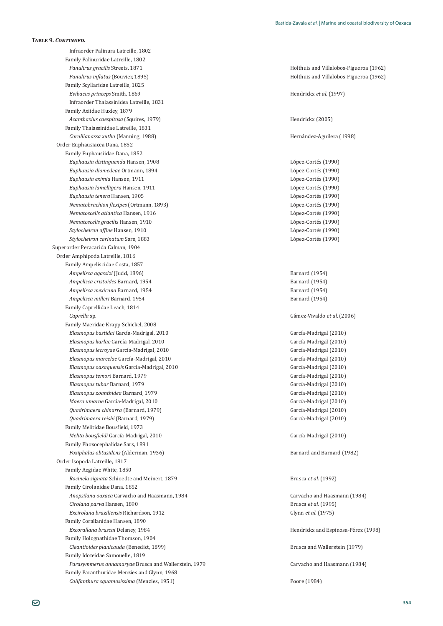Infraorder Palinura Latreille, 1802 Family Palinuridae Latreille, 1802 Panulirus gracilis Streets, 1871 **Anulicus** Graciae and Villalobos-Figueroa (1962) *Panulirus inflatus* (Bouvier, 1895) *Panulirus inflatus* (Bouvier, 1895) *Panulirus inflatus* (Bouvier, 1895) Family Scyllaridae Latreille, 1825 *Evibacus princeps* Smith, 1869 **Hendrickx** *et al.* (1997) Infraorder Thalassinidea Latreille, 1831 Family Axiidae Huxley, 1879 *Acanthaxius caespitosa* (Squires, 1979) **Hendricks** (2005) **Hendricks** (2005) Family Thalassinidae Latreille, 1831 *Corallianassa xutha* (Manning, 1988) Hernández-Aguilera (1998) Order Euphausiacea Dana, 1852 Family Euphausiidae Dana, 1852 *Euphausia distinguenda* Hansen, 1908 *Euphausia distinguenda* Hansen, 1908 *Euphausia diomedeae* Ortmann, 1894 *Euphausia diomedeae* Ortmann, 1894 *L Company Euphausia eximia* Hansen, 1911 **intervalse and the existence of the existence of the existence of the López-Cortés (1990)** *Euphausia lamelligera* Hansen, 1911 **intervalse and** *Euphausia lamelligera* Hansen, 1911 *Euphausia tenera* Hansen, 1905 *Euphausia tenera Hansen, 1905 Company Euphausia tenera Hansen, 1905 Nematobrachion flexipes* (Ortmann, 1893) *Nematobrachion flexipes* (Ortmann, 1893) *Nematoscelis atlantica* Hansen, 1916 *Nematoscelis atlantica* Hansen, 1916 *L***ópez-Cortés** (1990) *Nematoscelis gracilis* Hansen, 1910 *Nematoscelis gracilis* Hansen, 1910 *L i*<sub>Ω</sub> *Stylocheiron affine* Hansen, 1910 *Lopez-Cortés* (1990) *López-Cortés* (1990) *Stylocheiron carinatum* Sars, 1883 *López-Cortés* (1990) Superorder Peracarida Calman, 1904 Order Amphipoda Latreille, 1816 Family Ampeliscidae Costa, 1857 *Ampelisca agassizi* (Judd, 1896) Barnard (1954) *Ampelisca cristoides* Barnard, 1954 **Barnard (1954)** Barnard (1954) *Ampelisca mexicana* Barnard, 1954 **Barnard (1954)** Barnard (1954) *Ampelisca milleri* Barnard, 1954 **Barnard** (1954) Family Caprellidae Leach, 1814 *Caprella* sp. Family Maeridae Krapp-Schickel, 2008 *Elasmopus bastidai* García-Madrigal, 2010 García-Madrigal (2010) *Elasmopus karlae* García-Madrigal, 2010 García-Madrigal (2010) *Elasmopus lecroyae* García-Madrigal, 2010 García-Madrigal (2010) *Elasmopus marcelae* García-Madrigal, 2010 García-Madrigal (2010) *Elasmopus oaxaquensis* García-Madrigal, 2010 García-Madrigal (2010) *Elasmopus temor*i Barnard, 1979 García-Madrigal (2010) *Elasmopus tubar* Barnard, 1979 García-Madrigal (2010) *Elasmopus zoanthidea* Barnard, 1979 García-Madrigal (2010) *Maera umarae* García-Madrigal, 2010 García-Madrigal (2010) *Quadrimaera chinarra* (Barnard, 1979) García-Madrigal (2010) *Quadrimaera reishi* (Barnard, 1979) García-Madrigal (2010) Family Melitidae Bousfield, 1973 *Melita bousfieldi* García-Madrigal, 2010 **García-Madrigal** (2010) **García-Madrigal** (2010) Family Phoxocephalidae Sars, 1891 *Foxiphalus obtusidens* (Alderman, 1936) *Foxiphalus obtusidens* (Alderman, 1936) Order Isopoda Latreille, 1817 Family Aegidae White, 1850 *Rocinela signata* Schioedte and Meinert, 1879 **Brusca** *et al.* (1992) Family Cirolanidae Dana, 1852 *Anopsilana oaxaca* Carvacho and Haasmann, 1984 **1984 1984 1984 1984 1984** *Cirolana parva* Hansen, 1890 Brusca *et al.* (1995) *Excirolana braziliensis* Richardson, 1912 Glynn *et al.* (1975) Family Corallanidae Hansen, 1890 *Excorallana bruscai* Delaney, 1984 *Excorallana bruscai* Delaney, 1998) *Excorallana bruscai* Delaney, 1998) Family Holognathidae Thomson, 1904 *Cleantioides planicauda* (Benedict, 1899) Brusca and Wallerstein (1979) Family Idoteidae Samouelle, 1819 *Parasymmerus annamaryae* Brusca and Wallerstein, 1979 **(accompanal and Machinan** Carvacho and Haasmann (1984) Family Paranthuridae Menzies and Glynn, 1968 *Califanthura squamosissima* (Menzies, 1951) Poore (1984)

Gámez-Vivaldo et al. (2006)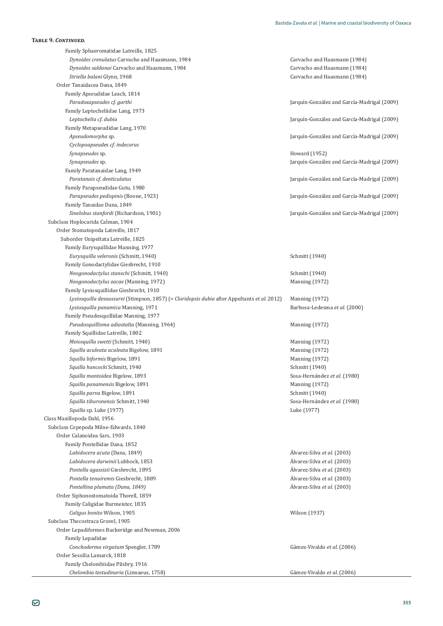Family Sphaeromatidae Latreille, 1825 *Dynoides crenulatus* Carvacho and Haasmann, 1984 **1984 1984 1984 1984 1984** *Dynoides saldanai* Carvacho and Haasmann, 1984 **1984 1984 1984 1984 1984 1984 1984 1984 1984 1984** *Striella balani* Glynn, 1968 **b b** *Striella balani* **Glynn, 1984 b** *Carvacho and Haasmann* (1984) Order Tanaidacea Dana, 1849 Family Apseudidae Leach, 1814 *Paradoxapseudes cf*. *garthi* Jarquín-González and García-Madrigal (2009) Family Leptocheliidae Lang, 1973 *Leptochelia cf*. *dubia* Jarquín-González and García-Madrigal (2009) Family Metapseudidae Lang, 1970 *Apseudomorpha* sp. Jarquín-González and García-Madrigal (2009) *Cyclopoapseude*s *cf*. *indecorus Synapseudes* sp. Howard (1952) *Synapseudes* sp. Jarquín-González and García-Madrigal (2009) Family Paratanaidae Lang, 1949 *Paratanais cf*. *denticulatus* Jarquín-González and García-Madrigal (2009) Family Parapseudidae Gutu, 1980 *Parapseudes pedispinis* (Boone, 1923) *Parapseudes pedispinis* (2009) *Jarquín-González and García-Madrigal* (2009) Family Tanaidae Dana, 1849 *Sinelobus stanfordi* (Richardson, 1901) Jarquín-González and García-Madrigal (2009) Subclass Hoplocarida Calman, 1904 Order Stomatopoda Latreille, 1817 Suborder Unipeltata Latreille, 1825 Family Eurysquillidae Manning, 1977 *Eurysquilla veleronis* (Schmitt, 1940) Schmitt (1940) Family Gonodactylidae Giesbrecht, 1910 *Neogonodactylus stanschi* (Schmitt, 1940) Schmitt (1940) *Neogonodactylus zacae* (Manning, 1972) Manning (1972) Family Lysiosquillidae Giesbrecht, 1910 *Lysiosquilla desaussurei* (Stimpson, 1857) (= *Cloridopsis dubia* after Appeltants *et al.* 2012) Manning (1972) *Lysiosquilla panamica* Manning, 1971 Barbosa-Ledesma *et al*. (2000) Family Pseudosquillidae Manning, 1977 *Pseudosquillisma adiastalta* (Manning, 1964) Manning (1972) Family Squillidae Latreille, 1802 *Meiosquilla swetti* (Schmitt, 1940) Manning (1972) *Squilla aculeata aculeata* Bigelow, 1891 Manning (1972) **Squilla biformis Bigelow, 1891** Manning (1972) **Squilla hancocki Schmitt, 1940** Schmitt (1940) *Squilla mantoidea* Bigelow, 1893 **Sosa-Hernández** *et al.* **(1980)** Sosa-Hernández *et al.* (1980) *Squilla panamensis* Bigelow, 1891 Manning (1972) *Squilla parva* Bigelow, 1891 Schmitt (1940) *Squilla tiburonensis* Schmitt, 1940 Sosa-Hernández *et al.* (1980) *Squilla* sp. Luke (1977) Luke (1977) Class Maxillopoda Dahl, 1956 Subclass Copepoda Milne-Edwards, 1840 Order Calanoidea Sars, 1903 Family Pontellidae Dana, 1852 *Labidocera acuta* (Dana, 1849) *Labidocera acuta* (Dana, 1849) *Alvarez-Silva et al.* **(2003)** *Labidocera darwinii* Lubbock. 1853 *Labidocera darwinii Lubbock.* 1853 *Alvarez-Silva et al.* **(2003)** *Pontella agassizii* Giesbrecht, 1895 **<u>διευτείας του εκτεφασία του εκτεφασία του εκτεφασία είναι εναι είναι του ε</u>** *Pontella tenuiremis* Giesbrecht, 1889 **b** *i contella tenuiremis* Giesbrecht, 1889 *Alvarez-Silva et al.* (2003) *Pontellina plumata (Dana, 1849)* **b**eta al. (2003) *Alvarez-Silva et al.* **(2003)** Order Siphonostomatoida Thorell, 1859 Family Caligidae Burmeister, 1835 *Caligus bonito* Wilson, 1905 ȋͳͻ͵Ȍ Subclass Thecostraca Gruvel, 1905 Order Lepadiformes Buckeridge and Newman, 2006 Family Lepadidae *Conchoderma virgatum* Spengler, 1789 Order Sessilia Lamarck, 1818 Family Chelonibiidae Pilsbry, 1916 *Chelonibia testudinaria* (Linnaeus, 1758)

Gámez-Vivaldo et al. (2006)

Gámez-Vivaldo et al. (2006)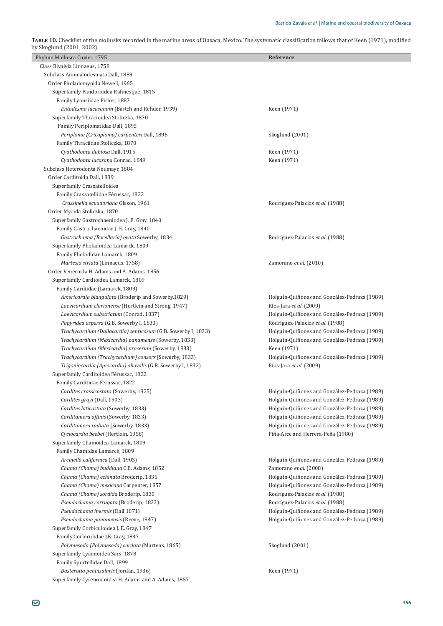**TABLE 10.** Checklist of the mollusks recorded in the marine areas of Oaxaca, Mexico. The systematic classification follows that of Keen (1971), modified<br>by Skoglund (2001, 2002).

| Phylum Mollusca Cuvier, 1795                                  | Reference                                    |
|---------------------------------------------------------------|----------------------------------------------|
| Class Bivalvia Linnaeus, 1758                                 |                                              |
| Subclass Anomalodesmata Dall, 1889                            |                                              |
| Order Pholadomyoida Newell, 1965                              |                                              |
| Superfamily Pandoroidea Rafinesque, 1815                      |                                              |
| Family Lyonsiidae Fisher, 1887                                |                                              |
| Entodesma lucasanum (Bartch and Rehder, 1939)                 | Keen (1971)                                  |
| Superfamily Thracioidea Stoliczka, 1870                       |                                              |
| Family Periplomatidae Dall, 1895                              |                                              |
| Periploma (Cricoploma) carpenteri Dall, 1896                  | Skoglund (2001)                              |
| Family Thraciidae Stoliczka, 1870                             |                                              |
| Cyathodonta dubiosa Dall, 1915                                | Keen (1971)                                  |
| Cyathodonta lucasana Conrad, 1849                             | Keen (1971)                                  |
| Subclass Heterodonta Neumayr, 1884                            |                                              |
| Order Carditoida Dall, 1889                                   |                                              |
| Superfamily Crassatelloidea                                   |                                              |
| Family Crassatellidae Férussac, 1822                          |                                              |
| Crassinella ecuadoriana Olsson, 1961                          | Rodríguez-Palacios et al. (1988)             |
| Order Myoida Stoliczka, 1870                                  |                                              |
| Superfamily Gastrochaeniodea J. E. Gray, 1840                 |                                              |
| Family Gastrochaenidae J. E. Gray, 1840                       |                                              |
| Gastrochaena (Rocellaria) ovata Sowerby, 1834                 | Rodríguez-Palacios et al. (1988)             |
| Superfamily Pholadoidea Lamarck, 1809                         |                                              |
| Family Pholadidae Lamarck, 1809                               |                                              |
| Martesia striata (Linnaeus, 1758)                             | Zamorano et al. (2010)                       |
| Order Veneroida H. Adams and A. Adams, 1856                   |                                              |
| Superfamily Cardioidea Lamarck, 1809                          |                                              |
| Family Cardiidae (Lamarck, 1809)                              |                                              |
| Americardia biangulata (Broderip and Sowerby, 1829)           | Holguín-Quiñones and González-Pedraza (1989) |
| Laevicardium clarionense (Hertlein and Strong, 1947)          | Ríos-Jara et al. (2009)                      |
| Laevicardium substriatum (Conrad, 1837)                       | Holguín-Quiñones and González-Pedraza (1989) |
| Papyridea aspersa (G.B. Sowerby I, 1833)                      | Rodríguez-Palacios et al. (1988)             |
| Trachycardium (Dallocardia) senticosum (G.B. Sowerby I, 1833) | Holguín-Quiñones and González-Pedraza (1989) |
| Trachycardium (Mexicardia) panamense (Sowerby, 1833)          | Holguín-Quiñones and González-Pedraza (1989) |
| Trachycardium (Mexicardia) procerum (Sowerby, 1833)           | Keen (1971)                                  |
| Trachycardium (Trachycardium) consors (Sowerby, 1833)         | Holguín-Quiñones and González-Pedraza (1989) |
| Trigoniocardia (Apiocardia) obovalis (G.B. Sowerby I, 1833)   | Ríos-Jara et al. (2009)                      |
| Superfamily Carditoidea Férussac, 1822                        |                                              |
| Family Carditidae Férussac, 1822                              |                                              |
| Cardites crassicostata (Sowerby, 1825)                        | Holguín-Quiñones and González-Pedraza (1989) |
| Cardites grayi (Dall, 1903)                                   | Holguín-Quiñones and González-Pedraza (1989) |
| Cardites laticostata (Sowerby, 1833)                          | Holguín-Quiñones and González-Pedraza (1989) |
| Carditamera affinis (Sowerby, 1833)                           | Holguín-Quiñones and González-Pedraza (1989) |
| Carditamera radiata (Sowerby, 1833)                           | Holguín-Quiñones and González-Pedraza (1989) |
| Cyclocardia beebei (Hertlein, 1958)                           | Piña-Arce and Herrera-Peña (1980)            |
| Superfamily Chamoidea Lamarck, 1809                           |                                              |
| Family Chamidae Lamarck, 1809                                 |                                              |
| Arcinella californica (Dall, 1903)                            | Holguín-Quiñones and González-Pedraza (1989) |
| Chama (Chama) buddiana C.B. Adams, 1852                       | Zamorano et al. (2008)                       |
| Chama (Chama) echinata Broderip, 1835                         | Holguín-Quiñones and González-Pedraza (1989) |
| Chama (Chama) mexicana Carpenter, 1857                        | Holguín-Quiñones and González-Pedraza (1989) |
| Chama (Chama) sordida Broderip, 1835                          | Rodríguez-Palacios et al. (1988)             |
| Pseudochama corrugata (Broderip, 1833)                        | Rodríguez-Palacios et al. (1988)             |
| Pseudochama inermis (Dall 1871)                               | Holguín-Quiñones and González-Pedraza (1989) |
| Pseudochama panamensis (Reeve, 1847)                          | Holguín-Quiñones and González-Pedraza (1989) |
| Superfamily Corbiculoidea J. E. Gray, 1847                    |                                              |
| Family Corbiculidae J.E. Gray, 1847                           |                                              |
| Polymesoda (Polymesoda) cordata (Martens, 1865)               | Skoglund (2001)                              |
| Superfamily Cyamioidea Sars, 1878                             |                                              |
| Family Sportellidae Dall, 1899                                |                                              |
| Basterotia peninsularis (Jordan, 1936)                        | Keen (1971)                                  |
| Superfamily Cyrenoidoidea H. Adams and A. Adams, 1857         |                                              |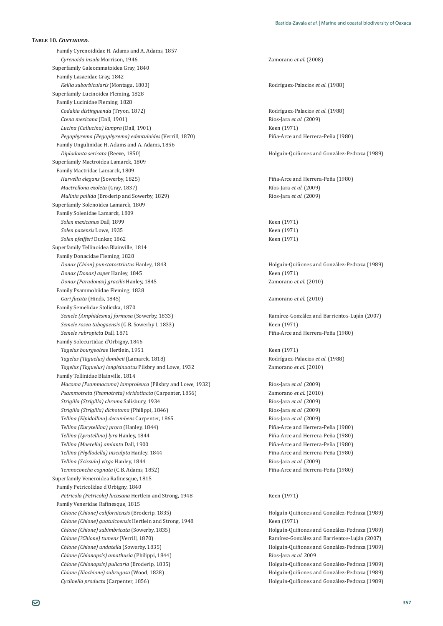Family Cyrenoididae H. Adams and A. Adams, 1857 *Cyrenoida insula* Morrison, 1946 Zamorano *et al*. (2008) Superfamily Galeommatoidea Gray, 1840 Family Lasaeidae Gray, 1842 *Kellia suborbicularis* (Montagu, 1803) *Kellia suborbicularis* (Montagu, 1803) *Rodríguez-Palacios et al.* **(1988)** Superfamily Lucinoidea Fleming, 1828 Family Lucinidae Fleming, 1828 *Codakia distinguenda* (Tryon, 1872) Rodríguez-Palacios *et al.* (1988) *Ctena mexicana* (Dall, 1901) **Ctena mexicana** (Dall, 1901) **Ríos-Jara** *et al.* **(2009)** *Lucina* (*Callucina*) *lampra* (Dall, 1901) **Comparison Ríos-Jara** *et al.* **(2009)** *Réen* (1971) *Lucina (Callucina) lampra* (Dall, 1901) *Pegophysema (Pegophysema) edentuloides* (Verrill, 1870) Piña-Arce and Herrera-Peña (1980) Family Ungulinidae H. Adams and A. Adams, 1856 *Diplodonta sericata* (Reeve, 1850) *Diplodonta sericata* (Reeve, 1850) *Holguín-Quiñones and González-Pedraza* **(1989)** Superfamily Mactroidea Lamarck, 1809 Family Mactridae Lamarck, 1809 *Harvella elegans* (Sowerby, 1825) Piña-Arce and Herrera-Peña (1980) *Mactrellona exoleta* (Gray, 1837) *Mulinia pallida* (Broderip and Sowerby, 1829) Ríos-Jara *et al*. (2009) Superfamily Solenoidea Lamarck, 1809 Family Solenidae Lamarck, 1809 *Solen mexicanus* Dall, 1899 *Keen (1971) Keen (1971) Solen pazensis* Lowe, 1935 **Keen (1971)** Keen (1971) *Solen pfeifferi* Dunker, 1862 **Keen (1971)** Superfamily Tellinoidea Blainville, 1814 Family Donacidae Fleming, 1828 *Donax (Chion) punctatostriatus* Hanley, 1843 **holguín-Quiñones and González-Pedraza** (1989) *Donax (Donax) asper* Hanley, 1845 Keen (1971) *Donax (Paradonax) gracilis* Hanley, 1845 Zamorano *et al.* (2010) Family Psammobiidae Fleming, 1828 *Gari fucata* (Hinds, 1845) Zamorano *et al.* (2010) Family Semelidae Stoliczka, 1870 *Semele (Amphidesma) formosa* (Sowerby, 1833) *Semele (Amphidesma) formosa* (Sowerby, 1833) *Ramírez-González and Barrientos-Luján (2007) Semele rosea tabogaensis*ȋ ǤǤǡͳͺ͵͵Ȍ Keen (1971) *Semele rubropicta* Dall, 1871 *Semele rubropicta* Dall, 1871 *Piña-Arce and Herrera-Peña* **(1980)** Family Solecurtidae d'Orbigny, 1846 *Tagelus bourgeoisae* Hertlein, 1951 Keen (1971) *Tagelus (Taguelus) dombeii* (Lamarck, 1818) Rodríguez-Palacios *et al.* (1988) *Tagelus (Taguelus) longisinuatus* Pilsbry and Lowe, 1932 *Zamorano et al.* (2010) Family Tellinidae Blainville, 1814 *Macoma (Psammacoma) lamproleuca* (Pilsbry and Lowe, 1932) **Ríos-Jara** *et al.* (2009) *Psammotreta (Psamotreta) viridotincta* (Carpenter, 1856) *Zamorano et al.* (2010) *Strigilla (Strigilla) chroma* Salisbury, 1934 *Strigilla (Strigilla et al.* (2009) *Strigilla (Strigilla) dichotoma* (Philippi, 1846) Ríos-Jara *et al*. (2009) *Tellina (Elpidollina) decumbens* Carpenter, 1865 **and** *Figure 3* Ríos-Jara *et al.* (2009) *Tellina (Eurytellina) prora* (Hanley, 1844) Piña-Arce and Herrera-Peña (1980) *Tellina (Lyratellina) lyra* Hanley, 1844 Piña-Arce and Herrera-Peña (1980) *Tellina (Moerella) amianta* Dall, 1900 *Tellina (Moerella) amianta* Dall, 1900 *Tellina (Phyllodella) insculpta* Hanley, 1844 **Piña-Arce and Herrera-Peña** (1980) *Tellina (Scissula) virgo* Hanley, 1844 Ríos-Jara *et al*. (2009) *Temnoconcha cognata* (C.B. Adams, 1852) *Temnoconcha cognata* (C.B. Adams, 1852) *Piña-Arce and Herrera-Peña* **(1980)** Superfamily Veneroidea Rafinesque, 1815 Family Petricolidae d'Orbigny, 1840 *Petricola (Petricola) lucasana* Hertlein and Strong, 1948 Keen (1971) Family Veneridae Rafinesque, 1815 *Chione (Chione) californiensis* (Broderip, 1835) *Chione (Chione californiensis* (Broderip, 1835) *Holguín-Quiñones and González-Pedraza* **(1989)** *Chione (Chione) guatulcoensis* Hertlein and Strong, 1948 Keen (1971) *Chione (Chione) subimbricata* (Sowerby, 1835) **1999** Holguín-Quiñones and González-Pedraza (1989) *Chione (?Chione) tumens* (Verrill, 1870) Ramírez-González and Barrientos-Luján (2007) *Chione (Chione) undatella* (Sowerby, 1835) and Holguín-Quiñones and González-Pedraza (1989) *Chione (Chionopsis) amathusia* (Philippi, 1844) Ríos-Jara *et al*. 2009 *Chione (Chionopsis) pulicaria* (Broderip, 1835) **1999** Holguín-Quiñones and González-Pedraza (1989) *Chione (Iliochione) subrugosa* (Wood, 1828) Holguín-Quiñones and González-Pedraza (1989)

ǡͳͺ͵Ȍ Ríos-Jara *et al*. (2009)

*Cyclinella producta*ȋǡͳͺͷȌ Holguín-Quiñones and González-Pedraza (1989)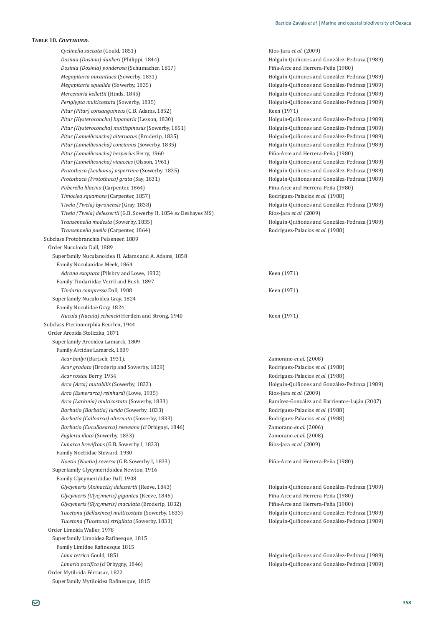*Cyclinella saccata* (Gould, 1851) Ríos-Jara *et al*. (2009) *Dosinia (Dosinia) dunkeri* (Philippi, 1844) Holguín-Quiñones and González-Pedraza (1989) *Dosinia (Dosinia) ponderosa* (Schumacher, 1817) Piña-Arce and Herrera-Peña (1980) *Megapitaria aurantiaca* (Sowerby, 1831) and Holguín-Quiñones and González-Pedraza (1989) *Megapitaria squalida* (Sowerby, 1835) **Megapitaria squalida** (Sowerby, 1835) **Holguín-Quiñones and González-Pedraza** (1989) *Mercenaria kellettii* (Hinds, 1845) Holguín-Quiñones and González-Pedraza (1989) *Periglypta multicostata* (Sowerby, 1835) **According the Multiple of Holguín-Quiñones and González-Pedraza (1989)** *Pitar (Pitar) consanguineus* (C.B. Adams, 1852) Keen (1971) *Pitar (Hysteroconcha) lupanaria* (Lesson, 1830)<br>*Pitar (Hysteroconcha) multispinosus* (Sowerby, 1851)<br>*Pitar (Hysteroconcha) multispinosus* (Sowerby, 1851)<br>*Holguín-Ouiñones and González-Pedraza (1989*) *Pitar (Hysteroconcha) multispinosus* (Sowerby, 1851) *Pitar (Lamelliconcha) alternatus* (Broderip, 1835) *Pitar (Lamelliconcha) alternatus* (Broderip, 1835) *Holguín-Quiñones and González-Pedraza* **(1989)** Pitar (Lamelliconcha) concinnus (Sowerby, 1835) **And American Constant Constant Constant Constant Constant Constant Constant Constant Constant Constant Constant Constant Constant Constant Constant Constant Constant Constan** *Pitar (Lamelliconcha) hesperius* Berry, 1960 Piña-Arce and Herrera-Peña (1980) *Pitar (Lamelliconcha) vinaceus* (Olsson, 1961) Holguín-Quiñones and González-Pedraza (1989) *Protothaca (Leukoma) asperrima* (Sowerby, 1835) **1998** Holguín-Quiñones and González-Pedraza (1989) *Protothaca (Protothaca) grata* (Say, 1831) **Holguín-Quiñones and González-Pedraza** (1989) *Puberella lilacina* (Carpenter, 1864) *Piña-Arce and Herrera-Peña* (1980) *Timoclea squamosa* (Carpenter, 1857) *Timoclea squamosa* (Carpenter, 1857) *Tivela (Tivela) byronensis* (Gray, 1838) **Tivela (Tivela) delessertii (G.B. Sowerby II, 1854 ex Deshayes MS)** Ríos-Jara *et al*. (2009) *Transennella modesta* (Sowerby, 1835) **Transennella modesta** (Sowerby, 1835) **Holguín-Quiñones and González-Pedraza** (1989) *Transennella puella* (Carpenter, 1864) **According to According the Carpenter** Rodríguez-Palacios *et al.* (1988) Subclass Protobranchia Pelseneer, 1889 Order Nuculoida Dall, 1889 Superfamily Nuculanoidea H. Adams and A. Adams, 1858 Family Nuculanidae Meek, 1864 *Adrana exoptata* (Pilsbry and Lowe, 1932) **Example 2** Keen (1971) Family Tindariidae Verril and Bush, 1897 *Tindaria compressa* Dall. 1908 *Tindaria compressa* Dall. 1908 Superfamily Nuculoidea Gray, 1824 Family Nuculidae Gray, 1824 *Nucula (Nucula) schencki* Hertlein and Strong, 1940 Keen (1971) Subclass Pteriomorphia Beurlen, 1944 Order Arcoida Stoliczka, 1871 Superfamily Arcoidea Lamarck, 1809 Family Arcidae Lamarck, 1809 *Acar bailyi* (Bartsch, 1931). 2amorano *et al.* (2008) *Acar gradata* (Broderip and Sowerby, 1829) **Rodríguez-Palacios** *et al.* **(1988)** Rodríguez-Palacios *et al.* (1988) *Acar rostae* Berry, 1954 **Rodríguez-Palacios** *et al.* (1988) *Arca (Arca) mutabilis* (Sowerby, 1833) **Arca** (*Arca)* Holguín-Quiñones and González-Pedraza (1989) *Arca (Esmerarca) reinhardi* (Lowe, 1935) *Arca (Esmerarca) reinhardi* (Lowe, 1935) *Ríos-Jara et al.* **(2009)** *Arca (Larkinia) multicostata* (Sowerby, 1833) **Arca (Exemple 2007)** Ramírez-González and Barrientos-Luján (2007) *Barbatia (Barbatia) lurida* (Sowerby, 1833) **Barbatia** Rodríguez-Palacios *et al.* (1988) *Barbatia (Calloarca) alternata* (Sowerby, 1833) **Barbatia** Rodríguez-Palacios *et al.* (1988) *Barbatia (Cucullaearca) reeveana*ȋǯǡͳͺͶȌ Zamorano *et al.* (2006) *Fugleria illota* (Sowerby, 1833) *Zamorano et al.* (2008) Lunarca brevifrons (G.B. Sowerby I, 1833) Family Noetiidae Steward, 1930 *Noetia (Noetia) reversa* (G.B. Sowerby I. 1833) Superfamily Glycymeridoidea Newton, 1916 Family Glycymerididae Dall, 1908 *Glycymeris (Axinactis) delessertii* (Reeve, 1843) *Holguín-Quiñones and González-Pedraza (1989) Holguín-Quiñones and González-Pedraza* (1989) *Glycymeris (Glycymeris) gigantea*ȋǡͳͺͶȌ Piña-Arce and Herrera-Peña (1980) *Glycymeris (Glycymeris) maculata* (Broderip, 1832) **Piña-Arce and Herrera-Peña** (1980) *Tucetona (Bellaxinea) multicostata* (Sowerby, 1833) *Holguín-Quiñones and González-Pedraza (1989) Holguín-Quiñones and González-Pedraza (1989) Tucetona (Tucetona) strigilata* (Sowerby, 1833) Holguín-Quiñones and González-Pedraza (1989) Order Limoida Waller, 1978 Superfamily Limoidea Rafinesque, 1815 Family Limidae Rafinesque 1815 *Lima tetrica* Gould, 1851 Holguín-Quiñones and González-Pedraza (1989) *Limaria pacifica* (d'Orbygny, 1846) *Kimaria pacifica* (d'Orbygny, 1846) *Holguín-Quiñones and González-Pedraza* (1989) Order Mytiloida Férrusac, 1822 Superfamily Mytiloidea Rafinesque, 1815

Holguín-Quiñones and González-Pedraza (1989)

Ríos-Jara et al. (2009)

Piña-Arce and Herrera-Peña (1980)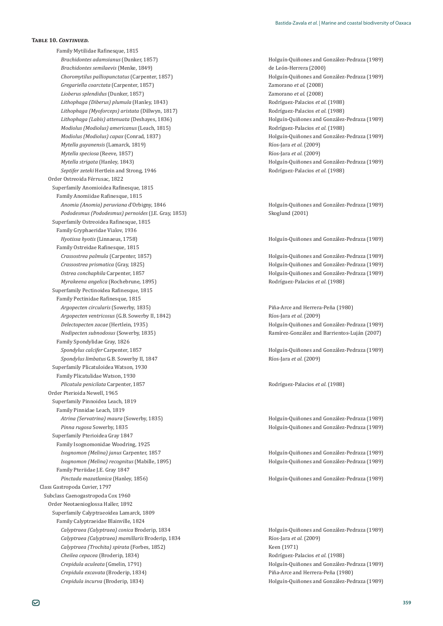Family Mytilidae Rafinesque, 1815 *Brachidontes adamsianus* (Dunker, 1857) *Brachidontes adamsianus* (1989) *Holguín-Quiñones and González-Pedraza* (1989) *Brachidontes semilaevis* (Menke, 1849) de León-Herrera (2000) *Choromytilus palliopunctatus*ȋǡͳͺͷȌ Holguín-Quiñones and González-Pedraza (1989) *Gregariella coarctata*ȋǡͳͺͷȌ Zamorano *et al*. (2008) *Lioberus splendidus*ȋǡͳͺͷȌ Zamorano *et al*. (2008) *Lithophaga (Diberus) plumula* (Hanley, 1843) *Rodríguez-Palacios et al.* **(1988)** *Lithophaga (Myoforceps) aristata* (Dillwyn, 1817) **Biographic Rodríguez-Palacios** *et al.* **(1988) Rodríguez-Palacios** *et al.* **(1988)** *Lithophaga (Labis) attenuata* (Deshayes, 1836) **Holguín-Quiñones and González-Pedraza** (1989) *Modiolus (Modiolus) americanus* (Leach, 1815) Rodríguez-Palacios *et al.* (1988) *Modiolus (Modiolus) capax* (Conrad, 1837) *Modiolus (Modiolus (Modiolus And González-Pedraza (1989) Holguín-Quiñones and González-Pedraza (1989) Mytella guyanensis* (Lamarck, 1819) Ríos-Jara *et al*. (2009) *Mytella speciosa* (Reeve, 1857) **Ríos-Jara** *et al.* (2009) *Mytella strigata* (Hanley, 1843) **Holguín-Quiñones and González-Pedraza** (1989) *Septifer zeteki* Hertlein and Strong, 1946 Rodríguez-Palacios *et al.* (1988) Order Ostreoida Férrusac, 1822 Superfamily Anomioidea Rafinesque, 1815 Family Anomiidae Rafinesque, 1815 *Anomia (Anomia) peruviana* d'Orbigny, 1846 **anomia anomia anomia de la mateixa de la mateixa (1989)** a Holguín-Quiñones and González-Pedraza (1989) Pododesmus (Pododesmus) pernoides (J.E. Gray, 1853) Superfamily Ostreoidea Rafinesque, 1815 Family Gryphaeridae Vialov, 1936 *Hyotissa hyotis* (Linnaeus, 1758) **Holguín-Quiñones and González-Pedraza** (1989) Family Ostreidae Rafinesque, 1815 *Crassostrea palmula* (Carpenter, 1857) **1989** Holguín-Quiñones and González-Pedraza (1989) *Crassostrea prismatica* (Gray, 1825) Holguín-Quiñones and González-Pedraza (1989) *Ostrea conchaphila* Carpenter, 1857 **According to According the Constant Holguín-Quiñones and González-Pedraza (1989)** *Myrakeena angelica* (Rochebrune, 1895) Rodríguez-Palacios *et al.* (1988) Superfamily Pectinoidea Rafinesque, 1815 Family Pectinidae Rafinesque, 1815 *Argopecten circularis* (Sowerby, 1835) *Argopecten circularis* (Sowerby, 1835) *Piña-Arce and Herrera-Peña* **(1980)** *Argopecten ventricosus* (G.B. Sowerby II, 1842) **Example 2 Ríos-Jara** *et al.* **(2009)** Ríos-*Delectopecten zacae* (Hertlein, 1935) **Access 1989** Holguín-Quiñones and González-Pedraza (1989) *Nodipecten subnodosus* (Sowerby, 1835) **1898 Ramírez-González and Barrientos-Luján** (2007) Family Spondylidae Gray, 1826 *Spondylus calcifer* Carpenter, 1857 **Access 1989 Holguín-Quiñones and González-Pedraza (1989)** *Spondylus limbatus* Superfamily Plicatuloidea Watson, 1930 Family Plicatulidae Watson, 1930 *Plicatula penicilata* Carpenter, 1857 *Plicatula penicilata* Carpenter, 1857 *Rodríguez-Palacios et al.* **(1988)** Order Pterioida Newell, 1965 Superfamily Pinnoidea Leach, 1819 Family Pinnidae Leach, 1819 *Atrina (Servatrina) maura* (Sowerby, 1835) **Atrina (Servatrina) maura** (1989) **Holguín-Quiñones and González-Pedraza** (1989) *Pinna rugosa* Sowerby, 1835 and Foreign and González-Pedraza (1989) **Holguín-Quiñones and González-Pedraza** (1989) Superfamily Pterioidea Gray 1847 Family Isognomonidae Woodring, 1925 *Isognomon (Melina) janus* Carpenter, 1857 *Isognomon (Melina) janus* Carpenter, 1857 *Isognomon (Melina) janus* Carpenter, 1857 *Isognomon (Melina) recognitus* (Mabille, 1895) Holguín-Quiñones and González-Pedraza (1989) انة Pterudae J.E. Gray 1841 Pamily *Pinctada mazatlanica* (Hanley, 1856) Holguín-Quiñones and González-Pedraza (1989) Class Gastropoda Cuvier, 1797 Subclass Caenogastropoda Cox 1960 Order Neotaenioglossa Haller, 1892 Superfamily Calyptraeoidea Lamarck, 1809 Family Calyptraeidae Blainville, 1824 *Calyptraea (Calyptraea) conica* Broderip, 1834 **holguín-Quiñones and González-Pedraza** (1989) *Calyptraea (Calyptraea) mamillaris* Broderip, 1834 **Ríos-Jara** *et al.* **(2009)** *Calyptraea (Trochita) spirata* (Forbes, 1852) Keen (1971) *Cheilea cepacea* (Broderip, 1834) **Cheilea cepacea** (Broderip, 1834) **Rodríguez-Palacios** *et al.* **(1988)** *Crepidula aculeata* (Gmelin, 1791) Holguín-Quiñones and González-Pedraza (1989) *Crepidula excavata* (Broderip, 1834) **Crepidula excavata** (Broderip, 1834) **Piña-Arce and Herrera-Peña** (1980) *Crepidula incurva* (Broderip, 1834) **Access 12 Access 12 Access 12 Access 12 Access 12 Access 12 Access 12 Access 12 Access 12 Access 12 Access 12 Access 12 Access 12 Access 12 Access 12 Access 12 Access 12 Access 12 Acc** 

Skoglund (2001)

Ríos-Jara et al. (2009)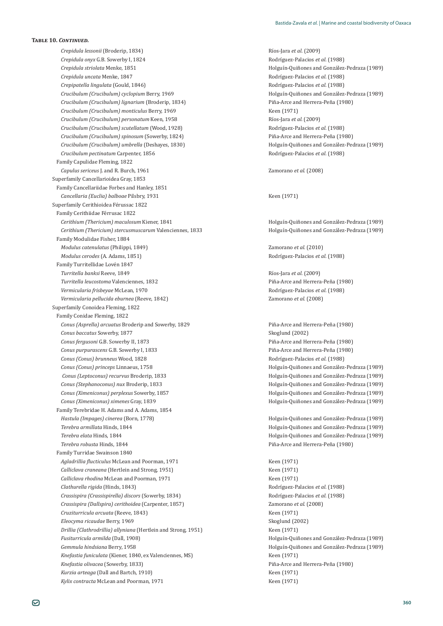*Crepidula lessonii*ȋǡͳͺ͵ͶȌ Ríos-Jara *et al*. (2009) *Crepidula onyx Crepidula striolata* Menke, 1851 Holguín-Quiñones and González-Pedraza (1989) *Crepidula uncata* Menke, 1847 Rodríguez-Palacios *et al.* (1988) *Crepipatella lingulata* (Gould, 1846) Rodríguez-Palacios *et al.* (1988) *Crucibulum (Crucibulum) cyclopium* Berry, 1969 Holguín-Quiñones and González-Pedraza (1989) *Crucibulum (Crucibulum) lignarium*ȋǡͳͺ͵ͶȌ Piña-Arce and Herrera-Peña (1980) *Crucibulum (Crucibulum) monticulus* Berry, 1969 Keen (1971) *Crucibulum (Crucibulum) personatum* Keen, 1958 Ríos-Jara *et al.* (2009) *Crucibulum (Crucibulum) scutellatum* (Wood, 1928) Rodríguez-Palacios *et al.* (1988) *Crucibulum (Crucibulum) spinosum* (Sowerby, 1824) Piña-Arce and Herrera-Peña (1980) *Crucibulum (Crucibulum) umbrella* ȋǡͳͺ͵ͲȌ Holguín-Quiñones and González-Pedraza (1989) *Crucibulum pectinatum*ǡͳͺͷ Rodríguez-Palacios *et al.* (1988) Family Capulidae Fleming, 1822 *Capulus sericeus* J. and R. Burch, 1961 Zamorano *et al*. (2008) Superfamily Cancellarioidea Gray, 1853 Family Cancellariidae Forbes and Hanley, 1851 *Cancellaria (Euclia) balboae* Pilsbry, 1931 **Keen (1971)** Keen (1971) Superfamily Cerithioidea Férussac 1822 Family Cerithiidae Férrusac 1822 *Cerithium (Thericium) maculosum* Kiener, 1841 Holguín-Quiñones and González-Pedraza (1989) *Cerithium (Thericium) stercusmuscarum* Valenciennes, 1833 Holguín-Quiñones and González-Pedraza (1989) Family Modulidae Fisher, 1884 *Modulus catenulatus* (Philippi, 1849) Zamorano *et al.* (2010) *Modulus cerodes* (A. Adams, 1851) Rodríguez-Palacios *et al.* (1988) Family Turritellidae Lovén 1847 *Turritella banksi* Reeve, 1849 *Turritella banksi* Ríos-Jara *et al.* (2009) *Turritella leucostoma* Valenciennes, 1832 *Turritella leucostoma* Valenciennes, 1832 *Piña-Arce and Herrera-Peña* (1980) *Vermicularia frisbeyae* McLean, 1970 Rodríguez-Palacios *et al.* (1988) *Vermicularia pellucida eburnea* (Reeve, 1842) *Zamorano et al.* (2008) Superfamily Conoidea Fleming, 1822 Family Conidae Fleming, 1822 *Conus (Asprella) arcuatus* Broderip and Sowerby, 1829 Piña-Arce and Herrera-Peña (1980) **Conus baccatus Sowerby, 1877** Skoglund (2002) *Conus fergusoni Conus purpurascens Conus (Conus) brunneus* Wood, 1828 Rodríguez-Palacios *et al.* (1988) *Conus (Conus) princeps* Linnaeus, 1758 Holguín-Quiñones and González-Pedraza (1989) *Conus (Leptoconus) recurvus* Broderip, 1833 *conus and González-Pedraza (1989) Holguín-Quiñones and González-Pedraza (1989) Conus (Stephanoconus) nux* Broderip, 1833 *Mosteria and González-Pedraza (1989)* Holguín-Quiñones and González-Pedraza (1989) *Conus (Ximeniconus) perplexus* Sowerby, 1857 Holguín-Quiñones and González-Pedraza (1989) *Conus (Ximeniconus) ximenes* Family Terebridae H. Adams and A. Adams, 1854 *Hastula (Impages) cinerea* (Born, 1778) Holguín-Quiñones and González-Pedraza (1989) *Terebra armillata* Hinds, 1844 Holguín-Quiñones and González-Pedraza (1989) *Terebra elata* Hinds, 1844 Holguín-Quiñones and González-Pedraza (1989) *Terebra robusta* Hinds, 1844 Piña-Arce and Herrera-Peña (1980) Family Turridae Swainson 1840 *Aaladrillia flucticulus* McLean and Poorman, 1971 **Keen (1971)** Keen (1971) *Calliclava craneana* (Hertlein and Strong, 1951) Keen (1971) *Calliclava rhodina* McLean and Poorman, 1971 Keen (1971) *Clathurella rigida*ȋǡͳͺͶ͵Ȍ Rodríguez-Palacios *et al.* (1988) *Crassispira (Crassispirella) discors* (Sowerby, 1834) **Band Rodríguez-Palacios** *et al.* (1988) *Crassispira (Dallspira) cerithoidea* (Carpenter, 1857) *Zamorano et al.* (2008) *Cruziturricula arcuata* (Reeve, 1843) *Cruziturricula arcuata* (Reeve, 1843) *Eleocyma ricaudae* Berry, 1969 Skoglund (2002) *Drillia (Clathrodrillia) allyniana* (Hertlein and Strong, 1951) Keen (1971) *Fusiturricula armilda* (Dall, 1908) *Fusiturricula armilda* (Dall, 1908) *Fusiturricula armilda* (Dall, 1908) *Gemmula hindsiana* Berry, 1958 Holguín-Quiñones and González-Pedraza (1989) *Knefastia funiculata* (Kiener, 1840, ex Valenciennes, MS) Keen (1971) *Knefastia olivacea* (Sowerby, 1833) *Knefastia olivacea* (Sowerby, 1833) *Piña-Arce and Herrera-Peña* **(1980)** *Kurzia arteaga* (Dall and Bartch, 1910) **Keen (1971)** Keen (1971) *Kylix contracta* McLean and Poorman, 1971 Keen (1971)

Rodríguez-Palacios et al. (1988)

Piña-Arce and Herrera-Peña (1980) Piña-Arce and Herrera-Peña (1980) Holguín-Quiñones and González-Pedraza (1989)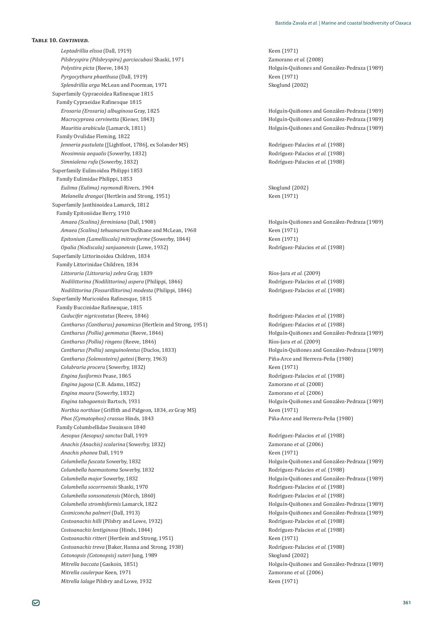*Leptadrillia elissa* (Dall, 1919) **Keen (1971)** Keen (1971) *Pilsbryspira (Pilsbryspira) garciacubasi* Shaski, 1971 Zamorano *et al.* (2008) *Polystira picta* (Reeve, 1843) **Polystira picta** (Reeve, 1843) **Holguín-Quiñones and González-Pedraza** (1989) *Pyrgocythara phaethusa* (Dall, 1919) **Keen (1971)** Keen (1971) *Splendrillia arga* McLean and Poorman, 1971 Skoglund (2002) Superfamily Cypraeoidea Rafinesque 1815 Family Cypraeidae Rafinesque 1815 *Erosaria (Erosaria) albuginosa* Gray, 1825 Holguín-Quiñones and González-Pedraza (1989) *Macrocypraea cervinetta* (Kiener, 1843)<br>*Mauritia arabicula* (Lamarck, 1811)<br>Holguín-Quiñones and González-Pedraza (1989) Family Ovulidae Fleming, 1822 *Jenneria pustulata* ([Lightfoot, 1786], ex Solander MS) Rodríguez-Palacios *et al.* (1988) *Neosimnia aequalis* (Sowerby, 1832) *Neosimnia aequalis* (Sowerby, 1832) *Simnialena rufa* (Sowerby, 1832) **Simnialena rufa** (Sowerby, 1832) **Rodríguez-Palacios** *et al.* **(1988)** Superfamily Eulimoidea Philippi 1853 Family Eulimidae Philippi, 1853 *Eulima (Eulima) raymondi* Rivers, 1904 **1994 1994 1994 1995 1996 1997 1998 1998 1998 1998 1999 1999 1999 1999 1999 1999 1999 1999 1999 1999 1999 1999 1999 1999 1999 1999** *Melanella drangai* (Hertlein and Strong, 1951) **Keen (1971)** Keen (1971) Superfamily Janthinoidea Lamarck, 1812 Family Epitoniidae Berry, 1910 *Amaea (Scalina) ferminiana* (Dall, 1908) **Amaea (Scalina) ferminiana** (Dall, 1909) **Holguín-Quiñones and González-Pedraza** (1989) *Amaea (Scalina) tehuanarum* DuShane and McLean, 1968 **Amaea** (Scalina) tehuanarum DuShane and McLean, 1968 *Epitonium (Lamelliscala) mitraeforme* (Sowerby, 1844) Keen (1971) *Opalia (Nodiscala) sanjuanensis* (Lowe, 1932) *Contra Rodríguez-Palacios et al.* **(1988)** *Rodríguez-Palacios et al.* (1988) Superfamily Littorinoidea Children, 1834 Family Littorinidae Children, 1834 *Littoraria (Littoraria) zebra Nodilittorina (Nodilittorina) aspera* (Philippi, 1846) Rodríguez-Palacios *et al.* (1988) *Nodilittorina (Fossarillitorina) modesta* (Philippi, 1846) Rodríguez-Palacios *et al.* (1988) Superfamily Muricoidea Rafinesque, 1815 Family Buccinidae Rafinesque, 1815 *Caducifer nigricostatus*ȋǡͳͺͶȌ Rodríguez-Palacios *et al.* (1988) *Cantharus (Cantharus) panamicus* (Hertlein and Strong, 1951) Rodríguez-Palacios *et al.* (1988) *Cantharus (Pollia) gemmatus* (Reeve, 1846) **1989** Holguín-Quiñones and González-Pedraza (1989) *Cantharus (Pollia) ringens*ȋǡͳͺͶȌ Ríos-Jara *et al*. (2009) *Cantharus (Pollia) sanguinolentus* (Duclos, 1833) *Holguín-Quiñones and González-Pedraza (1989) Cantharus (Solenosteira) gatesi*ȋǡͳͻ͵Ȍ Piña-Arce and Herrera-Peña (1980) *Colubraria procera* (Sowerby, 1832) **Example 2** Keen (1971) *Engina fusiformis* Pease, 1865 Rodríguez-Palacios *et al.* (1988) *Engina jugosa* (C.B. Adams, 1852) *Zamorano et al.* **(2008)** *Zamorano et al.* (2008) *Engina maura* (Sowerby, 1832) **Engina maura** (2006) *Engina tabogaensis* Bartsch, 1931 **And Alberta Conzález-Pedraza (1989)** Holguín-Quiñones and González-Pedraza (1989) *Northia northiae* (Griffith and Pidgeon, 1834, *ex* Gray MS) Keen (1971) *Phos (Cymatophos) crassus* Hinds, 1843 *Piña-Arce and Herrera-Peña* (1980) Family Columbellidae Swainson 1840 *Aesopus (Aesopus) sanctus*ǡͳͻͳͻ Rodríguez-Palacios *et al.* (1988) *Anachis (Anachis) scalarina* (Sowerby, 1832) *Zamorano et al.* (2006) *Anachis phanea* Dall, 1919 *Reen (1971) Keen (1971) Columbella fuscata*ǡͳͺ͵ʹ Holguín-Quiñones and González-Pedraza (1989) *Columbella haemastoma*ǡͳͺ͵ʹ Rodríguez-Palacios *et al.* (1988) *Columbella major*ǡͳͺ͵ʹ Holguín-Quiñones and González-Pedraza (1989) *Columbella socorroensis* Shaski, 1970 Rodríguez-Palacios *et al.* (1988) *Columbella sonsonatensis* (Mörch, 1860) Rodríguez-Palacios *et al.* (1988) *Columbella strombiformis* Lamarck, 1822 Holguín-Quiñones and González-Pedraza (1989) *Cosmiconcha palmeri*ȋǡͳͻͳ͵Ȍ Holguín-Quiñones and González-Pedraza (1989) *Costoanachis hilli* (Pilsbry and Lowe, 1932) **Rodríguez-Palacios** *et al.* **(1988)** Rodríguez-Palacios *et al.* (1988) *Costoanachis lentiginosa* (Hinds, 1844) Rodríguez-Palacios *et al.* (1988) *Costoanachis ritteri* (Hertlein and Strong, 1951) Keen (1971) *Costoanachis treva*ȋǡǡͳͻ͵ͺȌ Rodríguez-Palacios *et al.* (1988) *Cotonopsis (Cotonopsis) suteri* Jung, 1989 Skoglund (2002) *Mitrella baccata* (Gaskoin, 1851) **Holguín-Quiñones and González-Pedraza** (1989) *Mitrella caulerpae* Keen, 1971 Zamorano *et al.* (2006) *Mitrella lalage* Pilsbry and Lowe, 1932 **Keen** (1971)

*Molguín-Quiñones and González-Pedraza (1989)* 

 $Ríos$ -Jara *et al.* (2009)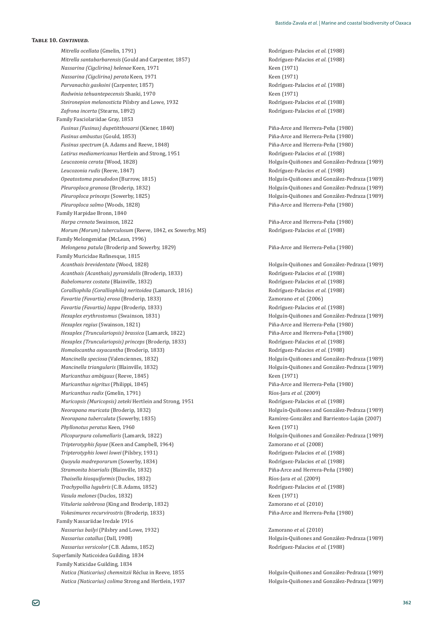*Mitrella ocellata* (Gmelin, 1791) **Rodríguez-Palacios** *et al.* (1988) *Mitrella santabarbarensis* (Gould and Carpenter, 1857) *Nassarina (Cigclirina) helenae* Keen, 1971 Keen (1971) *Nassarina (Cigclirina) perata* Keen, 1971 Keen (1971) *Parvanachis gaskoini* (Carpenter, 1857) *Parvanachis gaskoini* (Carpenter, 1857) **1988** *Radwinia tehuantepecensis* Shaski, 1970 Keen (1971) *Steironepion melanosticta* Pilsbry and Lowe, 1932 **b** Rodríguez-Palacios *et al.* (1988) *Zafrona incerta* (Stearns, 1892) Rodríguez-Palacios *et al.* (1988) Family Fasciolariidae Gray, 1853 *Fusinus (Fusinus) dupetitthouarsi* (Kiener, 1840) Piña-Arce and Herrera-Peña (1980) *Fusinus ambustus* (Gould, 1853) *Fusinus spectrum* (A. Adams and Reeve, 1848) *Piña-Arce and Herrera-Peña* (1980) *Latirus mediamericanus* Hertlein and Strong, 1951 **Rodríguez-Palacios** *et al.* (1988) *Leucozonia cerata* (Wood, 1828) Holguín-Quiñones and González-Pedraza (1989) *Leucozonia rudis*ȋǡͳͺͶȌ Rodríguez-Palacios *et al.* (1988) *Opeatostoma pseudodon* (Burrow, 1815) Holguín-Quiñones and González-Pedraza (1989) *Pleuroploca granosa* (Broderip, 1832) *Pleuroploca granosa* (Engles) *Holguín-Quiñones and González-Pedraza* (1989) *Pleuroploca princeps* (Sowerby, 1825) Holguín-Quiñones and González-Pedraza (1989) *Pleuroploca salmo* (Woods, 1828) Piña-Arce and Herrera-Peña (1980) Family Harpidae Bronn, 1840 *Harpa crenata* Swainson, 1822 Piña-Arce and Herrera-Peña (1980) *Morum (Morum) tuberculosum (Reeve, 1842, ex Sowerby, MS)* Rodríguez-Palacios *et al.* (1988) Family Melongenidae (McLean, 1996) *Melongena patula* (Broderip and Sowerby, 1829) Piña-Arce and Herrera-Peña (1980) Family Muricidae Rafinesque, 1815 *Acanthais brevidentata* (Wood, 1828) Holguín-Quiñones and González-Pedraza (1989) *Acanthais (Acanthais) pyramidalis* (Broderip, 1833) Rodríguez-Palacios *et al.* (1988) *Babelomurex costata*ȋǡͳͺ͵ʹȌ Rodríguez-Palacios *et al.* (1988) *Coralliophila (Coralliophila) neritoidea* (Lamarck, 1816) Rodríguez-Palacios *et al.* (1988) *Favartia (Favartia) erosa (Broderip. 1833) Zamorano et al. (2006) Favartia (Favartia) lappa* (Broderip, 1833) *Favartia (Favartia (Favartia (Favartia) lappa C Hexaplex erythrostomus* (Swainson, 1831) **Holguín-Quiñones and González-Pedraza (1989) Holguín-Quiñones and González-Pedraza (1989)** *Hexaplex regius* (Swainson, 1821) Piña-Arce and Herrera-Peña (1980) *Hexaplex (Trunculariopsis) brassica* (Lamarck, 1822) Piña-Arce and Herrera-Peña (1980) *Hexaplex (Trunculariopsis) princeps* (Broderip, 1833) **Booking** Rodríguez-Palacios *et al.* (1988) *Homalocantha oxyacantha* (Broderip, 1833) **Rodríguez-Palacios** *et al.* **(1988)** Rodríguez-Palacios *et al.* (1988) *Mancinella speciosa* (Valenciennes, 1832) and González-Pedraza (1989) **Holguín-Quiñones and González-Pedraza** (1989) *Mancinella triangularis* (Blainville, 1832) **Mancinella triangularis** (1989) **Holguín-Quiñones and González-Pedraza** (1989) *Muricanthus ambiguus* (Reeve, 1845) *Muricanthus ambiguus* (Reeve, 1845) *Muricanthus nigritus* (Philippi, 1845) Piña-Arce and Herrera-Peña (1980) *Muricanthus radix* (Gmelin, 1791) Ríos-Jara *et al*. (2009) *Muricopsis (Muricopsis) zeteki* Hertlein and Strong, 1951 Rodríguez-Palacios *et al.* (1988) *Neorapana muricata* (Broderip, 1832) **Meorapana muricata** (Broderip, 1832) **Holguín-Quiñones and González-Pedraza** (1989) *Neorapana tuberculata* (Sowerby, 1835) **1898 1825 1998 1999 1999 1999 1999 1999 1999 1999 1999 1999 1999 1999 1999 1999 1999 1999 1999 1999 1999 1999 1999 1999 1999 1999** *Phyllonotus peratus* Keen, 1960 Keen (1971) *Plicopurpura columellaris* (Lamarck, 1822) Holguín-Quiñones and González-Pedraza (1989) *Tripterotyphis fayae* (Keen and Campbell, 1964) *Zamorano et al.* (2008) *Tripterotyphis lowei lowei* (Pilsbry, 1931) *Tripterotyphis lowei lowei* (Pilsbry, 1931) *Quoyula madreporarum*ȋǡͳͺ͵ͶȌ Rodríguez-Palacios *et al.* (1988) *Stramonita biserialis* (Blainville, 1832) *Stramonita biserialis* (Blainville, 1832) *Piña-Arce and Herrera-Peña* **(1980)** *Thaisella kiosquiformis* (Duclos, 1832) *Thaisella kiosquiformis* (Duclos, 1832) *Trachypollia lugubris*ȋǤǤǡͳͺͷʹȌ Rodríguez-Palacios *et al.* (1988) *Vasula melones* (Duclos, 1832) **Keen (1971)** Keen (1971) *Vitularia salebrosa* (King and Broderip, 1832) *Zamorano et al.* (2010) *Vokesimurex recurvirostris* (Broderip, 1833) *Piña-Arce and Herrera-Peña* (1980) Family Nassariidae Iredale 1916 *Nassarius bailyi* (Pilsbry and Lowe, 1932) *Zamorano et al.* (2010) *Nassarius catallus* (Dall, 1908) *Nassarius catallus* (Dall, 1908) *Holguín-Quiñones and González-Pedraza* **(1989)** *Nassarius versicolor* (C.B. Adams, 1852) **1998 1998 1998 1998 1998 1998 1998 1998 1998 1998 1998 1998 1998 1998 1998 1998 1998 1998 1999 1999 1999 1999 1999 1999 1999 1999** Superfamily Naticoidea Guilding, 1834 Family Naticidae Guilding, 1834 *Natica (Naticarius) chemnitzii* Récluz in Reeve, 1855 Holguín-Quiñones and González-Pedraza (1989) *Natica (Naticarius) colima* Strong and Hertlein, 1937 **holguín-Quiñones and González-Pedraza** (1989)

Rodríguez-Palacios et al. (1988) Piña-Arce and Herrera-Peña (1980)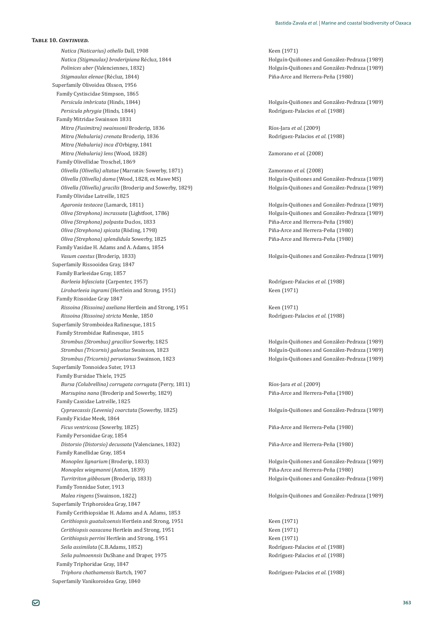*Natica (Naticarius) othello* Dall, 1908 **Access 120 Access 120 Access 120 Access** Keen (1971) *Natica (Stigmaulax) broderipiana* Récluz, 1844 and Econzález-Pedraza (1989) **Holguín-Quiñones and González-Pedraza** (1989) *Polinices uber* (Valenciennes, 1832) *Polinices uber* (Valenciennes, 1832) *Polinices uber* (Valenciennes, 1832) *Stigmaulax elenae* (Récluz, 1844) *Piña-Arce and Herrera-Peña* (1980) Superfamily Olivoidea Olsson, 1956 Family Cystiscidae Stimpson, 1865 *Persicula imbricata* (Hinds, 1844) Holguín-Quiñones and González-Pedraza (1989) *Persicula phrygia* (Hinds, 1844) Rodríguez-Palacios *et al.* (1988) Family Mitridae Swainson 1831 *Mitra (Fusimitra) swainsonii* Broderip, 1836 *Mitra (Fusimitra) swainsonii* Broderip, 1836 *Mitra (Nebularia) crenata* Broderip, 1836 *Mitra (Nebularia) crenata* Broderip, 1836 *Mitra (Nebularia) inca* d'Orbigny, 1841 *Mitra (Nebularia) lens* (Wood, 1828) Zamorano *et al*. (2008) Family Olivellidae Troschel, 1869 *Olivella (Olivella) altatae* (Marrat*in:* Sowerby, 1871) Zamorano *et al*. (2008) *Olivella (Olivella) dama* (Wood, 1828, ex Mawe MS) Holguín-Quiñones and González-Pedraza (1989) *Olivella (Olivella) gracilis* (Broderip and Sowerby, 1829) Holguín-Quiñones and González-Pedraza (1989) Family Olividae Latreille, 1825 *Agaronia testacea* (Lamarck, 1811) Holguín-Quiñones and González-Pedraza (1989) *Oliva (Strephona) incrassata* (Lightfoot, 1786) Holguín-Quiñones and González-Pedraza (1989) *Oliva (Strephona) polpasta* Duclos, 1833 *Piña-Arce and Herrera-Peña (1980) Piña-Arce and Herrera-Peña (1980) Oliva (Strephona) spicata* (Röding, 1798) Piña-Arce and Herrera-Peña (1980) *Oliva (Strephona) splendidula* Sowerby, 1825 Piña-Arce and Herrera-Peña (1980) Family Vasidae H. Adams and A. Adams, 1854 *Vasum caestus* (Broderip, 1833) **Access 1989** Holguín-Quiñones and González-Pedraza (1989) Superfamily Rissooidea Gray, 1847 Family Barleeidae Gray, 1857 *Barleeia bifasciata*ȋǡͳͻͷȌ Rodríguez-Palacios *et al.* (1988) *Lirobarleeia ingrami* (Hertlein and Strong, 1951) Keen (1971) Family Rissoidae Gray 1847 *Rissoina (Rissoina) axeliana* Hertlein and Strong, 1951 **Keen (1971)** Keen (1971) *Rissoina (Rissoina) stricta* Menke, 1850 Rodríguez-Palacios *et al.* (1988) Superfamily Stromboidea Rafinesque, 1815 Family Strombidae Rafinesque, 1815 *Strombus (Strombus) gracilior* Sowerby, 1825 Holguín-Quiñones and González-Pedraza (1989) *Strombus (Tricornis) galeatus* Swainson, 1823 **and González-Pedraza (1989)** Holguín-Quiñones and González-Pedraza (1989) *Strombus (Tricornis) peruvianus* Swainson, 1823 **and Fordal Conzález-Pedraza (1989)** Holguín-Quiñones and González-Pedraza (1989) Superfamily Tonnoidea Suter, 1913 Family Bursidae Thiele, 1925 Bursa (Colubrellina) corrugata corrugata (Perry, 1811) Ríos-Jara et al. (2009) *Marsupina nana* (Broderip and Sowerby, 1829) Piña-Arce and Herrera-Peña (1980) Family Cassidae Latreille, 1825 *Cypraecassis (Levenia) coarctata* (Sowerby, 1825) Holguín-Quiñones and González-Pedraza (1989) Family Ficidae Meek, 1864 *Ficus ventricosa* (Sowerby, 1825) Piña-Arce and Herrera-Peña (1980) Family Personidae Gray, 1854 *Distorsio (Distorsio) decussata* (Valencianes, 1832) *Piña-Arce and Herrera-Peña* (1980) Family Ranellidae Gray, 1854 *Monoplex lignarium* (Broderip. 1833) **Monoplex** *lignarium* (Broderip. 1833) **Holguín-Quiñones and González-Pedraza** (1989) *Monoplex wiegmanni* (Anton, 1839) *Monoplex wiegmanni* (Anton, 1839) *Piña-Arce and Herrera-Peña* **(1980)** *Turritriton gibbosum* (Broderip, 1833) **Turritrition gibbosum (Broderip, 1833**) **Holguín-Quiñones and González-Pedraza (1989**) Family Tonnidae Suter, 1913 *Malea ringens* (Swainson, 1822) Holguín-Quiñones and González-Pedraza (1989) Superfamily Triphoroidea Gray, 1847 Family Cerithiopsidae H. Adams and A. Adams, 1853 *Cerithiopsis guatulcoensis* Hertlein and Strong, 1951 Keen (1971) *Cerithiopsis oaxacana* Hertlein and Strong, 1951 Keen (1971) *Cerithiopsis perrini* Hertlein and Strong, 1951 Keen (1971) *Seila assimilata* (C.B.Adams, 1852) **Seila assimilata** (C.B.Adams, 1852) **Rodríguez-Palacios** *et al.* **(1988)** *Seila pulmoennsis*ǡͳͻͷ Rodríguez-Palacios *et al.* (1988) Family Triphoridae Gray, 1847 *Triphora chathamensis* Bartch, 1907 Rodríguez-Palacios *et al.* (1988) Superfamily Vanikoroidea Gray, 1840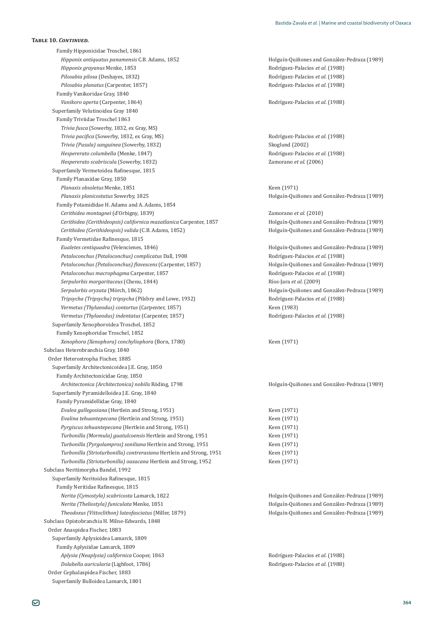Family Hipponicidae Troschel, 1861 *Hipponix antiquatus panamensis* C.B. Adams, 1852 **Antiquation Access 1989** Holguín-Quiñones and González-Pedraza (1989) *Hipponix grayanus* Menke, 1853 *Hipponix grayanus* Menke, 1853 *Hipponix grayanus* Menke, 1853 *Pilosabia pilosa* (Deshayes, 1832) **Pilosabia pilosa (Peshayes, 1832) Pilosabia pilosa (Peshayes, 1832) Pilosabia pilosa (Peshayes, 1832) Pilosabia pilosa (Peshayes, 1832) Pilosabia pilosa (Peshayes, 1832) Pilos** *Pilosabia planatus* (Carpenter, 1857) *Pilosabia planatus* (Carpenter, 1857) *Pilosabia planatus* (1988) Family Vanikoridae Gray, 1840 *Vanikoro aperta* (Carpenter, 1864) *Vanikoro aperta* (1988) *Rodríguez-Palacios et al.* **(1988)** Superfamily Velutinoidea Gray 1840 Family Triviidae Troschel 1863 *Trivia fusca* (Sowerby, 1832, ex Gray, MS) *Trivia pacifica* (Sowerby, 1832, ex Gray, MS) *Trivia (Pusula) sanguinea* (Sowerby, 1832) **Skoglund (2002)** Skoglund (2002) *Hespererato columbella* (Menke, 1847) **Rodríguez-Palacios** *et al.* (1988) *Hespererato scabriscula* (Sowerby, 1832) *Zamorano et al.* (2006) Superfamily Vermetoidea Rafinesque, 1815 Family Planaxidae Gray, 1850 *Planaxis obsoletus* Menke, 1851 Keen (1971) *Planaxis planicostatus* Sowerby, 1825 Holguín-Quiñones and González-Pedraza (1989) Family Potamididae H. Adams and A. Adams, 1854 *Cerithidea montagnei*ȋǯǡͳͺ͵ͻȌ Zamorano *et al.* (2010) *Cerithidea (Cerithideopsis) californica mazatlanica* ǡͳͺͷ Holguín-Quiñones and González-Pedraza (1989) *Cerithidea (Cerithideopsis) valida*ȋǤǤǡͳͺͷʹȌ Holguín-Quiñones and González-Pedraza (1989) Family Vermetidae Rafinesque, 1815 *Eualetes centiquadra* (Velencienes, 1846) Holguín-Quiñones and González-Pedraza (1989) *Petaloconchus (Petaloconchus) complicatus*ǡͳͻͲͺ Rodríguez-Palacios *et al.* (1988) Petaloconchus (Petaloconchus) flavescens (Carpenter, 1857) **and Franch and González-Pedraza (1989)** Holguín-Quiñones and González-Pedraza (1989) *Petaloconchus macrophagma* Carpenter, 1857 *Rodríguez-Palacios et al.* (1988) *Serpulorbis margaritaceus*ȋǡͳͺͶͶȌ Ríos-Jara *et al*. (2009) *Serpulorbis oryzata* (Mörch, 1862) Holguín-Quiñones and González-Pedraza (1989) *Tripsycha (Tripsycha) tripsycha* (Pilsbry and Lowe, 1932) **Rodríguez-Palacios** *et al.* (1988) *Vermetus (Thylaeodus) contortus* (Carpenter, 1857) *Keen (1983) Vermetus (Thylaeodus) indentatus* (Carpenter, 1857) **1998** Rodríguez-Palacios *et al.* (1988) Superfamily Xenophoroidea Troschel, 1852 Family Xenophoridae Troschel, 1852 *Xenophora (Xenophora) conchyliophora* (Born, 1780) Keen (1971) Subclass Heterobranchia Gray, 1840 Order Heterostropha Fischer, 1885 Superfamily Architectonicoidea J.E. Gray, 1850 Family Architectonicidae Gray, 1850 *Architectonica (Architectonica) nobilis* Röding, 1798 Holguín-Quiñones and González-Pedraza (1989) Superfamily Pyramidelloidea J.E. Gray, 1840 Family Pyramidellidae Gray, 1840 *Evalea gallegosiana* (Hertlein and Strong, 1951) Keen (1971) *Evalina tehuantepecana* (Hertlein and Strong, 1951) Keen (1971) *Pyrgiscus tehuantepecana* (Hertlein and Strong, 1951) Keen (1971) *Turbonilla (Mormula) guatulcoensis* Hertlein and Strong, 1951 Keen (1971) *Turbonilla (Pyrgolampros) soniliana* Hertlein and Strong, 1951 Keen (1971) *Turbonilla (Strioturbonilla) contrerasiana* Hertlein and Strong, 1951 Keen (1971) *Turbonilla (Strioturbonilla) oaxacana* Hertlein and Strong, 1952 Keen (1971) Subclass Neritimorpha Bandel, 1992 Superfamily Neritoidea Rafinesque, 1815 Family Neritidae Rafinesque, 1815 *Nerita (Cymostyla) scabricosta* Lamarck, 1822 Holguín-Quiñones and González-Pedraza (1989) *Nerita (Theliostyla) funiculata* Menke, 1851 Holguín-Quiñones and González-Pedraza (1989) *Theodoxus (Vittoclithon) luteofasciatus* (Miller, 1879) Holguín-Quiñones and González-Pedraza (1989) Subclass Opistobranchia H. Milne-Edwards, 1848 Order Anaspidea Fischer, 1883 Superfamily Aplysioidea Lamarck, 1809 Family Aplysiidae Lamarck, 1809 *Aplysia (Neaplysia) californica* Cooper. 1863 *Rodríguez-Palacios et al.* **(1988)** *Dolabella auricularia* (Lighfoot, 1786) Rodríguez-Palacios *et al.* (1988) Order Cephalaspidea Fischer, 1883 Superfamily Bulloidea Lamarck, 1801

ǡȌ Rodríguez-Palacios *et al.* (1988)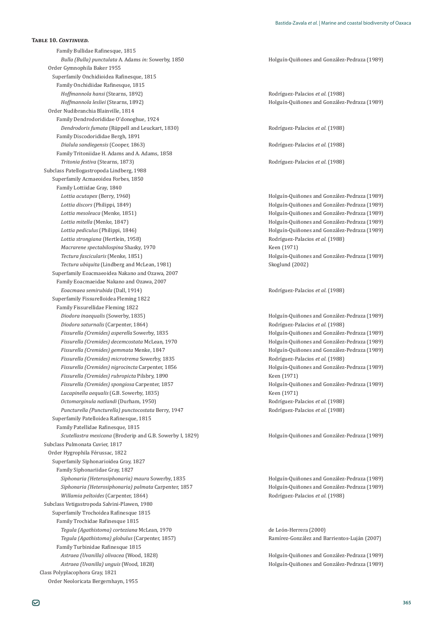Family Bullidae Rafinesque, 1815 *Bulla (Bulla) punctulata* A. Adams *in:* Sowerby, 1850 Holguín-Quiñones and González-Pedraza (1989) Order Gymnophila Baker 1955 Superfamily Onchidioidea Rafinesque, 1815 Family Onchidiidae Rafinesque, 1815 *Hoffmannola hansi* (Stearns, 1892) Rodríguez-Palacios *et al.* (1988) *Hoffmannola lesliei* (Stearns, 1892) Holguín-Quiñones and González-Pedraza (1989) Order Nudibranchia Blainville, 1814 Family Dendrodorididae O'donoghue, 1924 *Dendrodoris fumata* (Rüppell and Leuckart, 1830) *Dendrodoris fumata* (1988) Family Discodorididae Bergh, 1891 *Dialula sandiegensis*ȋǡͳͺ͵Ȍ Rodríguez-Palacios *et al.* (1988) Family Tritoniidae H. Adams and A. Adams, 1858 *Tritonia festiva* (Stearns, 1873) **According the Contract According Contract According to According the Contract According to According the Rodríguez-Palacios** *et al.* **(1988)** Subclass Patellogastropoda Lindberg, 1988 Superfamily Acmaeoidea Forbes, 1850 Family Lottiidae Gray, 1840 *Lottia acutapex* (Berry, 1960) Holguín-Quiñones and González-Pedraza (1989) **Lottia discors** (Philippi, 1849) **Holguín-Quiñones and González-Pedraza** (1989) *Lottia mesoleuca* (Menke, 1851) Holguín-Quiñones and González-Pedraza (1989) *Lottia mitella* (Menke, 1847) Holguín-Quiñones and González-Pedraza (1989) *Lottia pediculus* (Philippi, 1846) Holguín-Quiñones and González-Pedraza (1989) *Lottia strongiana* (Hertlein, 1958) Rodríguez-Palacios *et al.* (1988) *Macrarene spectabilospina* Shasky, 1970 Keen (1971) *Tectura fascicularis* (Menke, 1851) Holguín-Quiñones and González-Pedraza (1989) *Tectura ubiquita* (Lindberg and McLean, 1981) Skoglund (2002) Superfamily Eoacmaeoidea Nakano and Ozawa, 2007 Family Eoacmaeidae Nakano and Ozawa, 2007 *Eoacmaea semirubida*ȋǡͳͻͳͶȌ Rodríguez-Palacios *et al.* (1988) Superfamily Fissurelloidea Fleming 1822 Family Fissurellidae Fleming 1822 *Diodora inaequalis* (Sowerby, 1835) **1989** and González-Pedraza (1989) **Holguín-Quiñones and González-Pedraza** (1989) *Diodora saturnalis* (Carpenter, 1864) **Diodora saturnalis** (Carpenter, 1864) **Rodríguez-Palacios** *et al.* **(1988)** *Fissurella (Cremides) asperella* Sowerby, 1835 *Holguín-Quiñones and González-Pedraza (1989) Holguín-Quiñones and González-Pedraza (1989) Fissurella (Cremides) decemcostata* McLean, 1970 Holguín-Quiñones and González-Pedraza (1989) *Fissurella (Cremides) gemmata* Menke, 1847 Holguín-Quiñones and González-Pedraza (1989) *Fissurella (Cremides) microtrema* Sowerby, 1835 **and American Rodríguez-Palacios** *et al.* **(1988)** Rodríguez-Palacios *et al.* (1988) *Fissurella (Cremides) nigrocincta* Carpenter, 1856 **and Frank America** Holguín-Quiñones and González-Pedraza (1989) *Fissurella (Cremides) rubropicta* Pilsbry, 1890 Keen (1971) *Fissurella (Cremides) spongiosa* Carpenter, 1857 **and Frank Booking and González-Pedraza** (1989) *Lucapinella aequalis*ȋ ǤǤǡͳͺ͵ͷȌ Keen (1971) *Octomarginula natlandi* ȋǡͳͻͷͲȌ Rodríguez-Palacios *et al.* (1988) *Puncturella (Puncturella) punctocostata* Berry, 1947 Rodríguez-Palacios *et al.* (1988) Superfamily Patelloidea Rafinesque, 1815 Family Patellidae Rafinesque, 1815 *Scutellastra mexicana* (Broderip and G.B. Sowerby I, 1829) Subclass Pulmonata Cuvier, 1817 Order Hygrophila Férussac, 1822 Superfamily Siphonarioidea Gray, 1827 Family Siphonariidae Gray, 1827 *Siphonaria (Heterosiphonaria) maura* Sowerby, 1835<br> *Siphonaria (Heterosiphonaria) palmata* Carpenter, 1857<br>
Holguín-Quiñones and González-Pedraza (1989) *Siphonaria (Heterosiphonaria) palmata* Carpenter, 1857 *Willamia peltoides* (Carpenter, 1864) *Willamia peltoides* (Carpenter, 1864) Subclass Vetigastropoda Salvini-Plawen, 1980 Superfamily Trochoidea Rafinesque 1815 Family Trochidae Rafinesque 1815 *Tegula (Agathistoma) corteziana* McLean, 1970 de León-Herrera (2000) *Tegula (Agathistoma) globulus* (Carpenter, 1857) *Ramírez-González and Barrientos-Luján (2007)* Family Turbinidae Rafinesque 1815 *Astraea (Uvanilla) olivacea* (Wood, 1828) Holguín-Quiñones and González-Pedraza (1989) *Astraea (Uvanilla) unguis* (Wood, 1828) Holguín-Quiñones and González-Pedraza (1989) Class Polyplacophora Gray, 1821 Order Neoloricata Bergernhayn, 1955

Holguín-Quiñones and González-Pedraza (1989)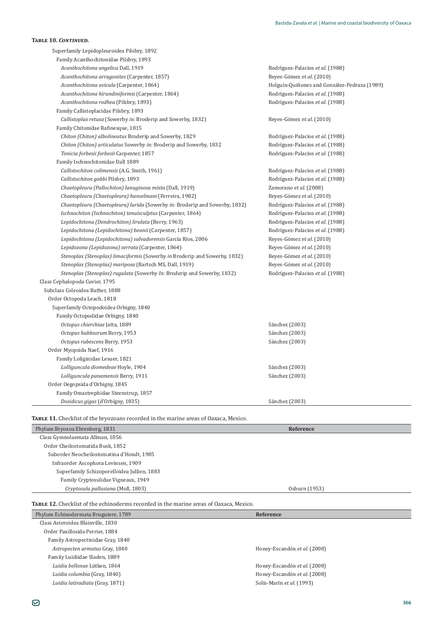| Superfamily Lepidopleuroidea Pilsbry, 1892                                  |                                              |
|-----------------------------------------------------------------------------|----------------------------------------------|
| Family Acanthochitonidae Pilsbry, 1893                                      |                                              |
| Acanthochitona angelica Dall, 1919                                          | Rodríguez-Palacios et al. (1988)             |
| Acanthochitona arragonites (Carpenter, 1857)                                | Reyes-Gómez et al. (2010)                    |
| Acanthochitona avicula (Carpenter, 1864)                                    | Holguín-Quiñones and González-Pedraza (1989) |
| Acanthochitona hirundiniformis (Carpenter, 1864)                            | Rodríguez-Palacios et al. (1988)             |
| Acanthochitona rodhea (Pilsbry, 1893)                                       | Rodríguez-Palacios et al. (1988)             |
| Family Callistoplacidae Pilsbry, 1893                                       |                                              |
| Callistoplax retusa (Sowerby in: Broderip and Sowerby, 1832)                | Reyes-Gómez et al. (2010)                    |
| Family Chitonidae Rafinesque, 1815                                          |                                              |
| Chiton (Chiton) albolineatus Broderip and Sowerby, 1829                     | Rodríguez-Palacios et al. (1988)             |
| Chiton (Chiton) articulatus Sowerby in: Broderip and Sowerby, 1832          | Rodríguez-Palacios et al. (1988)             |
| Tonicia forbesii forbesii Carpenter, 1857                                   | Rodríguez-Palacios et al. (1988)             |
| Family Ischnochitonidae Dall 1889                                           |                                              |
| Callistochiton colimensis (A.G. Smith, 1961)                                | Rodríguez-Palacios et al. (1988)             |
| Callistochiton gabbi Pilsbry, 1893                                          | Rodríguez-Palacios et al. (1988)             |
| Chaetopleura (Pallochiton) lanuginosa mixta (Dall, 1919)                    | Zamorano et al. (2008)                       |
| Chaetopleura (Chaetopleura) hanselmani (Ferreira, 1982)                     | Reyes-Gómez et al. (2010)                    |
| Chaetopleura (Chaetopleura) lurida (Sowerby in: Broderip and Sowerby, 1832) | Rodríguez-Palacios et al. (1988)             |
| Ischnochiton (Ischnochiton) tenuisculptus (Carpenter, 1864)                 | Rodríguez-Palacios et al. (1988)             |
| Lepidochitona (Dendrochiton) lirulata (Berry, 1963)                         | Rodríguez-Palacios et al. (1988)             |
| Lepidochitona (Lepidochitona) beanii (Carpenter, 1857)                      | Rodríguez-Palacios et al. (1988)             |
| Lepidochitona (Lepidochitona) salvadorensis García Ríos, 2006               | Reyes-Gómez et al. (2010)                    |
| Lepidozona (Lepidozona) serrata (Carpenter, 1864)                           | Reyes-Gómez et al. (2010)                    |
| Stenoplax (Stenoplax) limaciformis (Sowerby in Broderip and Sowerby, 1832)  | Reyes-Gómez et al. (2010)                    |
| Stenoplax (Stenoplax) mariposa (Bartsch MS, Dall, 1919)                     | Reyes-Gómez et al. (2010)                    |
| Stenoplax (Stenoplax) rugulata (Sowerby In: Broderip and Sowerby, 1832)     | Rodríguez-Palacios et al. (1988)             |
| Class Cephalopoda Cuvier, 1795                                              |                                              |
| Subclass Coleoidea Bather, 1888                                             |                                              |
| Order Octopoda Leach, 1818                                                  |                                              |
| Superfamily Octopodoidea Orbigny, 1840                                      |                                              |
| Family Octopodidae Orbigny, 1840                                            |                                              |
| Octopus chierchiae Jatta, 1889                                              | Sánchez (2003)                               |
| Octopus hubbsorum Berry, 1953                                               | Sánchez (2003)                               |
| Octopus rubescens Berry, 1953                                               | Sánchez (2003)                               |
| Order Myopsida Naef, 1916                                                   |                                              |
| Family Loliginidae Lesuer, 1821                                             |                                              |
| Lolliguncula diomedeae Hoyle, 1904                                          | Sánchez (2003)                               |
| Lolliguncula panamensis Berry, 1911                                         | Sánchez (2003)                               |
| Order Oegopsida d'Orbigny, 1845                                             |                                              |
| Family Omastrephidae Steenstrup, 1857                                       |                                              |
| Dosidicus gigas (d'Orbigny, 1835)                                           | Sánchez (2003)                               |

| Phylum Bryozoa Ehrenberg, 1831              | Reference     |  |
|---------------------------------------------|---------------|--|
| Class Gymnolaemata Allman, 1856             |               |  |
| Order Cheilostomatida Busk, 1852            |               |  |
| Suborder Neocheilostomatina d'Hondt, 1985   |               |  |
| Infraorder Ascophora Levinsen, 1909         |               |  |
| Superfamily Schizoporelloidea Jullien, 1883 |               |  |
| Family Cryptosulidae Vigneaux, 1949         |               |  |
| Cryptosula pallasiana (Moll, 1803)          | Osburn (1953) |  |

TABLE 12. Checklist of the echinoderms recorded in the marine areas of Oaxaca, Mexico.

| Phylum Echinodermata Bruguiere, 1789 | Reference                    |
|--------------------------------------|------------------------------|
| Class Asteroidea Blainville, 1830    |                              |
| Order Paxillosida Perrier, 1884      |                              |
| Family Astropectinidae Gray, 1840    |                              |
| Astropecten armatus Gray, 1840       | Honey-Escandón et al. (2008) |
| Family Luidiidae Sladen, 1889        |                              |
| Luidia bellonae Lütken, 1864         | Honey-Escandón et al. (2008) |
| Luidia columbia (Gray, 1840)         | Honey-Escandón et al. (2008) |
| Luidia latiradiata (Gray, 1871)      | Solís-Marín et al. (1993)    |

 $\frac{1}{2}$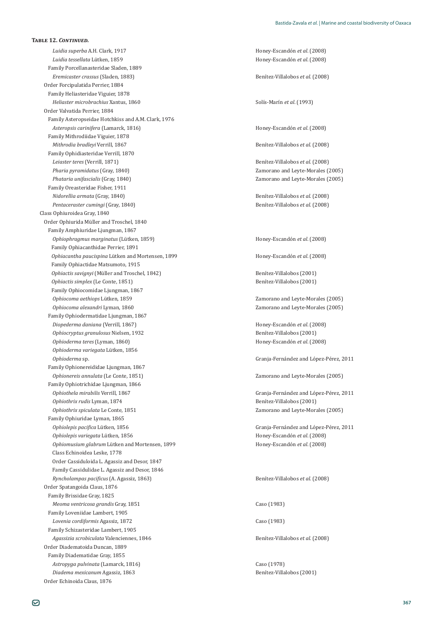*Luidia superba* A.H. Clark, 1917 *Luidia superba* A.H. Clark, 1917 *Luidia superba* A.H. Clark, 1917 *Luidia tessellata* Lütken, 1859 **bizania**ò del set al. (2008) **bizania**ò del set al. (2008) Family Porcellanasteridae Sladen, 1889 *Eremicaster crassus* (Sladen, 1883) **Exercías Exercías Exercías et al. (2008) Benítez-Villalobos** *et al.* **(2008)** Order Forcipulatida Perrier, 1884 Family Heliasteridae Viguier, 1878 *Heliaster microbrachius* Xantus, 1860 *Solís-Marín et al.* (1993) Order Valvatida Perrier, 1884 Family Asteropseidae Hotchkiss and A.M. Clark, 1976 *Asteropsis carinifera* (Lamarck, 1816) *Asteropsis carinifera* (Lamarck, 1816) Family Mithrodiidae Viguier, 1878 *Mithrodia bradleyi* Verrill, 1867 Benítez-Villalobos *et al*. (2008) Family Ophidiasteridae Verrill, 1870 *Leiaster teres* (Verrill, 1871) Benítez-Villalobos *et al*. (2008) *Pharia pyramidatus* (Gray, 1840) Zamorano and Leyte-Morales (2005) *Phataria unifascialis* (Gray, 1840) Zamorano and Leyte-Morales (2005) Family Oreasteridae Fisher, 1911 *Nidorellia armata* (Gray, 1840) Benítez-Villalobos *et al*. (2008) *Pentaceraster cumingi* (Gray, 1840) Benítez-Villalobos *et al*. (2008) Class Ophiuroidea Gray, 1840 Order Ophiurida Müller and Troschel, 1840 Family Amphiuridae Ljungman, 1867 *Ophiophragmus marginatus* (Lütken, 1859) *Deprodus and the marginatus* (2008) Family Ophiacanthidae Perrier, 1891 *Ophiacantha paucispina* Lütken and Mortensen, 1899 **1999 1999 1999 1999 1999 1999 1999 1999 1999 1999 1999 1999 1999 1999 1999 1999 1999 1999 1999 1999 1999 1999 1999 1999** Family Ophiactidae Matsumoto, 1915 *Ophiactis savignyi* (Müller and Troschel, 1842) **Benítez-Villalobos (2001) Benítez-Villalobos** (2001) *Ophiactis simplex* (Le Conte, 1851) **Benítez-Villalobos** (2001) Family Ophiocomidae Ljungman, 1867 *Ophiocoma aethiops* Lütken, 1859 *Camorano and Leyte-Morales (2005) Zamorano and Leyte-Morales (2005) Ophiocoma alexandri* Lyman, 1860 Zamorano and Leyte-Morales (2005) Family Ophiodermatidae Ljungman, 1867 *Diopederma daniana* (Verrill, 1867) **biopederma daniana** (Verrill, 1867) **biopederma daniana** (Verrill, 1867) *Ophiocryptus granulosus* Nielsen, 1932 **and 1998 Benítez-Villalobos** (2001) *Ophioderma teres* (Lyman, 1860) **b** *Ophioderma teres* (Lyman, 1860) **b** *COOS Ophioderma variegata* Lütken, 1856 *Ophioderma* sp. Family Ophionereididae Ljungman, 1867 *Ophionereis annulata* (Le Conte, 1851) *Zamorano and Leyte-Morales (2005)* Family Ophiotrichidae Ljungman, 1866 *Ophiothela mirabilis* Verrill, 1867 *Ophiothrix rudis* Lyman, 1874 Benítez-Villalobos (2001) *Ophiothrix spiculata* Le Conte, 1851 **Contes (2005)** Zamorano and Leyte-Morales (2005) Family Ophiuridae Lyman, 1865 Ophiolepis pacifica Lütken, 1856 *Ophiolepis variegata* Lütken, 1856 **biolepis variegata** Lütken, 1856 **biolepis variegata** Lütken, 1856 **biolepis variegata** *Ophiomusium glabrum* Lütken and Mortensen, 1899 *Community Boston Honey-Escandon et al.* (2008) Class Echinoidea Leske, 1778 Order Cassiduloida L. Agassiz and Desor, 1847 Family Cassidulidae L. Agassiz and Desor, 1846 *Ryncholampas pacificus* (A. Agassiz, 1863) *Benítez-Villalobos et al.* **(2008)** Order Spatangoida Claus, 1876 Family Brissidae Gray, 1825 *Meoma ventricosa grandis* Gray, 1851 ȋͳͻͺ͵Ȍ Family Loveniidae Lambert, 1905 *Lovenia cordiformis* Agassiz, 1872 ȋͳͻͺ͵Ȍ Family Schizasteridae Lambert, 1905 *Agassizia scrobiculata* Valenciennes, 1846 Benítez-Villalobos *et al*. (2008) Order Diadematoida Duncan, 1889 Family Diadematidae Gray, 1855 *Astropyga pulvinata* (Lamarck, 1816) **b** *Caso* (1978) *Diadema mexicanum* Agassiz, 1863 **1996 1997 1998 1998 1998 1998 1999 1998 1999 1999 1999 1999 1999 1999 1999 1999 1999 1999 1999 1999 1999 1999 1999 1999 1999 1999 1999** 

**TABLE 12.** *CONTINUED* 

Granja-Fernández and López-Pérez, 2011 Granja-Fernández and López-Pérez, 2011 Granja-Fernández and López-Pérez, 2011

Order Echinoida Claus, 1876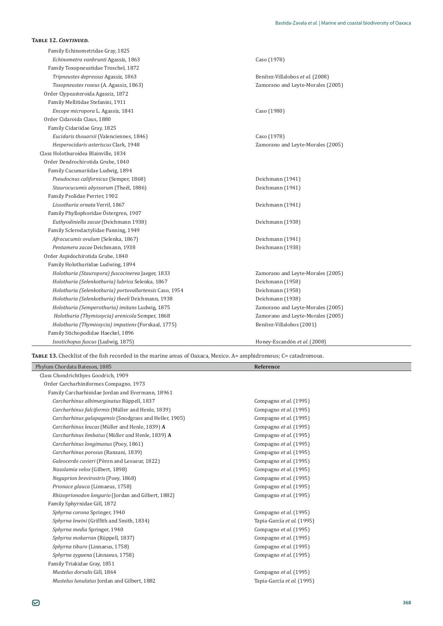| TABLE 12. CONTINUED.                                    |                                   |
|---------------------------------------------------------|-----------------------------------|
| Family Echinometridae Gray, 1825                        |                                   |
| Echinometra vanbrunti Agassiz, 1863                     | Caso (1978)                       |
| Family Toxopneustidae Troschel, 1872                    |                                   |
| Tripneustes depressus Agassiz, 1863                     | Benítez-Villalobos et al. (2008)  |
| Toxopneustes roseus (A. Agassiz, 1863)                  | Zamorano and Leyte-Morales (2005) |
| Order Clypeasteroida Agassiz, 1872                      |                                   |
| Family Mellitidae Stefanini, 1911                       |                                   |
| Encope micropora L. Agassiz, 1841                       | Caso (1980)                       |
| Order Cidaroida Claus, 1880                             |                                   |
| Family Cidariidae Gray, 1825                            |                                   |
| Eucidaris thouarsii (Valenciennes, 1846)                | Caso (1978)                       |
| Hesperocidaris asteriscus Clark, 1948                   | Zamorano and Leyte-Morales (2005) |
| Class Holothuroidea Blainville, 1834                    |                                   |
| Order Dendrochirotida Grube, 1840                       |                                   |
| Family Cucumariidae Ludwig, 1894                        |                                   |
| Pseudocnus californicus (Semper, 1868)                  | Deichmann (1941)                  |
| Staurocucumis abyssorum (Theél, 1886)                   | Deichmann (1941)                  |
| Family Psolidae Perrier, 1902                           |                                   |
| Lissothuria ornata Verril, 1867                         | Deichmann (1941)                  |
| Family Phyllophoridae Östergren, 1907                   |                                   |
| Euthyodiniella zacae (Deichmann 1938)                   | Deichmann (1938)                  |
| Family Sclerodactylidae Panning, 1949                   |                                   |
| Afrocucumis ovulum (Selenka, 1867)                      | Deichmann (1941)                  |
| Pentamera zacae Deichmann, 1938                         | Deichmann (1938)                  |
| Order Aspidochirotida Grube, 1840                       |                                   |
| Family Holothuriidae Ludwing, 1894                      |                                   |
| Holothuria (Stauropora) fuscocinerea Jaeger, 1833       | Zamorano and Leyte-Morales (2005) |
| Holothuria (Selenkothuria) lubrica Selenka, 1867        | Deichmann (1958)                  |
| Holothuria (Selenkothuria) portovallartensis Caso, 1954 | Deichmann (1958)                  |
| Holothuria (Selenkothuria) theeli Deichmann, 1938       | Deichmann (1938)                  |
| Holothuria (Semperothuria) imitans Ludwig, 1875         | Zamorano and Leyte-Morales (2005) |
| Holothuria (Thymiosycia) arenicola Semper, 1868         | Zamorano and Leyte-Morales (2005) |
| Holothuria (Thymiosycia) impatiens (Forskaal, 1775)     | Benítez-Villalobos (2001)         |
| Family Stichopodidae Haeckel, 1896                      |                                   |
| Isostichopus fuscus (Ludwig, 1875)                      | Honey-Escandón et al. (2008)      |

TABLE 13. Checklist of the fish recorded in the marine areas of Oaxaca, Mexico. A= amphidromous; C= catadromous.

| Phylum Chordata Bateson, 1885                          | Reference                  |
|--------------------------------------------------------|----------------------------|
| Class Chondrichthyes Goodrich, 1909                    |                            |
| Order Carcharhiniformes Compagno, 1973                 |                            |
| Family Carcharhinidae Jordan and Evermann, 18961       |                            |
| Carcharhinus albimarginatus Rüppell, 1837              | Compagno et al. (1995)     |
| Carcharhinus falciformis (Müller and Henle, 1839)      | Compagno et al. (1995)     |
| Carcharhinus galapagensis (Snodgrass and Heller, 1905) | Compagno et al. (1995)     |
| Carcharhinus leucas (Müller and Henle, 1839) A         | Compagno et al. (1995)     |
| Carcharhinus limbatus (Müller and Henle, 1839) A       | Compagno et al. (1995)     |
| Carcharhinus longimanus (Poey, 1861)                   | Compagno et al. (1995)     |
| Carcharhinus porosus (Ranzani, 1839)                   | Compagno et al. (1995)     |
| Galeocerdo cuvieri (Péron and Lesueur, 1822)           | Compagno et al. (1995)     |
| Nasolamia velox (Gilbert, 1898)                        | Compagno et al. (1995)     |
| Negaprion brevirostris (Poey, 1868)                    | Compagno et al. (1995)     |
| Prionace glauca (Linnaeus, 1758)                       | Compagno et al. (1995)     |
| Rhizoprionodon longurio (Jordan and Gilbert, 1882)     | Compagno et al. (1995)     |
| Family Sphyrnidae Gill, 1872                           |                            |
| Sphyrna corona Springer, 1940                          | Compagno et al. (1995)     |
| Sphyrna lewini (Griffith and Smith, 1834)              | Tapia-García et al. (1995) |
| Sphyrna media Springer, 1940                           | Compagno et al. (1995)     |
| Sphyrna mokarran (Rüppell, 1837)                       | Compagno et al. (1995)     |
| Sphyrna tiburo (Linnaeus, 1758)                        | Compagno et al. (1995)     |
| Sphyrna zygaena (Linnaeus, 1758)                       | Compagno et al. (1995)     |
| Family Triakidae Gray, 1851                            |                            |
| Mustelus dorsalis Gill, 1864                           | Compagno et al. (1995)     |
| Mustelus lunulatus Jordan and Gilbert, 1882            | Tapia-García et al. (1995) |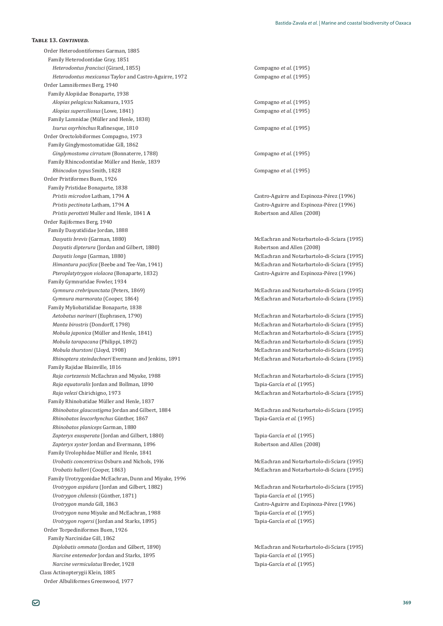Order Heterodontiformes Garman, 1885 Family Heterodontidae Gray, 1851 *Heterodontus francisci* (Girard, 1855) *et al.* (1995) *Heterodontus mexicanus* Taylor and Castro-Aguirre, 1972 Compagno et al. (1995) Order Lamniformes Berg, 1940 Family Alopiidae Bonaparte, 1938 *Alopias pelagicus* Nakamura, 1935 **and** *et al.* (1995) **compagno** *et al.* **(1995)** *Alopias superciliosus* (Lowe, 1841) *et al.* (1995) Family Lamnidae (Müller and Henle, 1838) *Isurus oxyrhinchus* Rafinesque, 1810 *Isurus oxyrhinchus* Rafinesque, 1810 Order Orectolobiformes Compagno, 1973 Family Ginglymostomatidae Gill, 1862 *Ginglymostoma cirratum* (Bonnaterre, 1788) *et al.* (1995) Family Rhincodontidae Müller and Henle, 1839 *Rhincodon typus* Smith, 1828 **et al.** (1995) **et al.** (1995) Order Pristiformes Buen, 1926 Family Pristidae Bonaparte, 1838 *Pristis microdon* Latham, 1794 **A A** *Castro-Aguirre and Espinoza-Pérez* (1996) *Pristis pectinata* Latham, 1794 **A A** *A L Castro-Aguirre and Espinoza-Pérez (1996) Pristis perotteti* Muller and Henle, 1841 **A A** Robertson and Allen (2008) Order Rajiformes Berg, 1940 Family Dasyatididae Jordan, 1888 *Dasyatis brevis* (Garman, 1880) **b** *Dasyatis brevis* (Garman, 1880) **b** *Dasyatis brevis* (Garman, 1880) *Dasyatis dipterura* (Jordan and Gilbert, 1880) **Robertson and Allen** (2008) *Dasyatis longa* (Garman, 1880) **b** *Dasyatis longa* (Garman, 1880) **b** *Dasyatis longa* (Garman, 1880) *Kimantura pacifica* (Beebe and Tee-Van, 1941) *McEachran and Notarbartolo-di-Sciara* (1995) *Pteroplatytrygon violacea* (Bonaparte, 1832) **bigger and all intervalse controlled and all intervalse controlled and Espinoza-Pérez (1996)** Family Gymnuridae Fowler, 1934 *Gymnura crebripunctata* (Peters, 1869) **δειλείτες** διαφερεύθες του Μεταλλού Μεταλλού Ματροφής (1995) *Gymnura marmorata* (Cooper, 1864) *Gymnura marmorata* (Cooper, 1864) *Gymnura marmorata* (1995) Family Myliobatididae Bonaparte, 1838 *Aetobatus narinari* (Euphrasen, 1790) *Aetobatus narinari* (Euphrasen, 1790) *McEachran and Notarbartolo-di-Sciara* (1995) *Manta birostris* (Dondorff, 1798) *McEachran and Notarbartolo-di-Sciara* (1995) *Mobula japonica* (Müller and Henle, 1841) *Mobula japonica* (Müller and Henle, 1841) *McEachran and Notarbartolo-di-Sciara* (1995) *Mobula tarapacana* (Philippi, 1892) *McEachran and Notarbartolo-di-Sciara* (1995) *Mobula thurstoni* (Lloyd, 1908) **b** *McEachran and Notarbartolo-di-Sciara* (1995) *Rhinoptera steindachneri* Evermann and Jenkins, 1891 **1995 1996 1996 1996 1996 1996 1996 1996 1996 1996 1996 1996 1996 1996 1996 1996 1996 1996 1996 1996 1996 1996 1996 1996** Family Rajidae Blainville, 1816 *Raja cortezensis* McEachran and Miyake, 1988 *Raja cortezensis* McEachran and Notarbartolo-di-Sciara (1995) *Raja equatoralis* Jordan and Bollman, 1890 Tapia-García *et al*. (1995) *Raja velezi* Chirichigno, 1973 **bila matematica mentru controllar controllar metallicity of McEachran and Notarbartolo-di-Sciara (1995)** Family Rhinobatidae Müller and Henle, 1837 *Rhinobatos glaucostigma* Jordan and Gilbert, 1884 *McEachran and Notarbartolo-di-Sciara* (1995) *Rhinobatos leucorhynchus Rhinobatos planiceps* Garman, 1880 *Zapteryx exasperata* (Jordan and Gilbert, 1880) Tapia-García *et al*. (1995) *Zapteryx xyster* Jordan and Evermann, 1896 **1996 1996 1996 1997 1998 1998 1998 1998 1998 1999 1999 1999 1999 1999 1999 1999 1999 1999 1999 1999 1999 1999 1999 1999 1999 1** Family Urolophidae Müller and Henle, 1841 *Urobatis concentricus* Osburn and Nichols, 1916 **b b b a** *McEachran and Notarbartolo-di-Sciara (1995) Urobatis halleri* (Cooper, 1863) *Urobatis halleri* (Cooper, 1863) *McEachran and Notarbartolo-di-Sciara* (1995) Family Urotrygonidae McEachran, Dunn and Miyake, 1996 *Urotrygon aspidura* (Jordan and Gilbert, 1882) *McGachran and Notarbartolo-di-Sciara* (1995) Urotrygon chilensis (Günther, 1871) *Urotrygon munda Urotrygon nana* Miyake and McEachran, 1988 **Tapia-García** *et al.* (1995) *Urotrygon rogersi* (Jordan and Starks, 1895) Tapia-García *et al*. (1995) Order Torpediniformes Buen, 1926 Family Narcinidae Gill, 1862 *Diplobatis ommata* (Jordan and Gilbert, 1890) *McEachran and Notarbartolo-di-Sciara* (1995) *Narcine entemedor* Jordan and Starks, 1895 **Tapia-García** *et al.* (1995) *Narcine vermiculatus* Breder, 1928 Tapia-García *et al*. (1995) Class Actinopterygii Klein, 1885 Order Albuliformes Greenwood, 1977

Tapia-García et al. (1995) Tapia-García et al. (1995) Castro-Aguirre and Espinoza-Pérez (1996)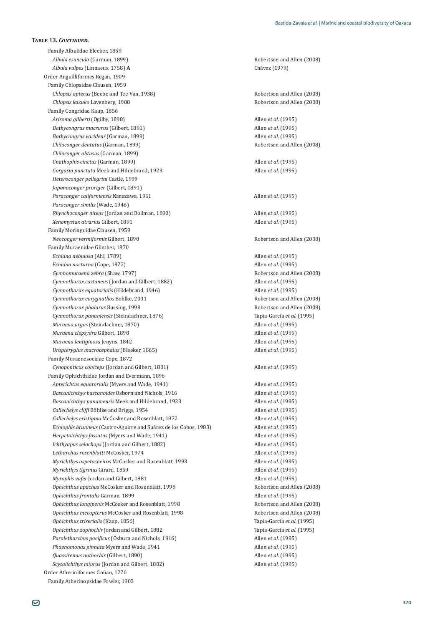Family Albulidae Bleeker, 1859 *Albula esuncula* (Garman, 1899) **Robertson and Allen (2008)** Robertson and Allen (2008) *Albula vulpes* (Linnaeus, 1758) **A** ȋͳͻͻȌ Order Anguilliformes Regan, 1909 Family Chlopsidae Clausen, 1959 *Chlopsis apterus* (Beebe and Tee-Van, 1938)<br> *Chlopsis kazuko* Lavenberg, 1988<br>
Robertson and Allen (2008) *Chlopsis kazuko* Lavenberg, 1988 Family Congridae Kaup, 1856 *Arisoma gilberti* (Ogilby, 1898) Allen *et al.* (1995) *Bathycongrus macrurus* (Gilbert, 1891) Allen *et al.* (1995) *Bathycongrus varidens* (Garman, 1899) Allen *et al.* (1995) *Chiloconger dentatus* (Garman, 1899) Robertson and Allen (2008) *Chiloconger obtusus* (Garman, 1899) *Gnathophis cinctus* (Garman, 1899) Allen *et al.* (1995) *Gorgasia punctata* Meek and Hildebrand, 1923 **Allen** *et al.* (1995) *Heteroconger pellegrini* Castle, 1999 *Japonoconger proriger* (Gilbert, 1891) *Paraconger californiensis* Kanazawa, 1961 Allen *et al.* (1995) *Paraconger similis* (Wade, 1946) *Rhynchoconger nitens* (Jordan and Bollman, 1890) Allen *et al.* (1995) *Xenomystax atrarius* Gilbert, 1891 Allen *et al.* (1995) Family Moringuidae Clausen, 1959 **Neoconger vermiformis Gilbert, 1890** Robertson and Allen (2008) Family Muraenidae Gunther, 1870 *Echidna nebulosa* (Ahl, 1789) Allen *et al.* (1995) *Echidna nocturna* (Cope, 1872) **Allen** *et al.* (1995) *Gymnomuraena zebra* (Shaw, 1797) **Robertson and Allen (2008)** Robertson and Allen (2008) *Gymnothorax castaneus* (Jordan and Gilbert, 1882) Allen *et al.* (1995) *Gymnothorax equatorialis* (Hildebrand, 1946) Allen *et al.* (1995) *Gymnothorax eurygnathos* Bohlke, 2001 Robertson and Allen (2008) *Gymnothorax phalarus* Bussing, 1998 **Robertson and Allen (2008)** Robertson and Allen (2008) *Gymnothorax panamensis* (Steindachner, 1876) Tapia-García *et al*. (1995) *Muraena argus* (Steindachner, 1870) Allen *et al.* (1995) *Muraena clepsydra* Gilbert, 1898 Allen *et al.* (1995) *Muraena lentiginosa* Jenyns, 1842 Allen *et al.* (1995) *Uropterygius macrocephalus* (Bleeker, 1865) Allen *et al.* (1995) Family Muraenesocidae Cope, 1872 *Cynoponticus coniceps* (Jordan and Gilbert, 1881) Allen *et al.* (1995) Family Ophichthidae Jordan and Evermann, 1896 *Apterichtus equatorialis* (Myers and Wade, 1941) Allen *et al.* (1995) *Bascanichthys bascanoides* Osborn and Nichols, 1916 **Allen** *et al.* (1995) *Bascanichthys panamensis* Meek and Hildebrand, 1923 **Allen** *et al.* (1995) *Callechelys cliffi* Böhlke and Briggs, 1954 **Allen** *et al.* (1995) *Callechelys eristigma* McCosker and Rosenblatt, 1972 **Allen** *et al.* (1995) *Echiophis brunneus* (Castro-Aguirre and Suárez de los Cobos, 1983) Allen *et al.* (1995) *Herpetoichthys fossatus* (Myers and Wade, 1941) Allen *et al.* (1995) *Ichthyapus selachops* (Jordan and Gilbert, 1882) Allen *et al.* (1995) *Letharchus rosenblatti* McCosker, 1974 **Allen** *et al.* (1995) **Allen** *et al.* (1995) *Myrichthys aspetocheiros* McCosker and Rosenblatt. 1993 **Allen** *et al.* (1995) *Myrichthys tigrinus* Girard, 1859 Allen *et al.* (1995) *Myrophis vafer* Jordan and Gilbert, 1881 Allen *et al.* (1995) *Ophichthus apachus* McCosker and Rosenblatt, 1998 **1998** Robertson and Allen (2008) *Ophichthus frontalis* Garman, 1899 Allen *et al.* (1995) *Ophichthus longipenis* McCosker and Rosenblatt, 1998 **1998** Robertson and Allen (2008) *Ophichthus mecopterus* McCosker and Rosenblatt, 1998 *Contract Robertson and Allen* (2008) *Ophichthus triserialis* (Kaup, 1856) Tapia-García *et al*. (1995) *Ophichthus zophochir* Jordan and Gilbert, 1882 Tapia-García *et al*. (1995) *Paraletharchus pacificus* (Osburn and Nichols, 1916) **Allen** *et al.* (1995) *Phaenomonas pinnata* Myers and Wade, 1941 **Allen** *et al.* (1995) *Quassiremus nothochir* (Gilbert, 1890) Allen *et al.* (1995) *Scytalichthys miurus* (Jordan and Gilbert, 1882) Allen *et al.* (1995) Order Atheriniformes Gouan, 1770 Family Atherinopsidae Fowler, 1903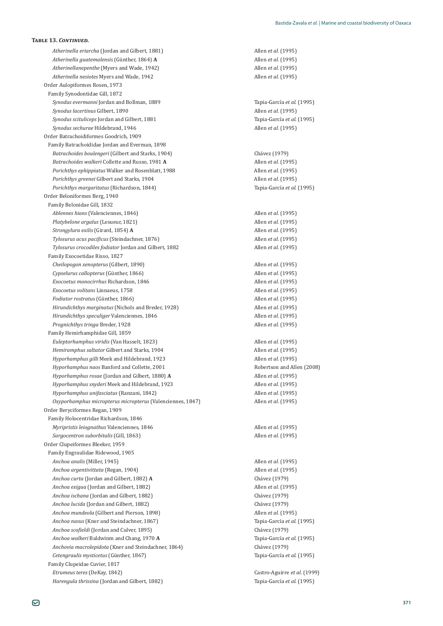Atherinella eriarcha (Jordan and Gilbert, 1881) Allen *et al.* (1995) Atherinella guatemalensis (Günther, 1864) A *Atherinellanepenthe* (Myers and Wade, 1942) Allen *et al.* (1995) *Atherinella nesiotes* Myers and Wade, 1942 Allen *et al.* (1995) Order Aulopiformes Rosen, 1973 Family Synodontidae Gill, 1872 *Synodus evermanni* Jordan and Bollman, 1889 Tapia-García *et al.* (1995) *Synodus lacertinus* Gilbert, 1890 Allen *et al.* (1995) *Synodus scituliceps* Jordan and Gilbert, 1881 **Tapia-García** *et al.* (1995) *Synodus sechurae* Hildebrand, 1946 Allen *et al.* (1995) Order Batrachoidiformes Goodrich, 1909 Family Batrachoididae Jordan and Everman, 1898 Batrachoides boulengeri (Gilbert and Starks, 1904) *Batrachoides boulengeri* (Gilbert and Starks, 1904) *Batrachoides walkeri* Collette and Russo, 1981 **A** Allen *et al.* (1995) *Porichthys ephippiatus* Walker and Rosenblatt, 1988 Allen *et al.* (1995) *Porichthys greenei* Gilbert and Starks, 1904 **Allen** *et al.* (1995) *Porichthys margaritatus* (Richardson, 1844) Tapia-García *et al*. (1995) Order Beloniformes Berg, 1940 Family Belonidae Gill, 1832 *Ablennes hians* (Valenciennes, 1846) Allen *et al.* (1995) *Platybelone argalus* (Lesueur, 1821) Allen *et al.* (1995) *Strongylura exilis* (Girard, 1854) **A** Allen *et al.* (1995) *Tylosurus acus pacificus* (Steindachner, 1876) *Allen et al.* (1995) *Tylosurus crocodiles fodiator* Jordan and Gilbert, 1882 Allen *et al.* (1995) Family Exocoetidae Risso, 1827 *Cheilopogon xenopterus* (Gilbert, 1890) Allen *et al.* (1995) *Cypselurus callopterus* (Günther, 1866) *Exocoetus monocirrhus* Richardson, 1846 Allen *et al.* (1995) *Exocoetus volitans* Linnaeus, 1758 Allen *et al.* (1995) *Fodiator rostratus* (Günther, 1866) *Hirundichthys marginatus* (Nichols and Breder, 1928) Allen *et al.* (1995) *Hirundichthys speculiger* Valenciennes, 1846 Allen *et al.* (1995) *Prognichthys tringa* Breder, 1928 Allen *et al.* (1995) Family Hemirhamphidae Gill, 1859 *Euleptorhamphus viridis* (Van Hasselt, 1823) **Allen** *et al.* (1995) *Hemiramphus saltator* Gilbert and Starks, 1904 Allen *et al.* (1995) *Hyporhamphus gilli* Meek and Hildebrand, 1923 **Allen** *et al.* (1995) *Hyporhamphus naos* Banford and Collette, 2001 **1996 Robertson and Allen (2008) Robertson and Allen (2008)** *Hyporhamphus rosae* (Jordan and Gilbert, 1880) **A** Allen *et al.* (1995) *Hyporhamphus snyderi* Meek and Hildebrand, 1923 **Allen** *et al.* (1995) *Hyporhamphus unifasciatus* (Ranzani, 1842) Allen *et al.* (1995) *Oxyporhamphus micropterus micropterus* (Valenciennes, 1847) Allen *et al.* (1995) Order Beryciformes Regan, 1909 Family Holocentridae Richardson, 1846 *Myripristis leiognathus* Valenciennes, 1846 Allen *et al.* (1995) *Sargocentron suborbitalis* (Gill, 1863) Order Clupeiformes Bleeker, 1959 Family Engraulidae Ridewood, 1905 *Anchoa analis* (Miller, 1945) Allen *et al.* (1995) *Anchoa argentivittata* (Regan, 1904) Allen *et al.* (1995) *Anchoa curta* (Jordan and Gilbert, 1882) **A** *Chávez* (1979) *Anchoa exigua* (Jordan and Gilbert, 1882) **Allen** *Anchoa exigua* (Jordan and Gilbert, 1882) **Allen** *Anchoa exigua* (1995) *Anchoa exigua* (Jordan and Gilbert, 1882) *Anchoa ischana* (Jordan and Gilbert, 1882) ȋͳͻͻȌ *Anchoa lucida* (Jordan and Gilbert, 1882) **b b b change of the Change of Change (1979) Change of the Change of Change of Change of Change of Change of Change of Change of Change of Change of Change of Change of C** *Anchoa mundeola* (Gilbert and Pierson, 1898) Allen *et al.* (1995) *Anchoa nasus* (Kner and Steindachner, 1867) Tapia-García *et al*. (1995) *Anchoa scofieldi* (Jordan and Culver, 1895) *Chávez* (1979) *Anchoa walkeri*ǡͳͻͲ**A** Tapia-García *et al*. (1995) *Anchovia macrolepidota* (Kner and Steindachner, 1864) *Chávez* (1979) *Cetengraulis mysticetus* (Günther, 1867) Family Clupeidae Cuvier, 1817 *Etrumeus teres*ȋǡͳͺͶʹȌ Ǧ*et al.* (1999) *Harengula thrissina* (Jordan and Gilbert, 1882) Tapia-García *et al*. (1995)

*Allen et al.* (1995) òǡͳͺȌ Allen *et al.* (1995) òǡͳͺȌ Allen *et al.* (1995) Allen *et al.* (1995) Tapia-García et al. (1995)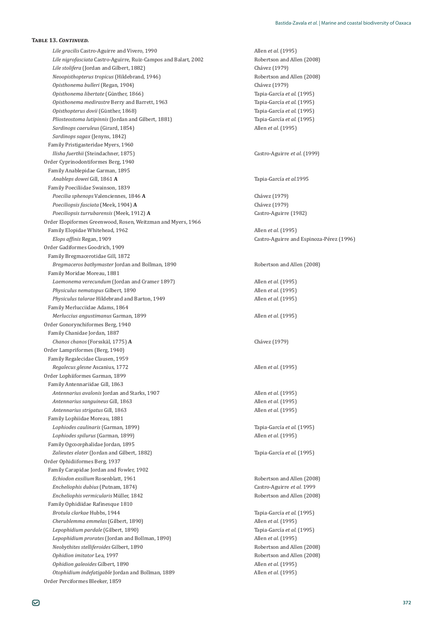*Lile gracilis* Castro-Aguirre and Vivero, 1990 **Allen** *et al.* (1995) *Lile nigrofasciata* Castro-Aguirre, Ruiz-Campos and Balart, 2002 **Robertson and Allen (2008)** *Lile stolifera* (Jordan and Gilbert, 1882) **Channel Communist Channel Channel Channel Channel Channel Channel Channel Channel Channel Channel Channel Channel Channel Channel Channel Channel Channel Channel Channel Channel** *Neoopisthopterus tropicus* (Hildebrand, 1946) Robertson and Allen (2008) *Opisthonema bulleri* (Regan, 1904) ȋͳͻͻȌ Opisthonema libertate (Günther, 1866) *Opisthonema medirastre* Berry and Barrett, 1963 Opisthopterus dovii (Günther, 1868) *Pliosteostoma lutipinnis* (Jordan and Gilbert, 1881) Tapia-García *et al*. (1995) *Sardinops caeruleus* (Girard, 1854) Allen *et al.* (1995) *Sardinops sagax* (Jenyns, 1842) Family Pristigasteridae Myers, 1960 *Ilisha fuerthii* (Steindachner, 1875) *Castro-Aguirre et al.* (1999) Order Cyprinodontiformes Berg, 1940 Family Anablepidae Garman, 1895 *Anableps dowei* Gill, 1861 **A** Tapia-García *et al.*1995 Family Poeciliidae Swainson, 1839 *Poecilia sphenops* Valenciennes, 1846 **A** ȋͳͻͻȌ *Poeciliopsis fasciata* (Meek, 1904) **A** ȋͳͻͻȌ *Poeciliopsis turrubarensis* (Meek, 1912) **A** *Castro-Aguirre* (1982) Order Elopiformes Greenwood, Rosen, Weitzman and Myers, 1966 Family Elopidae Whitehead, 1962 **and** *Elopidae* Whitehead, 1962 *Elops affinis* Regan, 1909 **b** *Castro-Aguirre and Espinoza-Pérez* (1996) Order Gadiformes Goodrich, 1909 Family Bregmacerotidae Gill, 1872 *Bregmaceros bathymaster* Jordan and Bollman, 1890 **Robertson and Allen (2008)** Robertson and Allen (2008) Family Moridae Moreau, 1881 *Laemonema verecundum* (Jordan and Cramer 1897) Allen *et al.* (1995) *Physiculus nematopus* Gilbert, 1890 Allen *et al.* (1995) *Physiculus talarae* Hildebrand and Barton, 1949 **Allen** *et al.* (1995) Family Merlucciidae Adams, 1864 *Merluccius angustimanus* Garman, 1899 Allen *et al.* (1995) Order Gonorynchiformes Berg, 1940 Family Chanidae Jordan, 1887 *Chanos chanos* (Forsskäl, 1775) **A** ȋͳͻͻȌ Order Lampriformes (Berg, 1940) Family Regalecidae Clausen, 1959 *Regalecus glesne* Ascanius, 1772 Allen *et al.* (1995) Order Lophiiformes Garman, 1899 Family Antennariidae Gill, 1863 *Antennarius avalonis* Jordan and Starks, 1907 Allen *et al.* (1995) *Antennarius sanguineus Antennarius strigatus* Family Lophiidae Moreau, 1881 *Lophiodes caulinaris* (Garman, 1899) Tapia-García *et al*. (1995) *Lophiodes spilurus* (Garman, 1899) Allen *et al.* (1995) Family Ogcocephalidae Jordan, 1895 *Zalieutes elater* (Jordan and Gilbert, 1882) Tapia-García *et al*. (1995) Order Ophidiiformes Berg, 1937 Family Carapidae Jordan and Fowler, 1902 *Echiodon exsilium* Rosenblatt, 1961 **Robertson and Allen (2008)** Robertson and Allen (2008) *Encheliophis dubius* (Putnam, 1874) **b** *Castro-Aguirre et al.* **1999** *Encheliophis vermicularis*òǡͳͺͶʹ Robertson and Allen (2008) Family Ophidiidae Rafinesque 1810 *Brotula clarkae* Hubbs, 1944 Tapia-García *et al*. (1995) *Cherublemma emmelas* (Gilbert, 1890) Allen *et al.* (1995) *Lepophidium pardale* (Gilbert, 1890) Tapia-García *et al*. (1995) *Lepophidium prorates* (Jordan and Bollman, 1890) Allen *et al.* (1995) *Neobythites stelliferoides* Gilbert, 1890 **Robertson and Allen (2008)** Robertson and Allen (2008) *Ophidion imitator* Lea, 1997 **Robertson and Allen (2008)** Robertson and Allen (2008) *Ophidion galeoides* Gilbert, 1890 Allen *et al.* (1995) *Otophidium indefatigable* Jordan and Bollman, 1889 Allen *et al.* (1995) Order Perciformes Bleeker, 1859

Tapia-García *et al.* (1995)<br>Tapia-García *et al.* (1995) Tapia-García et al. (1995) Allen *et al.* (1995) Allen *et al.* (1995)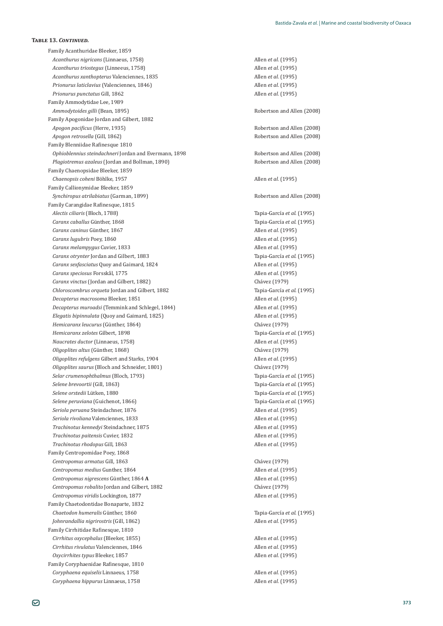Family Acanthuridae Bleeker, 1859 *Acanthurus nigricans* (Linnaeus, 1758) Allen *et al.* (1995) *Acanthurus triostegus* (Linneeus, 1758) Allen *et al.* (1995) *Acanthurus xanthopterus* Valenciennes, 1835 **Allen** *et al.* (1995) *Prionurus laticlavius* (Valenciennes, 1846) Allen *et al.* (1995) *Prionurus punctatus* Gill, 1862 Allen *et al.* (1995) Family Ammodytidae Lee, 1989 *Ammodytoides gilli* (Bean, 1895) **Robertson and Allen (2008)** Robertson and Allen (2008) Family Apogonidae Jordan and Gilbert, 1882 *Apogon pacificus* (Herre, 1935) *Apogon pacificus* (Herre, 1935) *Apogon retrosella* (Gill, 1862) **Robertson and Allen (2008)** Robertson and Allen (2008) Family Blenniidae Rafinesque 1810 *Ophioblennius steindachneri* Jordan and Evermann, 1898 **1998** Robertson and Allen (2008) *Plagiotremus azaleus* (Jordan and Bollman, 1890) Robertson and Allen (2008) Family Chaenopsidae Bleeker, 1859 *Chaenopsis coheni* Böhlke, 1957 Allen *et al.* (1995) Family Callionymidae Bleeker, 1859 *Synchiropus atrilabiatus* (Garman, 1899) **Robertson and Allen (2008**) **Robertson and Allen** (2008) Family Carangidae Rafinesque, 1815 *Alectis ciliaris* (Bloch, 1788) Tapia-García *et al*. (1995) *Caranx caballus Caranx caninus Caranx lugubris* Poey, 1860 Allen *et al.* (1995) *Caranx melampygus* Cuvier, 1833 **Allen** *et al.* (1995) *Caranx otrynter Caranx sexfasciatus* Quoy and Gaimard, 1824 Allen *et al.* (1995) *Caranx speciosus* Forsskål, 1775 Allen *et al.* (1995) *Caranx vinctus* (Jordan and Gilbert, 1882) *Charanx vinctus* (1979) *Chloroscombrus orqueta* Jordan and Gilbert, 1882 Tapia-García *et al*. (1995) *Decapterus macrosoma* Bleeker, 1851 Allen *et al.* (1995) *Decapterus muroadsi* (Temmink and Schlegel, 1844) Allen *et al.* (1995) *Elegatis bipinnulata* (Quoy and Gaimard, 1825) Allen *et al.* (1995) *Hemicaranx leucurus* (Günther, 1864) *Hemicaranx zelotes* Gilbert, 1898 Tapia-García *et al*. (1995) *Naucrates ductor* (Linnaeus, 1758) Allen *et al.* (1995) *Oligoplites altus*ȋ òǡͳͺͺȌ ȋͳͻͻȌ *Oligoplites refulgens* Gilbert and Starks, 1904 **Allen** *et al.* (1995) *Oligoplites saurus* (Bloch and Schneider, 1801) ȋͳͻͻȌ *Selar crumenophthalmus* (Bloch, 1793) *Selar crumenophthalmus* (Bloch, 1793) Selene brevoortii (Gill, 1863) *Selene orstedii* Lütken, 1880 **1995 1996 1996 1996 1996 1996 1996 1996 1996 1996 1996 1996 1996 1996 1996 1996 1996 1996 1996 1996 1996 1996 1996 1996 1996 1996 1996** *Selene peruviana* (Guichenot, 1866) Tapia-García *et al*. (1995) *Seriola peruana* Steindachner, 1876 Allen *et al.* (1995) *Seriola rivoliana* Valenciennes, 1833 **Allen** *et al.* (1995) **Allen** *et al.* **(1995)** *Trachinotus kennedyi* Steindachner, 1875 Allen *et al.* (1995) *Trachinotus paitensis* Cuvier, 1832 **Allen** *et al.* (1995) **Allen** *et al.* **(1995)** *Trachinotus rhodopus* Family Centropomidae Poey, 1868 *Centropomus armatus Centropomus medius* Gunther, 1864 Allen *et al.* (1995) *Centropomus nigrescens Centropomus robalito* Jordan and Gilbert, 1882 **b** *Chávez* (1979) *Centropomus viridis* Lockington, 1877 Allen *et al.* (1995) Family Chaetodontidae Bonaparte, 1832 *Chaetodon humeralis Johnrandallia nigrirostris* (Gill, 1862) Allen *et al.* (1995) Family Cirrhitidae Rafinesque, 1810 *Cirrhitus oxycephalus* (Bleeker, 1855) Allen *et al.* (1995) *Cirrhitus rivulatus* Valenciennes, 1846 Allen *et al.* (1995) *Oxycirrhites typus* Bleeker, 1857 Allen *et al.* (1995) Family Coryphaenidae Rafinesque, 1810 *Coryphaena equiselis* Linnaeus, 1758 Allen *et al.* (1995) *Coryphaena hippurus* Linnaeus, 1758 Allen *et al.* (1995)

Tapia-García et al. (1995) *Allen et al.* (1995) Tapia-García et al. (1995) Chávez (1979) Tapia-García et al. (1995) Allen *et al.* (1995) Chávez (1979)  $A$ llen *et al.* (1995) Tapia-García et al. (1995)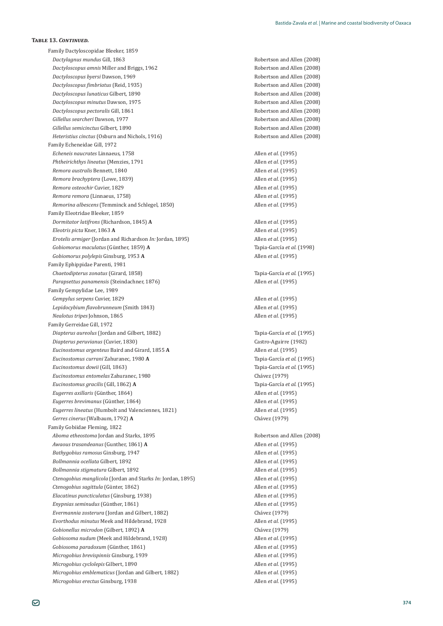Family Dactyloscopidae Bleeker, 1859 *Dactylagnus mundus Dactyloscopus amnis* Miller and Briggs, 1962 **Robertson and Allen (2008)** Robertson and Allen (2008) *Dactyloscopus byersi* Dawson, 1969 **1988 Robertson and Allen (2008) Robertson and Allen** (2008) *Dactyloscopus fimbriatus* (Reid, 1935) *Dactyloscopus fimbriatus* (Reid, 1935) *Dactyloscopus lunaticus* Gilbert, 1890 Robertson and Allen (2008) *Dactyloscopus minutus* Dawson, 1975 **1986 1986 1986 1986 1997 1998 1998 1998 1998 1999 1999 1999 1999 1999 1999 1999 1999 1999 1999 1999 1999 1999 1999 1999 1999 1999 1** *Dactyloscopus pectoralis* Gill, 1861 Robertson and Allen (2008) *Gillellus searcheri* Dawson, 1977 **Contained and Allen (2008)** Robertson and Allen (2008) *Gillellus semicinctus* Gilbert, 1890 **Robertson and Allen** (2008) *Heteristius cinctus* (Osburn and Nichols, 1916) **Reparament Construction** Robertson and Allen (2008) Family Echeneidae Gill, 1972 *Echeneis naucrates* Linnaeus, 1758 Allen *et al.* (1995) *Phtheirichthys lineatus* (Menzies, 1791 **Allen** *et al.* (1995) *Remora australis* Bennett, 1840 Allen *et al.* (1995) *Remora brachyptera* (Lowe, 1839) **Allen** *et al.* (1995) *Remora osteochir* Cuvier, 1829 **Allen** *et al.* (1995) **Allen** *et al.* **(1995)** *Remora remora* (Linnaeus, 1758) Allen *et al.* (1995) *Remorina albescens* (Temminck and Schlegel, 1850) Allen *et al.* (1995) Family Eleotridae Bleeker, 1859 *Dormitator latifrons* (Richardson, 1845) **A** Allen *et al.* (1995) *Eleotris picta* Kner, 1863 **A** Allen *et al.* (1995) *Erotelis armiger* (Jordan and Richardson *In:* Jordan, 1895) Allen *et al.* (1995) Gobiomorus maculatus (Günther, 1859) A *Gobiomorus polylepis* Family Ephippidae Parenti, 1981 *Chaetodipterus zonatus* (Girard, 1858) Tapia-García *et al*. (1995) *Parapsettus panamensis* (Steindachner, 1876) Allen *et al.* (1995) Family Gempylidae Lee, 1989 *Gempylus serpens* Cuvier, 1829 **Allen** *et al.* (1995) **Allen** *et al.* **(1995)** *Lepidocybium flavobrunneum* (Smith 1843) **Allen** *et al.* (1995) *Nealotus tripes* Johnson, 1865 Allen *et al.* (1995) Family Gerreidae Gill, 1972 *Diapterus aureolus* (Jordan and Gilbert, 1882) Tapia-García *et al*. (1995) *Diapterus peruvianus* (Cuvier, 1830) *Diapterus peruvianus* (Cuvier, 1830) *Castro-Aguirre* (1982) *Eucinostomus argenteus* Baird and Girard, 1855 **A** Allen *et al.* (1995) *Eucinostomus currani* Zahuranec, 1980 **A** Tapia-García *et al*. (1995) Eucinostomus dowii (Gill, 1863) *Eucinostomus entomelas* Zahuranec, 1980 **b** *Chávez* (1979) *Eucinostomus gracilis* (Gill, 1862) **A** Tapia-García *et al*. (1995) Eugerres axillaris (Günther, 1864) Eugerres brevimanus (Günther, 1864) *Eugerres lineatus* (Humbolt and Valenciennes, 1821) Allen *et al.* (1995) *Gerres cinerus* (Walbaum, 1792) **A** *Chávez* (1979) Family Gobiidae Fleming, 1822 *Aboma etheostoma* Jordan and Starks, 1895 **Robertson and Allen (2008)** Robertson and Allen (2008) *Awaous trasandeanus* (Gunther, 1861) **A** Allen *et al.* (1995) *Bathygobius ramosus* Ginsburg, 1947 **Allen** *et al.* (1995) *Allen <i>et al.* (1995) *Bollmannia ocellata* Gilbert, 1892 Allen *et al.* (1995) *Bollmannia stigmatura* Gilbert, 1892 Allen *et al.* (1995) *Ctenogobius manglicola* (Jordan and Starks *In:* Jordan, 1895) Allen *et al.* (1995) Ctenogobius sagittula (Günter, 1862) *Elacatinus puncticulatus* (Ginsburg, 1938) Enypnias seminudus (Günther, 1861) *Evermannia zosterura* (Jordan and Gilbert, 1882) *Chávez* (1979) *Evorthodus minutus* Meek and Hildebrand, 1928 Allen *et al.* (1995) *Gobionellus microdon* (Gilbert, 1892) **A** *Chávez* (1979) *Gobiosoma nudum* (Meek and Hildebrand, 1928) Allen *et al.* (1995) Gobiosoma paradoxum (Günther, 1861) *Microgobius brevispinnis Microgobius cyclolepis* Gilbert, 1890 Allen *et al.* (1995) *Microgobius emblematicus* (Jordan and Gilbert, 1882) Allen *et al.* (1995) *Microgobius erectus*

Robertson and Allen (2008) Tapia-García et al. (1998) ǡͳͻͷ͵ **A** Allen *et al.* (1995) Tapia-García et al. (1995) *Allen et al.* (1995) *Allen et al.* (1995) *Allen et al.* (1995) ǡͳͻ͵ͺȌ Allen *et al.* (1995) *Allen et al.* (1995) *Allen et al.* (1995) ǡͳͻ͵ͻ Allen *et al.* (1995)

ǡͳͻ͵ͺ Allen *et al.* (1995)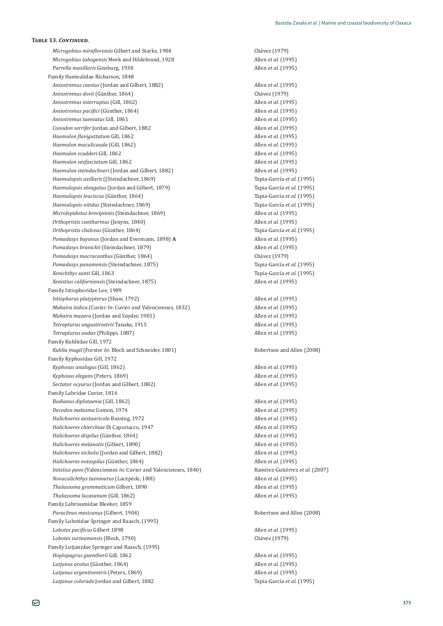*Microgobius miraflorensis* Gilbert and Starks, 1904 **by Change Changes** Chávez (1979) *Microgobius tabogensis* Meek and Hildebrand, 1928 Allen *et al.* (1995) *Parrella maxillaris* Family Haemulidae Richarson, 1848 *Anisotremus caesius* (Jordan and Gilbert, 1882) Allen *et al.* (1995) Anisotremus dovii (Günther, 1864) *Anisotremus interruptus* (Gill, 1862) *Anisotremus pacifici* (Günther, 1864) *Anisotremus taeniatus* Gill, 1861 **Allen** *et al.* (1995) **Allen** *et al.* (1995) *Conodon serrifer* Jordan and Gilbert, 1882 Allen *et al.* (1995) *Haemulon flaviguttatum* Gill, 1862 **Allen** *et al.* (1995) *Haemulon maculicauda* (Gill, 1862) **Allen** *et al.* (1995) **Allen** *et al.* (1995) *Haemulon scudderi* Gill, 1862 Allen *et al.* (1995) *Haemulon sexfasciatum* Gill, 1862 Allen *et al.* (1995) *Haemulon steindachneri* (Jordan and Gilbert, 1882) Allen *et al.* (1995) *Haemulopsis axillaris* ((Steindachner, 1869) Tapia-García *et al*. (1995) *Haemulopsis elongatus* (Jordan and Gilbert, 1879) Tapia-García *et al*. (1995) *Haemulopsis leuciscus* (Günther, 1864) *Haemulopsis nitidus* (Steindachner, 1869) Tapia-García *et al*. (1995) *Microlepidotus brevipinnis* (Steindachner, 1869) Allen *et al.* (1995) *Orthopristis cantharinus* (Jenyns, 1840) Allen *et al.* (1995) Orthopristis chalceus (Günther, 1864) *Pomadasys bayanus* (Jordan and Evermann, 1898) **A** Allen *et al.* (1995) *Pomadasys branickii* (Steindachner, 1879) Allen *et al.* (1995) *Pomadasys macracanthus* (Günther, 1864) *Pomadasys panamensis* (Steindachner, 1875) Tapia-García *et al*. (1995) *Xenichthys xanti Xenistius californiensis* (Steindachner, 1875) Allen *et al.* (1995) Family Istiophoridae Lee, 1989 *Istiophorus platypterus* (Shaw, 1792) Allen *et al.* (1995) *Makaira indica* (Cuvier *In*: Cuvier and Valenciennes, 1832) **Allen** *et al.* (1995) *Makaira mazara* (Jordan and Snyder, 1901) Allen *et al.* (1995) *Tetrapturus angustirostris* Tanaka, 1915 Allen *et al.* (1995) *Tetrapturus audax* (Philippi, 1887) Allen *et al.* (1995) Family Kuhliidae Gill, 1972 *Kuhlia mugil* (Forster *In*: Bloch and Schneider, 1801) Robertson and Allen (2008) Family Kyphosidae Gill, 1972 *Kyphosus analogus* (Gill, 1862) Allen *et al.* (1995) *Kyphosus elegans* (Peters, 1869) Allen *et al.* (1995) *Sectator ocyurus* (Jordan and Gilbert, 1882) Allen *et al.* (1995) Family Labridae Cuvier, 1816 *Bodianus diplotaenia* (Gill, 1862) Allen *et al.* (1995) *Decodon melasma* Gomon, 1974 Allen *et al.* (1995) *Halichoeres aestuaricola* Bussing, 1972 Allen *et al.* (1995) *Halichoeres chierchiae* Di Caporiacco, 1947 **Allen** *et al.* (1995) Halichoeres dispilus (Günther, 1864) *Halichoeres melanotis* (Gilbert, 1890) Allen *et al.* (1995) *Halichoeres nicholsi* (Jordan and Gilbert, 1882) Allen *et al.* (1995) *Halichoeres notospilus* (Günther, 1864) *Iniistius pavo* (Valenciennes *in:* Cuvier and Valenciennes, 1840) *Novaculichthys taeniourus* (Lacépède, 1801) *Allen et al.* (1995) *Thalassoma grammaticum* Gilbert, 1890 Allen *et al.* (1995) *Thalassoma lucasanum* (Gill, 1862) Allen *et al.* (1995) Family Labrisomidae Bleeker, 1859 **Paraclinus mexicanus** (Gilbert, 1904) **Robertson and Allen (2008)** Robertson and Allen (2008) Family Lobotidae Springer and Raasch, (1995) *Lobotes pacificus* Gilbert 1898 **Allen** *et al.* (1995) *Lobotes surinamensis* (Bloch, 1790) ȋͳͻͻȌ Family Lutjanidae Springer and Raasch, (1995) *Hoplopagrus guentherii* Gill, 1862 Allen *et al.* (1995) Lutjanus aratus (Günther, 1864) *Lutjanus argentiventris* (Peters, 1869) Allen *et al.* (1995) *Lutjanus colorado* Jordan and Gilbert, 1882 Tapia-García *et al*. (1995)

ǡͳͻ͵ͺ Allen *et al.* (1995) Chávez (1979)<br>Allen et al. (1995) *Allen et al.* (1995) Tapia-García et al. (1995) Tapia-García et al. (1995) Chávez (1979) Tapia-García et al. (1995) *Allen et al.* (1995) *Allen et al.* (1995) ±*et al.* (2007)

òǡͳͺͶȌ Allen *et al.* (1995)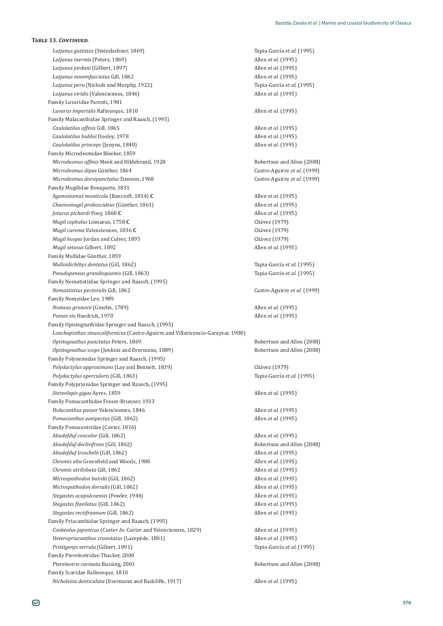*Lutjanus guttatus* (Steindachner, 1869) Tapia-García *et al*. (1995) *Lutjanus inermis* (Peters, 1869) Allen *et al.* (1995) *Lutjanus jordani* (Gilbert, 1897) Allen *et al.* (1995) *Lutjanus novemfasciatus* Gill, 1862 Allen *et al.* (1995) *Lutjanus peru* (Nichols and Murphy, 1922) Tapia-García *et al*. (1995) *Lutjanus viridis* (Valenciennes, 1846) Allen *et al.* (1995) Family Luvaridae Parenti, 1981 *Luvarus imperialis* Rafinesque, 1810 **Allen** *et al.* (1995) Family Malacanthidae Springer and Raasch, (1995) *ϔ* Gill, 1865 Allen *et al.* (1995) *Caulolatilus hubbsi*ǡͳͻͺ Allen *et al.* (1995) *Caulolatilus princeps* (Jenyns, 1840) Allen *et al.* (1995) Family Microdesmidae Bleeker, 1859 *Microdesmus affinis* Meek and Hildebrand, 1928 **Allen (2008)** Robertson and Allen (2008) *Microdesmus dipus Microdesmus dorsipunctatus* Dawson, 1968 **and** *a is castro-Aguirre et al.* (1999) Family Mugilidae Bonaparte, 1831 *Agonostomus monticola* (Bancroft, 1834) **C** Allen *et al.* (1995) *Chaenomugil proboscideus* (Günther, 1861) *Joturus pichardi* Poey, 1860 **C** Allen *et al.* (1995) *Mugil cephalus* Linnaeus, 1758 **C** ȋͳͻͻȌ *Mugil curema* Valenciennes, 1836 C<br>
Chávez (1979) *Mugil hospes* Jordan and Culver, 1895 **and** *Mugil hospes* [1979] *Mugil setosus* Gilbert, 1892 Allen *et al.* (1995) Family Mullidae Günther, 1859 *Mulloidichthys dentatus* (Gill, 1862) Tapia-García *et al*. (1995) *Pseudupeneus grandisquamis* (Gill, 1863) Family Nematistiidae Springer and Raasch, (1995) *Nemastistius pectoralis* Gill, 1862 Ǧ*et al.* (1999) Family Nomeidae Lee, 1989 *Nomeus gronovii* (Gmelin, 1789) Allen *et al.* (1995) *Psenes sio* Haedrich, 1970 Allen *et al.* (1995) Family Opistognathidae Springer and Raasch, (1995) Lonchopisthus sinuscalifornicus (Castro-Aguirre and Villavicencio-Garayzar, 1988) *Opistognathus punctatus* Peters, 1869 Robertson and Allen (2008) *Opistognathus scops* (Jenkins and Evermann, 1889) **Communist Robertson and Allen (2008)** Robertson and Allen (2008) Family Polynemidae Springer and Raasch, (1995) *Polydactylus approximans* (Lay and Bennett, 1839) **Chaves** (1979) *Polydactylus opercularis* (Gill, 1863) Family Polyprionidae Springer and Raasch, (1995) **Stereolepis gigas Ayres, 1859** Allen *et al.* (1995) Family Pomacanthidae Fraser-Brunner, 1933 *Holacanthus passer* Valenciennes, 1846 Allen *et al.* (1995) *Pomacanthus zonipectus* (Gill, 1862) Allen *et al.* (1995) Family Pomacentridae (Cuvier, 1816) *Abudefduf concolor* (Gill, 1862) Allen *et al.* (1995) *Abudefduf declivifrons* (Gill, 1862) **Robertson and Allen** (2008) *Abudefduf troschelii* (Gill, 1862) Allen *et al.* (1995) *Chromis alta* Greenfield and Woods, 1980 **Allen** *et al.* (1995) *Chromis atrilobata* Gill, 1862 Allen *et al.* (1995) *Microspathodon bairdii* (Gill, 1862) Allen *et al.* (1995) *Microspathodon dorsalis* (Gill, 1862) Allen *et al.* (1995) *Stegastes acapulcoensis* (Fowler, 1944) Allen *et al.* (1995) *Stegastes flavilatus* (Gill, 1862) Allen *et al.* (1995) *Stegastes rectifraenum* (Gill, 1862) Allen *et al.* (1995) Family Priacanthidae Springer and Raasch, (1995) *Cookeolus japonicus* (Cuvier *In: Cuvier and Valenciennes, 1829*) Allen *et al.* (1995) *Heteropriacanthus cruentatus* (Lacepède, 1801) **Allen** *et al.* (1995) *Pristigenys serrula* (Gilbert, 1891) Tapia-García *et al*. (1995) Family Ptereleotridae Thacker, 2000 Ptereleotris carinata Bussing, 2001 and *Ptereleotris carinata* Bussing, 2001 Family Scaridae Rafinesque, 1810 *Nicholsina denticulata* (Evermann and Radcliffe, 1917) **Allen** *et al.* (1995)

Castro-Aguirre et al. (1999) *Allen et al.* (1995) Tapia-García et al. (1995) Tapia-García et al. (1995)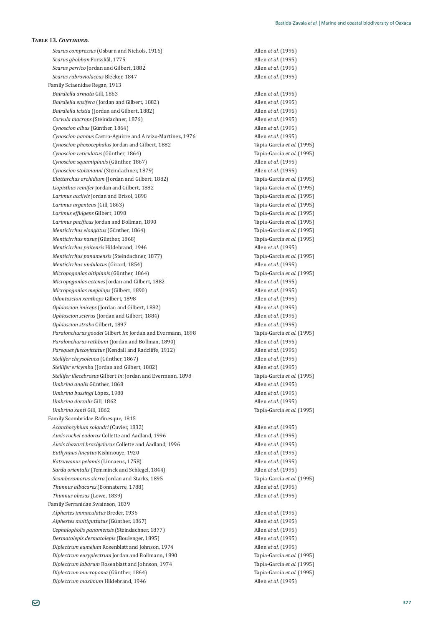*Scarus compressus* (Osburn and Nichols, 1916) Allen *et al.* (1995) *Scarus ghobban* Forsskål, 1775 Allen *et al.* (1995) *Scarus perrico* Jordan and Gilbert, 1882 Allen *et al.* (1995) *Scarus rubroviolaceus* Bleeker, 1847 Allen *et al.* (1995) Family Sciaenidae Regan, 1913 *Bairdiella armata Bairdiella ensifera* (Jordan and Gilbert, 1882) *Bairdiella icistia* (Jordan and Gilbert, 1882) Allen *et al.* (1995) *Corvula macrops* (Steindachner, 1876) Allen *et al.* (1995) *Cynoscion albus* (Günther, 1864) *Cynoscion nannus* Castro-Aguirre and Arvizu-Martínez, 1976 **Allen** *et al.* (1995) *Cynoscion phoxocephalus* Jordan and Gilbert, 1882 Tapia-García *et al*. (1995) *Cynoscion reticulatus* (Günther, 1864) Cynoscion squamipinnis (Günther, 1867) *Cynoscion stolzmanni* (Steindachner, 1879) Allen *et al.* (1995) *Elattarchus archidium* (Jordan and Gilbert, 1882) Tapia-García *et al*. (1995) *Isopisthus remifer* Jordan and Gilbert, 1882 Tapia-García *et al*. (1995) *Larimus acclivis* Jordan and Brisol, 1898 Tapia-García *et al*. (1995) Larimus argenteus (Gill, 1863) *Larimus effulgens* Gilbert, 1898 Tapia-García *et al*. (1995) *Larimus pacificus* Jordan and Bollman, 1890 **Tapia-García** *et al.* (1995) *Menticirrhus elongatus* (Günther, 1864) *Menticirrhus nasus* (Günther, 1868) *Menticirrhus paitensis* Hildebrand, 1946 **Allen** *et al.* (1995) **Allen** *et al.* (1995) *Menticirrhus panamensis* (Steindachner, 1877) Tapia-García *et al*. (1995) *Menticirrhus undulatus* (Girard, 1854) Allen *et al.* (1995) *Micropogonias altipinnis* (Günther, 1864) *Micropogonias ectenes* Jordan and Gilbert, 1882 Allen *et al.* (1995) *Micropogonias megalops* (Gilbert, 1890) Allen *et al.* (1995) *Odontoscion xanthops* Gilbert, 1898 Allen *et al.* (1995) *Ophioscion imiceps* (Jordan and Gilbert, 1882) Allen *et al.* (1995) *Ophioscion scierus* (Jordan and Gilbert, 1884) Allen *et al.* (1995) *Ophioscion strabo* Gilbert, 1897 Allen *et al.* (1995) *Paralonchurus goodei* Gilbert *In*: Jordan and Evermann, 1898 **Tapia-García** *et al.* (1995) *Paralonchurus rathbuni* (Jordan and Bollman, 1890) Allen *et al.* (1995) *Pareques fuscovittatus* (Kendall and Radcliffe, 1912) Allen *et al.* (1995) Stellifer chrysoleuca (Günther, 1867) *Stellifer ericymba* (Jordan and Gilbert, 1882) Allen *et al.* (1995) *Stellifer illecebrosus* Gilbert *In*: [ordan and Evermann, 1898 **1998** Tapia-García *et al.* (1995) *Umbrina analis Umbrina bussingi* López, 1980 Allen *et al.* (1995) *Umbrina dorsalis* Gill, 1862 Allen *et al.* (1995) *Umbrina xanti* Gill, 1862 Tapia-García *et al*. (1995) Family Scombridae Rafinesque, 1815 *Acanthocybium solandri* (Cuvier, 1832) **Allen** *et al.* (1995) *Auxis rochei eudorax* Collette and Aadland, 1996 **Allen** *et al.* (1995) *Allen et al.* (1995) *Auxis thazard brachydorax* Collette and Aadland, 1996 **Allen** *et al.* (1995) **Allen** *et al.* (1995) *Euthynnus lineatus* Kishinouye, 1920 Allen *et al.* (1995) *Katsuwonus pelamis* (Linnaeus, 1758) Allen *et al.* (1995) *Sarda orientalis* (Temminck and Schlegel, 1844) Allen *et al.* (1995) *Scomberomorus sierra* Jordan and Starks, 1895 Tapia-García *et al*. (1995) *Thunnus albacares* (Bonnaterre, 1788) **Allen** *et al.* (1995) *Thunnus obesus* (Lowe, 1839) **Allen** *et al.* (1995) Family Serranidae Swainson, 1839 *Alphestes immaculatus* Breder, 1936 **Allen** *et al.* (1995) **Allen** *et al.* (1995) *Alphestes multiguttatus* (Günther, 1867) *Cephalopholis panamensis* (Steindachner, 1877) Allen *et al.* (1995) *Dermatolepis dermatolepis* (Boulenger, 1895) Allen *et al.* (1995) *Diplectrum eumelum* Rosenblatt and Johnson, 1974 Allen *et al.* (1995) *Diplectrum euryplectrum* Jordan and Bollmann, 1890 Tapia-García *et al*. (1995) *Diplectrum labarum* Rosenblatt and Johnson, 1974 Tapia-García *et al*. (1995)  $Diplectrum macropoma$ <sup>(Günther, 1864)</sup> *Diplectrum maximum* Hildebrand, 1946 **Allen** *et al.* (1995)

Allen *et al.* (1995)<br>Allen *et al.* (1995) òǡͳͺͶȌ Allen *et al.* (1995) Tapia-García et al. (1995) *Allen et al.* (1995) Tapia-García et al. (1995) Tapia-García et al. (1995) Tapia-García et al. (1995) Tapia-García et al. (1995) *Allen et al.* (1995) *Allen et al.* (1995) *Allen et al.* (1995)

Tapia-García et al. (1995)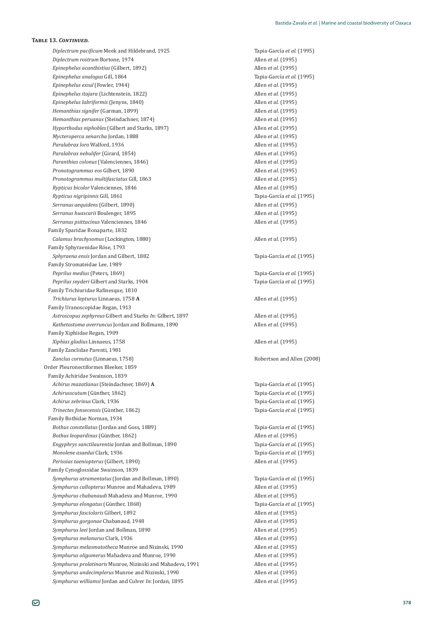*Diplectrum pacificum Meek and Hildebrand, 1925* Tapia-García *et al.* (1995) *Diplectrum rostrum* Bortone, 1974 Allen *et al.* (1995) *Epinephelus acanthistius* (Gilbert, 1892) Allen *et al.* (1995) *Epinephelus analogus* Gill, 1864 Tapia-García *et al*. (1995) *Epinephelus exsul* (Fowler, 1944) Allen *et al.* (1995) *Epinephelus itajara* (Lichtenstein, 1822) Allen *et al.* (1995) *Epinephelus labriformis* (Jenyns, 1840) Allen *et al.* (1995) *Hemanthias signifer* (Garman, 1899) Allen *et al.* (1995) *Hemanthias peruanus* (Steindachner, 1874) Allen *et al.* (1995) *Hyporthodus niphobles* (Gilbert and Starks, 1897) Allen *et al.* (1995) *Mycteroperca xenarcha* Jordan, 1888 Allen *et al.* (1995) *Paralabrax loro* Walford, 1936 **Allen** *et al.* (1995) **Allen** *et al.* **(1995)** *Paralabrax nebulifer* (Girard, 1854) Allen *et al.* (1995) *Paranthias colonus* (Valenciennes, 1846) Allen *et al.* (1995) *Pronotogrammus eos* Gilbert, 1890 **Allen** *et al.* (1995) *Pronotogrammus multifasciatus Rypticus bicolor* Valenciennes, 1846 Allen *et al.* (1995) *Rypticus nigripinnis* Gill, 1861 Tapia-García *et al*. (1995) *Serranus aequidens* (Gilbert, 1890) Allen *et al.* (1995) *Serranus huascarii* Boulenger, 1895 Allen *et al.* (1995) *Serranus psittacinus* Valenciennes, 1846 Allen *et al.* (1995) Family Sparidae Bonaparte, 1832 *Calamus brachysomus* (Lockington, 1880) Allen *et al.* (1995) Family Sphyraenidae Röse, 1793 *Sphyraena ensis* Jordan and Gilbert, 1882 Tapia-García *et al*. (1995) Family Stromateidae Lee, 1989 *Peprilus medius* (Peters, 1869) Tapia-García *et al*. (1995) *Peprilus snyderi* Gilbert and Starks, 1904 Tapia-García *et al*. (1995) Family Trichiuridae Rafinesque, 1810 *Trichiurus lepturus* Linnaeus, 1758 **A** Allen *et al.* (1995) Family Uranoscopidae Regan, 1913 *Astroscopus zephyreus* Gilbert and Starks *In:* Gilbert, 1897 Allen *et al.* (1995) *Kathetostoma averruncus* Jordan and Bollmann, 1890 Allen *et al.* (1995) Family Xiphiidae Regan, 1909 *Xiphias gladius* Linnaeus, 1758 Allen *et al.* (1995) Family Zanclidae Parenti, 1981 *Zanclus cornutus* (Linnaeus, 1758) Robertson and Allen (2008) Order Pleuronectiformes Bleeker, 1859 Family Achiridae Swainson, 1839 *Achirus mazatlanus* (Steindachner, 1869) **A** Tapia-García *et al*. (1995) Achirusscutum (Günther, 1862) *Achirus zebrinus* Clark, 1936 *Achirus zebrinus* Clark, 1995) *Achirus zebrinus* Clark, 1995  $Trinectes fonsecensis$  (Günther, 1862) Family Bothidae Norman, 1934 Bothus constellatus (Jordan and Goss, 1889) Tapia-García *et al.* (1995) Bothus leopardinus (Günther, 1862) *Engyphrys sanctilaurentia* Jordan and Bollman, 1890 Tapia-García *et al*. (1995) *Monolene asaedai* Clark, 1936 *Monolene asaedai* Clark, 1936 *Perissias taeniopterus* (Gilbert, 1890) Allen *et al.* (1995) Family Cynoglossidae Swainson, 1839 *Symphurus atramentatus* (Jordan and Bollman, 1890) Tapia-García *et al*. (1995) *Symphurus callopterus* Munroe and Mahadeva, 1989 **3.1 Allen** *et al.* (1995) *Symphurus chabanaudi* Mahadeva and Munroe, 1990 **Allen** *et al.* (1995) Symphurus elongatus (Günther, 1868) *Symphurus fasciolaris* Gilbert, 1892 Allen *et al.* (1995) *Symphurus gorgonae* Chabanaud, 1948 **1998 1998 1999 1999 1999 1999 1999 1999 1999 1999 1999 1999 1999 1999 1999 1999 1999 1999 1999 1999 1999 1999 1999 1999 1999 1999 1** *Symphurus leei* Jordan and Bollman, 1890 **Allen** *et al.* (1995) Allen *et al.* (1995) *Symphurus melanurus* Clark, 1936 *Symphurus melanurus* Clark, 1936 *Allen et al.* **(1995)** *Symphurus melasmatotheca* Munroe and Nizinski, 1990 Allen *et al.* (1995) *Symphurus oligomerus* Mahadeva and Munroe, 1990 **Allen** *et al.* (1995) *Symphurus prolatinaris* Munroe, Nizinski and Mahadeva, 1991 *Allen et al.* (1995) *Symphurus undecimplerus* Munroe and Nizinski, 1990 **Allen** *et al.* (1995) *Symphurus williamsi* Jordan and Culver *In*: Jordan, 1895 **Allen** *et al.* (1995)

ǡͳͺ͵ Allen *et al.* (1995) Tapia-García et al. (1995) Tapia-García et al. (1995) *Allen et al.* (1995) Tapia-García et al. (1995)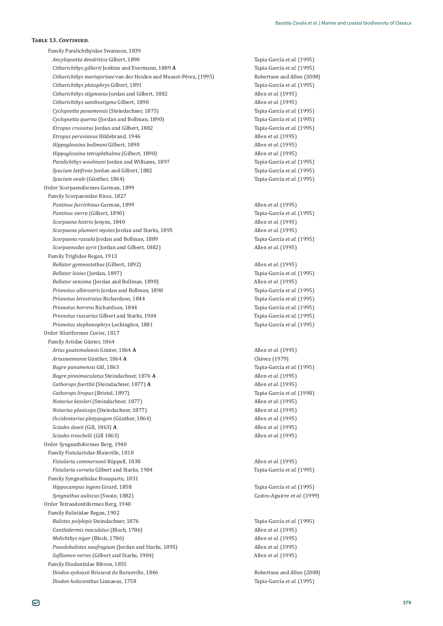Family Paralichthyidae Swainson, 1839 *Ancylopsetta dendritica* Gilbert, 1890 Tapia-García *et al*. (1995) *Citharichthys gilberti*ǡͳͺͺͻ**A** Tapia-García *et al*. (1995) *Citharichthys mariajorisae* van der Heiden and Mussot-Pérez, (1995) **Bobertson and Allen (2008)** *Citharichthys platophrys* Gilbert, 1891 Tapia-García *et al*. (1995) *Citharichthys stigmaeus* Jordan and Gilbert, 1882 Allen *et al.* (1995) *Citharichthys xanthostigma* Gilbert, 1890 Allen *et al.* (1995) *Cyclopsetta panamensis* (Steindachner, 1875) Tapia-García *et al*. (1995) *Cyclopsetta querna* (Jordan and Bollman, 1890) Tapia-García *et al*. (1995) *Etropus crossotus* Jordan and Gilbert, 1882 Tapia-García *et al*. (1995) *Etropus peruvianus* Hildebrand, 1946 **Allen** *et al.* (1995) *Allen et al.* (1995) *Hippoglossina bollmani* Gilbert, 1890 Allen *et al.* (1995) *Hippoglossina tetrophthalma* (Gilbert, 1890) Allen *et al.* (1995) *Paralichthys woolmani* Jordan and Williams, 1897 Tapia-García *et al*. (1995) *Syacium latifrons* Jordan and Gilbert, 1882 Tapia-García *et al*. (1995) Syacium ovale (Günther, 1864) Order Scorpaeniformes Garman, 1899 Family Scorpaenidae Risso, 1827 **Pontinus furcirhinus Garman, 1899** Allen *et al.* (1995) *Pontinus sierra* (Gilbert, 1890) Tapia-García *et al*. (1995) *Scorpaena histrio* Jenyns, 1840 Allen *et al.* (1995) *Scorpaena plumieri mystes* Jordan and Starks, 1895 Allen *et al.* (1995) *Scorpaena russula* Jordan and Bollman, 1889 Tapia-García *et al*. (1995) *Scorpaenodes xyris* (Jordan and Gilbert, 1882) Allen *et al.* (1995) Family Triglidae Regan, 1913 *Bellator gymnostethus* (Gilbert, 1892) Allen *et al.* (1995) *Bellator loxias* (Jordan, 1897) Tapia-García *et al*. (1995) *Bellator xenisma* (Jordan and Bollman, 1890) **Allen** *et al.* (1995) *Prionotus albirostris* Jordan and Bollman, 1890 Tapia-García *et al*. (1995) *Prionotus birostratus* Richardson, 1844 Tapia-García *et al*. (1995) *Prionotus horrens* Richardson, 1844 Tapia-García *et al*. (1995) *Prionotus ruscarius* Gilbert and Starks, 1904 Tapia-García *et al*. (1995) *Prionotus stephanophrys* Lockington, 1881 Tapia-García *et al*. (1995) Order Siluriformes Cuvier, 1817 Family Ariidae Günter, 1864 *Arius guatemalensis Ariusseemanni Bagre panamensis Bagre pinnimaculatus* Steindachner, 1876 **A** Allen *et al.* (1995) *Cathorops fuerthii* (Steindachner, 1877) **A** Allen *et al.* (1995) *Cathorops liropus* (Bristol, 1897) Tapia-García *et al.* (1998) *Notarius kessleri* (Steindachner, 1877) Allen *et al.* (1995) *Notarius planiceps* (Steindachner, 1877) Allen *et al.* (1995) Occidentarius platypogon (Günther, 1864) Sciades dowii (Gill, 1863) A Sciades troschelii (Gill 1863) Order Syngnathiformes Berg, 1940 Family Fistulariidae Blainville, 1818 *Fistularia commersonii* Rüppell. 1838 *Fistularia commersonii* Rüppell. 1838 **Allen** *et al.* **(1995)** *Fistularia corneta* Gilbert and Starks, 1904 Tapia-García *et al*. (1995) Family Syngnathidae Bonaparte, 1831 *Hippocampus ingens* Girard, 1858 Tapia-García *et al.* (1995) *Syngnathus auliscus* (Swain, 1882) Ǧ*et al*. (1999) Order Tetraodontiformes Berg, 1940 Family Balistidae Regan, 1902 *Balistes polylepis* Steindachner, 1876 Tapia-García *et al*. (1995) *Canthidermis maculatus* (Bloch, 1786) Allen *et al.* (1995) *Melichthys niger* (Bloch, 1786) Allen *et al.* (1995) *Pseudobalistes naufragium* (Jordan and Starks, 1895) Allen *et al.* (1995) *ϔ*(Gilbert and Starks, 1904) Allen *et al.* (1995) Family Diodontidae Bibron, 1855 *Diodon eydouxii* Brissout de Barneville, 1846 **1996 1846 1846 1846 1846 1846 1846 1846 1846 1846 1846 1846 1846 1846 1846 1846 1846 1846 1846 1846 1846 1846 1846 1846 1846** *Diodon holocanthus* Linnaeus, 1758 Tapia-García *et al*. (1995)

Tapia-García et al. (1995) *Allen et al.* (1995) Chávez (1979) Tapia-García *et al.* (1995) *Allen et al.* (1995) Allen *et al.* (1995) Allen *et al.* (1995)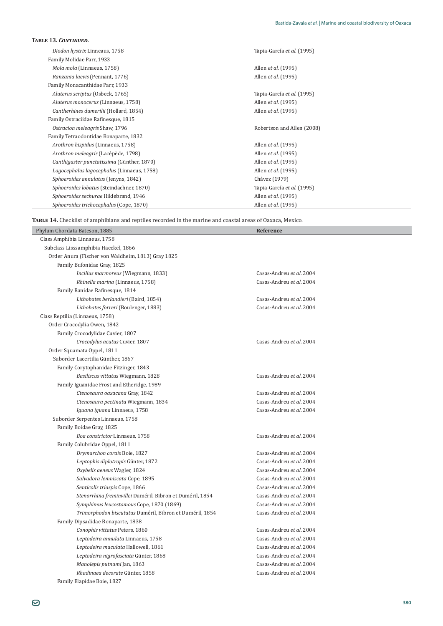| Diodon hystrix Linneaus, 1758                   | Tapia-García et al. (1995) |
|-------------------------------------------------|----------------------------|
| Family Molidae Parr, 1933                       |                            |
| Mola mola (Linnaeus, 1758)                      | Allen et al. (1995)        |
| Ranzania laevis (Pennant, 1776)                 | Allen <i>et al.</i> (1995) |
| Family Monacanthidae Parr, 1933                 |                            |
| Aluterus scriptus (Osbeck, 1765)                | Tapia-García et al. (1995) |
| Aluterus monocerus (Linnaeus, 1758)             | Allen et al. (1995)        |
| Cantherhines dumerilii (Hollard, 1854)          | Allen <i>et al.</i> (1995) |
| Family Ostraciidae Rafinesque, 1815             |                            |
| Ostracion meleggris Shaw, 1796                  | Robertson and Allen (2008) |
| Family Tetraodontidae Bonaparte, 1832           |                            |
| Arothron hispidus (Linnaeus, 1758)              | Allen <i>et al.</i> (1995) |
| Arothron meleagris (Lacépède, 1798)             | Allen <i>et al.</i> (1995) |
| Canthigaster punctatissima (Günther, 1870)      | Allen <i>et al.</i> (1995) |
| Lagocephalus lagocephalus (Linnaeus, 1758)      | Allen <i>et al.</i> (1995) |
| Sphoeroides annulatus (Jenyns, 1842)            | Chávez (1979)              |
| <i>Sphoeroides lobatus</i> (Steindachner, 1870) | Tapia-García et al. (1995) |
| Sphoeroides sechurae Hildebrand, 1946           | Allen <i>et al.</i> (1995) |
| Sphoeroides trichocephalus (Cope, 1870)         | Allen <i>et al.</i> (1995) |

TABLE 14. Checklist of amphibians and reptiles recorded in the marine and coastal areas of Oaxaca, Mexico.

| Phylum Chordata Bateson, 1885                             | Reference                |
|-----------------------------------------------------------|--------------------------|
| Class Amphibia Linnaeus, 1758                             |                          |
| Subclass Lisssamphibia Haeckel, 1866                      |                          |
| Order Anura (Fischer von Waldheim, 1813) Gray 1825        |                          |
| Family Bufonidae Gray, 1825                               |                          |
| Incilius marmoreus (Wiegmann, 1833)                       | Casas-Andreu et al. 2004 |
| Rhinella marina (Linnaeus, 1758)                          | Casas-Andreu et al. 2004 |
| Family Ranidae Rafinesque, 1814                           |                          |
| Lithobates berlandieri (Baird, 1854)                      | Casas-Andreu et al. 2004 |
| Lithobates forreri (Boulenger, 1883)                      | Casas-Andreu et al. 2004 |
| Class Reptilia (Linnaeus, 1758)                           |                          |
| Order Crocodylia Owen, 1842                               |                          |
| Family Crocodylidae Cuvier, 1807                          |                          |
| Crocodylus acutus Cuvier, 1807                            | Casas-Andreu et al. 2004 |
| Order Squamata Oppel, 1811                                |                          |
| Suborder Lacertilia Günther, 1867                         |                          |
| Family Corytophanidae Fitzinger, 1843                     |                          |
| Basiliscus vittatus Wiegmann, 1828                        | Casas-Andreu et al. 2004 |
| Family Iguanidae Frost and Etheridge, 1989                |                          |
| Ctenosaura oaxacana Gray, 1842                            | Casas-Andreu et al. 2004 |
| Ctenosaura pectinata Wiegmann, 1834                       | Casas-Andreu et al. 2004 |
| Iguana iguana Linnaeus, 1758                              | Casas-Andreu et al. 2004 |
| Suborder Serpentes Linnaeus, 1758                         |                          |
| Family Boidae Gray, 1825                                  |                          |
| Boa constrictor Linnaeus, 1758                            | Casas-Andreu et al. 2004 |
| Family Colubridae Oppel, 1811                             |                          |
| Drymarchon corais Boie, 1827                              | Casas-Andreu et al. 2004 |
| Leptophis diplotropis Günter, 1872                        | Casas-Andreu et al. 2004 |
| Oxybelis aeneus Wagler, 1824                              | Casas-Andreu et al. 2004 |
| Salvadora lemniscata Cope, 1895                           | Casas-Andreu et al. 2004 |
| Senticolis triaspis Cope, 1866                            | Casas-Andreu et al. 2004 |
| Stenorrhina freminvillei Duméril, Bibron et Duméril, 1854 | Casas-Andreu et al. 2004 |
| Symphimus leucostomous Cope, 1870 (1869)                  | Casas-Andreu et al. 2004 |
| Trimorphodon biscutatus Duméril, Bibron et Duméril, 1854  | Casas-Andreu et al. 2004 |
| Family Dipsadidae Bonaparte, 1838                         |                          |
| Conophis vittatus Peters, 1860                            | Casas-Andreu et al. 2004 |
| Leptodeira annulata Linnaeus, 1758                        | Casas-Andreu et al. 2004 |
| Leptodeira maculata Hallowell, 1861                       | Casas-Andreu et al. 2004 |
| Leptodeira nigrofasciata Günter, 1868                     | Casas-Andreu et al. 2004 |
| Manolepis putnami Jan, 1863                               | Casas-Andreu et al. 2004 |
| Rhadinaea decorate Günter, 1858                           | Casas-Andreu et al. 2004 |

Family Elapidae Boie, 1827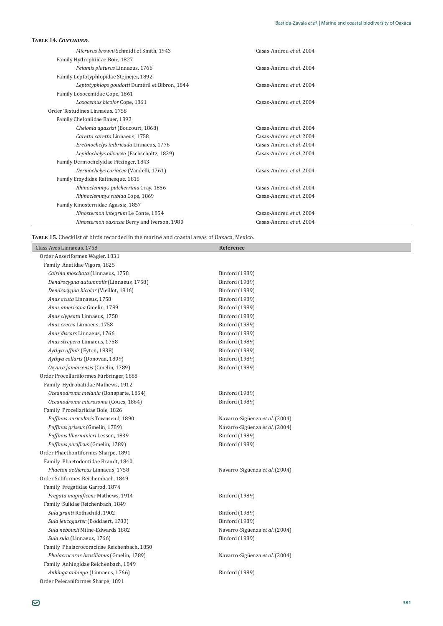| <b>TABLE 14. CONTINUED.</b>                    |                          |
|------------------------------------------------|--------------------------|
| Micrurus browni Schmidt et Smith, 1943         | Casas-Andreu et al. 2004 |
| Family Hydrophiidae Boie, 1827                 |                          |
| Pelamis platurus Linnaeus, 1766                | Casas-Andreu et al. 2004 |
| Family Leptotyphlopidae Stejnejer, 1892        |                          |
| Leptotyphlops goudotti Duméril et Bibron, 1844 | Casas-Andreu et al. 2004 |
| Family Loxocemidae Cope, 1861                  |                          |
| Loxocemus bicolor Cope, 1861                   | Casas-Andreu et al. 2004 |
| Order Testudines Linnaeus, 1758                |                          |
| Family Cheloniidae Bauer, 1893                 |                          |
| Chelonia agassizi (Boucourt, 1868)             | Casas-Andreu et al. 2004 |
| Caretta caretta Linnaeus, 1758                 | Casas-Andreu et al. 2004 |
| Eretmochelys imbricada Linnaeus, 1776          | Casas-Andreu et al. 2004 |
| Lepidochelys olivacea (Eschscholtz, 1829)      | Casas-Andreu et al. 2004 |
| Family Dermochelyidae Fitzinger, 1843          |                          |
| Dermochelys coriacea (Vandelli, 1761)          | Casas-Andreu et al. 2004 |
| Family Emydidae Rafinesque, 1815               |                          |
| Rhinoclemmys pulcherrima Gray, 1856            | Casas-Andreu et al. 2004 |
| Rhinoclemmys rubida Cope, 1869                 | Casas-Andreu et al. 2004 |
| Family Kinosternidae Agassiz, 1857             |                          |
| Kinosternon integrum Le Conte, 1854            | Casas-Andreu et al. 2004 |
| Kinosternon oaxacae Berry and Iverson, 1980    | Casas-Andreu et al. 2004 |

TABLE 15. Checklist of birds recorded in the marine and coastal areas of Oaxaca, Mexico.

| Class Aves Linnaeus, 1758                  | Reference                      |
|--------------------------------------------|--------------------------------|
| Order Anseriformes Wagler, 1831            |                                |
| Family Anatidae Vigors, 1825               |                                |
| Cairina moschata (Linnaeus, 1758           | Binford (1989)                 |
| Dendrocygna autumnalis (Linnaeus, 1758)    | Binford (1989)                 |
| Dendrocygna bicolor (Vieillot, 1816)       | Binford (1989)                 |
| Anas acuta Linnaeus, 1758                  | Binford (1989)                 |
| Anas americana Gmelin, 1789                | Binford (1989)                 |
| Anas clypeata Linnaeus, 1758               | Binford (1989)                 |
| Anas crecca Linnaeus, 1758                 | Binford (1989)                 |
| Anas discors Linnaeus, 1766                | Binford (1989)                 |
| Anas strepera Linnaeus, 1758               | Binford (1989)                 |
| Aythya affinis (Eyton, 1838)               | Binford (1989)                 |
| Aythya collaris (Donovan, 1809)            | Binford (1989)                 |
| Oxyura jamaicensis (Gmelin, 1789)          | Binford (1989)                 |
| Order Procellariiformes Fürbringer, 1888   |                                |
| Family Hydrobatidae Mathews, 1912          |                                |
| Oceanodroma melania (Bonaparte, 1854)      | Binford (1989)                 |
| Oceanodroma microsoma (Coues, 1864)        | Binford (1989)                 |
| Family Procellariidae Boie, 1826           |                                |
| Puffinus auricularis Townsend, 1890        | Navarro-Sigüenza et al. (2004) |
| Puffinus griseus (Gmelin, 1789)            | Navarro-Sigüenza et al. (2004) |
| Puffinus Ilherminieri Lesson, 1839         | Binford (1989)                 |
| Puffinus pacificus (Gmelin, 1789)          | Binford (1989)                 |
| Order Phaethontiformes Sharpe, 1891        |                                |
| Family Phaetodontidae Brandt, 1840         |                                |
| Phaeton aethereus Linnaeus, 1758           | Navarro-Sigüenza et al. (2004) |
| Order Suliformes Reichembach, 1849         |                                |
| Family Fregatidae Garrod, 1874             |                                |
| Fregata magnificens Mathews, 1914          | Binford (1989)                 |
| Family Sulidae Reichenbach, 1849           |                                |
| Sula granti Rothschild, 1902               | Binford (1989)                 |
| Sula leucogaster (Boddaert, 1783)          | Binford (1989)                 |
| Sula nebouxii Milne-Edwards 1882           | Navarro-Sigüenza et al. (2004) |
| Sula sula (Linnaeus, 1766)                 | Binford (1989)                 |
| Family Phalacrocoracidae Reichenbach, 1850 |                                |
| Phalacrocorax brasilianus (Gmelin, 1789)   | Navarro-Sigüenza et al. (2004) |
| Family Anhingidae Reichenbach, 1849        |                                |
| Anhinga anhinga (Linnaeus, 1766)           | Binford (1989)                 |
| Order Pelecaniformes Sharpe, 1891          |                                |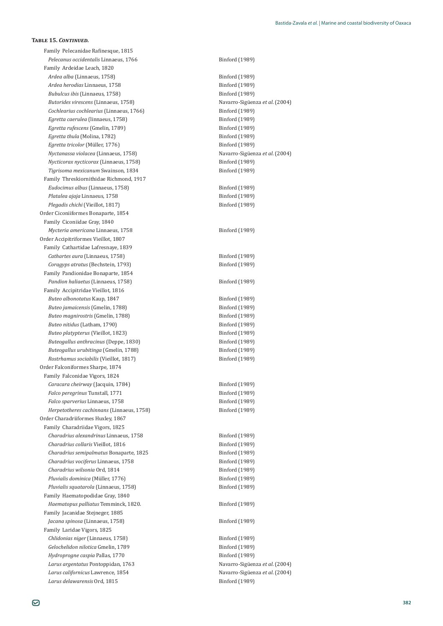Family Pelecanidae Rafinesque, 1815 *Pelecanus occidentalis* Linnaeus, 1766 Binford (1989) Family Ardeidae Leach, 1820 *Ardea alba* (Linnaeus, 1758) Binford (1989) *Ardea herodias* Linnaeus, 1758 **Binford** (1989) *Bubulcus ibis* (Linnaeus, 1758) Binford (1989) *Butorides virescens* (Linnaeus, 1758) Ǧò *et al*. (2004) Cochlearius cochlearius (Linnaeus, 1766) Binford (1989) *Egretta caerulea* (linnaeus, 1758) Binford (1989) *Egretta rufescens* (Gmelin, 1789) Binford (1989) *Egretta thula* (Molina, 1782) Binford (1989) *Egretta tricolor* (Müller, 1776) **Binford** (1989) *Nyctanassa violacea* (Linnaeus, 1758) Ǧò *et al*. (2004) *Nycticorax nycticorax* (Linnaeus, 1758) Binford (1989) *Tigrisoma mexicanum* Swainson, 1834 **1989 Binford** (1989) Family Threskiornithidae Richmond, 1917 *Eudocimus albus* (Linnaeus, 1758) Binford (1989) *Platalea ajaja* Linnaeus, 1758 Binford (1989) *Plegadis chichi* (Vieillot, 1817) Binford (1989) Order Ciconiiformes Bonaparte, 1854 Family Ciconiidae Gray, 1840 *Mycteria americana* Linnaeus, 1758 **Binford** (1989) Order Accipitriformes Vieillot, 1807 Family Cathartidae Lafresnaye, 1839 Cathartes aura (Linnaeus, 1758) Binford (1989) *Coragyps atratus* (Bechstein, 1793) **Binford** (1989) Family Pandionidae Bonaparte, 1854 Pandion haliaetus (Linnaeus, 1758) Binford (1989) Family Accipitridae Vieillot, 1816 *Buteo albonotatus* Kaup, 1847 **Binford** (1989) *Buteo jamaicensis* (Gmelin, 1788) Binford (1989) *Buteo magnirostris* (Gmelin, 1788) Binford (1989) *Buteo nitidus* (Latham, 1790) Binford (1989) *Buteo platypterus* (Vieillot, 1823) **Binford** (1989) *Buteogallus anthracinus* (Deppe, 1830) **Binford** (1989) *Buteogallus urubitinga* (Gmelin, 1788) Binford (1989) *Rostrhamus sociabilis* (Vieillot, 1817) Binford (1989) Order Falconiformes Sharpe, 1874 Family Falconidae Vigors, 1824 *Caracara cheirway* (Jacquin, 1784) Binford (1989) *Falco peregrinus* Tunstall, 1771 Binford (1989) *Falco sparverius* Linnaeus, 1758 Binford (1989) *Herpetotheres cachinnans* (Linnaeus, 1758) Binford (1989) Order Charadriiformes Huxley, 1867 Family Charadriidae Vigors, 1825 *Charadrius alexandrinus Linnaeus, 1758* Binford (1989) *Charadrius collaris* Vieillot, 1816 **Binford** (1989) *Charadrius semipalmatus* Bonaparte, 1825 Binford (1989) *Charadrius vociferus* Linnaeus, 1758 Binford (1989) *Charadrius wilsonia* Ord, 1814 Binford (1989) *Pluvialis dominica* (Müller, 1776) **Binford** (1989) *Pluvialis squatarola* (Linnaeus, 1758) Binford (1989) Family Haematopodidae Gray, 1840 *Haematopus palliatus* Temminck, 1820. **Binford** (1989) Family Jacanidae Stejneger, 1885 *Jacana spinosa* (Linnaeus, 1758) Binford (1989) Family Laridae Vigors, 1825 *Chlidonias niger* (Linnaeus, 1758) Binford (1989) *Gelochelidon nilotica* Gmelin, 1789 Binford (1989) *Hydroprogne caspia* Pallas, 1770 Binford (1989) *Larus argentatus* Pontoppidan, 1763 **and allam argentish argentish in the set al. (2004) and allam argentish in the set al.** (2004) *Larus californicus* Lawrence, 1854 Ǧò *et al*. (2004) *Larus delawarensis* Ord, 1815 Binford (1989)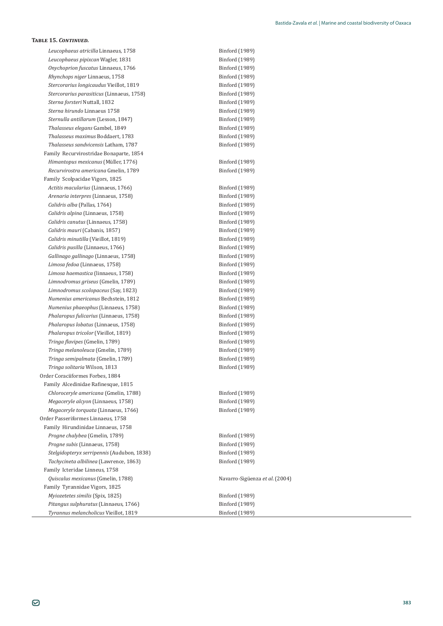Leucophaeus atricilla Linnaeus, 1758 **Binford** (1989) *Leucophaeus pipixcan* Wagler, 1831 **Binford (1989)** *Onychoprion fuscatus* Linnaeus, 1766 Binford (1989) *Rhynchops niger* Linnaeus, 1758 Binford (1989) *Stercorarius longicaudus* Vieillot, 1819 Binford (1989) *Stercorarius parasiticus* (Linnaeus, 1758) Binford (1989) *Sterna forsteri* Nuttall, 1832 **binford** (1989) *Sterna hirundo* Linnaeus 1758 **Binford** (1989) *Sternulla antillarum* (Lesson, 1847) Binford (1989) *Thalasseus elegans* Gambel, 1849 **Binford** (1989) *Thalasseus maximus* Boddaert, 1783 **binding the act of the Binford** (1989) *Thalasseus sandvicensis* Latham, 1787 **Binford** (1989) Family Recurvirostridae Bonaparte, 1854 *Himantopus mexicanus* (Müller, 1776) **Binford** (1989) *Recurvirostra americana* Gmelin, 1789 Binford (1989) Family Scolpacidae Vigors, 1825 Actitis macularius (Linnaeus, 1766) Binford (1989) *Arenaria interpres* (Linnaeus, 1758) Binford (1989) *Calidris alba* (Pallas, 1764) Binford (1989) *Calidris alpina* (Linnaeus, 1758) Binford (1989) Calidris canutus (Linnaeus, 1758) Binford (1989) *Calidris mauri* (Cabanis, 1857) **Binford** (1989) Calidris minutilla (Vieillot, 1819) **Binford** (1989) *Calidris pusilla* (Linnaeus, 1766) Binford (1989) Gallinago gallinago (Linnaeus, 1758) Binford (1989) *Limosa fedoa* (Linnaeus, 1758) Binford (1989) *Limosa haemastica* (linnaeus, 1758) Binford (1989) *Limnodromus griseus* (Gmelin, 1789) Binford (1989) *Limnodromus scolopaceus* (Sav. 1823) 6 **Binford** (1989) *Numenius americanus* Bechstein, 1812 **Binford** (1989) *Numenius phaeophus* (Linnaeus, 1758) Binford (1989) *Phalaropus fulicarius* (Linnaeus, 1758) Binford (1989) *Phalaropus lobatus* (Linnaeus, 1758) Binford (1989) *Phalaropus tricolor* (Vieillot, 1819) Binford (1989) *Tringa flavipes* (Gmelin, 1789) Binford (1989) *Tringa melanoleuca* (Gmelin, 1789) Binford (1989) *Tringa semipalmata* (Gmelin, 1789) Binford (1989) *Tringa solitaria* Wilson, 1813 **b** Binford (1989) Order Coraciiformes Forbes, 1884 Family Alcedinidae Rafinesque, 1815 *Chloroceryle americana* (Gmelin, 1788) Binford (1989) *Megaceryle alcyon* (Linnaeus, 1758) Binford (1989) *Megaceryle torquata* (Linnaeus, 1766) Binford (1989) Order Passeriformes Linnaeus, 1758 Family Hirundinidae Linnaeus, 1758 *Progne chalybea* (Gmelin, 1789) Binford (1989) *Progne subis* (Linnaeus, 1758) Binford (1989) *Stelgidopteryx serripennis* (Audubon, 1838) **Binford** (1989) *Tachycineta albilinea* (Lawrence, 1863) **Binford** (1989) Family Icteridae Linneus, 1758 *Quiscalus mexicanus* (Gmelin, 1788) Ǧò *et al*. (2004) Family Tyrannidae Vigors, 1825 *Myiozetetes similis* (Spix, 1825) Binford (1989) *Pitangus sulphuratus* (Linnaeus, 1766) Binford (1989) *Tyrannus melancholicus* Vieillot, 1819 **Binford** (1989)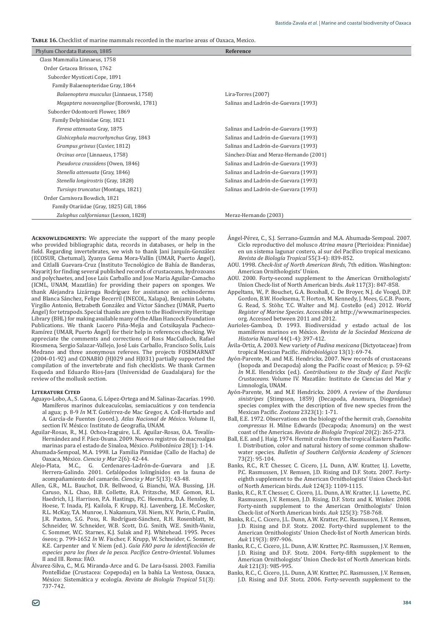**TABLE 16.** Checklist of marine mammals recorded in the marine areas of Oaxaca, Mexico,

| Class Mammalia Linnaeus, 1758<br>Order Cetacea Brisson, 1762<br>Suborder Mysticeti Cope, 1891<br>Family Balaenopteridae Gray, 1864<br>Lira-Torres (2007)<br>Balaenoptera musculus (Linnaeus, 1758)<br>Megaptera novaeangliae (Borowski, 1781)<br>Salinas and Ladrón-de-Guevara (1993)<br>Suborder Odontoceti Flower, 1869<br>Family Delphinidae Gray, 1821<br>Feresa attenuata Gray, 1875<br>Salinas and Ladrón-de-Guevara (1993)<br>Globicephala macrorhynchus Gray, 1843<br>Salinas and Ladrón-de-Guevara (1993)<br>Salinas and Ladrón-de-Guevara (1993)<br>Grampus griseus (Cuvier, 1812) |
|----------------------------------------------------------------------------------------------------------------------------------------------------------------------------------------------------------------------------------------------------------------------------------------------------------------------------------------------------------------------------------------------------------------------------------------------------------------------------------------------------------------------------------------------------------------------------------------------|
|                                                                                                                                                                                                                                                                                                                                                                                                                                                                                                                                                                                              |
|                                                                                                                                                                                                                                                                                                                                                                                                                                                                                                                                                                                              |
|                                                                                                                                                                                                                                                                                                                                                                                                                                                                                                                                                                                              |
|                                                                                                                                                                                                                                                                                                                                                                                                                                                                                                                                                                                              |
|                                                                                                                                                                                                                                                                                                                                                                                                                                                                                                                                                                                              |
|                                                                                                                                                                                                                                                                                                                                                                                                                                                                                                                                                                                              |
|                                                                                                                                                                                                                                                                                                                                                                                                                                                                                                                                                                                              |
|                                                                                                                                                                                                                                                                                                                                                                                                                                                                                                                                                                                              |
|                                                                                                                                                                                                                                                                                                                                                                                                                                                                                                                                                                                              |
|                                                                                                                                                                                                                                                                                                                                                                                                                                                                                                                                                                                              |
|                                                                                                                                                                                                                                                                                                                                                                                                                                                                                                                                                                                              |
| Sánchez-Díaz and Meraz-Hernando (2001)<br>Orcinus orca (Linnaeus, 1758)                                                                                                                                                                                                                                                                                                                                                                                                                                                                                                                      |
| Pseudorca crassidens (Owen, 1846)<br>Salinas and Ladrón-de-Guevara (1993)                                                                                                                                                                                                                                                                                                                                                                                                                                                                                                                    |
| Stenella attenuata (Gray, 1846)<br>Salinas and Ladrón-de-Guevara (1993)                                                                                                                                                                                                                                                                                                                                                                                                                                                                                                                      |
| Stenella longirostris (Gray, 1828)<br>Salinas and Ladrón-de-Guevara (1993)                                                                                                                                                                                                                                                                                                                                                                                                                                                                                                                   |
| Salinas and Ladrón-de-Guevara (1993)<br>Tursiops truncatus (Montagu, 1821)                                                                                                                                                                                                                                                                                                                                                                                                                                                                                                                   |
| Order Carnivora Bowdich, 1821                                                                                                                                                                                                                                                                                                                                                                                                                                                                                                                                                                |
| Family Otariidae (Gray, 1825) Gill, 1866                                                                                                                                                                                                                                                                                                                                                                                                                                                                                                                                                     |
| Zalophus californianus (Lesson, 1828)<br>Meraz-Hernando (2003)                                                                                                                                                                                                                                                                                                                                                                                                                                                                                                                               |

**ACKNOWLEDGMENTS:** We appreciate the support of the many people who provided bibliographic data, records in databases, or help in the field. Regarding invertebrates, we wish to thank Jani Jarquin-Gonzalez (ECOSUR, Chetumal), Zyanya Gema Mora-Vallin (UMAR, Puerto Angel), and Citlalli Guevara-Cruz (Instituto Tecnològico de Bahía de Banderas, Nayarit) for finding several published records of crustaceans, hydrozoans and polychaetes, and Jose Luis Carballo and Jose Maria Aguilar-Camacho (ICML, UNAM, Mazatlán) for providing their papers on sponges. We thank Alejandra Lizárraga Rodríguez for assistance on echinoderms and Blanca Sánchez, Felipe Becerril (INECOL, Xalapa), Benjamin Lobato, Virgilio Antonio, Betzabeth González and Víctor Sánchez (UMAR, Puerto Ángel) for tetrapods. Special thanks are given to the Biodiversity Heritage Library (BHL) for making available many of the Allan Hancock Foundation Publications. We thank Lucero Piña-Mejía and Cotsikayala Pacheco-Ramírez (UMAR, Puerto Ángel) for their help in references checking. We appreciate the comments and corrections of Ross MacCulloch, Rafael Riosmena, Sergio Salazar-Vallejo, José Luis Carballo, Francisco Solís, Luis Medrano and three anonymous referees. The projects FOSEMARNAT (2004-01-92) and CONABIO (HJ029 and HJ031) partially supported the compilation of the invertebrate and fish checklists. We thank Carmen Esqueda and Eduardo Rios-Jara (Universidad de Guadalajara) for the review of the mollusk section.

#### **LITERATURE CITED**

- Aguayo-Lobo, A., S. Gaona, G. López-Ortega and M. Salinas-Zacarías. 1990. Mamíferos marinos dulceacuícolas, semiacuáticos y con tendencia al agua; p. 8-9 *In* M.T. Gutiérrez-de Mac Gregor, A. Coll-Hurtado and A. García-de Fuentes (coord.). Atlas Nacional de México. Volume II, section IV. México: Instituto de Geografía, UNAM.
- Aguilar-Rosas, R., M.J. Ochoa-Izaguire, L.E. Aguilar-Rosas, O.A. Tovalín-Hernández and F. Páez-Osuna. 2009. Nuevos registros de macroalgas marinas para el estado de Sinaloa, México. Polibotánica 28(1): 1-14.
- Ahumada-Sempoal, M.A. 1998. La Familia Pinnidae (Callo de Hacha) de Oaxaca, México. Ciencia y Mar 2(6): 42-44.
- Alejo-Plata, M.C., G. Cerdenares-Ladrón-de-Guevara and J.E. Herrera-Galindo. 2001. Cefalópodos lolingínidos en la fauna de acompañamiento del camarón. *Ciencia y Mar* 5(13): 43-48.
- Allen, G.R., M.L. Bauchot, D.R. Bellwood, G. Bianchi, W.A. Bussing, J.H. Caruso, N.L. Chao, B.B. Collette, R.A. Fritzsche, M.F. Gomon, R.L. Haedrich, I.J. Harrison, P.A. Hastings, P.C. Heemstra, D.A. Hensley, D. Hoese, T. Inada, P.J. Kailola, F. Krupp, R.J. Lavenberg, J.E. McCosker, R.L. McKay, T.A. Munroe, I. Nakamura, V.H. Niem, N.V. Parin, C. Paulin, J.R. Paxton, S.G. Poss, R. Rodríguez-Sánchez, R.H. Rosenblatt, M. Schneider, W. Schneider, W.B. Scott, D.G. Smith, W.E. Smith-Vaniz, C. Sommer, W.C. Starnes, K.J. Sulak and P.J. Whitehead. 1995. Peces óseos; p. 799-1652 *In* W. Fischer, F. Krupp, W. Schneider, C. Sommer, K.E. Carpenter and V. Niem (ed.). *Guía FAO para la identificación de* especies para los fines de la pesca. Pacífico Centro-Oriental. Volumes II and III. Roma: FAO.
- Alvarez-Silva, C., M.G. Miranda-Arce and G. De Lara-Isassi. 2003. Familia Pontellidae (Crustacea: Copepoda) en la bahía La Ventosa, Oaxaca,  $M$ éxico: Sistemática y ecología. Revista de Biología Tropical 51(3): 737-742.
- Angel-Pèrez, C., S.J. Serrano-Guzman and M.A. Ahumada-Sempoal. 2007. Ciclo reproductivo del molusco Atrina maura (Pterioidea: Pinnidae) en un sistema lagunar costero, al sur del Pacífico tropical mexicano. *Revista de Biología Tropical* 55(3-4): 839-852.
- AOU. 1998. *Check-list of North American Birds*, 7th edition. Washington: American Ornithologists' Union.
- AOU. 2000. Forty-second supplement to the American Ornithologists' Union Check-list of North American birds. Auk 117(3): 847-858.
- Appeltans, W., P. Bouchet, G.A. Boxshall, C. De Broyer, N.J. de Voogd, D.P. Gordon, B.W. Hoeksema, T. Horton, M. Kennedy, J. Mees, G.C.B. Poore, G. Read, S. Stöhr, T.C. Walter and M.J. Costello (ed.) 2012. World *Register of Marine Species*. Accessible at http://www.marinespecies. org. Accessed between 2011 and 2012.
- Aurioles-Gamboa, D. 1993. Biodiversidad y estado actual de los mamíferos marinos en México. Revista de la Sociedad Mexicana de *Historia Natural* 44(1-4): 397-412.
- Ávila-Ortiz, A. 2003. New variety of Padina mexicana (Dictyotaceae) from tropical Mexican Pacific. Hidrobiológica 13(1): 69-74.
- Ayón-Parente, M. and M.E. Hendrickx. 2007. New records of crustaceans (Isopoda and Decapoda) along the Pacific coast of Mexico; p. 59-62 *In* M.E. Hendrickx (ed.). Contributions to the Study of East Pacific *Crustaceans*. Volume IV. Mazatlán: Instituto de Ciencias del Mar y Limnología, UNAM.
- Ayón-Parente, M. and M.E Hendrickx. 2009. A review of the Dardanus sinistripes (Stimpson, 1859) (Decapoda, Anomura, Diogenidae) species complex with the description of five new species from the Mexican Pacific. Zootaxa 2323(1): 1-71.
- Ball, E.E. 1972. Observations on the biology of the hermit crab, Coenobita *compressus* H. Milne Edwards (Decapoda; Anomura) on the west coast of the Americas. *Revista de Biología Tropical* 20(2): 265-273.
- Ball, E.E. and J. Haig. 1974. Hermit crabs from the tropical Eastern Pacific. I. Distribution, color and natural history of some common shallowwater species. *Bulletin of Southern California Academy of Sciences*  $73(2): 95-104.$
- Banks, R.C., R.T. Chesser, C. Cicero, J.L. Dunn, A.W. Kratter, I.J. Lovette, P.C. Rasmussen, J.V. Remsen, J.D. Rising and D.F. Stotz. 2007. Fortyeighth supplement to the American Ornithologists' Union Check-list of North American birds. Auk 124(3): 1109-1115.
- Banks, R.C., R.T. Chesser, C. Cicero, J.L. Dunn, A.W. Kratter, I.J. Lovette, P.C. Rasmussen, J.V. Remsen, J.D. Rising, D.F. Stotz and K. Winker. 2008. Forty-ninth supplement to the American Ornithologists' Union Check-list of North American birds. Auk 125(3): 758-768.
- Banks, R.C., C. Cicero, J.L. Dunn, A.W. Kratter, P.C. Rasmussen, J.V. Remsen, [.D. Rising and D.F. Stotz. 2002. Forty-third supplement to the American Ornithologists' Union Check-list of North American birds.  $Auk$  119(3): 897-906.
- Banks, R.C., C. Cicero, J.L. Dunn, A.W. Kratter, P.C. Rasmussen, J.V. Remsen, J.D. Rising and D.F. Stotz. 2004. Forty-fifth supplement to the American Ornithologists' Union Check-list of North American birds. *Auk* 121(3): 985-995.
- Banks, R.C., C. Cicero, J.L. Dunn, A.W. Kratter, P.C. Rasmussen, J.V. Remsen, J.D. Rising and D.F. Stotz. 2006. Forty-seventh supplement to the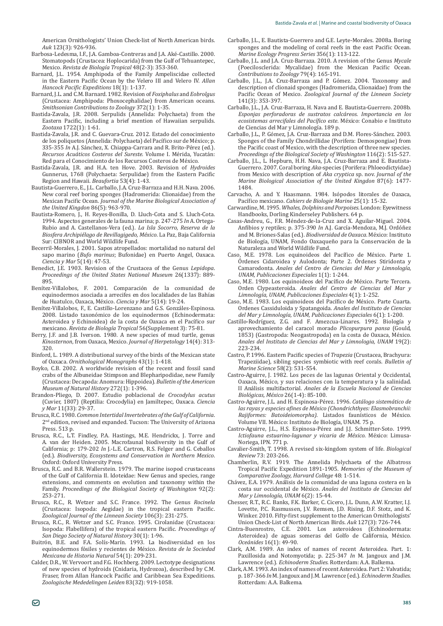American Ornithologists' Union Check-list of North American birds. *Auk* 123(3): 926-936.

- Barbosa-Ledesma, I.F., J.A. Gamboa-Contreras and J.A. Aké-Castillo. 2000. Stomatopods (Crustacea: Hoplocarida) from the Gulf of Tehuantepec, Mexico. *Revista de Biología Tropical* 48(2-3): 353-360.
- Barnard, J.L. 1954. Amphipoda of the Family Ampeliscidae collected in the Eastern Pacific Ocean by the Velero III and Velero IV. Allan *Hancock Pacific Expeditions* 18(1): 1-137.
- Barnard, J.L. and C.M. Barnard. 1982. Revision of *Foxiphalus* and *Eobrolgus* (Crustacea: Amphipoda: Phoxocephalidae) from American oceans. *Smithsonian Contributions to Zoology* 372(1): 1-35.
- Bastida-Zavala, J.R. 2008. Serpulids (Annelida: Polychaeta) from the Eastern Pacific, including a brief mention of Hawaiian serpulids. *Zootaxa* 1722(1): 1-61.
- Bastida-Zavala, J.R. and C. Guevara-Cruz. 2012. Estado del conocimiento de los poliquetos (Annelida: Polychaeta) del Pacífico sur de México; p. 335-355 In A.J. Sánchez, X. Chiappa-Carrara and R. Brito-Pérez (ed.). *Recursos Acuáticos Costeros del Sureste*. Volume I. Mérida, Yucatán: Red para el Conocimiento de los Recursos Costeros de México.
- Bastida-Zavala, J.R. and H.A. ten Hove. 2003. Revision of *Hydroides* Gunnerus, 1768 (Polychaeta: Serpulidae) from the Eastern Pacific Region and Hawaii. *Beaufortia* 53(4): 1-43.
- Bautista-Guerrero, E., J.L. Carballo, J.A. Cruz-Barraza and H.H. Nava. 2006. New coral reef boring sponges (Hadromerida: Clionaidae) from the Mexican Pacific Ocean. Journal of the Marine Biological Association of *the United Kingdon* 86(5): 963-970.
- Bautista-Romero, J., H. Reyes-Bonilla, D. Lluch-Cota and S. Lluch-Cota. 1994. Aspectos generales de la fauna marina; p. 247-275 *In* A. Ortega- Rubio and A. Castellanos-Vera (ed.). La Isla Socorro, Reserva de la *Biosfera Archipiélago de Revillagigedo, México*. La Paz, Baja California Sur: CIBNOR and World Wildlife Fund.
- Becerril-Morales, J. 2001. Sapos atropellados: mortalidad no natural del sapo marino (*Bufo marinus*; Bufonidae) en Puerto Angel, Oaxaca. *Ciencia y Mar* 5(14): 47-53.
- Benedict, J.E. 1903. Revision of the Crustacea of the Genus Lepidopa. *Proceedings of the United States National Museum 26*(1337): 889-895.
- Benítez-Villalobos, F. 2001. Comparación de la comunidad de equinodermos asociada a arrecifes en dos localidades de las Bahías de Huatulco, Oaxaca, México. Ciencia y Mar 5(14): 19-24.
- Benitez-Villalobos, F., E. Castillo-Lorenzano and G.S. Gonzales-Espinosa. 2008. Listado taxonómico de los equinodermos (Echinodermata: Asteroidea y Echinoidea) de la costa de Oaxaca en el Pacífico sur mexicano. *Revista de Biología Tropical* 56(Supplement 3): 75-81.
- Berry, J.F. and J.B. Iverson. 1980. A new species of mud turtle, genus *Kinosternon*, from Oaxaca, Mexico. *Journal of Herpetology* 14(4): 313- $320.$
- Binford, L. 1989. A distributional survey of the birds of the Mexican state of Oaxaca. Ornithological Monographs 43(1): 1-418.
- Boyko, C.B. 2002. A worldwide revision of the recent and fossil sand crabs of the Albuneidae Stimpson and Blepharipodidae, new Family ȋǣǣǣȌǤ*Bulletin of the American Museum of Natural History* 272(1): 1-396.
- Brandon-Pliego, D. 2007. Estudio poblacional de Crocodylus acutus (Cuvier, 1807) (Reptilia: Crocodylia) en Jamiltepec, Oaxaca. Ciencia *y Mar* 11(33): 29-37.
- ǡǤǤͳͻͺͲǤ*Common Intertidal Invertebrates of the Gulf of California*. 2<sup>nd</sup> edition, revised and expanded. Tucson: The University of Arizona Press. 513 p.
- Brusca, R.C., L.T. Findley, P.A. Hastings, M.E. Hendrickx, J. Torre and A. van der Heiden. 2005. Macrofaunal biodiversity in the Gulf of California; p: 179-202 *In* J.-L.E. Cartron, R.S. Felger and G. Ceballos (ed.). *Biodiversity, Ecosystems and Conservation in Northern Mexico*. Oxford: Oxford University Press.
- Brusca, R.C. and B.R. Wallerstein. 1979. The marine isopod crustaceans of the Gulf of California II. Idoteidae: New Genus and species, range extensions, and comments on evolution and taxonomy within the Family. *Proceedings of the Biological Society of Washington* 92(2): 253-271.
- Brusca, R.C., R. Wetzer and S.C. France. 1992. The Genus *Rocinela* (Crustacea: Isopoda: Aegidae) in the tropical eastern Pacific. Ζoological Journal of the Linnean Society 106(3): 231-275.
- Brusca, R.C., R. Wetzer and S.C. France. 1995. Cirolanidae (Crustacea: Isopoda: Flabellifera) of the tropical eastern Pacific. Proceedings of *San Diego Society of Natural History* 30(1): 1-96.
- Buitrón, B.E. and F.A. Solís-Marín. 1993. La biodiversidad en los equinodermos fósiles y recientes de México. Revista de la Sociedad *Mexicana de Historia Natural* 54(1): 209-231.
- Calder, D.R., W. Vervoort and F.G. Hochberg. 2009. Lectotype designations of new species of hydroids (Cnidaria, Hydrozoa), described by C.M. Fraser, from Allan Hancock Pacific and Caribbean Sea Expeditions. Zoologische Mededelingen Leiden 83(32): 919-1058.
- Carballo, J.L., E. Bautista-Guerrero and G.E. Leyte-Morales. 2008a. Boring sponges and the modeling of coral reefs in the east Pacific Ocean. *Marine Ecology Progress Series* 356(1): 113-122.
- Carballo, J.L. and J.A. Cruz-Barraza. 2010. A revision of the Genus Mycale (Poecilosclerida: Mycalidae) from the Mexican Pacific Ocean. *Contributions to Zoology* 79(4): 165-191.
- Carballo, J.L., J.A. Cruz-Barraza and P. Gomez. 2004. Taxonomy and description of clionaid sponges (Hadromerida, Clionaidae) from the Pacific Ocean of Mexico. Zoological Journal of the Linnean Society 141(3): 353-397.
- Carballo, J.L., J.A. Cruz-Barraza, H. Nava and E. Bautista-Guerrero. 2008b. *Esponjas perforadoras de sustratos calcáreos. Importancia en los*  ecosistemas arrecifales del Pacífico este. México: Conabio e Instituto de Ciencias del Mar y Limnología, 189 p.
- Carballo, J.L., P. Gómez, J.A. Cruz-Barraza and D.M. Flores-Sánchez. 2003. Sponges of the Family Chondrillidae (Porifera: Demospongiae) from the Pacific coast of Mexico, with the description of three new species. *Proceedings of the Biological Society of Washington* 116(2): 515-527.
- Carballo, I.L., L. Hepburn, H.H. Nava, I.A. Cruz-Barraza and E. Bautista-Guerrero. 2007. Coral boring Aka-species (Porifera: Phloeodictyidae) from Mexico with description of *Aka cryptica* sp. nov. Journal of the *Marine Biological Association of the United Kingdon* 87(6): 1477- 1484.
- Carvacho, A. and Y. Haasmann, 1984. Isópodos litorales de Oaxaca. Pacífico mexicano, *Cahiers de Biologie Marine* 25(1): 15-32.
- Carwardine, M. 1995. Whales, Dolphins and Porpoises. London: Eyewitness Handbooks, Dorling Kinderseley Publishers. 64 p.
- Casas-Andreu, G., F.R. Mendez-de-la-Cruz and X. Aguilar-Miguel. 2004. Anfibios y reptiles; p. 375-390 In A.J. García-Mendoza, M.J. Ordóñez and M. Briones-Salas (ed.). *Biodiversidad de Oaxaca*. México: Instituto de Biología, UNAM, Fondo Oaxaqueño para la Conservación de la Naturaleza and World Wildlife Fund.
- Caso, M.E. 1978. Los equinoideos del Pacífico de México. Parte 1. Órdenes Cidaroidea y Aulodonta; Parte 2. Órdenes Stiridonta y Ǥ *Anales del Centro de Ciencias del Mar y Limnología, UNAM, Publicaciones Especiales* 1(1): 1-244.
- Caso, M.E. 1980. Los equinoideos del Pacífico de México. Parte Tercera. Orden Clypeasteroida. Anales del Centro de Ciencias del Mar y *Limnología, UNAM, Publicaciones Especiales* 4(1): 1-252.
- Caso, M.E. 1983. Los equinoideos del Pacífico de México. Parte Cuarta. Ordenes Cassiduloida y Spatangoida. Anales del Instituto de Ciencias *del Mar y Limnología, UNAM, Publicaciones Especiales* 6(1): 1-200.
- Castillo-Rodriguez, Z.G. and F. Amezcua-Linares. 1992. Biologia y *Plicopurpura pansa* (Gould, 1853) (Gastropoda: Neogastropoda) en la costa de Oaxaca, México. *Anales del Instituto de Ciencias del Mar y Limnologia, UNAM* 19(2): 223-234.
- Castro, P. 1996. Eastern Pacific species of Trapezia (Crustacea, Brachyura: Trapeziidae), sibling species symbiotic with reef corals. *Bulletin of Marine Science* 58(2): 531-554.
- Castro-Aguirre, J. 1982. Los peces de las lagunas Oriental y Occidental, Oaxaca, México, y sus relaciones con la temperatura y la salinidad.  Ǥ*Anales de la Escuela Nacional de Ciencias Biológicas, México* 26(1-4): 85-100.
- Castro-Aguirre, J.L. and H. Espinosa-Pérez. 1996. Catálogo sistemático de las rayas y especies afines de México (Chondrichthyes: Elasmobranchii: *Rajiformes: Batoideiomorpha)*. Listados faunísticos de México. Volume VII. México: Instituto de Biología, UNAM. 75 p.
- Castro-Aguirre, J.L., H.S. Espinosa-Pérez and J.J. Schmitter-Soto. 1999. *Ictiofauna estuarino-lagunar y vicaria de México*. México: Limusa-Noriega, IPN. 771 p.
- Cavalier-Smith, T. 1998. A revised six-kingdom system of life. *Biological Review* 73: 203-266.
- Chamberlin, R.V. 1919. The Annelida Polychaeta of the Albatross Tropical Pacific Expedition 1891-1905. Memories of the Museum of *Comparative Zoology, Harvard College* 48: 1-514.
- Chávez, E.A. 1979. Análisis de la comunidad de una laguna costera en la costa sur occidental de México. Anales del Instituto de Ciencias del *Mar y Limnología, UNAM* 6(2): 15-44.
- Chesser, R.T., R.C. Banks, F.K. Barker, C. Cicero, J.L. Dunn, A.W. Kratter, I.J. Lovette, P.C. Rasmussen, J.V. Remsen, J.D. Rising, D.F. Stotz, and K. Winker. 2010. Fifty-first supplement to the American Ornithologists Union Check-List of North American Birds. Auk 127(3): 726-744.
- Cintra-Buenrostro, C.E. 2001. Los asteroideos (Echinodermata: Asteroidea) de aguas someras del Golfo de California, México. *Oceánides* 16(1): 49-90.
- Clark, A.M. 1989. An index of names of recent Asteroidea. Part. 1: Paxillosida and Notomyotida; p. 225-347 In M. Jangoux and J.M. Lawrence (ed.). *Echinoderm Studies*. Rotterdam: A.A. Balkema.
- Clark, A.M. 1993. An index of names of recent Asteroidea. Part 2: Valvatida; p. 187-366 In M. Jangoux and J.M. Lawrence (ed.). *Echinoderm Studies*. Rotterdam: A.A. Balkema.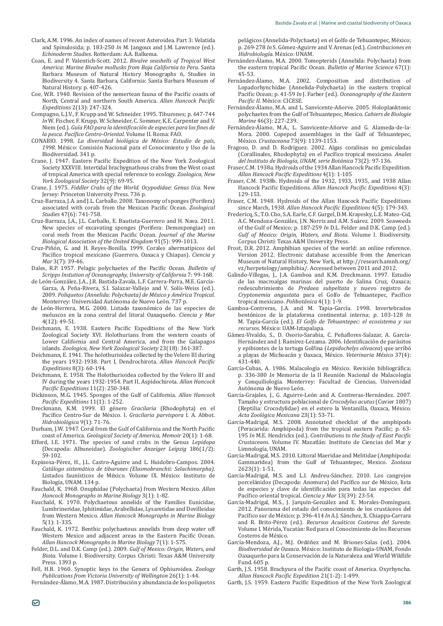- Clark, A.M. 1996. An index of names of recent Asteroidea, Part 3: Velatida and Spinulosida; p. 183-250 In M. Jangoux and J.M. Lawrence (ed.). *Echinoderm Studies*. Rotterdam: A.A. Balkema.
- Coan, E. and P. Valentich-Scott. 2012. Bivalve seashells of Tropical West *America: Marine Bivalve mollusks from Baja California to Peru*. Santa Barbara Museum of Natural History Monographs 6, Studies in Biodiversity 4. Santa Barbara, California: Santa Barbara Museum of Natural History. p. 407-426.
- Coe, W.R. 1940. Revision of the nemertean fauna of the Pacific coasts of North, Central and northern South America. Allan Hancock Pacific *Expeditions* 2(13): 247-324.
- Compagno, L.J.V., F. Krupp and W. Schneider. 1995. Tiburones; p. 647-744 *In* W. Fischer, F. Krupp, W. Schneider, C. Sommer, K.E. Carpenter and V. Niem (ed.). Guía FAO para la identificación de especies para los fines de *la pesca. Pacífico Centro-Oriental*, Volume II. Roma: FAO.
- CONABIO. 1998. La diversidad biológica de México: Estudio de país, 1998. México: Comisión Nacional para el Conocimiento y Uso de la Biodiversidad, 341 n.
- Crane, J. 1947. Eastern Pacific Expedition of the New York Zoological Society XXXVIII. Intertidal brachygnathous crabs from the West coast of tropical America with special reference to ecology. *Zoologica, New York Zoological Society* 32(9): 69-95.
- Crane, J. 1975. Fiddler Crabs of the World. Ocypodidae: Genus Uca. New Jersey: Princeton University Press, 736 p.
- Cruz-Barraza, J.A. and J.L. Carballo. 2008. Taxonomy of sponges (Porifera) associated with corals from the Mexican Pacific Ocean. Zoological *Studies* 47(6): 741-758.
- Cruz-Barraza, J.A., J.L. Carballo, E. Bautista-Guerrero and H. Nava. 2011. New species of excavating sponges (Porifera: Demospongiae) on coral reefs from the Mexican Pacific Ocean. Journal of the Marine *Biological Association of the United Kingdom* 91(5): 999-1013.
- Cruz-Piñón, G. and H. Reyes-Bonilla. 1999. Corales ahermatipicos del Pacífico tropical mexicano (Guerrero, Oaxaca y Chiapas). *Ciencia y Mar* 3(7): 39-46.
- Dales, R.P. 1957. Pelagic polychaetes of the Pacific Ocean. Bulletin of *Scripps Instution of Oceanography, University of California* 7: 99-168.
- de León-González, J.A., J.R. Bastida-Zavala, L.F. Carrera-Parra, M.E. García-Garza, A. Peña-Rivera, S.I. Salazar-Vallejo and V. Solis-Weiss (ed.). 2009. *Poliquetos (Annelida: Polychaeta) de México y América Tropical*. Monterrey: Universidad Autónoma de Nuevo León. 737 p.
- León-Herrera, M.G. 2000. Listado taxonómico de las especies de moluscos en la zona central del litoral Oaxaqueño. *Ciencia y Mar* 4(12): 49-51.
- Deichmann, E. 1938. Eastern Pacific Expeditions of the New York Zoological Society XVI. Holothurians from the western coasts of Lower California and Central America, and from the Galapagos islands. *Zoologica, New York Zoological Society* 23(18): 361-387.
- Deichmann, E. 1941. The holothurioidea collected by the Velero III during the years 1932-1938. Part I, Dendrochirota. Allan Hancock Pacific *Expeditions* 8(3): 60-194.
- Deichmann, E. 1958. The Holothurioidea collected by the Velero III and IV during the years 1932-1954. Part II, Aspidochirota. Allan Hancock Pacific Expeditions 11(2): 250-348.
- Dickinson, M.G. 1945. Sponges of the Gulf of California. Allan Hancock Pacific Expeditions 11(1): 1-252.
- Dreckmann, K.M. 1999. El género Gracilaria (Rhodophyta) en el Pacífico Centro-Sur de México. I. Gracilaria parvispora I. A. Abbot. *×* 9(1): 71-76.
- Durham, J.W. 1947. Coral from the Gulf of California and the North Pacific coast of America. *Geological Society of America, Memoir* 20(1): 1-68.
- Efford, I.E. 1971. The species of sand crabs in the Genus Lepidopa ȋǣ ȌǤ *Zoologischer Anzeiger Leipzig* 186(1/2): 59-102.
- Espinosa-Pérez, H., J.L. Castro-Aguirre and L. Huidobro-Campos. 2004. *Catálogo sistemático de tiburones (Elasmobranchii: Selachimorpha)*. Listados faunísticos de México. Volume IX. México: Instituto de Biología, UNAM. 134 p.
- Fauchald, K. 1968. Onuphidae (Polychaeta) from Western Mexico. *Allan Hancock Monographs in Marine Biology* 3(1): 1-82.
- Fauchald, K. 1970. Polychaetous annelids of the Families Eunicidae, Lumbrineridae, Iphitimidae, Arabellidae, Lysaretidae and Dovilleidae from Western Mexico. *Allan Hancock Monographs in Marine Biology*  $5(1): 1 - 335$
- Fauchald, K. 1972. Benthic polychaetous annelids from deep water off Western Mexico and adjacent areas in the Eastern Pacific Ocean. *Allan Hancock Monographs in Marine Biology* 7(1): 1-575.
- Felder, D.L. and D.K. Camp (ed.). 2009. Gulf of Mexico: Origin, Waters, and Biota. Volume I. Biodiversity. Corpus Christi: Texas A&M University Press. 1393 p.
- Fell, H.B. 1960. Synoptic keys to the Genera of Ophiuroidea. *Zoology Publications from Victoria University of Wellington* 26(1): 1-44.

Fernández-Álamo, M.A. 1987. Distribución y abundancia de los poliquetos

pelágicos (Annelida-Polychaeta) en el Golfo de Tehuantepec, México; p. 269-278 *In* S. Gómez-Aguirre and V. Arenas (ed.). *Contribuciones en*  Hidrobiología. México: UNAM.

- Fernández-Álamo, M.A. 2000. Tomopterids (Annelida: Polychaeta) from the eastern tropical Pacific Ocean. Bulletin of Marine Science 67(1):  $45 - 53$
- Fernández-Álamo, M.A. 2002. Composition and distribution of Lopadorhynchidae (Annelida-Polychaeta) in the eastern tropical Pacific Ocean; p. 41-59 In J. Farber (ed.). *Oceanography of the Eastern* Pacific II. México: CICESE.
- Fernández-Álamo, M.A. and L. Sanvicente-Añorve. 2005. Holoplanktonic polychaetes from the Gulf of Tehuantepec, Mexico. *Cahiers de Biologie Marine* 46(3): 227-239.
- Fernández-Alamo, M.A., L. Sanvicente-Añorve and G. Alameda-de-la-Mora. 2000. Copepod assemblages in the Gulf of Tehuantepec, *México. Crustaceana* 73(9): 1139-1153.
- Fragoso, D. and D. Rodríguez. 2002. Algas coralinas no geniculadas (Corallinales, Rhodophyta) en el Pacífico tropical mexicano. Anales *del Instituto de Biología, UNAM, serie Botánica* 73(2): 97-136.
- Fraser, C.M. 1938a. Hydroids of the 1934 Allan Hancock Pacific Expedition. *Allan Hancock Pacific Expeditions 4(1): 1-105*
- Fraser, C.M. 1938b. Hydroids of the 1932, 1933, 1935, and 1938 Allan Hancock Pacific Expeditions. Allan Hancock Pacific Expeditions 4(3): 129-153.
- Fraser, C.M. 1948. Hydroids of the Allan Hancock Pacific Expeditions since March, 1938. Allan Hancock Pacific Expeditions 4(5): 179-343.
- Fredericq, S., T.O. Cho, S.A. Earle, C.F. Gurgel, D.M. Krayesky, L.E. Mateo-Cid, A.C. Mendoza-Gonzáles, J.N. Norris and A.M. Suarez. 2009. Seaweeds of the Gulf of Mexico; p. 187-259 *In* D.L. Felder and D.K. Camp (ed.). Gulf of Mexico: Origin, Waters, and Biota. Volume I. Biodiversity. Corpus Christi: Texas A&M University Press.
- Frost, D.R. 2012. Amphibian species of the world: an online reference. Version 2012. Electronic database accessible from the American Museum of Natural History, New York, at http://research.amnh.org/ vz/herpetology/amphibia/. Accessed between 2011 and 2012.
- Galindo-Villegas, J., J.A. Gamboa and K.M. Dreckmann. 1997. Estudio de las macroalgas marinas del puerto de Salina Cruz, Oaxaca; redescubrimiento de *Predaea subpeltata Cryptonemia angustata* para el Golfo de Tehuantepec, Pacífico tropical mexicano. *Polibotánica* 4(1): 1-9.
- Gamboa-Contreras, J.A. and M. Tapia-Garcia. 1998. Invertebrados bentónicos de la plataforma continental interna; p. 103-128 In M. Tapia-García (ed.). *El Golfo de Tehuantepec: el ecosistema y sus*  recursos. México: UAM-Iztapalapa.
- Gámez-Vivaldo, S., D. Osorio-Sarabia, C. Penaflores-Salazar, A. Garcia-Hernández and J. Ramírez-Lezama. 2006. Identificación de parásitos ϐȋ*Lepidochelys olivacea*) que arribó a playas de Michoacán y Oaxaca, México. Veterinaria México 37(4):  $431 - 440$ .
- Garcia-Cubas, A. 1986. Malacologia en México. Revisión bibliográfica; p. 336-380 *In* Memoria de la II Reunión Nacional de Malacología y Conquiliología. Monterrey: Facultad de Ciencias, Universidad Autónoma de Nuevo León.
- Garcia-Grajales, J., G. Aguirre-León and A. Contreras-Hernández. 2007. Tamaño y estructura poblacional de *Crocodylus acutus* (Cuvier 1807) (Reptilia: Crocodylidae) en el estero la Ventanilla, Oaxaca, México. Acta Zoológica Mexicana 23(1): 53-71.
- García-Madrigal, M.S. 2008. Annotated checklist of the amphipods (Peracarida: Amphipoda) from the tropical eastern Pacific; p. 63-195 *In* M.E. Hendrickx (ed.). Contributions to the Study of East Pacific *Crustaceans*. Volume IV. Mazatlán: Instituto de Ciencias del Mar y Limnología, UNAM.
- García-Madrigal, M.S. 2010. Littoral Maeridae and Melitidae (Amphipoda: Gammaridea) from the Gulf of Tehuantepec, Mexico. *Zootaxa*  $2623(1): 1-51.$
- Garcia-Madrigal, M.S. and L.I. Andreu-Sanchez. 2010. Los cangrejos porcelánidos (Decapoda: Anomura) del Pacífico sur de México, lista de especies y clave de identificación para todas las especies del Pacífico oriental tropical. Ciencia y Mar 13(39): 23-54.
- Garcia-Madrigal, M.S., J. Jarquin-Gonzalez and E. Morales-Dominguez. 2012. Panorama del estado del conocimiento de los crustáceos del Pacífico sur de México; p. 396-414 In A.J. Sánchez, X. Chiappa-Carrara and R. Brito-Pérez (ed.). Recursos Acuáticos Costeros del Sureste. Volume I. Mérida, Yucatán: Red para el Conocimiento de los Recursos Costeros de México.
- García-Mendoza, A.J., M.J. Ordóñez and M. Briones-Salas (ed.). 2004. Biodiversidad de Oaxaca. México: Instituto de Biología-UNAM, Fondo Oaxaqueño para la Conservación de la Naturaleza and World Wildlife Fund. 605 p.
- Garth, J.S. 1958. Brachyura of the Pacific coast of America. Oxyrhyncha. *Allan Hancock Pacific Expedition 21(1-2): 1-499.*
- Garth, J.S. 1959. Eastern Pacific Expedition of the New York Zoological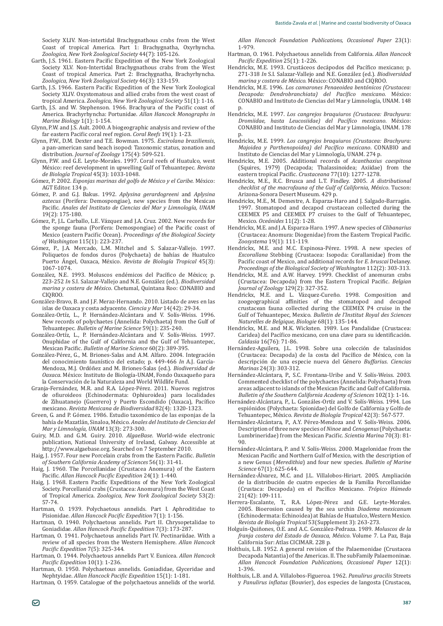Society XLIV. Non-intertidal Brachygnathous crabs from the West Coast of tropical America. Part 1: Brachygnatha, Oxyrhyncha. *Zoologica, New York Zoological Society* 44(7): 105-126.

- Garth, J.S. 1961. Eastern Pacific Expedition of the New York Zoological Society XLV. Non-Intertidal Brachygnathous crabs from the West Coast of tropical America. Part 2: Brachygnatha, Brachyrhyncha. *Zoologica, New York Zoological Society* 46(3): 133-159.
- Garth, J.S. 1966. Eastern Pacific Expedition of the New York Zoological Society XLIV. Oxystomatous and allied crabs from the west coast of tropical America. *Zoologica, New York Zoological Society* 51(1): 1-16.
- Garth, J.S. and W. Stephenson. 1966. Brachyura of the Pacific coast of America. Brachyrhyncha: Portunidae. *Allan Hancock Monographs in Marine Biology* 1(1): 1-154.
- Glynn, P.W. and J.S. Ault. 2000. A biogeographic analysis and review of the far eastern Pacific coral reef region. Coral Reefs 19(1): 1-23.
- Glynn, P.W., D.M. Dexter and T.E. Bowman. 1975. Excirolana braziliensis, a pan-american sand beach isopod: Taxonomic status, zonation and distribution. *Journal of Zoology* 175(4): 509-521.
- Glynn, P.W. and G.E. Leyte-Morales. 1997. Coral reefs of Huatulco, west México: reef development in upwelling Gulf of Tehuantepec. *Revista de Biología Tropical* 45(3): 1033-1048.
- Gómez, P. 2002. *Esponjas marinas del golfo de México y el Caribe*. México: AGT Editor. 134 p.
- Gómez, P. and G.J. Bakus. 1992. *Aplysina gerardogreeni* and *Aplysina aztecus* (Porifera: Demospongiae), new species from the Mexican Pacific. Anales del Instituto de Ciencias del Mar y Limnología, UNAM 19(2): 175-180.
- Gómez, P., J.L. Carballo, L.E. Vàzquez and J.A. Cruz. 2002. New records for the sponge fauna (Porifera: Demospongiae) of the Pacific coast of Mexico (eastern Pacific Ocean). Proceedings of the Biological Society *of Washington* 115(1): 223-237.
- Gómez, P., J.A. Mercado, L.M. Mitchel and S. Salazar-Vallejo. 1997. Poliquetos de fondos duros (Polychaeta) de bahías de Huatulco Puerto Angel, Oaxaca, México. *Revista de Biología Tropical* 45(3): 1067-1074.
- González, N.E. 1993. Moluscos endémicos del Pacífico de México; p. 223-252 *In* S.I. Salazar-Vallejo and N.E. González (ed.). *Biodiversidad marina y costera de México*. Chetumal, Quintana Roo: CONABIO and CIOROO.
- Gónzález-Bravo, B. and J.F. Meraz-Hernando. 2010. Listado de aves en las islas de Oaxaca y costa adyacente. *Ciencia y Mar* 14(42): 29-34.
- González-Ortíz, L., P. Hernández-Alcántara and V. Solís-Weiss. 1996. New records of polychaetes (Annelida: Polychaeta) from the Gulf of Tehuantepec. *Bulletin of Marine Science* 59(1): 235-240.
- González-Ortíz, L., P. Hernández-Alcántara and V. Solís-Weiss. 1997. Onuphidae of the Gulf of California and the Gulf of Tehuantepec, **Mexican Pacific. Bulletin of Marine Science 60(2): 389-395.**
- González-Pérez, G., M. Briones-Salas and A.M. Alfaro. 2004. Integración del conocimiento faunístico del estado; p. 449-466 *In* A.J. García-Mendoza, M.J. Ordóñez and M. Briones-Salas (ed.). *Biodiversidad de*  Oaxaca. México: Instituto de Biología-UNAM, Fondo Oaxaqueño para la Conservación de la Naturaleza and World Wildlife Fund.
- Granja-Fernández, M.R. and R.A. López-Pérez. 2011. Nuevos registros de ofiuroideos (Echinodermata: Ophiuroidea) para localidades de Zihuatanejo (Guerrero) y Puerto Escondido (Oaxaca), Pacifico mexicano. *Revista Mexicana de Biodiversidad* 82(4): 1320-1323.
- Green, G. and P. Gómez. 1986. Estudio taxonómico de las esponjas de la bahía de Mazatlán, Sinaloa, México. Anales del Instituto de Ciencias del *Mar y Limnología, UNAM* 13(3): 273-300.
- Guiry, M.D. and G.M. Guiry. 2010. AlgaeBase. World-wide electronic publication, National University of Ireland, Galway. Accessible at http://www.algaebase.org. Searched on 7 September 2010.
- Haig, J. 1957. Four new Porcelain crabs from the Eastern Pacific. Bulletin *of Southern California Academy of Sciences* 56(1): 31-41.
- Haig, J. 1960. The Porcellanidae (Crustacea Anomura) of the Eastern Pacific. Allan Hancock Pacific Expedition 24(1): 1-440.
- Haig, J. 1968. Eastern Pacific Expeditions of the New York Zoological Society. Porcellanid crabs (Crustacea: Anomura) from the West Coast of Tropical America. *Zoologica, New York Zoological Society* 53(2): 57-74.
- Hartman, O. 1939. Polychaetous annelids. Part I. Aphroditidae to Pisionidae. Allan Hancock Pacific Expedition 7(1): 1-156.
- Hartman, O. 1940. Polychaetous annelids. Part II. Chrysopetalidae to Goniadidae. Allan Hancock Pacific Expedition 7(3): 173-287.
- Hartman, O. 1941. Polychaetous annelids Part IV. Pectinariidae. With a review of all species from the Western Hemisphere. Allan Hancock Pacific Expedition 7(5): 325-344.
- Hartman, O. 1944. Polychaetous annelids Part V. Eunicea. Allan Hancock Pacific Expedition 10(1): 1-236.
- Hartman, O. 1950. Polychaetous annelids. Goniadidae, Glyceridae and Nephtyidae. Allan Hancock Pacific Expedition 15(1): 1-181.

Hartman, O. 1959. Catalogue of the polychaetous annelids of the world.

*Allan Hancock Foundation Publications, Occasional Paper* 23(1): 1-979.

- Hartman, O. 1961. Polychaetous annelids from California. Allan Hancock Pacific Expedition 25(1): 1-226.
- Hendricky, M.E. 1993. Crustáceos decápodos del Pacífico mexicano: p. 271-318 In S.I. Salazar-Vallejo and N.E. González (ed.). Biodiversidad *marina y costera de México*. México: CONABIO and CIQROO.
- Hendrickx, M.E. 1996. Los camarones Penaeoidea bentónicos (Crustacea: *Decapoda: Dendrobranchiata) del Pacífico mexicano. México:* CONABIO and Instituto de Ciencias del Mar y Limnología, UNAM. 148 p.
- Hendrickx, M.E. 1997. Los cangrejos braquiuros (Crustacea: Brachyura: *Dromiidae*, hasta Leucosiidae) del Pacífico mexicano. México: CONABIO and Instituto de Ciencias del Mar y Limnología, UNAM, 178 p.
- Hendrickx, M.E. 1999. Los cangrejos braquiuros (Crustacea: Brachyura: *Majoidea y Parthenopoidea) del Pacífico mexicano.* CONABIO and Instituto de Ciencias del Mar y Limnología, UNAM. 274 p.
- Hendrickx, M.E. 2005, Additional records of *Acanthaxius caespitosa* (Squires, 1979) (Decapoda; Thalassinoidea; Axiidae) from the eastern tropical Pacific. Crustaceana 77(10): 1277-1278.
- Hendrickx, M.E., R.C. Brusca and L.T. Findley. 2005. A distributional *checklist of the macrofauna of the Gulf of California, México*. Tucson: Arizona-Sonora Desert Museum, 429 p.
- Hendricky, M.E., M. Demestre, A. Esparza-Haro and L. Salgado-Barragán. 1997. Stomatopod and decapod crustacean collected during the CEEMEX P5 and CEEMEX P7 cruises to the Gulf of Tehuantepec, Mexico. *Oceánides* 11(2): 1-28.
- Hendrickx, M.E. and J.A. Esparza-Haro. 1997. A new species of *Clibanarius* (Crustacea: Anomura: Diogenidae) from the Eastern Tropical Pacific. *Zoosystema* 19(1): 111-119.
- Hendrickx, M.E. and M.C. Espinosa-Pérez. 1998. A new species of Excorallana Stebbing (Crustacea: Isopoda: Corallanidae) from the Pacific coast of Mexico, and additional records for *E. bruscai* Delaney. *Proceedings of the Biological Society of Washington* 112(2): 303-313.
- Hendrickx, M.E. and A.W. Harvey. 1999. Checklist of anomuran crabs (Crustacea: Decapoda) from the Eastern Tropical Pacific. Belgian *Journal of Zoology* 129(2): 327-352.
- Hendrickx, M.E. and L. Väzquez-Cureno. 1998. Composition and zoogeographical affinities of the stomatopod and decapod crustacean fauna collected during the CEEMEX P4 cruise in the Gulf of Tehuantepec, Mexico. *Bulletin de l'Institut Royal des Sciences Naturelles de Belgique, Biologie* 68(1): 135-144.
- Hendrickx, M.E. and M.K. Wicksten. 1989. Los Pandalidae (Crustacea: Caridea) del Pacífico mexicano, con una clave para su identificación. *Caldasia* 16(76): 71-86.
- Hernández-Aguilera, J.L. 1998. Sobre una colección de talasínidos (Crustacea: Decapoda) de la costa del Pacífico de México, con la descripción de una especie nueva del Género Buffarius. Ciencias *Marinas* 24(3): 303-312.
- Hernández-Alcántara, P., S.C. Frontana-Uribe and V. Solís-Weiss. 2003. Commented checklist of the polychaetes (Annelida: Polychaeta) from areas adjacent to islands of the Mexican Pacific and Gulf of California. *Bulletin of the Southern California Academy of Sciences* 102(1): 1-16.
- Hernández-Alcántara, P., L. Gonzáles-Ortíz and V. Solís-Weiss. 1994. Los espiónidos (Polychaeta: Spionidae) del Golfo de California y Golfo de Tehuantepec, México. Revista de Biología Tropical 42(3): 567-577.
- Hernández-Alcántara, P., A.Y. Pérez-Mendoza and V. Solís-Weiss. 2006. *Ninoe* and *Cenogenus* (Polychaeta: Lumbrineridae) from the Mexican Pacific. Scientia Marina 70(3): 81-90.
- Hernández-Alcántara, P. and V. Solís-Weiss. 2000. Magelonidae from the Mexican Pacific and Northern Gulf of Mexico, with the description of a new Genus (*Meredithia*) and four new species. *Bulletin of Marine Science* 67(1): 625-644.
- Hernández-Álvarez, M.C. and J.L. Villalobos-Hiriart. 2005. Ampliación de la distribución de cuatro especies de la Familia Porcellanidae (Crustaca: Decapoda) en el Pacífico Mexicano. Trópico Húmedo 21(42): 109-111.
- Herrera-Escalante, T., R.A. Lopez-Perez and G.E. Leyte-Morales. 2005. Bioerosion caused by the sea urchin *Diadema mexicanum* (Echinodermata: Echinoidea) at Bahías de Huatulco, Western Mexico. *Revista de Biología Tropical* 53(Supplement 3): 263-273.
- Holguín-Quiñones, O.E. and A.C. González-Pedraza. 1989. Moluscos de la *franja costera del Estado de Oaxaca, México*. Volume 7. La Paz, Baja California Sur: Atlas CICIMAR. 228 p.
- Holthuis, L.B. 1952. A general revision of the Palaemonidae (Crustacea Decapoda Natantia) of the Americas. II. The subFamily Palaemoninae. *Allan Hancock Foundation Publications, Occasional Paper* 12(1): 1-396.
- Holthuis, L.B. and A. Villalobos-Figueroa. 1962. *Panulirus gracilis* Streets y *Panulirus inflatus* (Bouvier), dos especies de langosta (Crustacea,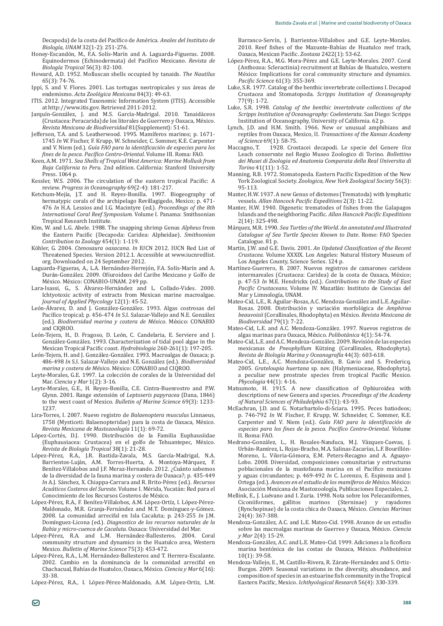Decapoda) de la costa del Pacífico de América. Anales del Instituto de *Biología, UNAM* 32(1-2): 251-276.

- Honey-Escandón, M., F.A. Solís-Marín and A. Laguarda-Figueras. 2008. Equinodermos (Echinodermata) del Pacífico Mexicano. Revista de *Biología Tropical* 56(3): 82-100.
- Howard, A.D. 1952. Molluscan shells occupied by tanaids. The Nautilus  $65(3)$ : 74-76.
- Ippi, S. and V. Flores. 2001. Las tortugas neotropicales y sus áreas de endemismo. Acta Zoológica Mexicana 84(3): 49-63.
- ITIS. 2012. Integrated Taxonomic Information System (ITIS). Accessible at http://www.itis.gov. Retrieved 2011-2012.
- Jarquín-González, J. and M.S. García-Madrigal. 2010. Tanaidáceos (Crustacea: Peracarida) de los litorales de Guerrero y Oaxaca, México. *Revista Mexicana de Biodiversidad* 81(Supplement): 51-61.
- Jefferson, T.A. and S. Leatherwood. 1995. Mamíferos marinos; p. 1671- 1745 *In* W. Fischer, F. Krupp, W. Schneider, C. Sommer, K.E. Carpenter and V. Niem (ed.). Guía FAO para la identificación de especies para los fines de la pesca. Pacífico Centro-Oriental. Volume III. Roma: FAO.
- Keen, A.M. 1971. *Sea Shells of Tropical West America: Marine Mollusk from Baja California to Peru.* 2nd edition. California: Stanford University Press. 1064 p.
- Kessler, W.S. 2006. The circulation of the eastern tropical Pacific: A Ǥ*Progress in Oceanography* 69(2-4): 181-217.
- Ketchum-Mejía, J.T. and H. Reyes-Bonilla. 1997. Biogeography of hermatypic corals of the archipelago Revillagigedo, Mexico; p. 471-476 In H.A. Lessios and I.G. Macintyre (ed.). Proceedings of the 8th *International Coral Reef Symposium.* Volume I. Panama: Smithsonian Tropical Research Institute.
- Kim, W. and L.G. Abele. 1988. The snapping shrimp Genus *Alpheus* from the Eastern Pacific (Decapoda: Caridea: Alpheidae). Smithsonian *Contribution to Zoology* 454(1): 1-119.
- Köhler, G. 2004. *Ctenosaura oaxacana. In* IUCN 2012. IUCN Red List of Threatened Species. Version 2012.1. Accessible at www.iucnredlist. org. Downloaded on 24 September 2012.
- Laguarda-Figueras, A., L.A. Hernández-Herrejón, F.A. Solís-Marín and A. Durán-González. 2009. Ofiuroideos del Caribe Mexicano y Golfo de México. México: CONABIO-UNAM. 249 pp.
- Lara-Isassi, G., S. Alvarez-Hernández and L. Collado-Vides. 2000. Ichtyotoxic activity of extracts from Mexican marine macroalgae. *Journal of Applied Phycology* 12(1): 45-52.
- León-Alvarez, D. and J. González-González. 1993. Algas costrosas del Pacífico tropical; p. 456-474 *In* S.I. Salazar-Vallejo and N.E. González (ed.). *Biodiversidad marina y costera de México*. México: CONABIO and CIQROO.
- León-Tejera, H., D. Fragoso, D. León, C. Candelaria, E. Serviere and J. González-González. 1993. Characterization of tidal pool algae in the Mexican Tropical Pacific coast. Hydrobiologia 260-261(1): 197-205.
- León-Tejera, H. and J. González-González. 1993. Macroalgas de Oaxaca; p. 486-498 *In* S.I. Salazar-Vallejo and N.E. González (ed.). *Biodiversidad* marina y costera de México. México: CONABIO and CIQROO.
- Leyte-Morales, G.E. 1997. La colección de corales de la Universidad del Mar. *Ciencia y Mar* 1(2): 3-16.
- Leyte-Morales, G.E., H. Reyes-Bonilla, C.E. Cintra-Buenrostro and P.W. Glynn. 2001. Range extensión of *Leptoseris papyracea* (Dana, 1846) to the west coast of Mexico. *Bulletin of Marine Science* 69(3): 1233-1237.
- Lira-Torres, I. 2007. Nuevo registro de Balaenoptera musculus Linnaeus, 1758 (Mysticeti: Balaenopteridae) para la costa de Oaxaca, México. *Revista Mexicana de Mastozoología* 11(1): 69-72.
- López-Cortés, D.J. 1990. Distribución de la Familia Euphausiidae (Euphausiacea: Crustacea) en el golfo de Tehuantepec, México. *Revista de Biología Tropical* 38(1): 21-28.
- López-Pèrez, R.A., J.R. Bastida-Zavala, M.S. Garcia-Madrigal, N.A. Barrientos-Luján, A.M. Torres-Huerta, A. Montoya-Márquez, F. Benítez-Villalobos and J.F. Meraz-Hernando. 2012. ¿Cuánto sabemos de la diversidad de la fauna marina y costera de Oaxaca?; p. 435-449 *In* A.J. Sánchez, X. Chiappa-Carrara and R. Brito-Pérez (ed.). Recursos *Acuáticos Costeros del Sureste*. Volume I. Mérida, Yucatán: Red para el Conocimiento de los Recursos Costeros de México.
- López-Pérez, R.A., F. Benítez-Villalobos, A.M. López-Ortíz, I. López-Pérez-Maldonado, M.R. Granja-Fernández and M.T. Dominguez-y-Gómez. 2008. La comunidad arrecifal en Isla Cacaluta; p. 243-255 In J.M. Domínguez-Licona (ed.). Diagnostico de los recursos naturales de la *Bahia y micro-cuenca de Cacaluta*. Oaxaca: Universidad del Mar.
- López-Pérez, R.A. and L.M. Hernández-Ballesteros. 2004. Coral community structure and dynamics in the Huatulco area, Western Mexico. *Bulletin of Marine Science* 75(3): 453-472.
- López-Pérez, R.A., L.M. Hernández-Ballesteros and T. Herrera-Escalante. 2002. Cambio en la dominancia de la comunidad arrecifal en Chachacual, Bahías de Huatulco, Oaxaca, México. Ciencia y Mar 6(16):  $33 - 38$

López-Pérez, R.A., I. López-Pérez-Maldonado, A.M. López-Ortiz, L.M.

Barranco-Servin, J. Barrientos-Villalobos and G.E. Leyte-Morales. 2010. Reef fishes of the Mazunte-Bahías de Huatulco reef track, Oaxaca, Mexican Pacific. Zootaxa 2422(1): 53-62.

- López-Pèrez, R.A., M.G. Mora-Pèrez and G.E. Leyte-Morales. 2007. Coral (Anthozoa: Scleractinia) recruitment at Bahías de Huatulco, western México: Implications for coral community structure and dynamics. Pacific Science 61(3): 355-369.
- Luke, S.R. 1977. Catalog of the benthic invertebrate collections I. Decapod Crustacea and Stomatopoda. Scripps Institution of Oceanography 77(9): 1-72.
- Luke, S.R. 1998. *Catalog of the benthic invertebrate collections of the Scripps Institution of Oceanography: Coelenterata. San Diego: Scripps* Institution of Oceanography, University of California. 62 p.
- Lynch, I.D. and H.M. Smith, 1966. New or unusual amphibians and reptiles from Oaxaca, Mexico, II. Transactions of the Kansas Academy *of Science* 69(1): 58-75.
- Maccagno, T. 1928. Crostacei decapodi. Le specie del Genere Uca Leach conservate nel Regio Museo Zoologico di Torino. Bollettino *dei Musei di Zoologia ed Anatomia Comparata della Real Universita di Torino* 41(11): 1-52.
- Manning, R.B. 1972. Stomatopoda. Eastern Pacific Expedition of the New York Zoological Society. Zoologica, New York Zoological Society 56(3): 95-113
- Manter, H.W. 1937. A new Genus of distomes (Trematoda) with lymphatic vessels. Allan Hancock Pacific Expeditions 2(3): 11-22
- Manter, H.W. 1940. Digenetic trematodes of fishes from the Galapagos Islands and the neighboring Pacific. Allan Hancock Pacific Expeditions 2(14): 325-498.
- Márquez, M.R. 1990. *Sea Turtles of the World. An annotated and Illustrated Catalogue of Sea Turtle Species Known to Date*. Rome: FAO Species Catalogue, 81 p.
- Martin, J.W. and G.E. Davis. 2001. An Updated Classification of the Recent Crustacea. Volume XXXIX. Los Angeles: Natural History Museum of Los Angeles County, Science Series. 124 p.
- Martinez-Guerrero, B. 2007. Nuevos registros de camarones carideos intermareales (Crustacea: Caridea) de la costa de Oaxaca, México; p. 47-53 *In* M.E. Hendrickx (ed.). Contributions to the Study of East Pacific Crustaceans. Volume IV. Mazatlán: Instituto de Ciencias del Mar y Limnología, UNAM.
- Mateo-Cid, L.E., R. Aguilar-Rosas, A.C. Mendoza-González and L.E. Aguilar-Rosas. 2008. Distribución y variación morfológica de Amphiroa *beauvoisii* (Corallinales, Rhodophyta) en México. Revista Mexicana de *Biodiversidad* 79(1): 7-22.
- Mateo-Cid, L.E. and A.C. Mendoza-González. 1997. Nuevos registros de algas marinas para Oaxaca, México. Polibotánica 4(1): 54-74.
- Mateo-Cid, L.E. and A.C. Mendoza-González. 2009. Revisión de las especies mexicanas de *Pneophyllum* Kützing (Corallinales, Rhodophyta). Revista de Biología Marina y Oceanografía 44(3): 603-618.
- Mateo-Cid, L.E., A.C. Mendoza-González, B. Gavio and S. Fredericq. 2005. *Grateloupia huertana* sp. nov. (Halymeniaceae, Rhodophyta), a peculiar new prostrate species from tropical Pacific Mexico. *Phycologia* 44(1): 4-16.
- Matsumoto, H. 1915. A new classification of Ophiuroidea with descriptions of new Genera and species. *Proceedings of the Academy*  of Natural Sciences of Philadelphia 67(1): 43-93.
- McEachran, J.D. and G. Notarbartolo-di-Sciara. 1995. Peces batiodeos; p. 746-792 *In* W. Fischer, F. Krupp, W. Schneider, C. Sommer, K.E. Carpenter and V. Niem (ed.). Guía FAO para la identificación de especies para los fines de la pesca. Pacífico Centro-Oriental. Volume II. Roma: FAO.
- Medrano-González, L., H. Rosales-Nanduca, M.J. Vázquez-Cuevas, J. Urbán-Ramírez, L. Rojas-Bracho, M.A. Salinas-Zacarías, L.F. Bourillón- Moreno, L. Viloria-Gómora, E.M. Peters-Recagno and A. Aguayo-Lobo. 2008. Diversidad, composiciones comunitarias y estructuras poblacionales de la mastofauna marina en el Pacífico mexicano y aguas circundantes; p. 469-492 In C. Lorenzo, E. Espinoza and J. Ortega (ed.). Avances en el estudio de los mamíferos de México. México: Asociación Mexicana de Mastozoología, Publicaciones Especiales, 2.
- Mellink, E., J. Luévano and I. Zuria. 1998. Nota sobre los Pelecaniformes, Ciconiiformes, gallitos marinos (Sterninae) y rayadores (Rynchopinae) de la costa chica de Oaxaca, México. Ciencias Marinas 24(4): 367-388.
- Mendoza-González, A.C. and L.E. Mateo-Cid. 1998. Avance de un estudio sobre las macroalgas marinas de Guerreo y Oaxaca, México. Ciencia *y Mar* 2(4): 15-29.
- Mendoza-González, A.C. and L.E. Mateo-Cid. 1999. Adiciones a la ficoflora marina bentónica de las costas de Oaxaca, México. Polibotánica  $10(1)$ : 39-58
- Mendoza-Vallejo, E., M. Castillo-Rivera, R. Zárate-Hernández and S. Ortiz-Burgos. 2009. Seasonal variations in the diversity, abundance, and composition of species in an estuarine fish community in the Tropical Eastern Pacific, Mexico. Ichthyological Research 56(4): 330-339.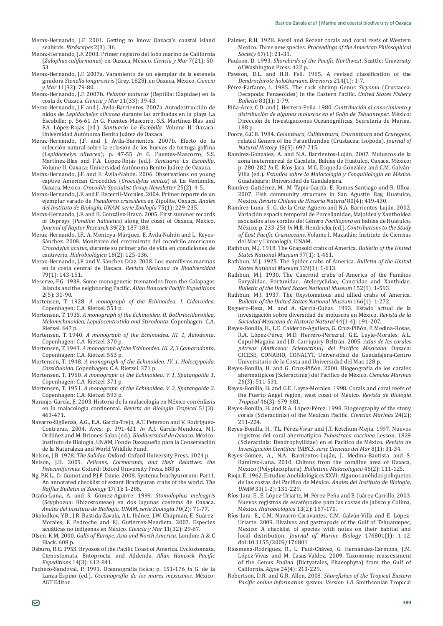- Meraz-Hernando, J.F. 2001. Getting to know Oaxaca's coastal island seabirds. *Birdscapes* 2(3): 36.
- Meraz-Hernando, J.F. 2003. Primer registro del lobo marino de California (*Zalophus californianus*) en Oaxaca, México. Ciencia y Mar 7(21): 50-53.
- Meraz-Hernando, J.F. 2007a. Varamiento de un ejemplar de la estenela giradora *Stenella longirostris* (Gray, 1828), en Oaxaca, México. *Ciencia v Mar* 11(32): 79-80
- Meraz-Hernando, J.F. 2007b. *Pelamis platurus* (Reptilia: Elapidae) en la costa de Oaxaca. *Ciencia y Mar* 11(33): 39-43.
- Meraz-Hernando, J.F. and J. Ávila-Barrientos. 2007a. Autodestrucción de nidos de *Lepidochelys olivacea* durante las arribadas en la playa La Escobilla; p. 56-61 *In* G. Fuentes-Mascorro, S.S. Martínez-Blas and F.A. López-Rojas (ed.). *Santuario La Escobilla*. Volume II. Oaxaca: Universidad Autónoma Benito Juárez de Oaxaca.
- Meraz-Hernando, J.F. and J. Ávila-Barrientos. 2007b. Efecto de la selección natural sobre la eclosión de los huevos de tortuga golfina (*Lepidochelys olivacea*); p. 47-55 *In* G. Fuentes-Mascorro, S.S. Martínez-Blas and F.A. López-Rojas (ed.). *Santuario La Escobilla*. Volume II, Oaxaca: Universidad Autónoma Benito Juárez de Oaxaca.
- Meraz-Hernando, J.F. and E. Ávila-Nahón. 2006. Observations on young ȋ*Crocodylus acutus*) at La Ventanilla, Oaxaca, Mexico. *Crocodile Specialist Group Newsletter* 25(2): 4-5.
- Meraz-Hernando, J.F. and F. Becerril-Morales. 2004. Primer reporte de un *Pseudorca crassidens* en Zipolite, Oaxaca. *Anales del Instituto de Biología, UNAM, serie Zoología* 75(1): 229-235.
- Meraz-Hernando, J.F. and B. González-Bravo. 2005. First summer records of Ospreys (*Pandion haliaetus*) along the coast of Oaxaca, Mexico. *Journal of Raptor Research* 39(2): 187-188.
- Meraz-Hernando, J.F., A. Montoya-Márquez, E. Ávila-Nahón and L. Reyes-Sánchez. 2008. Monitoreo del crecimiento del cocodrilo americano *Crocodylus acutus*, durante su primer año de vida en condiciones de cautiverio. Hidrobiológica 18(2): 125-136.
- Meraz-Hernando, J.F. and V. Sánchez-Díaz. 2008. Los mamíferos marinos en la costa central de Oaxaca. *Revista Mexicana de Biodiversidad*  $79(1)$ : 143-151.
- Meserve, F.G. 1938. Some monogenetic trematodes from the Galapagos Islands and the neighboring Pacific. Allan Hancock Pacific Expeditions  $2(5)$ : 31-90.
- Mortensen, T. 1928. *A monograph of the Echinoidea. I. Cidaroidea*. Copenhagen: C.A. Rietzel. 551 p.
- Mortensen, T. 1935. A monograph of the Echinoidea. II. Bothriocidaroidea, *Melonechinoidea, Lepidocentrotida and Stirodonta*. Copenhagen: C.A. Rietzel. 647 p.
- Mortensen, T. 1940. *A monograph of the Echinoidea. III. 1, Aulodonta*. Copenhagen: C.A. Rietzel. 370 p.
- Mortensen, T. 1943. A monograph of the Echinoidea. III. 2, 3 Camarodonta. Copenhagen: C.A. Rietzel. 553 p.
- Mortensen, T. 1948. *A monograph of the Echinoidea. IV. 1. Holectypoida, Cassiduloida*. Copenhagen: C.A. Rietzel. 371 p.
- Mortensen, T. 1950. *A monograph of the Echinoidea. V. 1, Spatangoida 1*. Copenhagen: C.A. Rietzel, 371 p.
- Mortensen, T. 1951. *A monograph of the Echinoidea. V. 2, Spatangoida 2*. Copenhagen: C.A. Rietzel. 593 p.
- Naranjo-Garcia, E. 2003. Historia de la malacología en México con énfasis en la malacología continental. *Revista de Biología Tropical* 51(3): 463-471.
- Navarro-Siguenza, A.G., E.A. Garcia-Trejo, A.T. Peterson and V. Rodriguez-Contreras. 2004. Aves; p. 391-421 In A.J. García-Mendoza, M.J. Ordóñez and M. Briones-Salas (ed.). *Biodiversidad de Oaxaca*. México: Instituto de Biología, UNAM, Fondo Oaxaqueño para la Conservación de la Naturaleza and World Wildlife Fund.
- Nelson, J.B. 1978. *The Sulidae*. Oxford: Oxford University Press. 1024 p. Nelson, J.B. 2005. *Pelicans, Cormorants, and their Relatives: the Pelecaniformes*. Oxford: Oxford University Press. 680 p.
- Ng, P.K.L., D. Guinot and P.J.F. Davie. 2008. Systema brachyurorum: Part I. An annotated checklist of extant Brachyuran crabs of the world. *The Raffles Bulletin of Zoology* 17(1): 1-286.
- Ocaña-Luna, A. and S. Gómez-Aguirre. 1999. *Stomolophus meleagris* (Scyphozoa: Rhizostomeae) en dos lagunas costeras de Oaxaca. *Anales del Instituto de Biología, UNAM, serie Zoología* 70(2): 71-77.
- Okolodkov, Y.B., J.R. Bastida-Zavala, A.L. Ibáñez, J.W. Chapman, E. Suárez-Morales, F. Pedroche and F.J. Gutierrez-Mendieta. 2007. Especies acuáticas no indígenas en México. Ciencia y Mar 11(32): 29-67.
- Olsen, K.M. 2000. *Gulls of Europe, Asia and North America*. London: A & C Black. 608 p.
- Osburn, R.C. 1953. Bryozoa of the Pacific Coast of America. Cyclostomata, Ctenostomata, Entoprocta, and Addenda. Allan Hancock Pacific *Expeditions* 14(3): 612-841.
- Pacheco-Sandoval, P. 1991. Oceanografía física; p. 151-176 In G. de la Lanza-Espino (ed.). Oceanografía de los mares mexicanos. México: AGT Editor.
- Palmer, R.H. 1928. Fossil and Recent corals and coral reefs of Western Mexico. Three new species. *Proceedings of the American Philosophical Society* 67(1): 21-31
- Paulson, D. 1993. Shorebirds of the Pacific Northwest. Seattle: University of Washington Press. 422 p.
- Pawson, D.L. and H.B. Fell. 1965. A revised classification of the *Dendrochirote holothurians*. *Brevioria* 214(1): 1-7.
- Pérez-Farfante, I. 1985. The rock shrimp Genus Sicyonia (Crustacea: Decapoda: Penaeoidea) in the Eastern Pacific. United States Fishery *Bulletin* 83(1): 1-79.
- Piña-Arce, C.D. and J. Herrera-Peña. 1980. Contribución al conocimiento y distribución de algunos moluscos en el Golfo de Tehuantepec. México: Dirección de Investigaciones Oceanográficas, Secretaría de Marina. 188 p.
- Poore, G.C.B. 1984. *Colanthura, Califanthura, Cruranthura* and *Cruregens*, related Genera of the Paranthuridae (Crustacea: Isopoda). Journal of *Natural History* 18(5): 697-715.
- Ramírez-González, A. and N.A. Barrientos-Luján. 2007. Moluscos de la zona inetermareal de Cacaluta. Bahias de Huatulco, Oaxaca, México: p. 280-282 *In* E. Ríos-Jara, M.C. Esqueda-González and C.M. Galván-Villa (ed.). *Estudios sobre la Malacología y Conquiliología en México*. Guadalajara: Universidad de Guadalajara.
- Ramirez-Gutièrrez, M., M. Tapia-Garcia, E. Ramos-Santiago and R. Ulloa. 2007. Fish community structure in San Agustín Bay, Huatulco, *Mexico. Revista Chilena de Historia Natural* 80(4): 419-430.
- Ramirez-Luna, S., G. de la Cruz-Aguero and N.A. Barrientos-Luján. 2002. Variación espacio temporal de Porcellanidae, Majoidea y Xanthoidea asociados a los corales del Género Pocillopora en bahías de Huatulco, México; p. 233-254 In M.E. Hendrickx (ed.). Contributions to the Study of East Pacific Crustaceans. Volume I. Mazatlán: Instituto de Ciencias del Mar y Limnología, UNAM.
- Rathbun, M.J. 1918. The Grapsoid crabs of America. *Bulletin of the United States National Museum* 97(1): 1-461.
- Rathbun, M.J. 1925. The Spider crabs of America. *Bulletin of the United States National Museum* 129(1): 1-613.
- Rathbun, M.J. 1930. The Cancroid crabs of America of the Families Euryalidae, Portunidae, Atelecyclidae, Cancridae and Xanthidae. *Bulletin of the United States National Museum* 152(1): 1-593
- Rathbun, M.J. 1937. The Oxystomatous and allied crabs of America. *Bulletin of the United States National Museum* 166(1): 1-272.
- Reguero-Reza, M. and A. Garcia-Cubas. 1993. Estado actual de la investigación sobre diversidad de moluscos en México. Revista de la *Sociedad Mexicana de Historia Natural* 44(1-4): 191-207.
- Reyes-Bonilla, H., L.E. Calderón-Aguilera, G. Cruz-Piñón, P. Medina-Rosas, R.A. López-Pèrez, M.D. Herrero-Pèrezrul, G.E. Leyte-Morales, A.L. Cupul-Magaña and J.D. Carriquiry-Beltrán. 2005. Atlas de los corales pétreos (Anthozoa: Scleractinia) del Pacífico Mexicano. Oaxaca: CICESE, CONABIO, CONACYT, Universidad de Guadalajara-Centro Universitario de la Costa and Universidad del Mar. 128 p.
- Reyes-Bonilla, H. and G. Cruz-Piñón. 2000. Biogeografía de los corales ahermatípicos (Scleractinia) del Pacífico de México. Ciencias Marinas  $26(3)$ : 511-531.
- Reyes-Bonilla, H. and G.E. Leyte-Morales. 1998. Corals and coral reefs of the Puerto Angel region, west coast of México. Revista de Biología *Tropical* 46(3): 679-681.
- Reyes-Bonilla, H. and R.A. López-Pérez. 1998. Biogeography of the stony corals (Scleractinia) of the Mexican Pacific. Ciencias Marinas 24(2): 211-224.
- Reyes-Bonilla, H., T.L. Pérez-Vivar and J.T. Ketchum-Mejía. 1997. Nuevos registros del coral ahermatípico *Tubastraea coccinea* Lesson, 1829 (Scleractinia: Dendrophyllidae) en el Pacífico de México. Revista de *Investigación Científica UABCS, serie Ciencias del Mar* 8(1): 31-34.
- Reyes-Gómez, A., N.A. Barrientos-Luján, J. Medina-Bautista and S. Ramírez-Luna. 2010. Chitons from the coralline area of Oaxaca, Mexico (Polyplacophora). *Bollettino Malacologico* 46(2): 111-125.
- Rioja, E. 1962. Estudios Anelidológicos XXVI: Algunos anélidos poliquetos de las costas del Pacífico de México. Anales del Instituto de Biología, *UNAM* 33(1-2): 131-229.
- Ríos-Jara, E., E. López-Uriarte, M. Pérez-Peña and E. Juárez-Carrillo. 2003. Nuevos registros de escafópodos para las costas de Jalisco y Colima, *México. Hidrobiológica* 13(2): 167-170.
- Rios-Jara, E., C.M. Navarro-Caravantes, C.M. Galvan-Villa and E. Lopez-Uriarte. 2009. Bivalves and gastropods of the Gulf of Tehuantepec, Mexico: A checklist of species with notes on their habitat and local distribution. *Journal of Marine Biology* 176801(1): 1-12. doi:10.1155/2009/176801
- Riosmena-Rodríguez, R., L. Paul-Chávez, G. Hernández-Carmona, J.M. López-Vivas and M. Casas-Valdez. 2009. Taxonomic reassessment of the Genus *Padina* (Dictyotales, Phaeophyta) from the Gulf of California. Algae 24(4): 213-229.
- Robertson, D.R. and G.R. Allen. 2008. Shorefishes of the Tropical Eastern *Pacific online information system. Version 1.0.* Smithsonian Tropical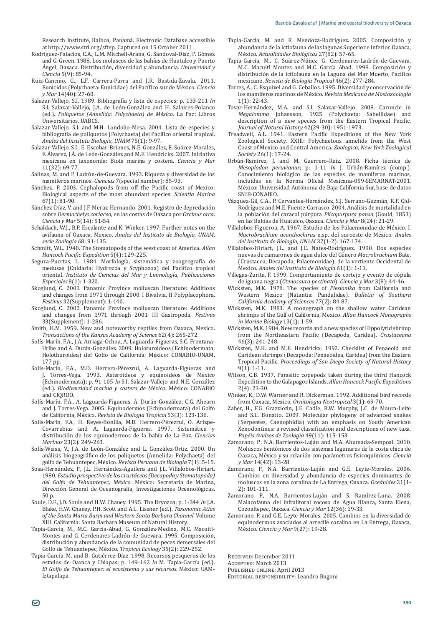Research Institute, Balboa, Panamá, Electronic Database accessible at http://www.stri.org/sftep. Captured on 15 October 2011.

- Rodríguez-Palacios, C.A., L.M. Mitchell-Arana, G. Sandoval-Díaz, P. Gómez and G. Green. 1988. Los moluscos de las bahías de Huatulco y Puerto Ángel, Oaxaca. Distribución, diversidad y abundancia. Universidad y *Ciencia* 5(9): 85-94.
- Ruiz-Cancino, G., L.F. Carrera-Parra and J.R. Bastida-Zavala. 2011. Eunícidos (Polychaeta: Eunicidae) del Pacífico sur de México. Ciencia *y Mar* 14(40): 27-60.
- Salazar-Vallejo, S.I. 1989. Bibliografía y lista de especies; p. 133-211 In S.I. Salazar-Vallejo, J.A. de León-González and H. Salaices-Polanco (ed.). *Poliquetos (Annelida: Polychaeta) de México*. La Paz: Libros Universitarios, UABCS.
- Salazar-Vallejo, S.I. and M.H. Londoño-Mesa, 2004. Lista de especies v bibliografía de poliquetos (Polychaeta) del Pacífico oriental tropical. *Anales del Instituto Biología, UNAM* 75(1): 9-97.
- Salazar-Vallejo, S.I., E. Escobar-Briones, N.E. González, E. Suárez-Morales, F. Alvarez, J.A. de León-González and M.E. Hendrickx. 2007. Iniciativa mexicana en taxonomía: Biota marina y costera. *Ciencia y Mar* 11(32): 69-77.
- Salinas, M. and P. Ladrón-de-Guevara. 1993. Riqueza y diversidad de los mamíferos marinos. *Ciencias* 7(special number): 85-93.
- Sánchez, P. 2003. Cephalopods from off the Pacific coast of Mexico: Biological aspects of the most abundant species. *Scientia Marina* 67(1): 81-90.
- Sánchez-Díaz, V. and J.F. Meraz-Hernando. 2001. Registro de depredación sobre *Dermochelys coriacea*, en las costas de Oaxaca por *Orcinus orca*. *Ciencia y Mar* 5(14): 51-54.
- Schaldach, W.J., B.P. Escalante and K. Winker. 1997. Further notes on the avifauna of Oaxaca, Mexico. Anales del Instituto de Biología, UNAM, *serie Zoología* 68: 91-135.
- Schmitt, W.L. 1940. The Stomatopods of the west coast of America. *Allan Hancock Pacific Expedition* 5(4): 129-225.
- Segura-Puertas, L. 1984. Morfología, sistemática y zoogeografía de medusas (Cnidaria: Hydrozoa y Scyphozoa) del Pacífico tropical oriental. *Instituto de Ciencias del Mar y Limnología, Publicaciones Especiales* 8(1): 1-320.
- Skoglund, C. 2001. Panamic Province molluscan literature: Additions and changes from 1971 through 2000. I Bivalvia. II Polyplacophora. *Festivus* 32(Supplement): 1-140.
- Skoglund, C. 2002. Panamic Province molluscan literature: Additions and changes from 1971 through 2001. III Gastropoda. Festivus 33(Supplement): 1-286.
- Smith, H.M. 1959. New and noteworthy reptiles from Oaxaca, Mexico. *Transactions of the Kansas Academy of Science* 62(4): 265-272.
- Solís-Marín, F.A., J.A. Arriaga-Ochoa, A. Laguarda-Figueras, S.C. Frontana-Uribe and A. Durán-González. 2009. Holoturoideos (Echinodermata: Holothuroidea) del Golfo de California. México: CONABIO-UNAM. 177 pp.
- Solís-Marín, F.A., M.D. Herrero-Pérezrul, A. Laguarda-Figueras and Torres-Vega. 1993. Asteroideos y equinoideos de México (Echinodermata); p. 91-105 *In* S.I. Salazar-Vallejo and N.E. González (ed.). *Biodiversidad marina y costera de México*. México: CONABIO and CIQROO.
- Solis-Marin, F.A., A. Laguarda-Figueras, A. Duràn-Gonzalez, C.G. Ahearn and J. Torres-Vega. 2005. Equinodermos (Echinodermata) del Golfo de California, México. Revista de Biología Tropical 53(3): 123-136.
- Solís-Marín, F.A., H. Reyes-Bonilla, M.D. Herrero-Pérezrul, O. Arizpe-Covarrubias and A. Laguarda-Figueras. 1997. Sistemática y distribución de los equinodermos de la bahía de La Paz. *Ciencias Marinas* 23(2): 249-263.
- Solís-Weiss, V., J.A. de León-González and L. González-Ortiz. 2000. Un análisis biogeográfico de los poliquetos (Annelida: Polychaeta) del golfo de Tehuantepec, México. Revista Peruana de Biología 7(1): 5-15.
- Sosa-Hernández, P., J.L. Hernández-Aguilera and J.L. Villalobos-Hiriart. 1980. *Estudio prospectivo de los crustáceos (Decapoda y Stomatopoda)*  del Golfo de Tehuantepec, México. México: Secretaría de Marina, Dirección General de Oceanografía, Investigaciones Oceanológicas. 50 p.
- Soule, D.F., J.D. Soule and H.W. Chaney. 1995. The Bryozoa; p. 1-344 In J.A. Blake, H.W. Chaney, P.H. Scott and A.L. Lissner (ed.). Taxonomic Atlas *of the Santa Maria Basin and Western Santa Barbara Channel*. Volume XIII. California: Santa Barbara Museum of Natural History
- Tapia-Garcia, M., M.C. Garcia-Abad, G. Gonzalez-Medina, M.C. Macuitl-Montes and G. Cerdenares-Ladrón-de-Guevara. 1995. Composición, distribución y abundancia de la comunidad de peces demersales del Golfo de Tehuantepec, México. *Tropical Ecology* 35(2): 229-252.
- Tapia-García, M. and B. Gutiérrez-Díaz. 1998. Recursos pesqueros de los estados de Oaxaca y Chiapas; p. 149-162 In M. Tapia-García (ed.). *El Golfo de Tehuantepec: el ecosistema y sus recursos*. México: UAM-Iztanalana.
- Tapia-Garcia, M. and R. Mendoza-Rodriguez. 2005. Composición y abundancia de la ictiofauna de las lagunas Superior e Inferior, Oaxaca, México. Actualidades Biológicas 27(82): 57-65.
- Tapia-Garcia, M., C. Suárez-Núñez, G. Cerdenares-Ladrón-de-Guevara, M.C. Macuitl Montes and M.C. Garcia Abad. 1998. Composición y distribución de la ictiofauna en la Laguna del Mar Muerto, Pacífico mexicano. *Revista de Biología Tropical* 46(2): 277-284.
- Torres, A., C. Esquivel and G. Ceballos. 1995. Diversidad y conservación de los mamíferos marinos de México. Revista Mexicana de Mastozoología  $1(1): 22-43.$
- Tovar-Hernández, M.A. and S.I. Salazar-Vallejo. 2008. Caruncle in *Megalomma* Johansson, 1925 (Polychaeta: Sabellidae) and description of a new species from the Eastern Tropical Pacific. *Journal of Natural History* 42(29-30): 1951-1973.
- Treadwell, A.L. 1941. Eastern Pacific Expeditions of the New York Zoological Society. XXIII: Polychaetous annelids from the West Coast of Mexico and Central America. Zoologica, New York Zoological *Society* 26(1): 17-24.
- Urban-Ramirez, J. and M. Guerrero-Ruiz. 2008. Ficha tecnica de *Mesoplodon peruvianus*; p: 1-11 *In* J. Urbán-Ramírez (comp.). Conocimiento biológico de las especies de mamíferos marinos, incluídas en la Norma Oficial Mexicana-059-SEMARNAT-2001. México: Universidad Autónoma de Baja California Sur, base de datos SNIB-CONABIO.
- Vázquez-Gil, C.A., P. Cervantes-Hernández, S.J. Serrano-Guzmán, R.P. Cid-Rodríguez and M.E. Fuente-Carrasco. 2004. Análisis de mortalidad en la población del caracol púrpura Plicopurpura pansa (Gould, 1853) en las Bahías de Huatulco, Oaxaca. *Ciencia y Mar* 8(24): 21-29.
- Villalobos-Figueroa, A. 1967. Estudio de los Palaemonidae de México. I. *Macrobrachium acanthochirus* n.sp. del suroeste de México. Anales *del Instituto de Biología, UNAM* 37(1-2): 167-174.
- Villalobos-Hiriart, J.L. and J.C. Nates-Rodríguez. 1990. Dos especies ±*Macrobrachium* Bate, (Crustacea, Decapoda, Palaemonidae), de la vertiente Occidental de Mexico. *Anales del Instituto de Biología* 61(1): 1-11.
- Villegas-Zurita, F. 1999. Comportamiento de cortejo y evento de cópula de iguana negra (*Ctenosaura pectinata*). *Ciencia y Mar* 3(8): 44-46.
- Wicksten, M.K. 1978. The species of *Plesionika* Western Mexico (Natantia: Pandalidae). *Bulletin of Southern California Academy of Sciences* 77(2): 84-87.
- Wicksten, M.K. 1983. A monograph on the shallow water Caridean shrimps of the Gulf of California, Mexico. Allan Hancock Monographs *in Marine Biology* 13(1): 1-59.
- Wicksten, M.K. 1984. New records and a new species of Hippolytid shrimp from the Northeastern Pacific (Decapoda, Caridea). Crustaceana 46(3): 241-248.
- Wicksten, M.K. and M.E. Hendrickx. 1992. Checklist of Penaeoid and Caridean shrimps (Decapoda: Penaeoidea, Caridea) from the Eastern Tropical Pacific. Proceedings of San Diego Society of Natural History  $9(1): 1-11.$
- Wilson, C.B. 1937. Parasitic copepods taken during the third Hancock Expedition to the Galapagos Islands. Allan Hancock Pacific Expeditions  $2(4)$ : 23-30.
- Winker, K., D.W. Warner and R. Dickerman. 1992. Additional bird records from Oaxaca, Mexico. Ornitologia Neotropical 3(1): 69-70.
- Zaher, H., F.G. Grazziotin, J.E. Cadle, R.W. Murphy, J.C. de Moura-Leite and S.L. Bonatto. 2009. Molecular phylogeny of advanced snakes (Serpentes, Caenophidia) with an emphasis on South American Xenodontines: a revised classification and descriptions of new taxa. *Papéis Avulsos de Zoologia* 49(11): 115-153.
- Zamorano, P., N.A. Barrientos-Luján and M.A. Ahumada-Sempoal. 2010. Moluscos bentónicos de dos sistemas lagunares de la costa chica de Oaxaca, México y su relación con parámetros fisicoquímicos. Ciencia *y Mar* 14(42): 13-28.
- Zamorano, P., N.A. Barrientos-Luján and G.E. Leyte-Morales. 2006. Cambios en diversidad y abundancia de especies dominantes de moluscos en la zona coralina de La Entrega, Oaxaca. Oceánides 21(1-2): 101-111.
- Zamorano, P., N.A. Barrientos-Luján and S. Ramírez-Luna. 2008. Malacofauna del infralitoral rocoso de Agua Blanca, Santa Elena, Cozoaltepec, Oaxaca. Ciencia y Mar 12(36): 19-33.
- Zamorano, P. and G.E. Leyte-Morales. 2005. Cambios en la diversidad de equinodermos asociados al arrecife coralino en La Entrega, Oaxaca, ±Ǥ*Ciencia y Mar* 9(27): 19-28.

RECEIVED: December 2011

**ACCEPTED: March 2013** PUBLISHED ONLINE: April 2013

EDITORIAL RESPONSIBILITY: Leandro Bugoni